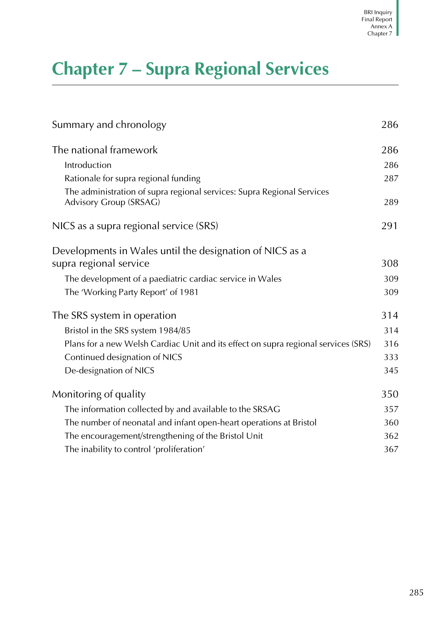# **Chapter 7 – Supra Regional Services**

| Summary and chronology                                                                           | 286 |
|--------------------------------------------------------------------------------------------------|-----|
| The national framework                                                                           | 286 |
| Introduction                                                                                     | 286 |
| Rationale for supra regional funding                                                             | 287 |
| The administration of supra regional services: Supra Regional Services<br>Advisory Group (SRSAG) | 289 |
| NICS as a supra regional service (SRS)                                                           | 291 |
| Developments in Wales until the designation of NICS as a                                         |     |
| supra regional service                                                                           | 308 |
| The development of a paediatric cardiac service in Wales                                         | 309 |
| The 'Working Party Report' of 1981                                                               | 309 |
| The SRS system in operation                                                                      | 314 |
| Bristol in the SRS system 1984/85                                                                | 314 |
| Plans for a new Welsh Cardiac Unit and its effect on supra regional services (SRS)               | 316 |
| Continued designation of NICS                                                                    | 333 |
| De-designation of NICS                                                                           | 345 |
| Monitoring of quality                                                                            | 350 |
| The information collected by and available to the SRSAG                                          | 357 |
| The number of neonatal and infant open-heart operations at Bristol                               | 360 |
| The encouragement/strengthening of the Bristol Unit                                              | 362 |
| The inability to control 'proliferation'                                                         | 367 |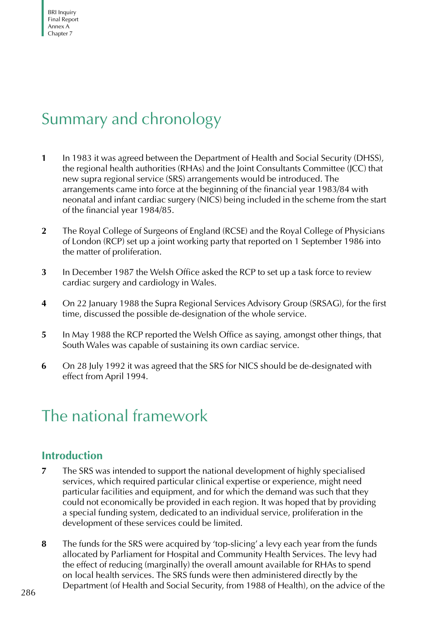## <span id="page-1-0"></span>Summary and chronology

- **1** In 1983 it was agreed between the Department of Health and Social Security (DHSS), the regional health authorities (RHAs) and the Joint Consultants Committee (JCC) that new supra regional service (SRS) arrangements would be introduced. The arrangements came into force at the beginning of the financial year 1983/84 with neonatal and infant cardiac surgery (NICS) being included in the scheme from the start of the financial year 1984/85.
- **2** The Royal College of Surgeons of England (RCSE) and the Royal College of Physicians of London (RCP) set up a joint working party that reported on 1 September 1986 into the matter of proliferation.
- **3** In December 1987 the Welsh Office asked the RCP to set up a task force to review cardiac surgery and cardiology in Wales.
- **4** On 22 January 1988 the Supra Regional Services Advisory Group (SRSAG), for the first time, discussed the possible de-designation of the whole service.
- **5** In May 1988 the RCP reported the Welsh Office as saying, amongst other things, that South Wales was capable of sustaining its own cardiac service.
- **6** On 28 July 1992 it was agreed that the SRS for NICS should be de-designated with effect from April 1994.

## <span id="page-1-1"></span>The national framework

### <span id="page-1-2"></span>**Introduction**

- **7** The SRS was intended to support the national development of highly specialised services, which required particular clinical expertise or experience, might need particular facilities and equipment, and for which the demand was such that they could not economically be provided in each region. It was hoped that by providing a special funding system, dedicated to an individual service, proliferation in the development of these services could be limited.
- **8** The funds for the SRS were acquired by 'top-slicing' a levy each year from the funds allocated by Parliament for Hospital and Community Health Services. The levy had the effect of reducing (marginally) the overall amount available for RHAs to spend on local health services. The SRS funds were then administered directly by the Department (of Health and Social Security, from 1988 of Health), on the advice of the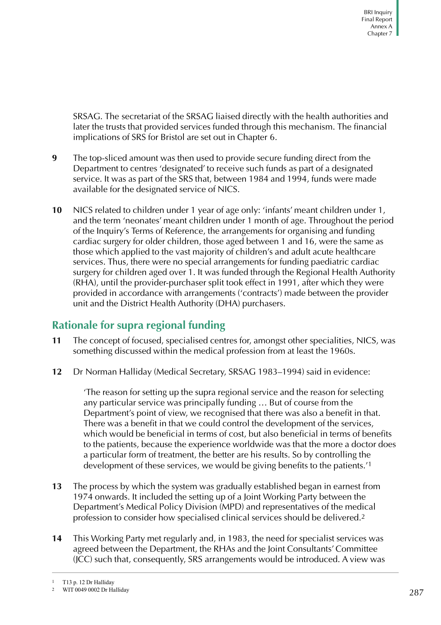SRSAG. The secretariat of the SRSAG liaised directly with the health authorities and later the trusts that provided services funded through this mechanism. The financial implications of SRS for Bristol are set out in Chapter 6.

- **9** The top-sliced amount was then used to provide secure funding direct from the Department to centres 'designated' to receive such funds as part of a designated service. It was as part of the SRS that, between 1984 and 1994, funds were made available for the designated service of NICS.
- **10** NICS related to children under 1 year of age only: 'infants' meant children under 1, and the term 'neonates' meant children under 1 month of age. Throughout the period of the Inquiry's Terms of Reference, the arrangements for organising and funding cardiac surgery for older children, those aged between 1 and 16, were the same as those which applied to the vast majority of children's and adult acute healthcare services. Thus, there were no special arrangements for funding paediatric cardiac surgery for children aged over 1. It was funded through the Regional Health Authority (RHA), until the provider-purchaser split took effect in 1991, after which they were provided in accordance with arrangements ('contracts') made between the provider unit and the District Health Authority (DHA) purchasers.

### <span id="page-2-0"></span>**Rationale for supra regional funding**

- **11** The concept of focused, specialised centres for, amongst other specialities, NICS, was something discussed within the medical profession from at least the 1960s.
- **12** Dr Norman Halliday (Medical Secretary, SRSAG 1983–1994) said in evidence:

'The reason for setting up the supra regional service and the reason for selecting any particular service was principally funding … But of course from the Department's point of view, we recognised that there was also a benefit in that. There was a benefit in that we could control the development of the services, which would be beneficial in terms of cost, but also beneficial in terms of benefits to the patients, because the experience worldwide was that the more a doctor does a particular form of treatment, the better are his results. So by controlling the development of these services, we would be giving benefits to the patients.'1

- **13** The process by which the system was gradually established began in earnest from 1974 onwards. It included the setting up of a Joint Working Party between the Department's Medical Policy Division (MPD) and representatives of the medical profession to consider how specialised clinical services should be delivered.2
- **14** This Working Party met regularly and, in 1983, the need for specialist services was agreed between the Department, the RHAs and the Joint Consultants' Committee (JCC) such that, consequently, SRS arrangements would be introduced. A view was

<sup>1</sup> T13 p. 12 Dr Halliday

<sup>2</sup> WIT 0049 0002 Dr Halliday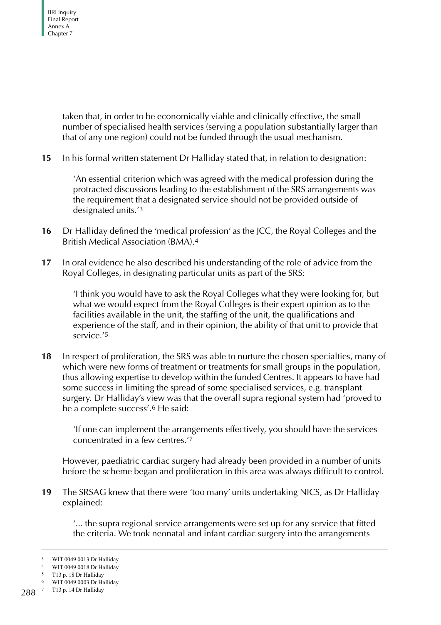taken that, in order to be economically viable and clinically effective, the small number of specialised health services (serving a population substantially larger than that of any one region) could not be funded through the usual mechanism.

**15** In his formal written statement Dr Halliday stated that, in relation to designation:

'An essential criterion which was agreed with the medical profession during the protracted discussions leading to the establishment of the SRS arrangements was the requirement that a designated service should not be provided outside of designated units.'3

- **16** Dr Halliday defined the 'medical profession' as the JCC, the Royal Colleges and the British Medical Association (BMA).4
- **17** In oral evidence he also described his understanding of the role of advice from the Royal Colleges, in designating particular units as part of the SRS:

'I think you would have to ask the Royal Colleges what they were looking for, but what we would expect from the Royal Colleges is their expert opinion as to the facilities available in the unit, the staffing of the unit, the qualifications and experience of the staff, and in their opinion, the ability of that unit to provide that service.'5

**18** In respect of proliferation, the SRS was able to nurture the chosen specialties, many of which were new forms of treatment or treatments for small groups in the population, thus allowing expertise to develop within the funded Centres. It appears to have had some success in limiting the spread of some specialised services, e.g. transplant surgery. Dr Halliday's view was that the overall supra regional system had 'proved to be a complete success'.6 He said:

'If one can implement the arrangements effectively, you should have the services concentrated in a few centres.'7

However, paediatric cardiac surgery had already been provided in a number of units before the scheme began and proliferation in this area was always difficult to control.

**19** The SRSAG knew that there were 'too many' units undertaking NICS, as Dr Halliday explained:

'... the supra regional service arrangements were set up for any service that fitted the criteria. We took neonatal and infant cardiac surgery into the arrangements

<sup>3</sup> WIT 0049 0013 Dr Halliday

<sup>4</sup> WIT 0049 0018 Dr Halliday

<sup>5</sup> T13 p. 18 Dr Halliday

<sup>6</sup> WIT 0049 0003 Dr Halliday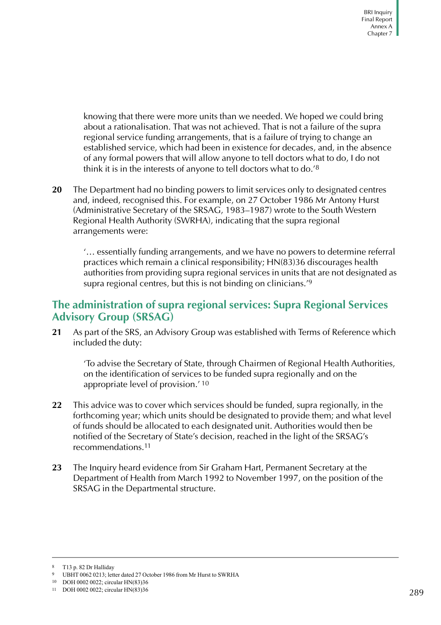knowing that there were more units than we needed. We hoped we could bring about a rationalisation. That was not achieved. That is not a failure of the supra regional service funding arrangements, that is a failure of trying to change an established service, which had been in existence for decades, and, in the absence of any formal powers that will allow anyone to tell doctors what to do, I do not think it is in the interests of anyone to tell doctors what to do.'8

**20** The Department had no binding powers to limit services only to designated centres and, indeed, recognised this. For example, on 27 October 1986 Mr Antony Hurst (Administrative Secretary of the SRSAG, 1983–1987) wrote to the South Western Regional Health Authority (SWRHA), indicating that the supra regional arrangements were:

'… essentially funding arrangements, and we have no powers to determine referral practices which remain a clinical responsibility; HN(83)36 discourages health authorities from providing supra regional services in units that are not designated as supra regional centres, but this is not binding on clinicians.'9

### <span id="page-4-0"></span>**The administration of supra regional services: Supra Regional Services Advisory Group (SRSAG)**

**21** As part of the SRS, an Advisory Group was established with Terms of Reference which included the duty:

'To advise the Secretary of State, through Chairmen of Regional Health Authorities, on the identification of services to be funded supra regionally and on the appropriate level of provision.' 10

- **22** This advice was to cover which services should be funded, supra regionally, in the forthcoming year; which units should be designated to provide them; and what level of funds should be allocated to each designated unit. Authorities would then be notified of the Secretary of State's decision, reached in the light of the SRSAG's recommendations.11
- **23** The Inquiry heard evidence from Sir Graham Hart, Permanent Secretary at the Department of Health from March 1992 to November 1997, on the position of the SRSAG in the Departmental structure.

<sup>8</sup> T13 p. 82 Dr Halliday

<sup>9</sup> UBHT 0062 0213; letter dated 27 October 1986 from Mr Hurst to SWRHA

<sup>10</sup> DOH 0002 0022; circular HN(83)36

<sup>11</sup> DOH 0002 0022; circular HN(83)36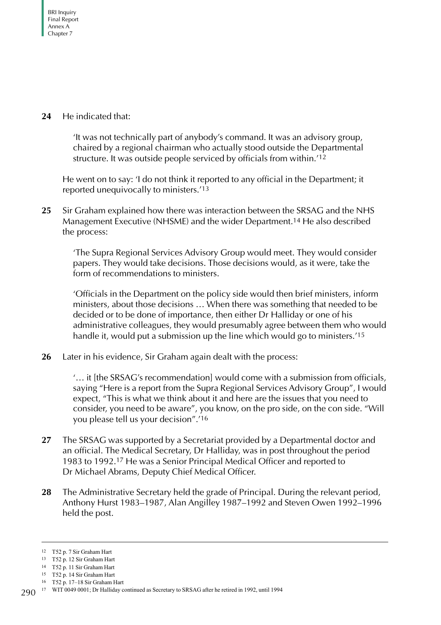#### **24** He indicated that:

'It was not technically part of anybody's command. It was an advisory group, chaired by a regional chairman who actually stood outside the Departmental structure. It was outside people serviced by officials from within.'12

He went on to say: 'I do not think it reported to any official in the Department; it reported unequivocally to ministers.'13

**25** Sir Graham explained how there was interaction between the SRSAG and the NHS Management Executive (NHSME) and the wider Department.14 He also described the process:

'The Supra Regional Services Advisory Group would meet. They would consider papers. They would take decisions. Those decisions would, as it were, take the form of recommendations to ministers.

'Officials in the Department on the policy side would then brief ministers, inform ministers, about those decisions … When there was something that needed to be decided or to be done of importance, then either Dr Halliday or one of his administrative colleagues, they would presumably agree between them who would handle it, would put a submission up the line which would go to ministers.'15

**26** Later in his evidence, Sir Graham again dealt with the process:

'… it [the SRSAG's recommendation] would come with a submission from officials, saying "Here is a report from the Supra Regional Services Advisory Group", I would expect, "This is what we think about it and here are the issues that you need to consider, you need to be aware", you know, on the pro side, on the con side. "Will you please tell us your decision".'16

- **27** The SRSAG was supported by a Secretariat provided by a Departmental doctor and an official. The Medical Secretary, Dr Halliday, was in post throughout the period 1983 to 1992.17 He was a Senior Principal Medical Officer and reported to Dr Michael Abrams, Deputy Chief Medical Officer.
- **28** The Administrative Secretary held the grade of Principal. During the relevant period, Anthony Hurst 1983–1987, Alan Angilley 1987–1992 and Steven Owen 1992–1996 held the post.

<sup>12</sup> T52 p. 7 Sir Graham Hart

<sup>13</sup> T52 p. 12 Sir Graham Hart

<sup>14</sup> T52 p. 11 Sir Graham Hart

<sup>15</sup> T52 p. 14 Sir Graham Hart

<sup>16</sup> T52 p. 17–18 Sir Graham Hart

<sup>17</sup> WIT 0049 0001; Dr Halliday continued as Secretary to SRSAG after he retired in 1992, until 1994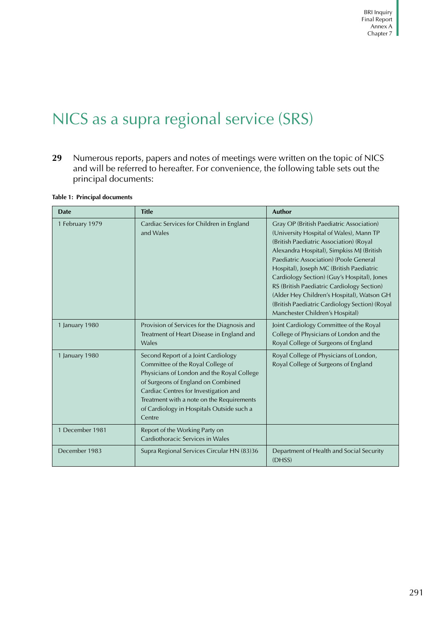## <span id="page-6-0"></span>NICS as a supra regional service (SRS)

**29** Numerous reports, papers and notes of meetings were written on the topic of NICS and will be referred to hereafter. For convenience, the following table sets out the principal documents:

| <b>Date</b>     | <b>Title</b>                                                                                                                                                                                                                                                                                              | <b>Author</b>                                                                                                                                                                                                                                                                                                                                                                                                                                                                                     |
|-----------------|-----------------------------------------------------------------------------------------------------------------------------------------------------------------------------------------------------------------------------------------------------------------------------------------------------------|---------------------------------------------------------------------------------------------------------------------------------------------------------------------------------------------------------------------------------------------------------------------------------------------------------------------------------------------------------------------------------------------------------------------------------------------------------------------------------------------------|
| 1 February 1979 | Cardiac Services for Children in England<br>and Wales                                                                                                                                                                                                                                                     | Gray OP (British Paediatric Association)<br>(University Hospital of Wales), Mann TP<br>(British Paediatric Association) (Royal<br>Alexandra Hospital), Simpkiss MJ (British<br>Paediatric Association) (Poole General<br>Hospital), Joseph MC (British Paediatric<br>Cardiology Section) (Guy's Hospital), Jones<br>RS (British Paediatric Cardiology Section)<br>(Alder Hey Children's Hospital), Watson GH<br>(British Paediatric Cardiology Section) (Royal<br>Manchester Children's Hospital) |
| 1 January 1980  | Provision of Services for the Diagnosis and<br>Treatment of Heart Disease in England and<br>Wales                                                                                                                                                                                                         | Joint Cardiology Committee of the Royal<br>College of Physicians of London and the<br>Royal College of Surgeons of England                                                                                                                                                                                                                                                                                                                                                                        |
| 1 January 1980  | Second Report of a Joint Cardiology<br>Committee of the Royal College of<br>Physicians of London and the Royal College<br>of Surgeons of England on Combined<br>Cardiac Centres for Investigation and<br>Treatment with a note on the Requirements<br>of Cardiology in Hospitals Outside such a<br>Centre | Royal College of Physicians of London,<br>Royal College of Surgeons of England                                                                                                                                                                                                                                                                                                                                                                                                                    |
| 1 December 1981 | Report of the Working Party on<br>Cardiothoracic Services in Wales                                                                                                                                                                                                                                        |                                                                                                                                                                                                                                                                                                                                                                                                                                                                                                   |
| December 1983   | Supra Regional Services Circular HN (83)36                                                                                                                                                                                                                                                                | Department of Health and Social Security<br>(DHSS)                                                                                                                                                                                                                                                                                                                                                                                                                                                |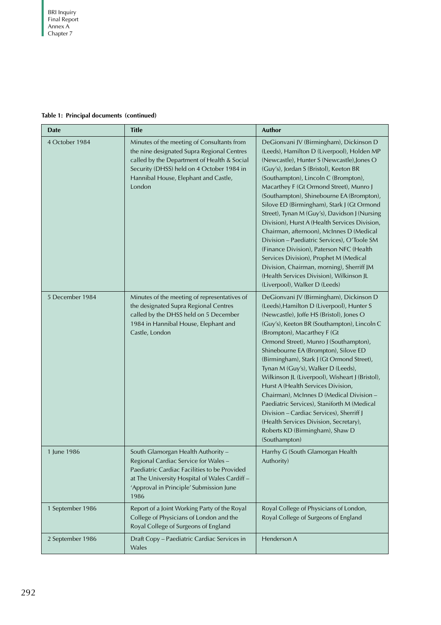| <b>Date</b>      | <b>Title</b>                                                                                                                                                                                                                           | <b>Author</b>                                                                                                                                                                                                                                                                                                                                                                                                                                                                                                                                                                                                                                                                                                                                                            |
|------------------|----------------------------------------------------------------------------------------------------------------------------------------------------------------------------------------------------------------------------------------|--------------------------------------------------------------------------------------------------------------------------------------------------------------------------------------------------------------------------------------------------------------------------------------------------------------------------------------------------------------------------------------------------------------------------------------------------------------------------------------------------------------------------------------------------------------------------------------------------------------------------------------------------------------------------------------------------------------------------------------------------------------------------|
| 4 October 1984   | Minutes of the meeting of Consultants from<br>the nine designated Supra Regional Centres<br>called by the Department of Health & Social<br>Security (DHSS) held on 4 October 1984 in<br>Hannibal House, Elephant and Castle,<br>London | DeGionvani JV (Birmingham), Dickinson D<br>(Leeds), Hamilton D (Liverpool), Holden MP<br>(Newcastle), Hunter S (Newcastle), Jones O<br>(Guy's), Jordan S (Bristol), Keeton BR<br>(Southampton), Lincoln C (Brompton),<br>Macarthey F (Gt Ormond Street), Munro J<br>(Southampton), Shinebourne EA (Brompton),<br>Silove ED (Birmingham), Stark J (Gt Ormond<br>Street), Tynan M (Guy's), Davidson J (Nursing<br>Division), Hurst A (Health Services Division,<br>Chairman, afternoon), McInnes D (Medical<br>Division - Paediatric Services), O'Toole SM<br>(Finance Division), Paterson NFC (Health<br>Services Division), Prophet M (Medical<br>Division, Chairman, morning), Sherriff JM<br>(Health Services Division), Wilkinson JL<br>(Liverpool), Walker D (Leeds) |
| 5 December 1984  | Minutes of the meeting of representatives of<br>the designated Supra Regional Centres<br>called by the DHSS held on 5 December<br>1984 in Hannibal House, Elephant and<br>Castle, London                                               | DeGionvani JV (Birmingham), Dickinson D<br>(Leeds), Hamilton D (Liverpool), Hunter S<br>(Newcastle), Joffe HS (Bristol), Jones O<br>(Guy's), Keeton BR (Southampton), Lincoln C<br>(Brompton), Macarthey F (Gt<br>Ormond Street), Munro J (Southampton),<br>Shinebourne EA (Brompton), Silove ED<br>(Birmingham), Stark J (Gt Ormond Street),<br>Tynan M (Guy's), Walker D (Leeds),<br>Wilkinson JL (Liverpool), Wisheart J (Bristol),<br>Hurst A (Health Services Division,<br>Chairman), McInnes D (Medical Division -<br>Paediatric Services), Staniforth M (Medical<br>Division - Cardiac Services), Sherriff J<br>(Health Services Division, Secretary),<br>Roberts KD (Birmingham), Shaw D<br>(Southampton)                                                        |
| 1 lune 1986      | South Glamorgan Health Authority -<br>Regional Cardiac Service for Wales -<br>Paediatric Cardiac Facilities to be Provided<br>at The University Hospital of Wales Cardiff-<br>'Approval in Principle' Submission June<br>1986          | Harrhy G (South Glamorgan Health<br>Authority)                                                                                                                                                                                                                                                                                                                                                                                                                                                                                                                                                                                                                                                                                                                           |
| 1 September 1986 | Report of a Joint Working Party of the Royal<br>College of Physicians of London and the<br>Royal College of Surgeons of England                                                                                                        | Royal College of Physicians of London,<br>Royal College of Surgeons of England                                                                                                                                                                                                                                                                                                                                                                                                                                                                                                                                                                                                                                                                                           |
| 2 September 1986 | Draft Copy – Paediatric Cardiac Services in<br>Wales                                                                                                                                                                                   | Henderson A                                                                                                                                                                                                                                                                                                                                                                                                                                                                                                                                                                                                                                                                                                                                                              |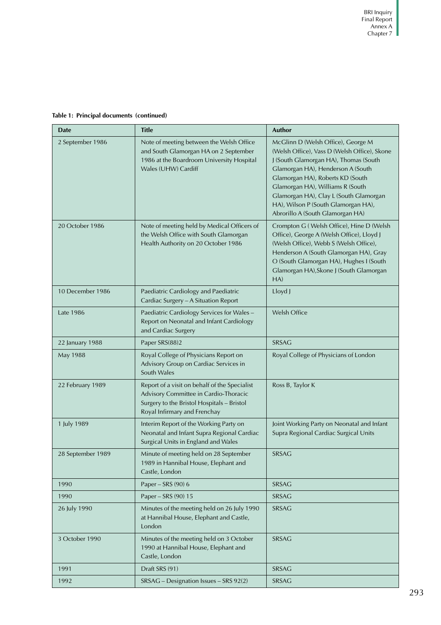#### **Table 1: Principal documents (continued)**

| <b>Date</b>       | <b>Title</b>                                                                                                                                                         | <b>Author</b>                                                                                                                                                                                                                                                                                                                                                 |
|-------------------|----------------------------------------------------------------------------------------------------------------------------------------------------------------------|---------------------------------------------------------------------------------------------------------------------------------------------------------------------------------------------------------------------------------------------------------------------------------------------------------------------------------------------------------------|
| 2 September 1986  | Note of meeting between the Welsh Office<br>and South Glamorgan HA on 2 September<br>1986 at the Boardroom University Hospital<br>Wales (UHW) Cardiff                | McGlinn D (Welsh Office), George M<br>(Welsh Office), Vass D (Welsh Office), Skone<br>J (South Glamorgan HA), Thomas (South<br>Glamorgan HA), Henderson A (South<br>Glamorgan HA), Roberts KD (South<br>Glamorgan HA), Williams R (South<br>Glamorgan HA), Clay L (South Glamorgan<br>HA), Wilson P (South Glamorgan HA),<br>Abrorillo A (South Glamorgan HA) |
| 20 October 1986   | Note of meeting held by Medical Officers of<br>the Welsh Office with South Glamorgan<br>Health Authority on 20 October 1986                                          | Crompton G (Welsh Office), Hine D (Welsh<br>Office), George A (Welsh Office), Lloyd J<br>(Welsh Office), Webb S (Welsh Office),<br>Henderson A (South Glamorgan HA), Gray<br>O (South Glamorgan HA), Hughes I (South<br>Glamorgan HA), Skone J (South Glamorgan<br>HA)                                                                                        |
| 10 December 1986  | Paediatric Cardiology and Paediatric<br>Cardiac Surgery - A Situation Report                                                                                         | Lloyd J                                                                                                                                                                                                                                                                                                                                                       |
| <b>Late 1986</b>  | Paediatric Cardiology Services for Wales-<br>Report on Neonatal and Infant Cardiology<br>and Cardiac Surgery                                                         | Welsh Office                                                                                                                                                                                                                                                                                                                                                  |
| 22 January 1988   | Paper SRS(88)2                                                                                                                                                       | <b>SRSAG</b>                                                                                                                                                                                                                                                                                                                                                  |
| May 1988          | Royal College of Physicians Report on<br>Advisory Group on Cardiac Services in<br>South Wales                                                                        | Royal College of Physicians of London                                                                                                                                                                                                                                                                                                                         |
| 22 February 1989  | Report of a visit on behalf of the Specialist<br>Advisory Committee in Cardio-Thoracic<br>Surgery to the Bristol Hospitals - Bristol<br>Royal Infirmary and Frenchay | Ross B, Taylor K                                                                                                                                                                                                                                                                                                                                              |
| 1 July 1989       | Interim Report of the Working Party on<br>Neonatal and Infant Supra Regional Cardiac<br>Surgical Units in England and Wales                                          | Joint Working Party on Neonatal and Infant<br>Supra Regional Cardiac Surgical Units                                                                                                                                                                                                                                                                           |
| 28 September 1989 | Minute of meeting held on 28 September<br>1989 in Hannibal House, Elephant and<br>Castle, London                                                                     | SRSAG                                                                                                                                                                                                                                                                                                                                                         |
| 1990              | Paper - SRS (90) 6                                                                                                                                                   | SRSAG                                                                                                                                                                                                                                                                                                                                                         |
| 1990              | Paper - SRS (90) 15                                                                                                                                                  | SRSAG                                                                                                                                                                                                                                                                                                                                                         |
| 26 July 1990      | Minutes of the meeting held on 26 July 1990<br>at Hannibal House, Elephant and Castle,<br>London                                                                     | SRSAG                                                                                                                                                                                                                                                                                                                                                         |
| 3 October 1990    | Minutes of the meeting held on 3 October<br>1990 at Hannibal House, Elephant and<br>Castle, London                                                                   | SRSAG                                                                                                                                                                                                                                                                                                                                                         |
| 1991              | Draft SRS (91)                                                                                                                                                       | SRSAG                                                                                                                                                                                                                                                                                                                                                         |
| 1992              | SRSAG - Designation Issues - SRS 92(2)                                                                                                                               | SRSAG                                                                                                                                                                                                                                                                                                                                                         |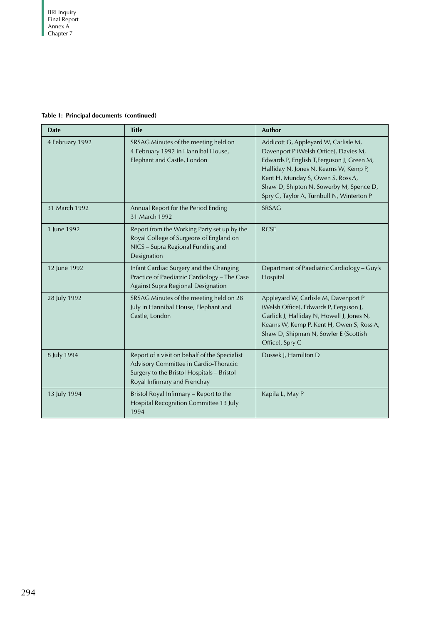**Table 1: Principal documents (continued)**

| <b>Date</b>     | <b>Title</b>                                                                                                                                                         | <b>Author</b>                                                                                                                                                                                                                                                                                      |
|-----------------|----------------------------------------------------------------------------------------------------------------------------------------------------------------------|----------------------------------------------------------------------------------------------------------------------------------------------------------------------------------------------------------------------------------------------------------------------------------------------------|
| 4 February 1992 | SRSAG Minutes of the meeting held on<br>4 February 1992 in Hannibal House,<br>Elephant and Castle, London                                                            | Addicott G, Appleyard W, Carlisle M,<br>Davenport P (Welsh Office), Davies M,<br>Edwards P, English T, Ferguson J, Green M,<br>Halliday N, Jones N, Kearns W, Kemp P,<br>Kent H, Munday S, Owen S, Ross A,<br>Shaw D, Shipton N, Sowerby M, Spence D,<br>Spry C, Taylor A, Turnbull N, Winterton P |
| 31 March 1992   | Annual Report for the Period Ending<br>31 March 1992                                                                                                                 | <b>SRSAG</b>                                                                                                                                                                                                                                                                                       |
| 1 June 1992     | Report from the Working Party set up by the<br>Royal College of Surgeons of England on<br>NICS - Supra Regional Funding and<br>Designation                           | <b>RCSE</b>                                                                                                                                                                                                                                                                                        |
| 12 June 1992    | Infant Cardiac Surgery and the Changing<br>Practice of Paediatric Cardiology - The Case<br><b>Against Supra Regional Designation</b>                                 | Department of Paediatric Cardiology - Guy's<br>Hospital                                                                                                                                                                                                                                            |
| 28 July 1992    | SRSAG Minutes of the meeting held on 28<br>July in Hannibal House, Elephant and<br>Castle, London                                                                    | Appleyard W, Carlisle M, Davenport P<br>(Welsh Office), Edwards P, Ferguson J,<br>Garlick J, Halliday N, Howell J, Jones N,<br>Kearns W, Kemp P, Kent H, Owen S, Ross A,<br>Shaw D, Shipman N, Sowler E (Scottish<br>Office), Spry C                                                               |
| 8 July 1994     | Report of a visit on behalf of the Specialist<br>Advisory Committee in Cardio-Thoracic<br>Surgery to the Bristol Hospitals - Bristol<br>Royal Infirmary and Frenchay | Dussek J, Hamilton D                                                                                                                                                                                                                                                                               |
| 13 July 1994    | Bristol Royal Infirmary - Report to the<br>Hospital Recognition Committee 13 July<br>1994                                                                            | Kapila L, May P                                                                                                                                                                                                                                                                                    |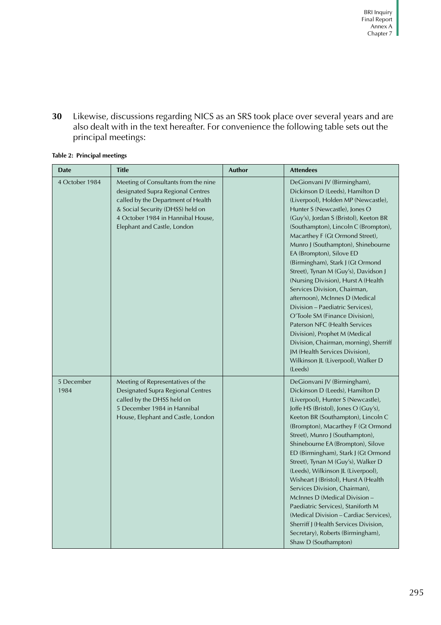**30** Likewise, discussions regarding NICS as an SRS took place over several years and are also dealt with in the text hereafter. For convenience the following table sets out the principal meetings:

| <b>Date</b>        | <b>Title</b>                                                                                                                                                                                                            | <b>Author</b> | <b>Attendees</b>                                                                                                                                                                                                                                                                                                                                                                                                                                                                                                                                                                                                                                                                                                                                                                         |
|--------------------|-------------------------------------------------------------------------------------------------------------------------------------------------------------------------------------------------------------------------|---------------|------------------------------------------------------------------------------------------------------------------------------------------------------------------------------------------------------------------------------------------------------------------------------------------------------------------------------------------------------------------------------------------------------------------------------------------------------------------------------------------------------------------------------------------------------------------------------------------------------------------------------------------------------------------------------------------------------------------------------------------------------------------------------------------|
| 4 October 1984     | Meeting of Consultants from the nine<br>designated Supra Regional Centres<br>called by the Department of Health<br>& Social Security (DHSS) held on<br>4 October 1984 in Hannibal House,<br>Elephant and Castle, London |               | DeGionvani JV (Birmingham),<br>Dickinson D (Leeds), Hamilton D<br>(Liverpool), Holden MP (Newcastle),<br>Hunter S (Newcastle), Jones O<br>(Guy's), Jordan S (Bristol), Keeton BR<br>(Southampton), Lincoln C (Brompton),<br>Macarthey F (Gt Ormond Street),<br>Munro J (Southampton), Shinebourne<br>EA (Brompton), Silove ED<br>(Birmingham), Stark J (Gt Ormond<br>Street), Tynan M (Guy's), Davidson J<br>(Nursing Division), Hurst A (Health)<br>Services Division, Chairman,<br>afternoon), McInnes D (Medical<br>Division – Paediatric Services),<br>O'Toole SM (Finance Division),<br>Paterson NFC (Health Services<br>Division), Prophet M (Medical<br>Division, Chairman, morning), Sherriff<br>JM (Health Services Division),<br>Wilkinson JL (Liverpool), Walker D<br>(Leeds) |
| 5 December<br>1984 | Meeting of Representatives of the<br>Designated Supra Regional Centres<br>called by the DHSS held on<br>5 December 1984 in Hannibal<br>House, Elephant and Castle, London                                               |               | DeGionvani JV (Birmingham),<br>Dickinson D (Leeds), Hamilton D<br>(Liverpool), Hunter S (Newcastle),<br>Joffe HS (Bristol), Jones O (Guy's),<br>Keeton BR (Southampton), Lincoln C<br>(Brompton), Macarthey F (Gt Ormond<br>Street), Munro J (Southampton),<br>Shinebourne EA (Brompton), Silove<br>ED (Birmingham), Stark J (Gt Ormond<br>Street), Tynan M (Guy's), Walker D<br>(Leeds), Wilkinson JL (Liverpool),<br>Wisheart J (Bristol), Hurst A (Health<br>Services Division, Chairman),<br>McInnes D (Medical Division -<br>Paediatric Services), Staniforth M<br>(Medical Division - Cardiac Services),<br>Sherriff J (Health Services Division,<br>Secretary), Roberts (Birmingham),<br>Shaw D (Southampton)                                                                     |

#### **Table 2: Principal meetings**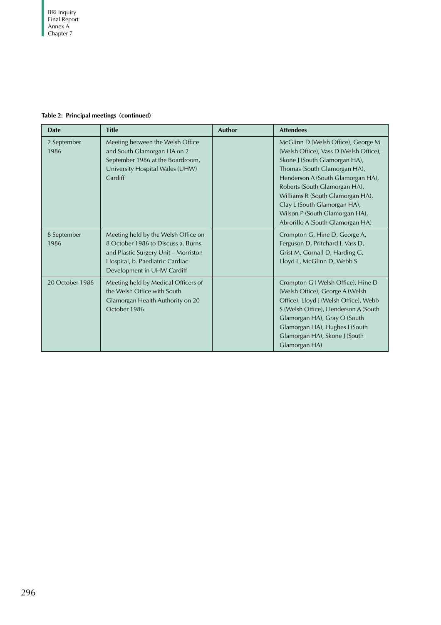#### **Table 2: Principal meetings (continued)**

| <b>Date</b>         | <b>Title</b>                                                                                                                                                                       | <b>Author</b> | <b>Attendees</b>                                                                                                                                                                                                                                                                                                                                              |
|---------------------|------------------------------------------------------------------------------------------------------------------------------------------------------------------------------------|---------------|---------------------------------------------------------------------------------------------------------------------------------------------------------------------------------------------------------------------------------------------------------------------------------------------------------------------------------------------------------------|
| 2 September<br>1986 | Meeting between the Welsh Office<br>and South Glamorgan HA on 2<br>September 1986 at the Boardroom,<br>University Hospital Wales (UHW)<br>Cardiff                                  |               | McGlinn D (Welsh Office), George M<br>(Welsh Office), Vass D (Welsh Office),<br>Skone J (South Glamorgan HA),<br>Thomas (South Glamorgan HA),<br>Henderson A (South Glamorgan HA),<br>Roberts (South Glamorgan HA),<br>Williams R (South Glamorgan HA),<br>Clay L (South Glamorgan HA),<br>Wilson P (South Glamorgan HA),<br>Abrorillo A (South Glamorgan HA) |
| 8 September<br>1986 | Meeting held by the Welsh Office on<br>8 October 1986 to Discuss a. Burns<br>and Plastic Surgery Unit - Morriston<br>Hospital, b. Paediatric Cardiac<br>Development in UHW Cardiff |               | Crompton G, Hine D, George A,<br>Ferguson D, Pritchard J, Vass D,<br>Grist M, Gornall D, Harding G,<br>Lloyd L, McGlinn D, Webb S                                                                                                                                                                                                                             |
| 20 October 1986     | Meeting held by Medical Officers of<br>the Welsh Office with South<br>Glamorgan Health Authority on 20<br>October 1986                                                             |               | Crompton G (Welsh Office), Hine D<br>(Welsh Office), George A (Welsh<br>Office), Lloyd J (Welsh Office), Webb<br>S (Welsh Office), Henderson A (South<br>Glamorgan HA), Gray O (South<br>Glamorgan HA), Hughes I (South<br>Glamorgan HA), Skone J (South<br>Glamorgan HA)                                                                                     |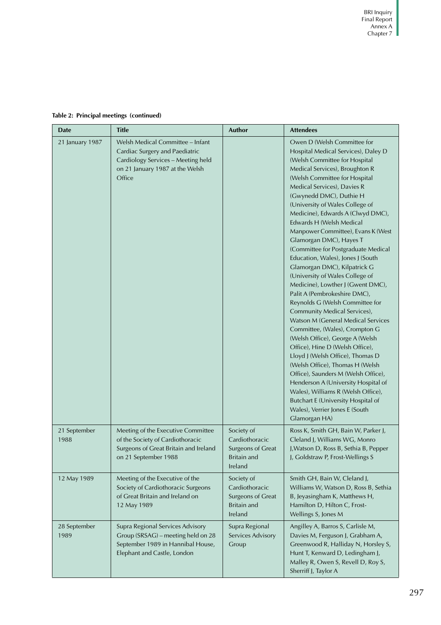ш

| <b>Date</b>          | <b>Title</b>                                                                                                                                          | <b>Author</b>                                                                             | <b>Attendees</b>                                                                                                                                                                                                                                                                                                                                                                                                                                                                                                                                                                                                                                                                                                                                                                                                                                                                                                                                                                                                                                                                                                               |
|----------------------|-------------------------------------------------------------------------------------------------------------------------------------------------------|-------------------------------------------------------------------------------------------|--------------------------------------------------------------------------------------------------------------------------------------------------------------------------------------------------------------------------------------------------------------------------------------------------------------------------------------------------------------------------------------------------------------------------------------------------------------------------------------------------------------------------------------------------------------------------------------------------------------------------------------------------------------------------------------------------------------------------------------------------------------------------------------------------------------------------------------------------------------------------------------------------------------------------------------------------------------------------------------------------------------------------------------------------------------------------------------------------------------------------------|
| 21 January 1987      | Welsh Medical Committee - Infant<br>Cardiac Surgery and Paediatric<br>Cardiology Services - Meeting held<br>on 21 January 1987 at the Welsh<br>Office |                                                                                           | Owen D (Welsh Committee for<br>Hospital Medical Services), Daley D<br>(Welsh Committee for Hospital<br>Medical Services), Broughton R<br>(Welsh Committee for Hospital<br>Medical Services), Davies R<br>(Gwynedd DMC), Duthie H<br>(University of Wales College of<br>Medicine), Edwards A (Clwyd DMC),<br>Edwards H (Welsh Medical<br>Manpower Committee), Evans K (West<br>Glamorgan DMC), Hayes T<br>(Committee for Postgraduate Medical<br>Education, Wales), Jones J (South<br>Glamorgan DMC), Kilpatrick G<br>(University of Wales College of<br>Medicine), Lowther J (Gwent DMC),<br>Palit A (Pembrokeshire DMC),<br>Reynolds G (Welsh Committee for<br>Community Medical Services),<br>Watson M (General Medical Services<br>Committee, (Wales), Crompton G<br>(Welsh Office), George A (Welsh<br>Office), Hine D (Welsh Office),<br>Lloyd J (Welsh Office), Thomas D<br>(Welsh Office), Thomas H (Welsh<br>Office), Saunders M (Welsh Office),<br>Henderson A (University Hospital of<br>Wales), Williams R (Welsh Office),<br>Butchart E (University Hospital of<br>Wales), Verrier Jones E (South<br>Glamorgan HA) |
| 21 September<br>1988 | Meeting of the Executive Committee<br>of the Society of Cardiothoracic<br>Surgeons of Great Britain and Ireland<br>on 21 September 1988               | Society of<br>Cardiothoracic<br><b>Surgeons of Great</b><br>Britain and<br>Ireland        | Ross K, Smith GH, Bain W, Parker J,<br>Cleland J, Williams WG, Monro<br>J, Watson D, Ross B, Sethia B, Pepper<br>J, Goldstraw P, Frost-Wellings S                                                                                                                                                                                                                                                                                                                                                                                                                                                                                                                                                                                                                                                                                                                                                                                                                                                                                                                                                                              |
| 12 May 1989          | Meeting of the Executive of the<br>Society of Cardiothoracic Surgeons<br>of Great Britain and Ireland on<br>12 May 1989                               | Society of<br>Cardiothoracic<br><b>Surgeons of Great</b><br><b>Britain and</b><br>Ireland | Smith GH, Bain W, Cleland J,<br>Williams W, Watson D, Ross B, Sethia<br>B, Jeyasingham K, Matthews H,<br>Hamilton D, Hilton C, Frost-<br>Wellings S, Jones M                                                                                                                                                                                                                                                                                                                                                                                                                                                                                                                                                                                                                                                                                                                                                                                                                                                                                                                                                                   |
| 28 September<br>1989 | Supra Regional Services Advisory<br>Group (SRSAG) - meeting held on 28<br>September 1989 in Hannibal House,<br>Elephant and Castle, London            | Supra Regional<br>Services Advisory<br>Group                                              | Angilley A, Barros S, Carlisle M,<br>Davies M, Ferguson J, Grabham A,<br>Greenwood R, Halliday N, Horsley S,<br>Hunt T, Kenward D, Ledingham J,<br>Malley R, Owen S, Revell D, Roy S,<br>Sherriff J, Taylor A                                                                                                                                                                                                                                                                                                                                                                                                                                                                                                                                                                                                                                                                                                                                                                                                                                                                                                                  |

#### **Table 2: Principal meetings (continued)**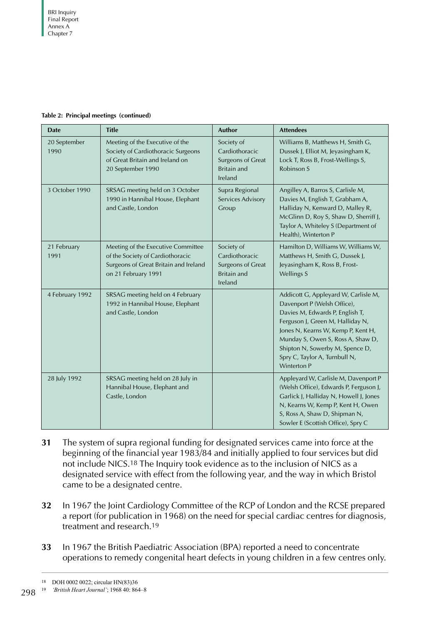**Table 2: Principal meetings (continued)**

| <b>Date</b>          | <b>Title</b>                                                                                                                           | <b>Author</b>                                                                             | <b>Attendees</b>                                                                                                                                                                                                                                                                                                |
|----------------------|----------------------------------------------------------------------------------------------------------------------------------------|-------------------------------------------------------------------------------------------|-----------------------------------------------------------------------------------------------------------------------------------------------------------------------------------------------------------------------------------------------------------------------------------------------------------------|
| 20 September<br>1990 | Meeting of the Executive of the<br>Society of Cardiothoracic Surgeons<br>of Great Britain and Ireland on<br>20 September 1990          | Society of<br>Cardiothoracic<br><b>Surgeons of Great</b><br><b>Britain</b> and<br>Ireland | Williams B, Matthews H, Smith G,<br>Dussek J, Elliot M, Jeyasingham K,<br>Lock T, Ross B, Frost-Wellings S,<br>Robinson S                                                                                                                                                                                       |
| 3 October 1990       | SRSAG meeting held on 3 October<br>1990 in Hannibal House, Elephant<br>and Castle, London                                              | Supra Regional<br>Services Advisory<br>Group                                              | Angilley A, Barros S, Carlisle M,<br>Davies M, English T, Grabham A,<br>Halliday N, Kenward D, Malley R,<br>McGlinn D, Roy S, Shaw D, Sherriff J,<br>Taylor A, Whiteley S (Department of<br>Health), Winterton P                                                                                                |
| 21 February<br>1991  | Meeting of the Executive Committee<br>of the Society of Cardiothoracic<br>Surgeons of Great Britain and Ireland<br>on 21 February 1991 | Society of<br>Cardiothoracic<br><b>Surgeons of Great</b><br><b>Britain and</b><br>Ireland | Hamilton D, Williams W, Williams W,<br>Matthews H, Smith G, Dussek J,<br>Jeyasingham K, Ross B, Frost-<br>Wellings S                                                                                                                                                                                            |
| 4 February 1992      | SRSAG meeting held on 4 February<br>1992 in Hannibal House, Elephant<br>and Castle, London                                             |                                                                                           | Addicott G, Appleyard W, Carlisle M,<br>Davenport P (Welsh Office),<br>Davies M, Edwards P, English T,<br>Ferguson J, Green M, Halliday N,<br>Jones N, Kearns W, Kemp P, Kent H,<br>Munday S, Owen S, Ross A, Shaw D,<br>Shipton N, Sowerby M, Spence D,<br>Spry C, Taylor A, Turnbull N,<br><b>Winterton P</b> |
| 28 July 1992         | SRSAG meeting held on 28 July in<br>Hannibal House, Elephant and<br>Castle, London                                                     |                                                                                           | Appleyard W, Carlisle M, Davenport P<br>(Welsh Office), Edwards P, Ferguson J,<br>Garlick J, Halliday N, Howell J, Jones<br>N, Kearns W, Kemp P, Kent H, Owen<br>S, Ross A, Shaw D, Shipman N,<br>Sowler E (Scottish Office), Spry C                                                                            |

- **31** The system of supra regional funding for designated services came into force at the beginning of the financial year 1983/84 and initially applied to four services but did not include NICS.18 The Inquiry took evidence as to the inclusion of NICS as a designated service with effect from the following year, and the way in which Bristol came to be a designated centre.
- **32** In 1967 the Joint Cardiology Committee of the RCP of London and the RCSE prepared a report (for publication in 1968) on the need for special cardiac centres for diagnosis, treatment and research.19
- **33** In 1967 the British Paediatric Association (BPA) reported a need to concentrate operations to remedy congenital heart defects in young children in a few centres only.

<sup>18</sup> DOH 0002 0022; circular HN(83)36

<sup>19</sup> *'British Heart Journal'*; 1968 40: 864–8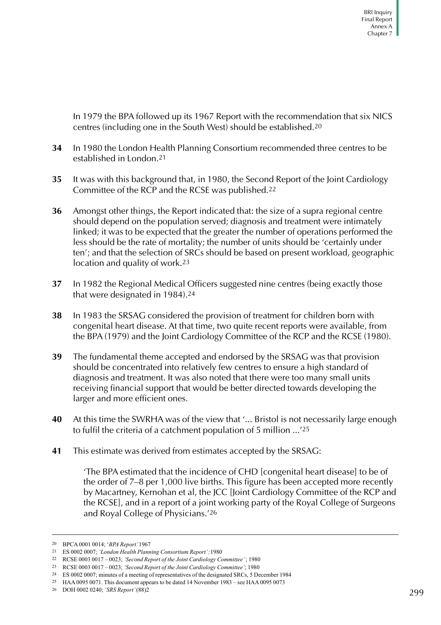In 1979 the BPA followed up its 1967 Report with the recommendation that six NICS centres (including one in the South West) should be established.20

- **34** In 1980 the London Health Planning Consortium recommended three centres to be established in London.21
- **35** It was with this background that, in 1980, the Second Report of the Joint Cardiology Committee of the RCP and the RCSE was published.22
- **36** Amongst other things, the Report indicated that: the size of a supra regional centre should depend on the population served; diagnosis and treatment were intimately linked; it was to be expected that the greater the number of operations performed the less should be the rate of mortality; the number of units should be 'certainly under ten'; and that the selection of SRCs should be based on present workload, geographic location and quality of work.23
- **37** In 1982 the Regional Medical Officers suggested nine centres (being exactly those that were designated in 1984).24
- **38** In 1983 the SRSAG considered the provision of treatment for children born with congenital heart disease. At that time, two quite recent reports were available, from the BPA (1979) and the Joint Cardiology Committee of the RCP and the RCSE (1980).
- **39** The fundamental theme accepted and endorsed by the SRSAG was that provision should be concentrated into relatively few centres to ensure a high standard of diagnosis and treatment. It was also noted that there were too many small units receiving financial support that would be better directed towards developing the larger and more efficient ones.
- **40** At this time the SWRHA was of the view that '... Bristol is not necessarily large enough to fulfil the criteria of a catchment population of 5 million ...'25
- **41** This estimate was derived from estimates accepted by the SRSAG:

'The BPA estimated that the incidence of CHD [congenital heart disease] to be of the order of 7–8 per 1,000 live births. This figure has been accepted more recently by Macartney, Kernohan et al, the JCC [Joint Cardiology Committee of the RCP and the RCSE], and in a report of a joint working party of the Royal College of Surgeons and Royal College of Physicians.'26

<sup>20</sup> BPCA 0001 0014; '*BPA Report'* 1967

<sup>21</sup> ES 0002 0007; *'London Health Planning Consortium Report' ;*1980

<sup>22</sup> RCSE 0003 0017 – 0023; *'Second Report of the Joint Cardiology Committee'* ; 1980

<sup>23</sup> RCSE 0003 0017 – 0023; *'Second Report of the Joint Cardiology Committee'*; 1980

<sup>24</sup> ES 0002 0007; minutes of a meeting of representatives of the designated SRCs, 5 December 1984

<sup>25</sup> HAA 0095 0071. This document appears to be dated 14 November 1983 – see HAA 0095 0073

<sup>26</sup> DOH 0002 0240; *'SRS Report'* (88)2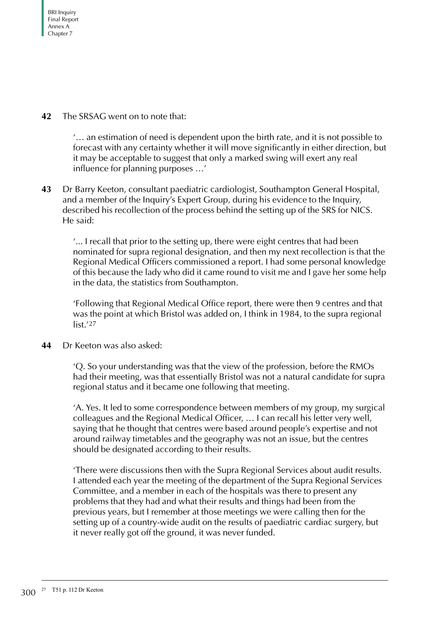**42** The SRSAG went on to note that:

'… an estimation of need is dependent upon the birth rate, and it is not possible to forecast with any certainty whether it will move significantly in either direction, but it may be acceptable to suggest that only a marked swing will exert any real influence for planning purposes …'

**43** Dr Barry Keeton, consultant paediatric cardiologist, Southampton General Hospital, and a member of the Inquiry's Expert Group, during his evidence to the Inquiry, described his recollection of the process behind the setting up of the SRS for NICS. He said:

'... I recall that prior to the setting up, there were eight centres that had been nominated for supra regional designation, and then my next recollection is that the Regional Medical Officers commissioned a report. I had some personal knowledge of this because the lady who did it came round to visit me and I gave her some help in the data, the statistics from Southampton.

'Following that Regional Medical Office report, there were then 9 centres and that was the point at which Bristol was added on, I think in 1984, to the supra regional list.'27

**44** Dr Keeton was also asked:

'Q. So your understanding was that the view of the profession, before the RMOs had their meeting, was that essentially Bristol was not a natural candidate for supra regional status and it became one following that meeting.

'A. Yes. It led to some correspondence between members of my group, my surgical colleagues and the Regional Medical Officer, … I can recall his letter very well, saying that he thought that centres were based around people's expertise and not around railway timetables and the geography was not an issue, but the centres should be designated according to their results.

'There were discussions then with the Supra Regional Services about audit results. I attended each year the meeting of the department of the Supra Regional Services Committee, and a member in each of the hospitals was there to present any problems that they had and what their results and things had been from the previous years, but I remember at those meetings we were calling then for the setting up of a country-wide audit on the results of paediatric cardiac surgery, but it never really got off the ground, it was never funded.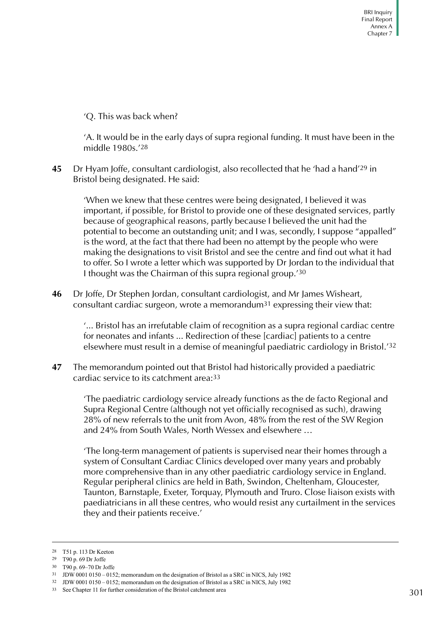'Q. This was back when?

'A. It would be in the early days of supra regional funding. It must have been in the middle 1980s.'28

**45** Dr Hyam Joffe, consultant cardiologist, also recollected that he 'had a hand'29 in Bristol being designated. He said:

'When we knew that these centres were being designated, I believed it was important, if possible, for Bristol to provide one of these designated services, partly because of geographical reasons, partly because I believed the unit had the potential to become an outstanding unit; and I was, secondly, I suppose "appalled" is the word, at the fact that there had been no attempt by the people who were making the designations to visit Bristol and see the centre and find out what it had to offer. So I wrote a letter which was supported by Dr Jordan to the individual that I thought was the Chairman of this supra regional group.'30

**46** Dr Joffe, Dr Stephen Jordan, consultant cardiologist, and Mr James Wisheart, consultant cardiac surgeon, wrote a memorandum<sup>31</sup> expressing their view that:

'... Bristol has an irrefutable claim of recognition as a supra regional cardiac centre for neonates and infants ... Redirection of these [cardiac] patients to a centre elsewhere must result in a demise of meaningful paediatric cardiology in Bristol.'32

**47** The memorandum pointed out that Bristol had historically provided a paediatric cardiac service to its catchment area:33

'The paediatric cardiology service already functions as the de facto Regional and Supra Regional Centre (although not yet officially recognised as such), drawing 28% of new referrals to the unit from Avon, 48% from the rest of the SW Region and 24% from South Wales, North Wessex and elsewhere …

'The long-term management of patients is supervised near their homes through a system of Consultant Cardiac Clinics developed over many years and probably more comprehensive than in any other paediatric cardiology service in England. Regular peripheral clinics are held in Bath, Swindon, Cheltenham, Gloucester, Taunton, Barnstaple, Exeter, Torquay, Plymouth and Truro. Close liaison exists with paediatricians in all these centres, who would resist any curtailment in the services they and their patients receive.'

29 T90 p. 69 Dr Joffe

<sup>28</sup> T51 p. 113 Dr Keeton

<sup>30</sup> T90 p. 69–70 Dr Joffe

<sup>31</sup> JDW 0001 0150 – 0152; memorandum on the designation of Bristol as a SRC in NICS, July 1982

<sup>32</sup> JDW 0001 0150 – 0152; memorandum on the designation of Bristol as a SRC in NICS, July 1982

<sup>33</sup> See Chapter 11 for further consideration of the Bristol catchment area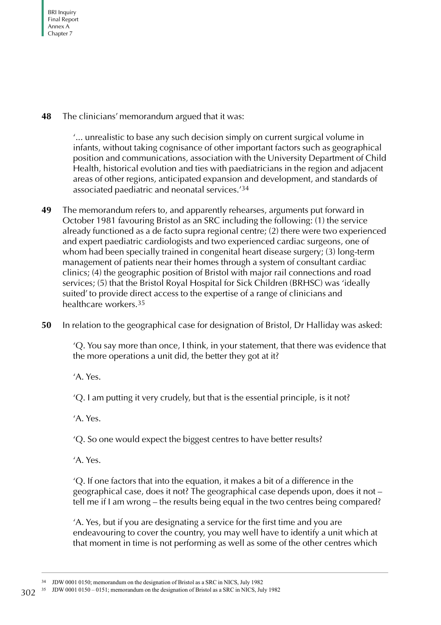**48** The clinicians' memorandum argued that it was:

'... unrealistic to base any such decision simply on current surgical volume in infants, without taking cognisance of other important factors such as geographical position and communications, association with the University Department of Child Health, historical evolution and ties with paediatricians in the region and adjacent areas of other regions, anticipated expansion and development, and standards of associated paediatric and neonatal services.'34

- **49** The memorandum refers to, and apparently rehearses, arguments put forward in October 1981 favouring Bristol as an SRC including the following: (1) the service already functioned as a de facto supra regional centre; (2) there were two experienced and expert paediatric cardiologists and two experienced cardiac surgeons, one of whom had been specially trained in congenital heart disease surgery; (3) long-term management of patients near their homes through a system of consultant cardiac clinics; (4) the geographic position of Bristol with major rail connections and road services; (5) that the Bristol Royal Hospital for Sick Children (BRHSC) was 'ideally suited' to provide direct access to the expertise of a range of clinicians and healthcare workers.35
- **50** In relation to the geographical case for designation of Bristol, Dr Halliday was asked:

'Q. You say more than once, I think, in your statement, that there was evidence that the more operations a unit did, the better they got at it?

'A. Yes.

'Q. I am putting it very crudely, but that is the essential principle, is it not?

'A. Yes.

'Q. So one would expect the biggest centres to have better results?

'A. Yes.

'Q. If one factors that into the equation, it makes a bit of a difference in the geographical case, does it not? The geographical case depends upon, does it not – tell me if I am wrong – the results being equal in the two centres being compared?

'A. Yes, but if you are designating a service for the first time and you are endeavouring to cover the country, you may well have to identify a unit which at that moment in time is not performing as well as some of the other centres which

<sup>34</sup> JDW 0001 0150; memorandum on the designation of Bristol as a SRC in NICS, July 1982

<sup>35</sup> JDW 0001 0150 – 0151; memorandum on the designation of Bristol as a SRC in NICS, July 1982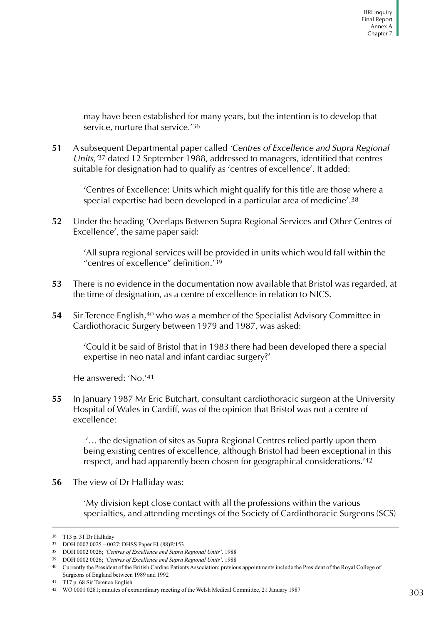may have been established for many years, but the intention is to develop that service, nurture that service.'36

**51** A subsequent Departmental paper called 'Centres of Excellence and Supra Regional Units,'37 dated 12 September 1988, addressed to managers, identified that centres suitable for designation had to qualify as 'centres of excellence'. It added:

'Centres of Excellence: Units which might qualify for this title are those where a special expertise had been developed in a particular area of medicine'.38

**52** Under the heading 'Overlaps Between Supra Regional Services and Other Centres of Excellence', the same paper said:

'All supra regional services will be provided in units which would fall within the "centres of excellence" definition.'39

- **53** There is no evidence in the documentation now available that Bristol was regarded, at the time of designation, as a centre of excellence in relation to NICS.
- **54** Sir Terence English,40 who was a member of the Specialist Advisory Committee in Cardiothoracic Surgery between 1979 and 1987, was asked:

'Could it be said of Bristol that in 1983 there had been developed there a special expertise in neo natal and infant cardiac surgery?'

He answered: 'No.'41

**55** In January 1987 Mr Eric Butchart, consultant cardiothoracic surgeon at the University Hospital of Wales in Cardiff, was of the opinion that Bristol was not a centre of excellence:

 '… the designation of sites as Supra Regional Centres relied partly upon them being existing centres of excellence, although Bristol had been exceptional in this respect, and had apparently been chosen for geographical considerations.'42

**56** The view of Dr Halliday was:

'My division kept close contact with all the professions within the various specialties, and attending meetings of the Society of Cardiothoracic Surgeons (SCS)

<sup>36</sup> T13 p. 31 Dr Halliday

<sup>37</sup> DOH 0002 0025 – 0027; DHSS Paper EL(88)P/153

<sup>38</sup> DOH 0002 0026; *'Centres of Excellence and Supra Regional Units',* 1988

<sup>39</sup> DOH 0002 0026; *'Centres of Excellence and Supra Regional Units',* 1988

<sup>40</sup> Currently the President of the British Cardiac Patients Association; previous appointments include the President of the Royal College of Surgeons of England between 1989 and 1992

<sup>41</sup> T17 p. 68 Sir Terence English

<sup>42</sup> WO 0001 0281; minutes of extraordinary meeting of the Welsh Medical Committee, 21 January 1987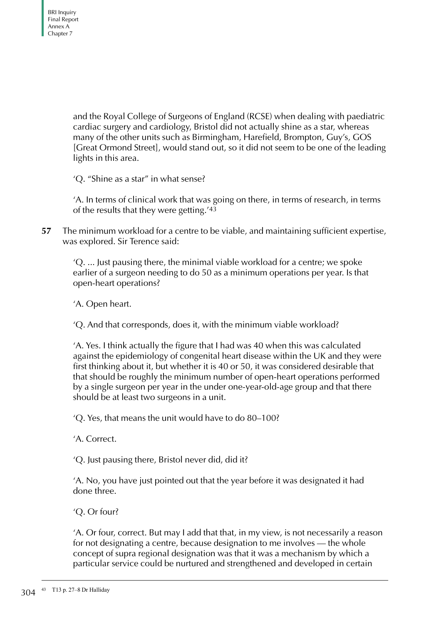and the Royal College of Surgeons of England (RCSE) when dealing with paediatric cardiac surgery and cardiology, Bristol did not actually shine as a star, whereas many of the other units such as Birmingham, Harefield, Brompton, Guy's, GOS [Great Ormond Street], would stand out, so it did not seem to be one of the leading lights in this area.

'Q. "Shine as a star" in what sense?

'A. In terms of clinical work that was going on there, in terms of research, in terms of the results that they were getting.'43

**57** The minimum workload for a centre to be viable, and maintaining sufficient expertise, was explored. Sir Terence said:

'Q. ... Just pausing there, the minimal viable workload for a centre; we spoke earlier of a surgeon needing to do 50 as a minimum operations per year. Is that open-heart operations?

'A. Open heart.

'Q. And that corresponds, does it, with the minimum viable workload?

'A. Yes. I think actually the figure that I had was 40 when this was calculated against the epidemiology of congenital heart disease within the UK and they were first thinking about it, but whether it is 40 or 50, it was considered desirable that that should be roughly the minimum number of open-heart operations performed by a single surgeon per year in the under one-year-old-age group and that there should be at least two surgeons in a unit.

'Q. Yes, that means the unit would have to do 80–100?

'A. Correct.

'Q. Just pausing there, Bristol never did, did it?

'A. No, you have just pointed out that the year before it was designated it had done three.

'Q. Or four?

'A. Or four, correct. But may I add that that, in my view, is not necessarily a reason for not designating a centre, because designation to me involves — the whole concept of supra regional designation was that it was a mechanism by which a particular service could be nurtured and strengthened and developed in certain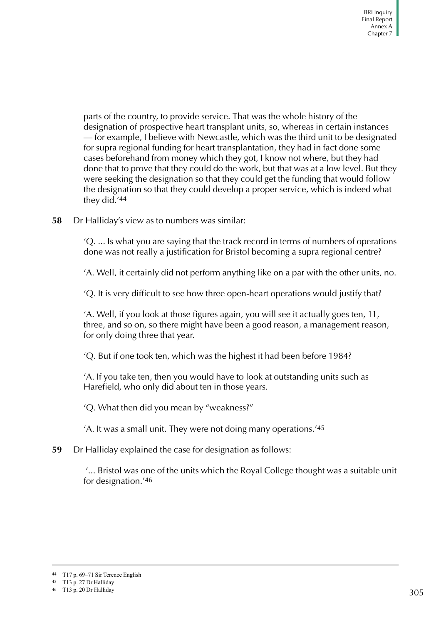parts of the country, to provide service. That was the whole history of the designation of prospective heart transplant units, so, whereas in certain instances — for example, I believe with Newcastle, which was the third unit to be designated for supra regional funding for heart transplantation, they had in fact done some cases beforehand from money which they got, I know not where, but they had done that to prove that they could do the work, but that was at a low level. But they were seeking the designation so that they could get the funding that would follow the designation so that they could develop a proper service, which is indeed what they did.'44

**58** Dr Halliday's view as to numbers was similar:

'Q. ... Is what you are saying that the track record in terms of numbers of operations done was not really a justification for Bristol becoming a supra regional centre?

'A. Well, it certainly did not perform anything like on a par with the other units, no.

'Q. It is very difficult to see how three open-heart operations would justify that?

'A. Well, if you look at those figures again, you will see it actually goes ten, 11, three, and so on, so there might have been a good reason, a management reason, for only doing three that year.

'Q. But if one took ten, which was the highest it had been before 1984?

'A. If you take ten, then you would have to look at outstanding units such as Harefield, who only did about ten in those years.

'Q. What then did you mean by "weakness?"

'A. It was a small unit. They were not doing many operations.'45

**59** Dr Halliday explained the case for designation as follows:

 '... Bristol was one of the units which the Royal College thought was a suitable unit for designation.'46

<sup>44</sup> T17 p. 69–71 Sir Terence English

<sup>45</sup> T13 p. 27 Dr Halliday

<sup>46</sup> T13 p. 20 Dr Halliday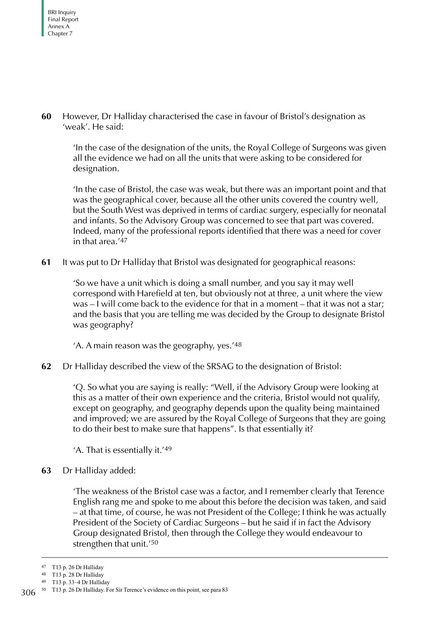**60** However, Dr Halliday characterised the case in favour of Bristol's designation as 'weak'. He said:

'In the case of the designation of the units, the Royal College of Surgeons was given all the evidence we had on all the units that were asking to be considered for designation.

'In the case of Bristol, the case was weak, but there was an important point and that was the geographical cover, because all the other units covered the country well, but the South West was deprived in terms of cardiac surgery, especially for neonatal and infants. So the Advisory Group was concerned to see that part was covered. Indeed, many of the professional reports identified that there was a need for cover in that area.'47

**61** It was put to Dr Halliday that Bristol was designated for geographical reasons:

'So we have a unit which is doing a small number, and you say it may well correspond with Harefield at ten, but obviously not at three, a unit where the view was – I will come back to the evidence for that in a moment – that it was not a star; and the basis that you are telling me was decided by the Group to designate Bristol was geography?

'A. A main reason was the geography, yes.'48

**62** Dr Halliday described the view of the SRSAG to the designation of Bristol:

'Q. So what you are saying is really: "Well, if the Advisory Group were looking at this as a matter of their own experience and the criteria, Bristol would not qualify, except on geography, and geography depends upon the quality being maintained and improved; we are assured by the Royal College of Surgeons that they are going to do their best to make sure that happens". Is that essentially it?

'A. That is essentially it.'49

**63** Dr Halliday added:

'The weakness of the Bristol case was a factor, and I remember clearly that Terence English rang me and spoke to me about this before the decision was taken, and said – at that time, of course, he was not President of the College; I think he was actually President of the Society of Cardiac Surgeons – but he said if in fact the Advisory Group designated Bristol, then through the College they would endeavour to strengthen that unit.'50

<sup>47</sup> T13 p. 26 Dr Halliday

<sup>48</sup> T13 p. 28 Dr Halliday

<sup>49</sup> T13 p. 33–4 Dr Halliday

<sup>50</sup> T13 p. 26 Dr Halliday. For Sir Terence's evidence on this point, see [para 83](#page-27-0)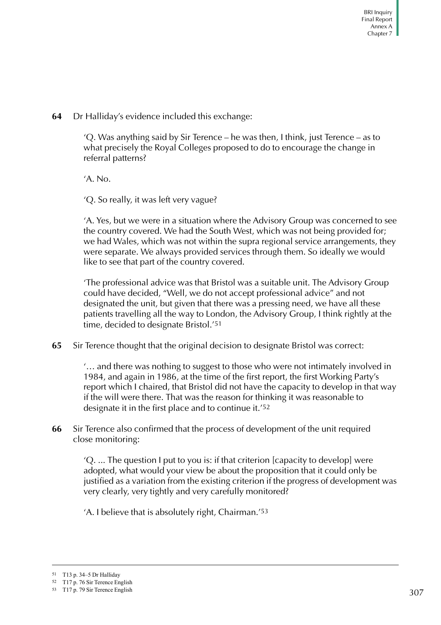**64** Dr Halliday's evidence included this exchange:

'Q. Was anything said by Sir Terence – he was then, I think, just Terence – as to what precisely the Royal Colleges proposed to do to encourage the change in referral patterns?

'A. No.

'Q. So really, it was left very vague?

'A. Yes, but we were in a situation where the Advisory Group was concerned to see the country covered. We had the South West, which was not being provided for; we had Wales, which was not within the supra regional service arrangements, they were separate. We always provided services through them. So ideally we would like to see that part of the country covered.

'The professional advice was that Bristol was a suitable unit. The Advisory Group could have decided, "Well, we do not accept professional advice" and not designated the unit, but given that there was a pressing need, we have all these patients travelling all the way to London, the Advisory Group, I think rightly at the time, decided to designate Bristol.'51

**65** Sir Terence thought that the original decision to designate Bristol was correct:

'… and there was nothing to suggest to those who were not intimately involved in 1984, and again in 1986, at the time of the first report, the first Working Party's report which I chaired, that Bristol did not have the capacity to develop in that way if the will were there. That was the reason for thinking it was reasonable to designate it in the first place and to continue it.'52

**66** Sir Terence also confirmed that the process of development of the unit required close monitoring:

'Q. ... The question I put to you is: if that criterion [capacity to develop] were adopted, what would your view be about the proposition that it could only be justified as a variation from the existing criterion if the progress of development was very clearly, very tightly and very carefully monitored?

'A. I believe that is absolutely right, Chairman.'53

<sup>51</sup> T13 p. 34–5 Dr Halliday

<sup>52</sup> T17 p. 76 Sir Terence English

<sup>53</sup> T17 p. 79 Sir Terence English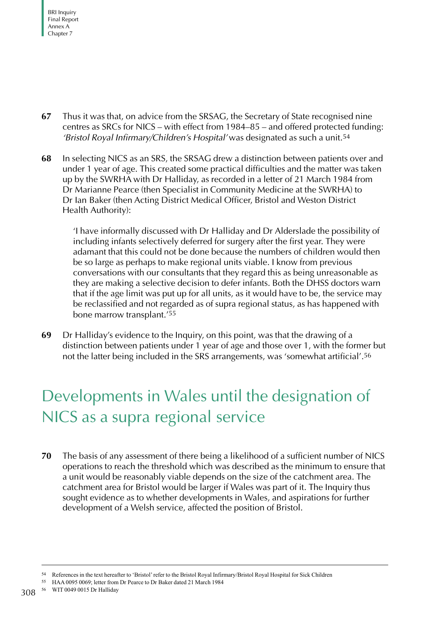- **67** Thus it was that, on advice from the SRSAG, the Secretary of State recognised nine centres as SRCs for NICS – with effect from 1984–85 – and offered protected funding: 'Bristol Royal Infirmary/Children's Hospital' was designated as such a unit.54
- **68** In selecting NICS as an SRS, the SRSAG drew a distinction between patients over and under 1 year of age. This created some practical difficulties and the matter was taken up by the SWRHA with Dr Halliday, as recorded in a letter of 21 March 1984 from Dr Marianne Pearce (then Specialist in Community Medicine at the SWRHA) to Dr Ian Baker (then Acting District Medical Officer, Bristol and Weston District Health Authority):

'I have informally discussed with Dr Halliday and Dr Alderslade the possibility of including infants selectively deferred for surgery after the first year. They were adamant that this could not be done because the numbers of children would then be so large as perhaps to make regional units viable. I know from previous conversations with our consultants that they regard this as being unreasonable as they are making a selective decision to defer infants. Both the DHSS doctors warn that if the age limit was put up for all units, as it would have to be, the service may be reclassified and not regarded as of supra regional status, as has happened with bone marrow transplant.'55

**69** Dr Halliday's evidence to the Inquiry, on this point, was that the drawing of a distinction between patients under 1 year of age and those over 1, with the former but not the latter being included in the SRS arrangements, was 'somewhat artificial'.56

## <span id="page-23-0"></span>Developments in Wales until the designation of NICS as a supra regional service

**70** The basis of any assessment of there being a likelihood of a sufficient number of NICS operations to reach the threshold which was described as the minimum to ensure that a unit would be reasonably viable depends on the size of the catchment area. The catchment area for Bristol would be larger if Wales was part of it. The Inquiry thus sought evidence as to whether developments in Wales, and aspirations for further development of a Welsh service, affected the position of Bristol.

<sup>54</sup> References in the text hereafter to 'Bristol' refer to the Bristol Royal Infirmary/Bristol Royal Hospital for Sick Children

<sup>55</sup> HAA 0095 0069; letter from Dr Pearce to Dr Baker dated 21 March 1984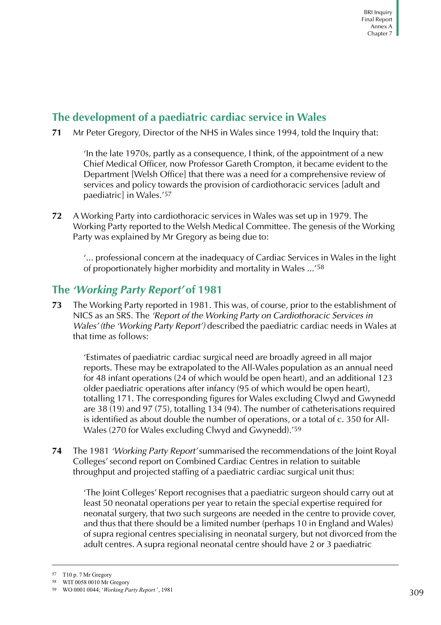## <span id="page-24-0"></span>**The development of a paediatric cardiac service in Wales**

**71** Mr Peter Gregory, Director of the NHS in Wales since 1994, told the Inquiry that:

'In the late 1970s, partly as a consequence, I think, of the appointment of a new Chief Medical Officer, now Professor Gareth Crompton, it became evident to the Department [Welsh Office] that there was a need for a comprehensive review of services and policy towards the provision of cardiothoracic services [adult and paediatric] in Wales.'57

**72** A Working Party into cardiothoracic services in Wales was set up in 1979. The Working Party reported to the Welsh Medical Committee. The genesis of the Working Party was explained by Mr Gregory as being due to:

'... professional concern at the inadequacy of Cardiac Services in Wales in the light of proportionately higher morbidity and mortality in Wales ...'58

## <span id="page-24-1"></span>**The 'Working Party Report' of 1981**

**73** The Working Party reported in 1981. This was, of course, prior to the establishment of NICS as an SRS. The 'Report of the Working Party on Cardiothoracic Services in Wales' (the 'Working Party Report') described the paediatric cardiac needs in Wales at that time as follows:

'Estimates of paediatric cardiac surgical need are broadly agreed in all major reports. These may be extrapolated to the All-Wales population as an annual need for 48 infant operations (24 of which would be open heart), and an additional 123 older paediatric operations after infancy (95 of which would be open heart), totalling 171. The corresponding figures for Wales excluding Clwyd and Gwynedd are 38 (19) and 97 (75), totalling 134 (94). The number of catheterisations required is identified as about double the number of operations, or a total of c. 350 for All-Wales (270 for Wales excluding Clwyd and Gwynedd).'59

**74** The 1981 'Working Party Report' summarised the recommendations of the Joint Royal Colleges' second report on Combined Cardiac Centres in relation to suitable throughput and projected staffing of a paediatric cardiac surgical unit thus:

'The Joint Colleges' Report recognises that a paediatric surgeon should carry out at least 50 neonatal operations per year to retain the special expertise required for neonatal surgery, that two such surgeons are needed in the centre to provide cover, and thus that there should be a limited number (perhaps 10 in England and Wales) of supra regional centres specialising in neonatal surgery, but not divorced from the adult centres. A supra regional neonatal centre should have 2 or 3 paediatric

<sup>57</sup> T10 p. 7 Mr Gregory

<sup>58</sup> WIT 0058 0010 Mr Gregory

<sup>59</sup> WO 0001 0044; '*Working Party Report* ', 1981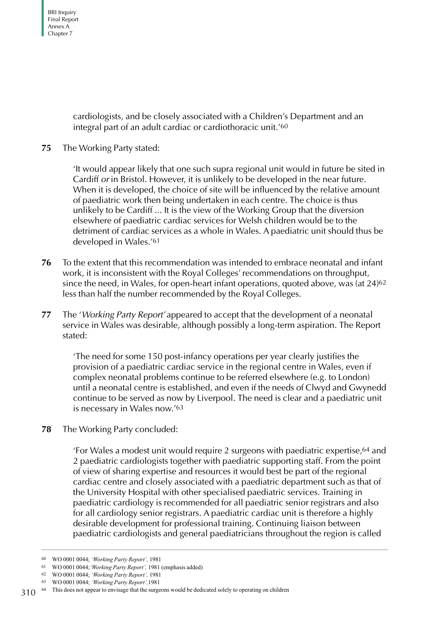cardiologists, and be closely associated with a Children's Department and an integral part of an adult cardiac or cardiothoracic unit.'60

#### **75** The Working Party stated:

'It would appear likely that one such supra regional unit would in future be sited in Cardiff or in Bristol. However, it is unlikely to be developed in the near future. When it is developed, the choice of site will be influenced by the relative amount of paediatric work then being undertaken in each centre. The choice is thus unlikely to be Cardiff ... It is the view of the Working Group that the diversion elsewhere of paediatric cardiac services for Welsh children would be to the detriment of cardiac services as a whole in Wales. A paediatric unit should thus be developed in Wales.'61

- **76** To the extent that this recommendation was intended to embrace neonatal and infant work, it is inconsistent with the Royal Colleges' recommendations on throughput, since the need, in Wales, for open-heart infant operations, quoted above, was (at 24)62 less than half the number recommended by the Royal Colleges.
- **77** The 'Working Party Report' appeared to accept that the development of a neonatal service in Wales was desirable, although possibly a long-term aspiration. The Report stated:

'The need for some 150 post-infancy operations per year clearly justifies the provision of a paediatric cardiac service in the regional centre in Wales, even if complex neonatal problems continue to be referred elsewhere (e.g. to London) until a neonatal centre is established, and even if the needs of Clwyd and Gwynedd continue to be served as now by Liverpool. The need is clear and a paediatric unit is necessary in Wales now.'63

**78** The Working Party concluded:

'For Wales a modest unit would require 2 surgeons with paediatric expertise,64 and 2 paediatric cardiologists together with paediatric supporting staff. From the point of view of sharing expertise and resources it would best be part of the regional cardiac centre and closely associated with a paediatric department such as that of the University Hospital with other specialised paediatric services. Training in paediatric cardiology is recommended for all paediatric senior registrars and also for all cardiology senior registrars. A paediatric cardiac unit is therefore a highly desirable development for professional training. Continuing liaison between paediatric cardiologists and general paediatricians throughout the region is called

<sup>60</sup> WO 0001 0044; *'Working Party Report',* 1981

<sup>61</sup> WO 0001 0044;*'Working Party Report',* 1981 (emphasis added)

<sup>62</sup> WO 0001 0044; *'Working Party Report',* 1981

<sup>63</sup> WO 0001 0044; *'Working Party Report',*1981

<sup>64</sup> This does not appear to envisage that the surgeons would be dedicated solely to operating on children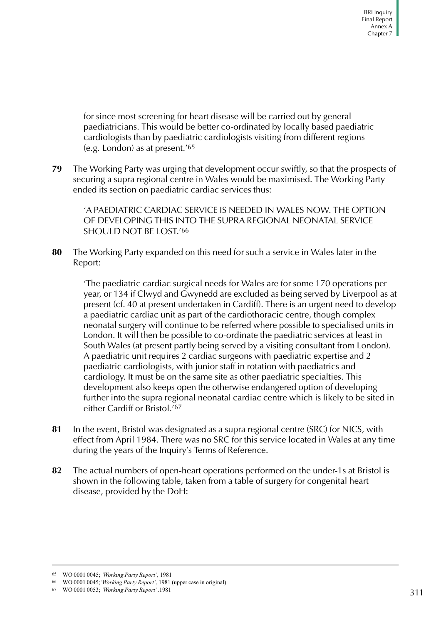for since most screening for heart disease will be carried out by general paediatricians. This would be better co-ordinated by locally based paediatric cardiologists than by paediatric cardiologists visiting from different regions (e.g. London) as at present.'65

**79** The Working Party was urging that development occur swiftly, so that the prospects of securing a supra regional centre in Wales would be maximised. The Working Party ended its section on paediatric cardiac services thus:

'A PAEDIATRIC CARDIAC SERVICE IS NEEDED IN WALES NOW. THE OPTION OF DEVELOPING THIS INTO THE SUPRA REGIONAL NEONATAL SERVICE SHOULD NOT BE LOST.'66

**80** The Working Party expanded on this need for such a service in Wales later in the Report:

'The paediatric cardiac surgical needs for Wales are for some 170 operations per year, or 134 if Clwyd and Gwynedd are excluded as being served by Liverpool as at present (cf. 40 at present undertaken in Cardiff). There is an urgent need to develop a paediatric cardiac unit as part of the cardiothoracic centre, though complex neonatal surgery will continue to be referred where possible to specialised units in London. It will then be possible to co-ordinate the paediatric services at least in South Wales (at present partly being served by a visiting consultant from London). A paediatric unit requires 2 cardiac surgeons with paediatric expertise and 2 paediatric cardiologists, with junior staff in rotation with paediatrics and cardiology. It must be on the same site as other paediatric specialties. This development also keeps open the otherwise endangered option of developing further into the supra regional neonatal cardiac centre which is likely to be sited in either Cardiff or Bristol.'67

- **81** In the event, Bristol was designated as a supra regional centre (SRC) for NICS, with effect from April 1984. There was no SRC for this service located in Wales at any time during the years of the Inquiry's Terms of Reference.
- **82** The actual numbers of open-heart operations performed on the under-1s at Bristol is shown in the following table, taken from a table of surgery for congenital heart disease, provided by the DoH:

<sup>65</sup> WO 0001 0045; *'Working Party Report',* 1981

<sup>66</sup> WO 0001 0045;*'Working Party Report'*, 1981 (upper case in original)

<sup>67</sup> WO 0001 0053; *'Working Party Report' ,*1981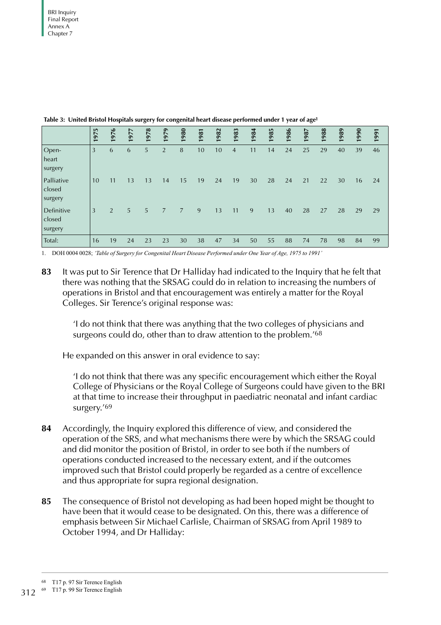|                                 | 975<br>$\overline{ }$ | 1976           | 977<br>$\overline{\phantom{0}}$ | 978<br>$\overline{\phantom{0}}$ | 979<br>$\overline{ }$ | 980<br>$\overline{\phantom{0}}$ | 1981 | 1982 | 1983 | 1984 | 1985 | 986 | 987 | 988 | 989 | 1990 | 1991 |
|---------------------------------|-----------------------|----------------|---------------------------------|---------------------------------|-----------------------|---------------------------------|------|------|------|------|------|-----|-----|-----|-----|------|------|
| Open-<br>heart<br>surgery       | 3                     | 6              | 6                               | 5                               | $\overline{2}$        | 8                               | 10   | 10   | 4    | 11   | 14   | 24  | 25  | 29  | 40  | 39   | 46   |
| Palliative<br>closed<br>surgery | 10                    | 11             | 13                              | 13                              | 14                    | 15                              | 19   | 24   | 19   | 30   | 28   | 24  | 21  | 22  | 30  | 16   | 24   |
| Definitive<br>closed<br>surgery | 3                     | $\overline{2}$ | 5                               | 5                               | 7                     | $\overline{7}$                  | 9    | 13   | 11   | 9    | 13   | 40  | 28  | 27  | 28  | 29   | 29   |
| Total:                          | 16                    | 19             | 24                              | 23                              | 23                    | 30                              | 38   | 47   | 34   | 50   | 55   | 88  | 74  | 78  | 98  | 84   | 99   |

**Table 3: United Bristol Hospitals surgery for congenital heart disease performed under 1 year of age1**

1. DOH 0004 0028; *'Table of Surgery for Congenital Heart Disease Performed under One Year of Age, 1975 to 1991'*

<span id="page-27-0"></span>**83** It was put to Sir Terence that Dr Halliday had indicated to the Inquiry that he felt that there was nothing that the SRSAG could do in relation to increasing the numbers of operations in Bristol and that encouragement was entirely a matter for the Royal Colleges. Sir Terence's original response was:

'I do not think that there was anything that the two colleges of physicians and surgeons could do, other than to draw attention to the problem.'68

He expanded on this answer in oral evidence to say:

'I do not think that there was any specific encouragement which either the Royal College of Physicians or the Royal College of Surgeons could have given to the BRI at that time to increase their throughput in paediatric neonatal and infant cardiac surgery.'69

- **84** Accordingly, the Inquiry explored this difference of view, and considered the operation of the SRS, and what mechanisms there were by which the SRSAG could and did monitor the position of Bristol, in order to see both if the numbers of operations conducted increased to the necessary extent, and if the outcomes improved such that Bristol could properly be regarded as a centre of excellence and thus appropriate for supra regional designation.
- **85** The consequence of Bristol not developing as had been hoped might be thought to have been that it would cease to be designated. On this, there was a difference of emphasis between Sir Michael Carlisle, Chairman of SRSAG from April 1989 to October 1994, and Dr Halliday:

<sup>68</sup> T17 p. 97 Sir Terence English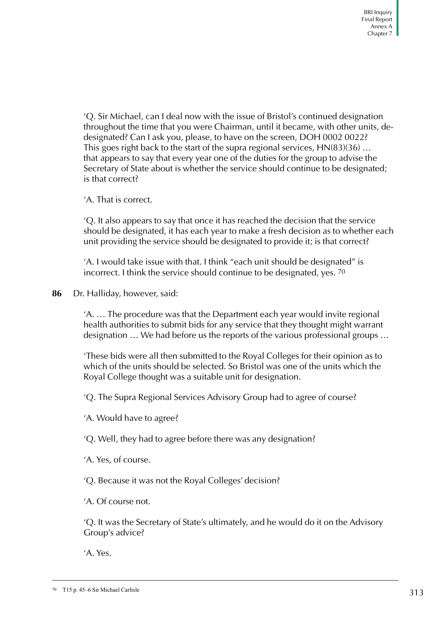'Q. Sir Michael, can I deal now with the issue of Bristol's continued designation throughout the time that you were Chairman, until it became, with other units, dedesignated? Can I ask you, please, to have on the screen, DOH 0002 0022? This goes right back to the start of the supra regional services, HN(83)(36) … that appears to say that every year one of the duties for the group to advise the Secretary of State about is whether the service should continue to be designated; is that correct?

'A. That is correct.

'Q. It also appears to say that once it has reached the decision that the service should be designated, it has each year to make a fresh decision as to whether each unit providing the service should be designated to provide it; is that correct?

'A. I would take issue with that. I think "each unit should be designated" is incorrect. I think the service should continue to be designated, yes. 70

**86** Dr. Halliday, however, said:

'A. … The procedure was that the Department each year would invite regional health authorities to submit bids for any service that they thought might warrant designation … We had before us the reports of the various professional groups …

'These bids were all then submitted to the Royal Colleges for their opinion as to which of the units should be selected. So Bristol was one of the units which the Royal College thought was a suitable unit for designation.

'Q. The Supra Regional Services Advisory Group had to agree of course?

'A. Would have to agree?

'Q. Well, they had to agree before there was any designation?

'A. Yes, of course.

'Q. Because it was not the Royal Colleges' decision?

'A. Of course not.

'Q. It was the Secretary of State's ultimately, and he would do it on the Advisory Group's advice?

'A. Yes.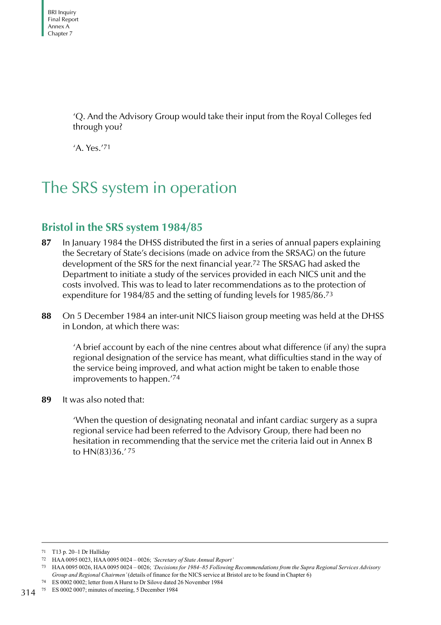'Q. And the Advisory Group would take their input from the Royal Colleges fed through you?

'A. Yes.'71

## <span id="page-29-0"></span>The SRS system in operation

### <span id="page-29-1"></span>**Bristol in the SRS system 1984/85**

- **87** In January 1984 the DHSS distributed the first in a series of annual papers explaining the Secretary of State's decisions (made on advice from the SRSAG) on the future development of the SRS for the next financial year.72 The SRSAG had asked the Department to initiate a study of the services provided in each NICS unit and the costs involved. This was to lead to later recommendations as to the protection of expenditure for 1984/85 and the setting of funding levels for 1985/86.73
- **88** On 5 December 1984 an inter-unit NICS liaison group meeting was held at the DHSS in London, at which there was:

'A brief account by each of the nine centres about what difference (if any) the supra regional designation of the service has meant, what difficulties stand in the way of the service being improved, and what action might be taken to enable those improvements to happen.'74

**89** It was also noted that:

'When the question of designating neonatal and infant cardiac surgery as a supra regional service had been referred to the Advisory Group, there had been no hesitation in recommending that the service met the criteria laid out in Annex B to HN(83)36.' 75

<sup>71</sup> T13 p. 20–1 Dr Halliday

<sup>72</sup> HAA 0095 0023, HAA 0095 0024 – 0026; *'Secretary of State Annual Report'*

<sup>73</sup> HAA 0095 0026, HAA 0095 0024 – 0026; *'Decisions for 1984–85 Following Recommendations from the Supra Regional Services Advisory Group and Regional Chairmen'* (details of finance for the NICS service at Bristol are to be found in Chapter 6)

<sup>74</sup> ES 0002 0002; letter from A Hurst to Dr Silove dated 26 November 1984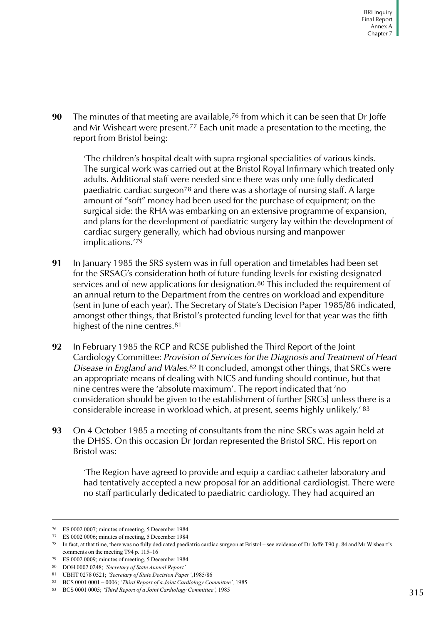**90** The minutes of that meeting are available,76 from which it can be seen that Dr Joffe and Mr Wisheart were present.<sup>77</sup> Each unit made a presentation to the meeting, the report from Bristol being:

'The children's hospital dealt with supra regional specialities of various kinds. The surgical work was carried out at the Bristol Royal Infirmary which treated only adults. Additional staff were needed since there was only one fully dedicated paediatric cardiac surgeon78 and there was a shortage of nursing staff. A large amount of "soft" money had been used for the purchase of equipment; on the surgical side: the RHA was embarking on an extensive programme of expansion, and plans for the development of paediatric surgery lay within the development of cardiac surgery generally, which had obvious nursing and manpower implications.'79

- **91** In January 1985 the SRS system was in full operation and timetables had been set for the SRSAG's consideration both of future funding levels for existing designated services and of new applications for designation.<sup>80</sup> This included the requirement of an annual return to the Department from the centres on workload and expenditure (sent in June of each year). The Secretary of State's Decision Paper 1985/86 indicated, amongst other things, that Bristol's protected funding level for that year was the fifth highest of the nine centres.<sup>81</sup>
- **92** In February 1985 the RCP and RCSE published the Third Report of the Joint Cardiology Committee: Provision of Services for the Diagnosis and Treatment of Heart Disease in England and Wales.<sup>82</sup> It concluded, amongst other things, that SRCs were an appropriate means of dealing with NICS and funding should continue, but that nine centres were the 'absolute maximum'. The report indicated that 'no consideration should be given to the establishment of further [SRCs] unless there is a considerable increase in workload which, at present, seems highly unlikely.' 83
- **93** On 4 October 1985 a meeting of consultants from the nine SRCs was again held at the DHSS. On this occasion Dr Jordan represented the Bristol SRC. His report on Bristol was:

'The Region have agreed to provide and equip a cardiac catheter laboratory and had tentatively accepted a new proposal for an additional cardiologist. There were no staff particularly dedicated to paediatric cardiology. They had acquired an

<sup>76</sup> ES 0002 0007; minutes of meeting, 5 December 1984

<sup>77</sup> ES 0002 0006; minutes of meeting, 5 December 1984

<sup>78</sup> In fact, at that time, there was no fully dedicated paediatric cardiac surgeon at Bristol – see evidence of Dr Joffe T90 p. 84 and Mr Wisheart's comments on the meeting T94 p. 115–16

<sup>79</sup> ES 0002 0009; minutes of meeting, 5 December 1984

<sup>80</sup> DOH 0002 0248; *'Secretary of State Annual Report'*

<sup>81</sup> UBHT 0278 0521; *'Secretary of State Decision Paper'*,1985/86

<sup>82</sup> BCS 0001 0001 – 0006; *'Third Report of a Joint Cardiology Committee',* 1985

<sup>83</sup> BCS 0001 0005; *'Third Report of a Joint Cardiology Committee',* 1985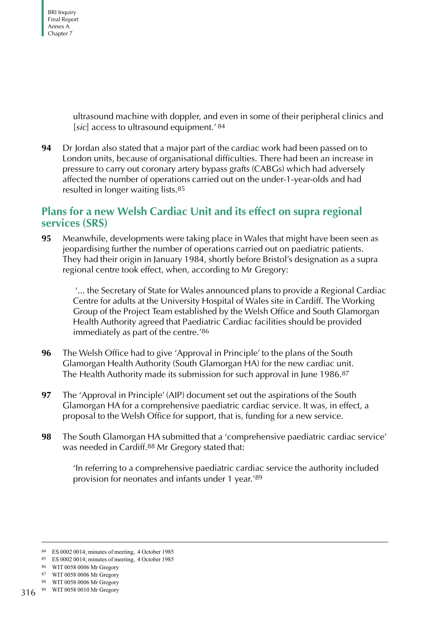ultrasound machine with doppler, and even in some of their peripheral clinics and [sic] access to ultrasound equipment.<sup>'84</sup>

**94** Dr Jordan also stated that a major part of the cardiac work had been passed on to London units, because of organisational difficulties. There had been an increase in pressure to carry out coronary artery bypass grafts (CABGs) which had adversely affected the number of operations carried out on the under-1-year-olds and had resulted in longer waiting lists.85

### <span id="page-31-0"></span>**Plans for a new Welsh Cardiac Unit and its effect on supra regional services (SRS)**

**95** Meanwhile, developments were taking place in Wales that might have been seen as jeopardising further the number of operations carried out on paediatric patients. They had their origin in January 1984, shortly before Bristol's designation as a supra regional centre took effect, when, according to Mr Gregory:

 '... the Secretary of State for Wales announced plans to provide a Regional Cardiac Centre for adults at the University Hospital of Wales site in Cardiff. The Working Group of the Project Team established by the Welsh Office and South Glamorgan Health Authority agreed that Paediatric Cardiac facilities should be provided immediately as part of the centre.'86

- **96** The Welsh Office had to give 'Approval in Principle' to the plans of the South Glamorgan Health Authority (South Glamorgan HA) for the new cardiac unit. The Health Authority made its submission for such approval in June 1986.87
- **97** The 'Approval in Principle' (AIP) document set out the aspirations of the South Glamorgan HA for a comprehensive paediatric cardiac service. It was, in effect, a proposal to the Welsh Office for support, that is, funding for a new service.
- **98** The South Glamorgan HA submitted that a 'comprehensive paediatric cardiac service' was needed in Cardiff.88 Mr Gregory stated that:

'In referring to a comprehensive paediatric cardiac service the authority included provision for neonates and infants under 1 year.'89

<sup>84</sup> ES 0002 0014; minutes of meeting, 4 October 1985

<sup>85</sup> ES 0002 0014; minutes of meeting, 4 October 1985

<sup>86</sup> WIT 0058 0006 Mr Gregory

<sup>87</sup> WIT 0058 0006 Mr Gregory

<sup>88</sup> WIT 0058 0006 Mr Gregory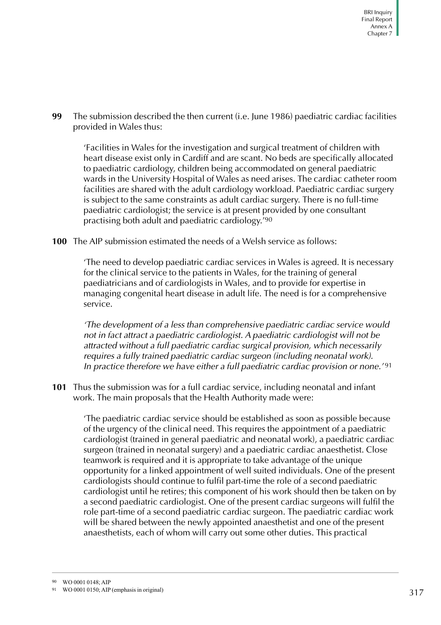**99** The submission described the then current (i.e. June 1986) paediatric cardiac facilities provided in Wales thus:

'Facilities in Wales for the investigation and surgical treatment of children with heart disease exist only in Cardiff and are scant. No beds are specifically allocated to paediatric cardiology, children being accommodated on general paediatric wards in the University Hospital of Wales as need arises. The cardiac catheter room facilities are shared with the adult cardiology workload. Paediatric cardiac surgery is subject to the same constraints as adult cardiac surgery. There is no full-time paediatric cardiologist; the service is at present provided by one consultant practising both adult and paediatric cardiology.'90

**100** The AIP submission estimated the needs of a Welsh service as follows:

'The need to develop paediatric cardiac services in Wales is agreed. It is necessary for the clinical service to the patients in Wales, for the training of general paediatricians and of cardiologists in Wales, and to provide for expertise in managing congenital heart disease in adult life. The need is for a comprehensive service.

'The development of a less than comprehensive paediatric cardiac service would not in fact attract a paediatric cardiologist. A paediatric cardiologist will not be attracted without a full paediatric cardiac surgical provision, which necessarily requires a fully trained paediatric cardiac surgeon (including neonatal work). In practice therefore we have either a full paediatric cardiac provision or none.' 91

**101** Thus the submission was for a full cardiac service, including neonatal and infant work. The main proposals that the Health Authority made were:

'The paediatric cardiac service should be established as soon as possible because of the urgency of the clinical need. This requires the appointment of a paediatric cardiologist (trained in general paediatric and neonatal work), a paediatric cardiac surgeon (trained in neonatal surgery) and a paediatric cardiac anaesthetist. Close teamwork is required and it is appropriate to take advantage of the unique opportunity for a linked appointment of well suited individuals. One of the present cardiologists should continue to fulfil part-time the role of a second paediatric cardiologist until he retires; this component of his work should then be taken on by a second paediatric cardiologist. One of the present cardiac surgeons will fulfil the role part-time of a second paediatric cardiac surgeon. The paediatric cardiac work will be shared between the newly appointed anaesthetist and one of the present anaesthetists, each of whom will carry out some other duties. This practical

<sup>90</sup> WO 0001 0148; AIP

<sup>91</sup> WO 0001 0150; AIP (emphasis in original)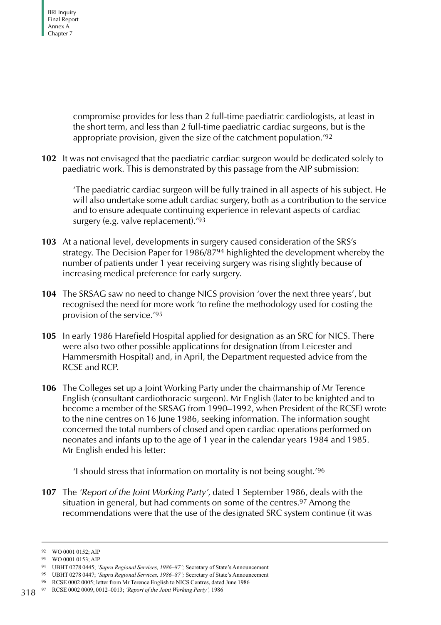compromise provides for less than 2 full-time paediatric cardiologists, at least in the short term, and less than 2 full-time paediatric cardiac surgeons, but is the appropriate provision, given the size of the catchment population.'92

**102** It was not envisaged that the paediatric cardiac surgeon would be dedicated solely to paediatric work. This is demonstrated by this passage from the AIP submission:

'The paediatric cardiac surgeon will be fully trained in all aspects of his subject. He will also undertake some adult cardiac surgery, both as a contribution to the service and to ensure adequate continuing experience in relevant aspects of cardiac surgery (e.g. valve replacement).'93

- **103** At a national level, developments in surgery caused consideration of the SRS's strategy. The Decision Paper for 1986/8794 highlighted the development whereby the number of patients under 1 year receiving surgery was rising slightly because of increasing medical preference for early surgery.
- **104** The SRSAG saw no need to change NICS provision 'over the next three years', but recognised the need for more work 'to refine the methodology used for costing the provision of the service.'95
- **105** In early 1986 Harefield Hospital applied for designation as an SRC for NICS. There were also two other possible applications for designation (from Leicester and Hammersmith Hospital) and, in April, the Department requested advice from the RCSE and RCP.
- **106** The Colleges set up a Joint Working Party under the chairmanship of Mr Terence English (consultant cardiothoracic surgeon). Mr English (later to be knighted and to become a member of the SRSAG from 1990–1992, when President of the RCSE) wrote to the nine centres on 16 June 1986, seeking information. The information sought concerned the total numbers of closed and open cardiac operations performed on neonates and infants up to the age of 1 year in the calendar years 1984 and 1985. Mr English ended his letter:

'I should stress that information on mortality is not being sought.'96

**107** The 'Report of the Joint Working Party', dated 1 September 1986, deals with the situation in general, but had comments on some of the centres.97 Among the recommendations were that the use of the designated SRC system continue (it was

<sup>92</sup> WO 0001 0152; AIP

<sup>93</sup> WO 0001 0153; AIP

<sup>94</sup> UBHT 0278 0445; *'Supra Regional Services, 1986–87';* Secretary of State's Announcement

<sup>95</sup> UBHT 0278 0447; *'Supra Regional Services, 1986–87';* Secretary of State's Announcement

<sup>96</sup> RCSE 0002 0005; letter from Mr Terence English to NICS Centres, dated June 1986

<sup>97</sup> RCSE 0002 0009, 0012–0013; *'Report of the Joint Working Party',* 1986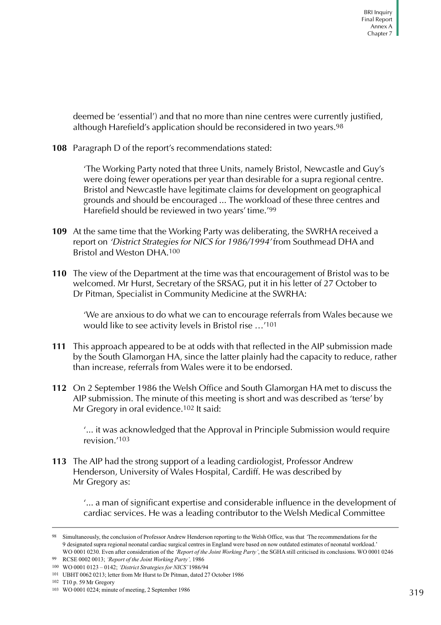deemed be 'essential') and that no more than nine centres were currently justified, although Harefield's application should be reconsidered in two years.98

**108** Paragraph D of the report's recommendations stated:

'The Working Party noted that three Units, namely Bristol, Newcastle and Guy's were doing fewer operations per year than desirable for a supra regional centre. Bristol and Newcastle have legitimate claims for development on geographical grounds and should be encouraged ... The workload of these three centres and Harefield should be reviewed in two years' time.'99

- **109** At the same time that the Working Party was deliberating, the SWRHA received a report on 'District Strategies for NICS for 1986/1994' from Southmead DHA and Bristol and Weston DHA.100
- **110** The view of the Department at the time was that encouragement of Bristol was to be welcomed. Mr Hurst, Secretary of the SRSAG, put it in his letter of 27 October to Dr Pitman, Specialist in Community Medicine at the SWRHA:

'We are anxious to do what we can to encourage referrals from Wales because we would like to see activity levels in Bristol rise …'101

- **111** This approach appeared to be at odds with that reflected in the AIP submission made by the South Glamorgan HA, since the latter plainly had the capacity to reduce, rather than increase, referrals from Wales were it to be endorsed.
- **112** On 2 September 1986 the Welsh Office and South Glamorgan HA met to discuss the AIP submission. The minute of this meeting is short and was described as 'terse' by Mr Gregory in oral evidence.102 It said:

'... it was acknowledged that the Approval in Principle Submission would require revision.'103

**113** The AIP had the strong support of a leading cardiologist, Professor Andrew Henderson, University of Wales Hospital, Cardiff. He was described by Mr Gregory as:

> '... a man of significant expertise and considerable influence in the development of cardiac services. He was a leading contributor to the Welsh Medical Committee

<sup>98</sup> Simultaneously, the conclusion of Professor Andrew Henderson reporting to the Welsh Office, was that *'*The recommendations for the 9 designated supra regional neonatal cardiac surgical centres in England were based on now outdated estimates of neonatal workload.' WO 0001 0230. Even after consideration of the *'Report of the Joint Working Party'*, the SGHA still criticised its conclusions. WO 0001 0246

<sup>99</sup> RCSE 0002 0013; *'Report of the Joint Working Party',* 1986

<sup>100</sup> WO 0001 0123 – 0142; *'District Strategies for NICS'* 1986/94

<sup>101</sup> UBHT 0062 0213; letter from Mr Hurst to Dr Pitman, dated 27 October 1986

<sup>102</sup> T10 p. 59 Mr Gregory

<sup>103</sup> WO 0001 0224; minute of meeting, 2 September 1986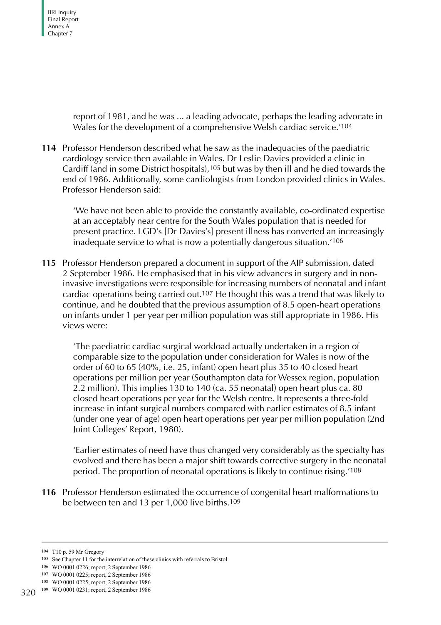report of 1981, and he was ... a leading advocate, perhaps the leading advocate in Wales for the development of a comprehensive Welsh cardiac service.'104

**114** Professor Henderson described what he saw as the inadequacies of the paediatric cardiology service then available in Wales. Dr Leslie Davies provided a clinic in Cardiff (and in some District hospitals),105 but was by then ill and he died towards the end of 1986. Additionally, some cardiologists from London provided clinics in Wales. Professor Henderson said:

'We have not been able to provide the constantly available, co-ordinated expertise at an acceptably near centre for the South Wales population that is needed for present practice. LGD's [Dr Davies's] present illness has converted an increasingly inadequate service to what is now a potentially dangerous situation.'106

**115** Professor Henderson prepared a document in support of the AIP submission, dated 2 September 1986. He emphasised that in his view advances in surgery and in noninvasive investigations were responsible for increasing numbers of neonatal and infant cardiac operations being carried out.107 He thought this was a trend that was likely to continue, and he doubted that the previous assumption of 8.5 open-heart operations on infants under 1 per year per million population was still appropriate in 1986. His views were:

'The paediatric cardiac surgical workload actually undertaken in a region of comparable size to the population under consideration for Wales is now of the order of 60 to 65 (40%, i.e. 25, infant) open heart plus 35 to 40 closed heart operations per million per year (Southampton data for Wessex region, population 2.2 million). This implies 130 to 140 (ca. 55 neonatal) open heart plus ca. 80 closed heart operations per year for the Welsh centre. It represents a three-fold increase in infant surgical numbers compared with earlier estimates of 8.5 infant (under one year of age) open heart operations per year per million population (2nd Joint Colleges' Report, 1980).

'Earlier estimates of need have thus changed very considerably as the specialty has evolved and there has been a major shift towards corrective surgery in the neonatal period. The proportion of neonatal operations is likely to continue rising.'108

**116** Professor Henderson estimated the occurrence of congenital heart malformations to be between ten and 13 per 1,000 live births.109

<sup>104</sup> T10 p. 59 Mr Gregory

<sup>105</sup> See Chapter 11 for the interrelation of these clinics with referrals to Bristol

<sup>106</sup> WO 0001 0226; report, 2 September 1986

<sup>107</sup> WO 0001 0225; report, 2 September 1986

<sup>108</sup> WO 0001 0225; report, 2 September 1986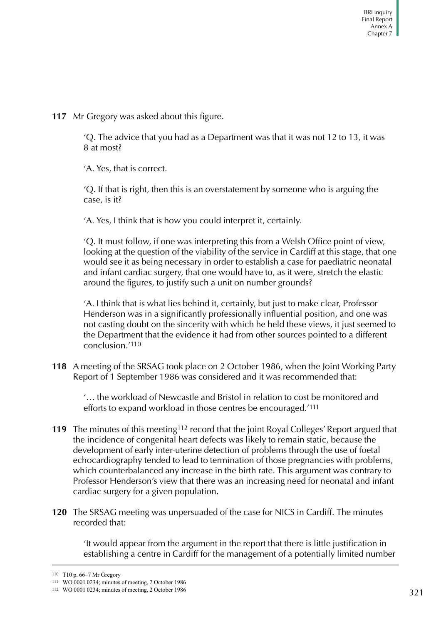**117** Mr Gregory was asked about this figure.

'Q. The advice that you had as a Department was that it was not 12 to 13, it was 8 at most?

'A. Yes, that is correct.

'Q. If that is right, then this is an overstatement by someone who is arguing the case, is it?

'A. Yes, I think that is how you could interpret it, certainly.

'Q. It must follow, if one was interpreting this from a Welsh Office point of view, looking at the question of the viability of the service in Cardiff at this stage, that one would see it as being necessary in order to establish a case for paediatric neonatal and infant cardiac surgery, that one would have to, as it were, stretch the elastic around the figures, to justify such a unit on number grounds?

'A. I think that is what lies behind it, certainly, but just to make clear, Professor Henderson was in a significantly professionally influential position, and one was not casting doubt on the sincerity with which he held these views, it just seemed to the Department that the evidence it had from other sources pointed to a different conclusion.'110

**118** A meeting of the SRSAG took place on 2 October 1986, when the Joint Working Party Report of 1 September 1986 was considered and it was recommended that:

'… the workload of Newcastle and Bristol in relation to cost be monitored and efforts to expand workload in those centres be encouraged.'111

- **119** The minutes of this meeting<sup>112</sup> record that the joint Royal Colleges' Report argued that the incidence of congenital heart defects was likely to remain static, because the development of early inter-uterine detection of problems through the use of foetal echocardiography tended to lead to termination of those pregnancies with problems, which counterbalanced any increase in the birth rate. This argument was contrary to Professor Henderson's view that there was an increasing need for neonatal and infant cardiac surgery for a given population.
- **120** The SRSAG meeting was unpersuaded of the case for NICS in Cardiff. The minutes recorded that:

'It would appear from the argument in the report that there is little justification in establishing a centre in Cardiff for the management of a potentially limited number

<sup>110</sup> T10 p. 66–7 Mr Gregory

<sup>111</sup> WO 0001 0234; minutes of meeting, 2 October 1986

<sup>112</sup> WO 0001 0234; minutes of meeting, 2 October 1986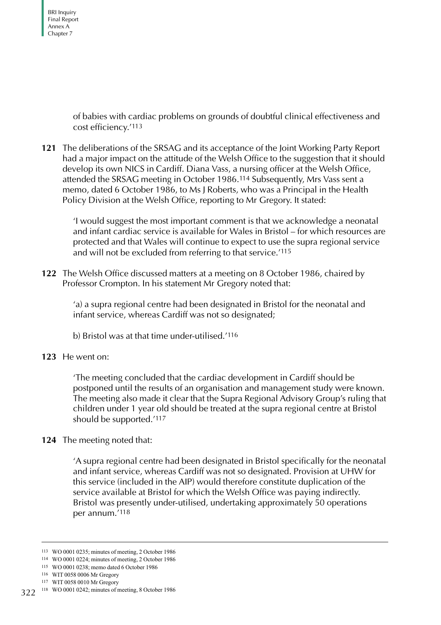of babies with cardiac problems on grounds of doubtful clinical effectiveness and cost efficiency.'113

**121** The deliberations of the SRSAG and its acceptance of the Joint Working Party Report had a major impact on the attitude of the Welsh Office to the suggestion that it should develop its own NICS in Cardiff. Diana Vass, a nursing officer at the Welsh Office, attended the SRSAG meeting in October 1986.114 Subsequently, Mrs Vass sent a memo, dated 6 October 1986, to Ms J Roberts, who was a Principal in the Health Policy Division at the Welsh Office, reporting to Mr Gregory. It stated:

'I would suggest the most important comment is that we acknowledge a neonatal and infant cardiac service is available for Wales in Bristol – for which resources are protected and that Wales will continue to expect to use the supra regional service and will not be excluded from referring to that service.'115

**122** The Welsh Office discussed matters at a meeting on 8 October 1986, chaired by Professor Crompton. In his statement Mr Gregory noted that:

'a) a supra regional centre had been designated in Bristol for the neonatal and infant service, whereas Cardiff was not so designated;

- b) Bristol was at that time under-utilised.'116
- **123** He went on:

'The meeting concluded that the cardiac development in Cardiff should be postponed until the results of an organisation and management study were known. The meeting also made it clear that the Supra Regional Advisory Group's ruling that children under 1 year old should be treated at the supra regional centre at Bristol should be supported.'117

### **124** The meeting noted that:

'A supra regional centre had been designated in Bristol specifically for the neonatal and infant service, whereas Cardiff was not so designated. Provision at UHW for this service (included in the AIP) would therefore constitute duplication of the service available at Bristol for which the Welsh Office was paying indirectly. Bristol was presently under-utilised, undertaking approximately 50 operations per annum.'118

<sup>113</sup> WO 0001 0235; minutes of meeting, 2 October 1986

<sup>114</sup> WO 0001 0224; minutes of meeting, 2 October 1986

<sup>115</sup> WO 0001 0238; memo dated 6 October 1986

<sup>116</sup> WIT 0058 0006 Mr Gregory

<sup>117</sup> WIT 0058 0010 Mr Gregory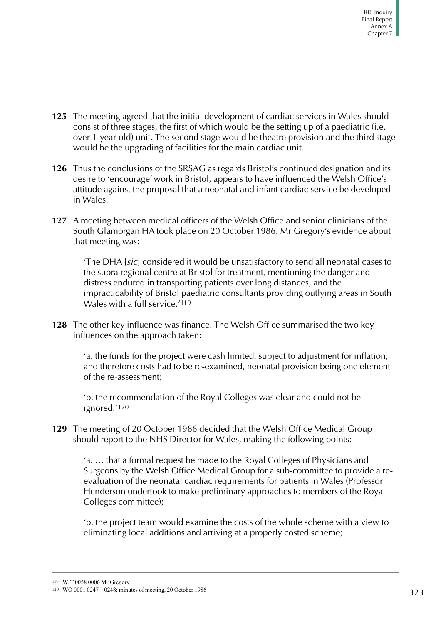- **125** The meeting agreed that the initial development of cardiac services in Wales should consist of three stages, the first of which would be the setting up of a paediatric (i.e. over 1-year-old) unit. The second stage would be theatre provision and the third stage would be the upgrading of facilities for the main cardiac unit.
- **126** Thus the conclusions of the SRSAG as regards Bristol's continued designation and its desire to 'encourage' work in Bristol, appears to have influenced the Welsh Office's attitude against the proposal that a neonatal and infant cardiac service be developed in Wales.
- **127** A meeting between medical officers of the Welsh Office and senior clinicians of the South Glamorgan HA took place on 20 October 1986. Mr Gregory's evidence about that meeting was:

'The DHA [sic] considered it would be unsatisfactory to send all neonatal cases to the supra regional centre at Bristol for treatment, mentioning the danger and distress endured in transporting patients over long distances, and the impracticability of Bristol paediatric consultants providing outlying areas in South Wales with a full service.'119

**128** The other key influence was finance. The Welsh Office summarised the two key influences on the approach taken:

'a. the funds for the project were cash limited, subject to adjustment for inflation, and therefore costs had to be re-examined, neonatal provision being one element of the re-assessment;

'b. the recommendation of the Royal Colleges was clear and could not be ignored.'120

**129** The meeting of 20 October 1986 decided that the Welsh Office Medical Group should report to the NHS Director for Wales, making the following points:

'a. … that a formal request be made to the Royal Colleges of Physicians and Surgeons by the Welsh Office Medical Group for a sub-committee to provide a reevaluation of the neonatal cardiac requirements for patients in Wales (Professor Henderson undertook to make preliminary approaches to members of the Royal Colleges committee);

'b. the project team would examine the costs of the whole scheme with a view to eliminating local additions and arriving at a properly costed scheme;

119 WIT 0058 0006 Mr Gregory

<sup>120</sup> WO 0001 0247 – 0248; minutes of meeting, 20 October 1986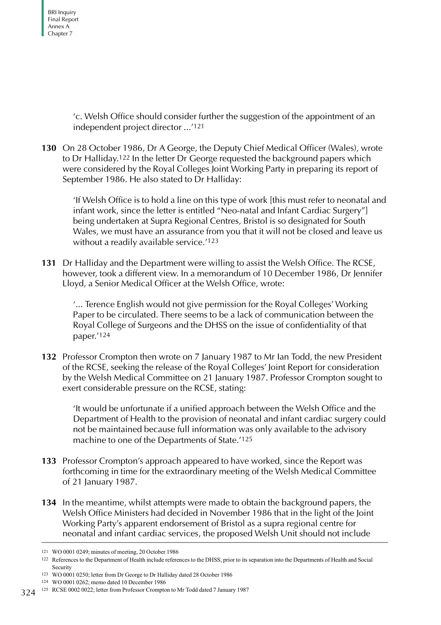'c. Welsh Office should consider further the suggestion of the appointment of an independent project director ...'121

**130** On 28 October 1986, Dr A George, the Deputy Chief Medical Officer (Wales), wrote to Dr Halliday.122 In the letter Dr George requested the background papers which were considered by the Royal Colleges Joint Working Party in preparing its report of September 1986. He also stated to Dr Halliday:

'If Welsh Office is to hold a line on this type of work [this must refer to neonatal and infant work, since the letter is entitled "Neo-natal and Infant Cardiac Surgery"] being undertaken at Supra Regional Centres, Bristol is so designated for South Wales, we must have an assurance from you that it will not be closed and leave us without a readily available service.<sup>'123</sup>

**131** Dr Halliday and the Department were willing to assist the Welsh Office. The RCSE, however, took a different view. In a memorandum of 10 December 1986, Dr Jennifer Lloyd, a Senior Medical Officer at the Welsh Office, wrote:

'... Terence English would not give permission for the Royal Colleges' Working Paper to be circulated. There seems to be a lack of communication between the Royal College of Surgeons and the DHSS on the issue of confidentiality of that paper.'124

**132** Professor Crompton then wrote on 7 January 1987 to Mr Ian Todd, the new President of the RCSE, seeking the release of the Royal Colleges' Joint Report for consideration by the Welsh Medical Committee on 21 January 1987. Professor Crompton sought to exert considerable pressure on the RCSE, stating:

'It would be unfortunate if a unified approach between the Welsh Office and the Department of Health to the provision of neonatal and infant cardiac surgery could not be maintained because full information was only available to the advisory machine to one of the Departments of State.'125

- **133** Professor Crompton's approach appeared to have worked, since the Report was forthcoming in time for the extraordinary meeting of the Welsh Medical Committee of 21 January 1987.
- **134** In the meantime, whilst attempts were made to obtain the background papers, the Welsh Office Ministers had decided in November 1986 that in the light of the Joint Working Party's apparent endorsement of Bristol as a supra regional centre for neonatal and infant cardiac services, the proposed Welsh Unit should not include

<sup>121</sup> WO 0001 0249; minutes of meeting, 20 October 1986

<sup>&</sup>lt;sup>122</sup> References to the Department of Health include references to the DHSS, prior to its separation into the Departments of Health and Social Security

<sup>123</sup> WO 0001 0250; letter from Dr George to Dr Halliday dated 28 October 1986

<sup>124</sup> WO 0001 0262; memo dated 10 December 1986

<sup>125</sup> RCSE 0002 0022; letter from Professor Crompton to Mr Todd dated 7 January 1987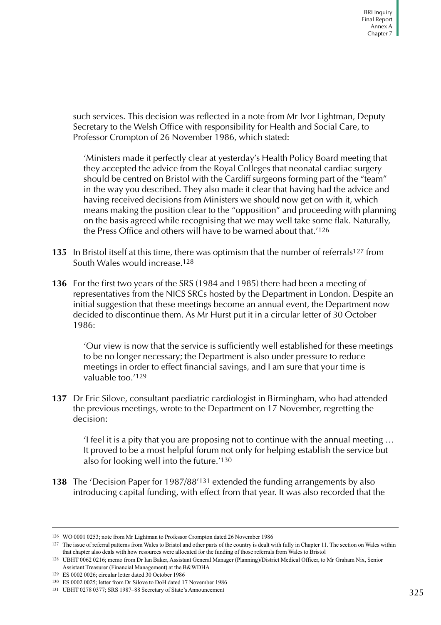such services. This decision was reflected in a note from Mr Ivor Lightman, Deputy Secretary to the Welsh Office with responsibility for Health and Social Care, to Professor Crompton of 26 November 1986, which stated:

'Ministers made it perfectly clear at yesterday's Health Policy Board meeting that they accepted the advice from the Royal Colleges that neonatal cardiac surgery should be centred on Bristol with the Cardiff surgeons forming part of the "team" in the way you described. They also made it clear that having had the advice and having received decisions from Ministers we should now get on with it, which means making the position clear to the "opposition" and proceeding with planning on the basis agreed while recognising that we may well take some flak. Naturally, the Press Office and others will have to be warned about that.'126

- **135** In Bristol itself at this time, there was optimism that the number of referrals<sup>127</sup> from South Wales would increase.128
- **136** For the first two years of the SRS (1984 and 1985) there had been a meeting of representatives from the NICS SRCs hosted by the Department in London. Despite an initial suggestion that these meetings become an annual event, the Department now decided to discontinue them. As Mr Hurst put it in a circular letter of 30 October 1986:

'Our view is now that the service is sufficiently well established for these meetings to be no longer necessary; the Department is also under pressure to reduce meetings in order to effect financial savings, and I am sure that your time is valuable too.'129

**137** Dr Eric Silove, consultant paediatric cardiologist in Birmingham, who had attended the previous meetings, wrote to the Department on 17 November, regretting the decision:

'I feel it is a pity that you are proposing not to continue with the annual meeting … It proved to be a most helpful forum not only for helping establish the service but also for looking well into the future.'130

**138** The 'Decision Paper for 1987/88'131 extended the funding arrangements by also introducing capital funding, with effect from that year. It was also recorded that the

<sup>126</sup> WO 0001 0253; note from Mr Lightman to Professor Crompton dated 26 November 1986

<sup>&</sup>lt;sup>127</sup> The issue of referral patterns from Wales to Bristol and other parts of the country is dealt with fully in Chapter 11. The section on Wales within that chapter also deals with how resources were allocated for the funding of those referrals from Wales to Bristol

<sup>128</sup> UBHT 0062 0216; memo from Dr Ian Baker, Assistant General Manager (Planning)/District Medical Officer, to Mr Graham Nix, Senior Assistant Treasurer (Financial Management) at the B&WDHA

<sup>129</sup> ES 0002 0026; circular letter dated 30 October 1986

<sup>130</sup> ES 0002 0025; letter from Dr Silove to DoH dated 17 November 1986

<sup>131</sup> UBHT 0278 0377; SRS 1987–88 Secretary of State's Announcement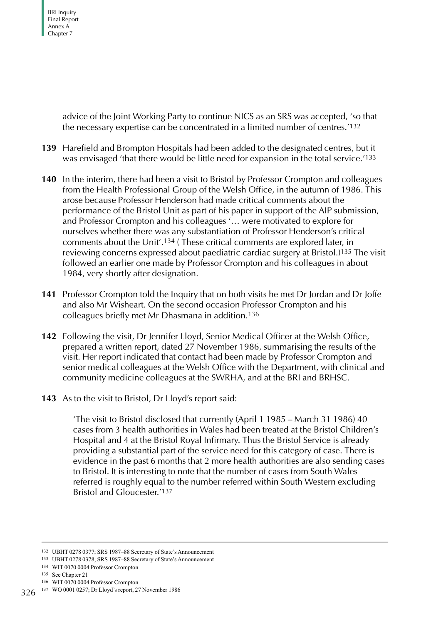advice of the Joint Working Party to continue NICS as an SRS was accepted, 'so that the necessary expertise can be concentrated in a limited number of centres.'132

- **139** Harefield and Brompton Hospitals had been added to the designated centres, but it was envisaged 'that there would be little need for expansion in the total service.'133
- **140** In the interim, there had been a visit to Bristol by Professor Crompton and colleagues from the Health Professional Group of the Welsh Office, in the autumn of 1986. This arose because Professor Henderson had made critical comments about the performance of the Bristol Unit as part of his paper in support of the AIP submission, and Professor Crompton and his colleagues '… were motivated to explore for ourselves whether there was any substantiation of Professor Henderson's critical comments about the Unit'.134 ( These critical comments are explored later, in reviewing concerns expressed about paediatric cardiac surgery at Bristol.)135 The visit followed an earlier one made by Professor Crompton and his colleagues in about 1984, very shortly after designation.
- **141** Professor Crompton told the Inquiry that on both visits he met Dr Jordan and Dr Joffe and also Mr Wisheart. On the second occasion Professor Crompton and his colleagues briefly met Mr Dhasmana in addition.136
- **142** Following the visit, Dr Jennifer Lloyd, Senior Medical Officer at the Welsh Office, prepared a written report, dated 27 November 1986, summarising the results of the visit. Her report indicated that contact had been made by Professor Crompton and senior medical colleagues at the Welsh Office with the Department, with clinical and community medicine colleagues at the SWRHA, and at the BRI and BRHSC.
- **143** As to the visit to Bristol, Dr Lloyd's report said:

'The visit to Bristol disclosed that currently (April 1 1985 – March 31 1986) 40 cases from 3 health authorities in Wales had been treated at the Bristol Children's Hospital and 4 at the Bristol Royal Infirmary. Thus the Bristol Service is already providing a substantial part of the service need for this category of case. There is evidence in the past 6 months that 2 more health authorities are also sending cases to Bristol. It is interesting to note that the number of cases from South Wales referred is roughly equal to the number referred within South Western excluding Bristol and Gloucester.'137

<sup>132</sup> UBHT 0278 0377; SRS 1987–88 Secretary of State's Announcement

<sup>133</sup> UBHT 0278 0378; SRS 1987–88 Secretary of State's Announcement

<sup>134</sup> WIT 0070 0004 Professor Crompton

<sup>135</sup> See Chapter 21

<sup>136</sup> WIT 0070 0004 Professor Crompton

<sup>137</sup> WO 0001 0257; Dr Lloyd's report, 27 November 1986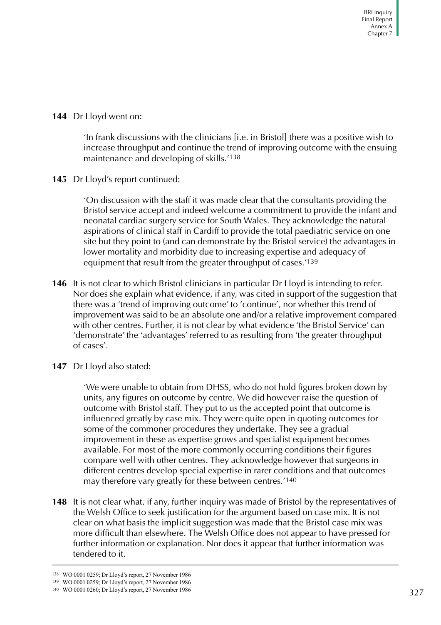## **144** Dr Lloyd went on:

'In frank discussions with the clinicians [i.e. in Bristol] there was a positive wish to increase throughput and continue the trend of improving outcome with the ensuing maintenance and developing of skills.'138

## **145** Dr Lloyd's report continued:

'On discussion with the staff it was made clear that the consultants providing the Bristol service accept and indeed welcome a commitment to provide the infant and neonatal cardiac surgery service for South Wales. They acknowledge the natural aspirations of clinical staff in Cardiff to provide the total paediatric service on one site but they point to (and can demonstrate by the Bristol service) the advantages in lower mortality and morbidity due to increasing expertise and adequacy of equipment that result from the greater throughput of cases.'139

- **146** It is not clear to which Bristol clinicians in particular Dr Lloyd is intending to refer. Nor does she explain what evidence, if any, was cited in support of the suggestion that there was a 'trend of improving outcome' to 'continue', nor whether this trend of improvement was said to be an absolute one and/or a relative improvement compared with other centres. Further, it is not clear by what evidence 'the Bristol Service' can 'demonstrate' the 'advantages' referred to as resulting from 'the greater throughput of cases'.
- **147** Dr Lloyd also stated:

'We were unable to obtain from DHSS, who do not hold figures broken down by units, any figures on outcome by centre. We did however raise the question of outcome with Bristol staff. They put to us the accepted point that outcome is influenced greatly by case mix. They were quite open in quoting outcomes for some of the commoner procedures they undertake. They see a gradual improvement in these as expertise grows and specialist equipment becomes available. For most of the more commonly occurring conditions their figures compare well with other centres. They acknowledge however that surgeons in different centres develop special expertise in rarer conditions and that outcomes may therefore vary greatly for these between centres.'140

**148** It is not clear what, if any, further inquiry was made of Bristol by the representatives of the Welsh Office to seek justification for the argument based on case mix. It is not clear on what basis the implicit suggestion was made that the Bristol case mix was more difficult than elsewhere. The Welsh Office does not appear to have pressed for further information or explanation. Nor does it appear that further information was tendered to it.

<sup>138</sup> WO 0001 0259; Dr Lloyd's report, 27 November 1986

<sup>139</sup> WO 0001 0259; Dr Lloyd's report, 27 November 1986

<sup>140</sup> WO 0001 0260; Dr Lloyd's report, 27 November 1986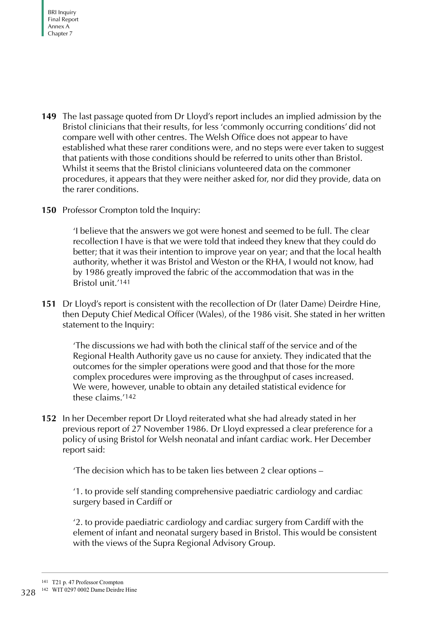- **149** The last passage quoted from Dr Lloyd's report includes an implied admission by the Bristol clinicians that their results, for less 'commonly occurring conditions' did not compare well with other centres. The Welsh Office does not appear to have established what these rarer conditions were, and no steps were ever taken to suggest that patients with those conditions should be referred to units other than Bristol. Whilst it seems that the Bristol clinicians volunteered data on the commoner procedures, it appears that they were neither asked for, nor did they provide, data on the rarer conditions.
- **150** Professor Crompton told the Inquiry:

'I believe that the answers we got were honest and seemed to be full. The clear recollection I have is that we were told that indeed they knew that they could do better; that it was their intention to improve year on year; and that the local health authority, whether it was Bristol and Weston or the RHA, I would not know, had by 1986 greatly improved the fabric of the accommodation that was in the Bristol unit.'141

**151** Dr Lloyd's report is consistent with the recollection of Dr (later Dame) Deirdre Hine, then Deputy Chief Medical Officer (Wales), of the 1986 visit. She stated in her written statement to the Inquiry:

'The discussions we had with both the clinical staff of the service and of the Regional Health Authority gave us no cause for anxiety. They indicated that the outcomes for the simpler operations were good and that those for the more complex procedures were improving as the throughput of cases increased. We were, however, unable to obtain any detailed statistical evidence for these claims.'142

**152** In her December report Dr Lloyd reiterated what she had already stated in her previous report of 27 November 1986. Dr Lloyd expressed a clear preference for a policy of using Bristol for Welsh neonatal and infant cardiac work. Her December report said:

'The decision which has to be taken lies between 2 clear options –

'1. to provide self standing comprehensive paediatric cardiology and cardiac surgery based in Cardiff or

'2. to provide paediatric cardiology and cardiac surgery from Cardiff with the element of infant and neonatal surgery based in Bristol. This would be consistent with the views of the Supra Regional Advisory Group.

141 T21 p. 47 Professor Crompton

328 142 WIT 0297 0002 Dame Deirdre Hine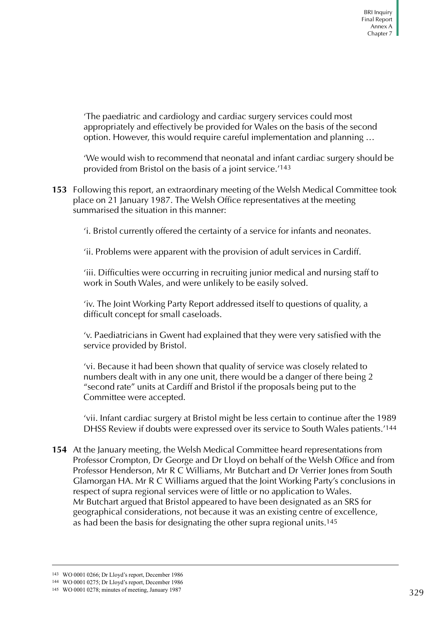'The paediatric and cardiology and cardiac surgery services could most appropriately and effectively be provided for Wales on the basis of the second option. However, this would require careful implementation and planning …

'We would wish to recommend that neonatal and infant cardiac surgery should be provided from Bristol on the basis of a joint service.'143

**153** Following this report, an extraordinary meeting of the Welsh Medical Committee took place on 21 January 1987. The Welsh Office representatives at the meeting summarised the situation in this manner:

'i. Bristol currently offered the certainty of a service for infants and neonates.

'ii. Problems were apparent with the provision of adult services in Cardiff.

'iii. Difficulties were occurring in recruiting junior medical and nursing staff to work in South Wales, and were unlikely to be easily solved.

'iv. The Joint Working Party Report addressed itself to questions of quality, a difficult concept for small caseloads.

'v. Paediatricians in Gwent had explained that they were very satisfied with the service provided by Bristol.

'vi. Because it had been shown that quality of service was closely related to numbers dealt with in any one unit, there would be a danger of there being 2 "second rate" units at Cardiff and Bristol if the proposals being put to the Committee were accepted.

'vii. Infant cardiac surgery at Bristol might be less certain to continue after the 1989 DHSS Review if doubts were expressed over its service to South Wales patients.'144

**154** At the January meeting, the Welsh Medical Committee heard representations from Professor Crompton, Dr George and Dr Lloyd on behalf of the Welsh Office and from Professor Henderson, Mr R C Williams, Mr Butchart and Dr Verrier Jones from South Glamorgan HA. Mr R C Williams argued that the Joint Working Party's conclusions in respect of supra regional services were of little or no application to Wales. Mr Butchart argued that Bristol appeared to have been designated as an SRS for geographical considerations, not because it was an existing centre of excellence, as had been the basis for designating the other supra regional units.145

<sup>143</sup> WO 0001 0266; Dr Lloyd's report, December 1986

<sup>144</sup> WO 0001 0275; Dr Lloyd's report, December 1986

<sup>145</sup> WO 0001 0278; minutes of meeting, January 1987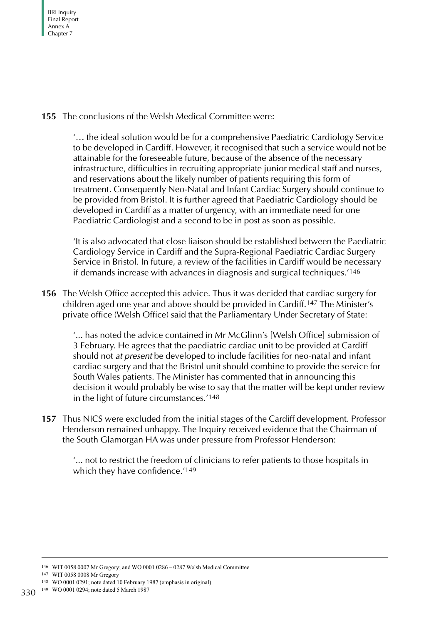**155** The conclusions of the Welsh Medical Committee were:

'… the ideal solution would be for a comprehensive Paediatric Cardiology Service to be developed in Cardiff. However, it recognised that such a service would not be attainable for the foreseeable future, because of the absence of the necessary infrastructure, difficulties in recruiting appropriate junior medical staff and nurses, and reservations about the likely number of patients requiring this form of treatment. Consequently Neo-Natal and Infant Cardiac Surgery should continue to be provided from Bristol. It is further agreed that Paediatric Cardiology should be developed in Cardiff as a matter of urgency, with an immediate need for one Paediatric Cardiologist and a second to be in post as soon as possible.

'It is also advocated that close liaison should be established between the Paediatric Cardiology Service in Cardiff and the Supra-Regional Paediatric Cardiac Surgery Service in Bristol. In future, a review of the facilities in Cardiff would be necessary if demands increase with advances in diagnosis and surgical techniques.'146

**156** The Welsh Office accepted this advice. Thus it was decided that cardiac surgery for children aged one year and above should be provided in Cardiff.147 The Minister's private office (Welsh Office) said that the Parliamentary Under Secretary of State:

'... has noted the advice contained in Mr McGlinn's [Welsh Office] submission of 3 February. He agrees that the paediatric cardiac unit to be provided at Cardiff should not at present be developed to include facilities for neo-natal and infant cardiac surgery and that the Bristol unit should combine to provide the service for South Wales patients. The Minister has commented that in announcing this decision it would probably be wise to say that the matter will be kept under review in the light of future circumstances.'148

**157** Thus NICS were excluded from the initial stages of the Cardiff development. Professor Henderson remained unhappy. The Inquiry received evidence that the Chairman of the South Glamorgan HA was under pressure from Professor Henderson:

'... not to restrict the freedom of clinicians to refer patients to those hospitals in which they have confidence.<sup>'149</sup>

149 WO 0001 0294; note dated 5 March 1987

<sup>146</sup> WIT 0058 0007 Mr Gregory; and WO 0001 0286 – 0287 Welsh Medical Committee

<sup>147</sup> WIT 0058 0008 Mr Gregory

<sup>148</sup> WO 0001 0291; note dated 10 February 1987 (emphasis in original)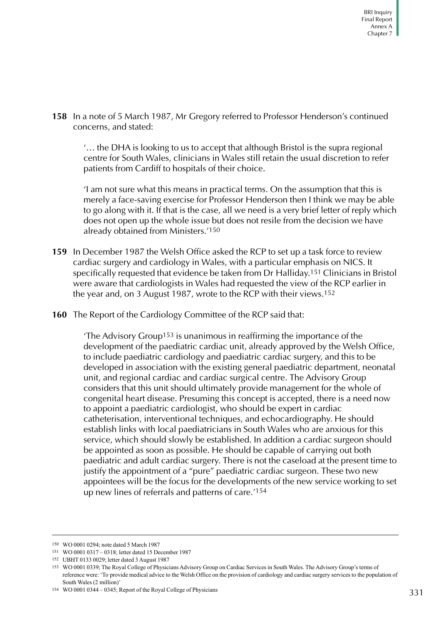**158** In a note of 5 March 1987, Mr Gregory referred to Professor Henderson's continued concerns, and stated:

'… the DHA is looking to us to accept that although Bristol is the supra regional centre for South Wales, clinicians in Wales still retain the usual discretion to refer patients from Cardiff to hospitals of their choice.

'I am not sure what this means in practical terms. On the assumption that this is merely a face-saving exercise for Professor Henderson then I think we may be able to go along with it. If that is the case, all we need is a very brief letter of reply which does not open up the whole issue but does not resile from the decision we have already obtained from Ministers.'150

- **159** In December 1987 the Welsh Office asked the RCP to set up a task force to review cardiac surgery and cardiology in Wales, with a particular emphasis on NICS. It specifically requested that evidence be taken from Dr Halliday.151 Clinicians in Bristol were aware that cardiologists in Wales had requested the view of the RCP earlier in the year and, on 3 August 1987, wrote to the RCP with their views.152
- **160** The Report of the Cardiology Committee of the RCP said that:

'The Advisory Group153 is unanimous in reaffirming the importance of the development of the paediatric cardiac unit, already approved by the Welsh Office, to include paediatric cardiology and paediatric cardiac surgery, and this to be developed in association with the existing general paediatric department, neonatal unit, and regional cardiac and cardiac surgical centre. The Advisory Group considers that this unit should ultimately provide management for the whole of congenital heart disease. Presuming this concept is accepted, there is a need now to appoint a paediatric cardiologist, who should be expert in cardiac catheterisation, interventional techniques, and echocardiography. He should establish links with local paediatricians in South Wales who are anxious for this service, which should slowly be established. In addition a cardiac surgeon should be appointed as soon as possible. He should be capable of carrying out both paediatric and adult cardiac surgery. There is not the caseload at the present time to justify the appointment of a "pure" paediatric cardiac surgeon. These two new appointees will be the focus for the developments of the new service working to set up new lines of referrals and patterns of care.'154

<sup>150</sup> WO 0001 0294; note dated 5 March 1987

<sup>151</sup> WO 0001 0317 – 0318; letter dated 15 December 1987

<sup>152</sup> UBHT 0133 0029; letter dated 3 August 1987

<sup>153</sup> WO 0001 0339; The Royal College of Physicians Advisory Group on Cardiac Services in South Wales. The Advisory Group's terms of reference were: 'To provide medical advice to the Welsh Office on the provision of cardiology and cardiac surgery services to the population of South Wales (2 million)'

<sup>154</sup> WO 0001 0344 – 0345; Report of the Royal College of Physicians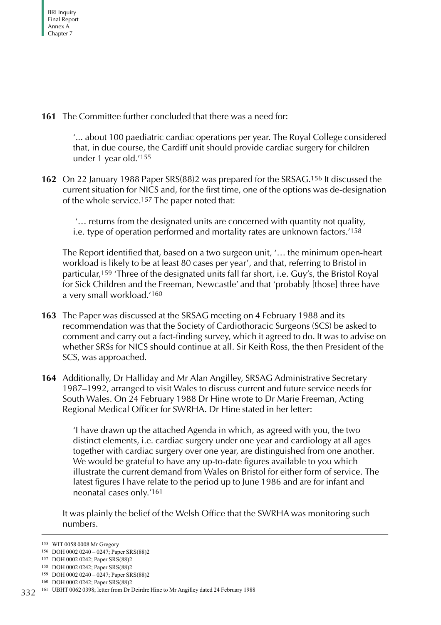**161** The Committee further concluded that there was a need for:

'... about 100 paediatric cardiac operations per year. The Royal College considered that, in due course, the Cardiff unit should provide cardiac surgery for children under 1 year old.'155

**162** On 22 January 1988 Paper SRS(88)2 was prepared for the SRSAG.156 It discussed the current situation for NICS and, for the first time, one of the options was de-designation of the whole service.157 The paper noted that:

 '… returns from the designated units are concerned with quantity not quality, i.e. type of operation performed and mortality rates are unknown factors.'158

The Report identified that, based on a two surgeon unit, '… the minimum open-heart workload is likely to be at least 80 cases per year', and that, referring to Bristol in particular,159 'Three of the designated units fall far short, i.e. Guy's, the Bristol Royal for Sick Children and the Freeman, Newcastle' and that 'probably [those] three have a very small workload.'160

- **163** The Paper was discussed at the SRSAG meeting on 4 February 1988 and its recommendation was that the Society of Cardiothoracic Surgeons (SCS) be asked to comment and carry out a fact-finding survey, which it agreed to do. It was to advise on whether SRSs for NICS should continue at all. Sir Keith Ross, the then President of the SCS, was approached.
- **164** Additionally, Dr Halliday and Mr Alan Angilley, SRSAG Administrative Secretary 1987–1992, arranged to visit Wales to discuss current and future service needs for South Wales. On 24 February 1988 Dr Hine wrote to Dr Marie Freeman, Acting Regional Medical Officer for SWRHA. Dr Hine stated in her letter:

'I have drawn up the attached Agenda in which, as agreed with you, the two distinct elements, i.e. cardiac surgery under one year and cardiology at all ages together with cardiac surgery over one year, are distinguished from one another. We would be grateful to have any up-to-date figures available to you which illustrate the current demand from Wales on Bristol for either form of service. The latest figures I have relate to the period up to June 1986 and are for infant and neonatal cases only.'161

It was plainly the belief of the Welsh Office that the SWRHA was monitoring such numbers.

<sup>155</sup> WIT 0058 0008 Mr Gregory

<sup>156</sup> DOH 0002 0240 – 0247; Paper SRS(88)2

<sup>157</sup> DOH 0002 0242; Paper SRS(88)2

<sup>158</sup> DOH 0002 0242; Paper SRS(88)2

<sup>159</sup> DOH 0002 0240 – 0247; Paper SRS(88)2

<sup>160</sup> DOH 0002 0242; Paper SRS(88)2

<sup>161</sup> UBHT 0062 0398; letter from Dr Deirdre Hine to Mr Angilley dated 24 February 1988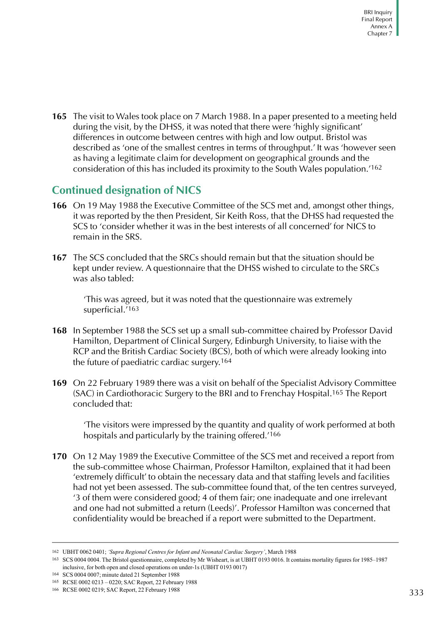**165** The visit to Wales took place on 7 March 1988. In a paper presented to a meeting held during the visit, by the DHSS, it was noted that there were 'highly significant' differences in outcome between centres with high and low output. Bristol was described as 'one of the smallest centres in terms of throughput.' It was 'however seen as having a legitimate claim for development on geographical grounds and the consideration of this has included its proximity to the South Wales population.'162

## **Continued designation of NICS**

- **166** On 19 May 1988 the Executive Committee of the SCS met and, amongst other things, it was reported by the then President, Sir Keith Ross, that the DHSS had requested the SCS to 'consider whether it was in the best interests of all concerned' for NICS to remain in the SRS.
- **167** The SCS concluded that the SRCs should remain but that the situation should be kept under review. A questionnaire that the DHSS wished to circulate to the SRCs was also tabled:

'This was agreed, but it was noted that the questionnaire was extremely superficial.'163

- **168** In September 1988 the SCS set up a small sub-committee chaired by Professor David Hamilton, Department of Clinical Surgery, Edinburgh University, to liaise with the RCP and the British Cardiac Society (BCS), both of which were already looking into the future of paediatric cardiac surgery.164
- **169** On 22 February 1989 there was a visit on behalf of the Specialist Advisory Committee (SAC) in Cardiothoracic Surgery to the BRI and to Frenchay Hospital.165 The Report concluded that:

'The visitors were impressed by the quantity and quality of work performed at both hospitals and particularly by the training offered.'166

**170** On 12 May 1989 the Executive Committee of the SCS met and received a report from the sub-committee whose Chairman, Professor Hamilton, explained that it had been 'extremely difficult' to obtain the necessary data and that staffing levels and facilities had not yet been assessed. The sub-committee found that, of the ten centres surveyed, '3 of them were considered good; 4 of them fair; one inadequate and one irrelevant and one had not submitted a return (Leeds)'. Professor Hamilton was concerned that confidentiality would be breached if a report were submitted to the Department.

<sup>162</sup> UBHT 0062 0401; *'Supra Regional Centres for Infant and Neonatal Cardiac Surgery'*, March 1988

<sup>163</sup> SCS 0004 0004. The Bristol questionnaire, completed by Mr Wisheart, is at UBHT 0193 0016. It contains mortality figures for 1985–1987 inclusive, for both open and closed operations on under-1s (UBHT 0193 0017)

<sup>164</sup> SCS 0004 0007; minute dated 21 September 1988

<sup>165</sup> RCSE 0002 0213 – 0220; SAC Report, 22 February 1988

<sup>166</sup> RCSE 0002 0219; SAC Report, 22 February 1988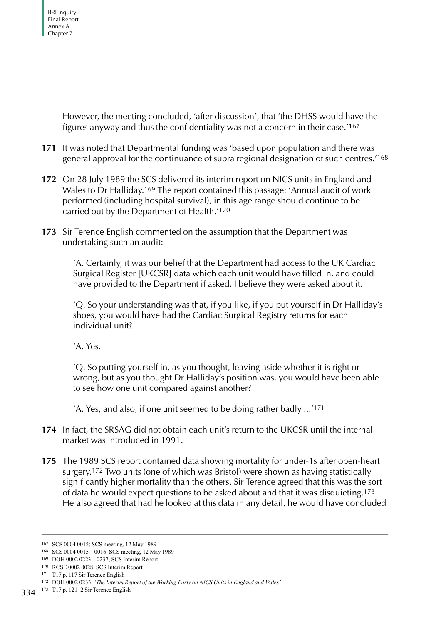However, the meeting concluded, 'after discussion', that 'the DHSS would have the figures anyway and thus the confidentiality was not a concern in their case.'167

- **171** It was noted that Departmental funding was 'based upon population and there was general approval for the continuance of supra regional designation of such centres.'168
- **172** On 28 July 1989 the SCS delivered its interim report on NICS units in England and Wales to Dr Halliday.169 The report contained this passage: 'Annual audit of work performed (including hospital survival), in this age range should continue to be carried out by the Department of Health.'170
- **173** Sir Terence English commented on the assumption that the Department was undertaking such an audit:

'A. Certainly, it was our belief that the Department had access to the UK Cardiac Surgical Register [UKCSR] data which each unit would have filled in, and could have provided to the Department if asked. I believe they were asked about it.

'Q. So your understanding was that, if you like, if you put yourself in Dr Halliday's shoes, you would have had the Cardiac Surgical Registry returns for each individual unit?

'A. Yes.

'Q. So putting yourself in, as you thought, leaving aside whether it is right or wrong, but as you thought Dr Halliday's position was, you would have been able to see how one unit compared against another?

'A. Yes, and also, if one unit seemed to be doing rather badly ...'171

- **174** In fact, the SRSAG did not obtain each unit's return to the UKCSR until the internal market was introduced in 1991.
- **175** The 1989 SCS report contained data showing mortality for under-1s after open-heart surgery.172 Two units (one of which was Bristol) were shown as having statistically significantly higher mortality than the others. Sir Terence agreed that this was the sort of data he would expect questions to be asked about and that it was disquieting.173 He also agreed that had he looked at this data in any detail, he would have concluded

<sup>167</sup> SCS 0004 0015; SCS meeting, 12 May 1989

<sup>168</sup> SCS 0004 0015 – 0016; SCS meeting, 12 May 1989

<sup>169</sup> DOH 0002 0223 – 0237; SCS Interim Report

<sup>170</sup> RCSE 0002 0028; SCS Interim Report

<sup>171</sup> T17 p. 117 Sir Terence English

<sup>172</sup> DOH 0002 0233; *'The Interim Report of the Working Party on NICS Units in England and Wales'*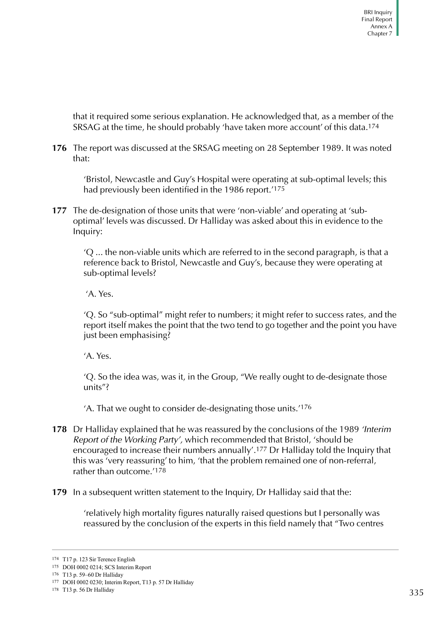that it required some serious explanation. He acknowledged that, as a member of the SRSAG at the time, he should probably 'have taken more account' of this data.174

**176** The report was discussed at the SRSAG meeting on 28 September 1989. It was noted that:

'Bristol, Newcastle and Guy's Hospital were operating at sub-optimal levels; this had previously been identified in the 1986 report.'175

**177** The de-designation of those units that were 'non-viable' and operating at 'suboptimal' levels was discussed. Dr Halliday was asked about this in evidence to the Inquiry:

'Q ... the non-viable units which are referred to in the second paragraph, is that a reference back to Bristol, Newcastle and Guy's, because they were operating at sub-optimal levels?

'A. Yes.

'Q. So "sub-optimal" might refer to numbers; it might refer to success rates, and the report itself makes the point that the two tend to go together and the point you have just been emphasising?

'A. Yes.

'Q. So the idea was, was it, in the Group, "We really ought to de-designate those units"?

'A. That we ought to consider de-designating those units.'176

- **178** Dr Halliday explained that he was reassured by the conclusions of the 1989 'Interim Report of the Working Party', which recommended that Bristol, 'should be encouraged to increase their numbers annually'.177 Dr Halliday told the Inquiry that this was 'very reassuring' to him, 'that the problem remained one of non-referral, rather than outcome.'178
- **179** In a subsequent written statement to the Inquiry, Dr Halliday said that the:

'relatively high mortality figures naturally raised questions but I personally was reassured by the conclusion of the experts in this field namely that "Two centres

<sup>174</sup> T17 p. 123 Sir Terence English

<sup>175</sup> DOH 0002 0214; SCS Interim Report

<sup>176</sup> T13 p. 59–60 Dr Halliday

<sup>177</sup> DOH 0002 0230; Interim Report, T13 p. 57 Dr Halliday

<sup>178</sup> T13 p. 56 Dr Halliday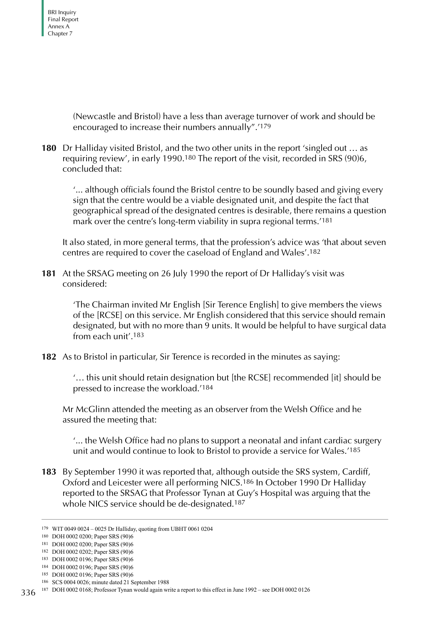(Newcastle and Bristol) have a less than average turnover of work and should be encouraged to increase their numbers annually".'179

**180** Dr Halliday visited Bristol, and the two other units in the report 'singled out … as requiring review', in early 1990.180 The report of the visit, recorded in SRS (90)6, concluded that:

'... although officials found the Bristol centre to be soundly based and giving every sign that the centre would be a viable designated unit, and despite the fact that geographical spread of the designated centres is desirable, there remains a question mark over the centre's long-term viability in supra regional terms.'181

It also stated, in more general terms, that the profession's advice was 'that about seven centres are required to cover the caseload of England and Wales'.182

**181** At the SRSAG meeting on 26 July 1990 the report of Dr Halliday's visit was considered:

> 'The Chairman invited Mr English [Sir Terence English] to give members the views of the [RCSE] on this service. Mr English considered that this service should remain designated, but with no more than 9 units. It would be helpful to have surgical data from each unit' 183

**182** As to Bristol in particular, Sir Terence is recorded in the minutes as saying:

'… this unit should retain designation but [the RCSE] recommended [it] should be pressed to increase the workload.'184

Mr McGlinn attended the meeting as an observer from the Welsh Office and he assured the meeting that:

'... the Welsh Office had no plans to support a neonatal and infant cardiac surgery unit and would continue to look to Bristol to provide a service for Wales.'185

**183** By September 1990 it was reported that, although outside the SRS system, Cardiff, Oxford and Leicester were all performing NICS.186 In October 1990 Dr Halliday reported to the SRSAG that Professor Tynan at Guy's Hospital was arguing that the whole NICS service should be de-designated.<sup>187</sup>

<sup>179</sup> WIT 0049 0024 – 0025 Dr Halliday, quoting from UBHT 0061 0204

<sup>180</sup> DOH 0002 0200; Paper SRS (90)6

<sup>181</sup> DOH 0002 0200; Paper SRS (90)6

<sup>182</sup> DOH 0002 0202; Paper SRS (90)6

<sup>183</sup> DOH 0002 0196; Paper SRS (90)6

<sup>184</sup> DOH 0002 0196; Paper SRS (90)6

<sup>185</sup> DOH 0002 0196; Paper SRS (90)6

<sup>186</sup> SCS 0004 0026; minute dated 21 September 1988

<sup>187</sup> DOH 0002 0168; Professor Tynan would again write a report to this effect in June 1992 – see DOH 0002 0126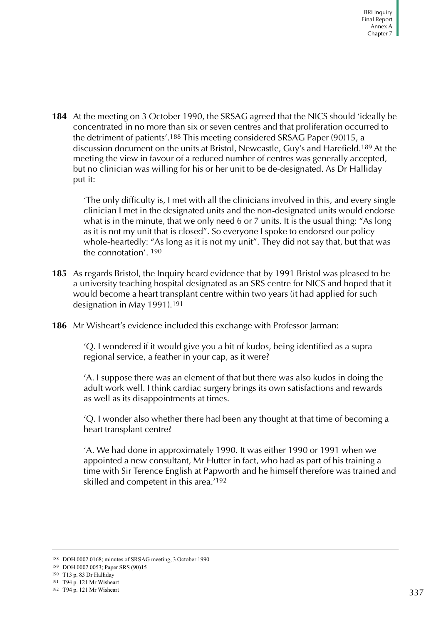**184** At the meeting on 3 October 1990, the SRSAG agreed that the NICS should 'ideally be concentrated in no more than six or seven centres and that proliferation occurred to the detriment of patients'.188 This meeting considered SRSAG Paper (90)15, a discussion document on the units at Bristol, Newcastle, Guy's and Harefield.189 At the meeting the view in favour of a reduced number of centres was generally accepted, but no clinician was willing for his or her unit to be de-designated. As Dr Halliday put it:

'The only difficulty is, I met with all the clinicians involved in this, and every single clinician I met in the designated units and the non-designated units would endorse what is in the minute, that we only need 6 or 7 units. It is the usual thing: "As long as it is not my unit that is closed". So everyone I spoke to endorsed our policy whole-heartedly: "As long as it is not my unit". They did not say that, but that was the connotation'. 190

- **185** As regards Bristol, the Inquiry heard evidence that by 1991 Bristol was pleased to be a university teaching hospital designated as an SRS centre for NICS and hoped that it would become a heart transplant centre within two years (it had applied for such designation in May 1991).191
- **186** Mr Wisheart's evidence included this exchange with Professor Jarman:

'Q. I wondered if it would give you a bit of kudos, being identified as a supra regional service, a feather in your cap, as it were?

'A. I suppose there was an element of that but there was also kudos in doing the adult work well. I think cardiac surgery brings its own satisfactions and rewards as well as its disappointments at times.

'Q. I wonder also whether there had been any thought at that time of becoming a heart transplant centre?

'A. We had done in approximately 1990. It was either 1990 or 1991 when we appointed a new consultant, Mr Hutter in fact, who had as part of his training a time with Sir Terence English at Papworth and he himself therefore was trained and skilled and competent in this area.'192

<sup>188</sup> DOH 0002 0168; minutes of SRSAG meeting, 3 October 1990

<sup>189</sup> DOH 0002 0053; Paper SRS (90)15

<sup>190</sup> T13 p. 83 Dr Halliday

<sup>191</sup> T94 p. 121 Mr Wisheart

<sup>192</sup> T94 p. 121 Mr Wisheart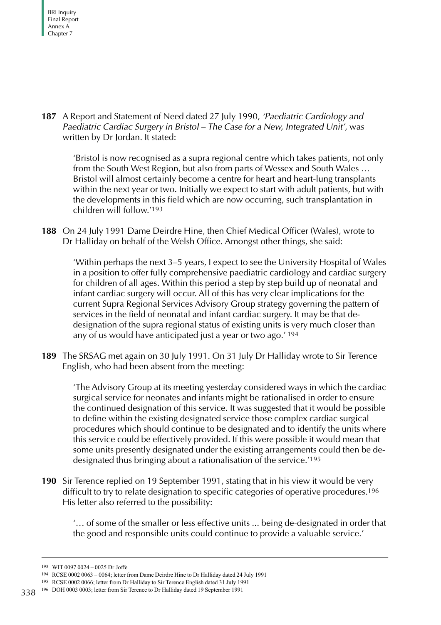BRI Inquiry Final Report Annex A Chapter 7

**187** A Report and Statement of Need dated 27 July 1990, 'Paediatric Cardiology and Paediatric Cardiac Surgery in Bristol – The Case for a New, Integrated Unit', was written by Dr Jordan. It stated:

'Bristol is now recognised as a supra regional centre which takes patients, not only from the South West Region, but also from parts of Wessex and South Wales … Bristol will almost certainly become a centre for heart and heart-lung transplants within the next year or two. Initially we expect to start with adult patients, but with the developments in this field which are now occurring, such transplantation in children will follow.'193

**188** On 24 July 1991 Dame Deirdre Hine, then Chief Medical Officer (Wales), wrote to Dr Halliday on behalf of the Welsh Office. Amongst other things, she said:

'Within perhaps the next 3–5 years, I expect to see the University Hospital of Wales in a position to offer fully comprehensive paediatric cardiology and cardiac surgery for children of all ages. Within this period a step by step build up of neonatal and infant cardiac surgery will occur. All of this has very clear implications for the current Supra Regional Services Advisory Group strategy governing the pattern of services in the field of neonatal and infant cardiac surgery. It may be that dedesignation of the supra regional status of existing units is very much closer than any of us would have anticipated just a year or two ago.' 194

**189** The SRSAG met again on 30 July 1991. On 31 July Dr Halliday wrote to Sir Terence English, who had been absent from the meeting:

'The Advisory Group at its meeting yesterday considered ways in which the cardiac surgical service for neonates and infants might be rationalised in order to ensure the continued designation of this service. It was suggested that it would be possible to define within the existing designated service those complex cardiac surgical procedures which should continue to be designated and to identify the units where this service could be effectively provided. If this were possible it would mean that some units presently designated under the existing arrangements could then be dedesignated thus bringing about a rationalisation of the service.'195

**190** Sir Terence replied on 19 September 1991, stating that in his view it would be very difficult to try to relate designation to specific categories of operative procedures.196 His letter also referred to the possibility:

'… of some of the smaller or less effective units ... being de-designated in order that the good and responsible units could continue to provide a valuable service.'

<sup>193</sup> WIT 0097 0024 – 0025 Dr Joffe

<sup>194</sup> RCSE 0002 0063 – 0064; letter from Dame Deirdre Hine to Dr Halliday dated 24 July 1991

<sup>195</sup> RCSE 0002 0066; letter from Dr Halliday to Sir Terence English dated 31 July 1991 196 DOH 0003 0003; letter from Sir Terence to Dr Halliday dated 19 September 1991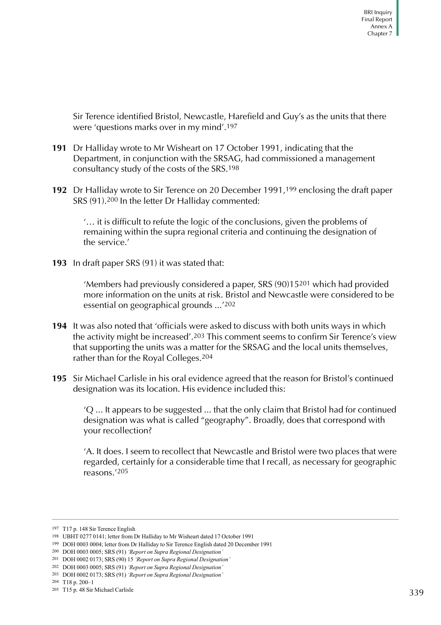Sir Terence identified Bristol, Newcastle, Harefield and Guy's as the units that there were 'questions marks over in my mind'.197

- **191** Dr Halliday wrote to Mr Wisheart on 17 October 1991, indicating that the Department, in conjunction with the SRSAG, had commissioned a management consultancy study of the costs of the SRS.198
- **192** Dr Halliday wrote to Sir Terence on 20 December 1991,199 enclosing the draft paper SRS (91).200 In the letter Dr Halliday commented:

'… it is difficult to refute the logic of the conclusions, given the problems of remaining within the supra regional criteria and continuing the designation of the service.'

**193** In draft paper SRS (91) it was stated that:

'Members had previously considered a paper, SRS (90)15201 which had provided more information on the units at risk. Bristol and Newcastle were considered to be essential on geographical grounds ...'202

- **194** It was also noted that 'officials were asked to discuss with both units ways in which the activity might be increased'.203 This comment seems to confirm Sir Terence's view that supporting the units was a matter for the SRSAG and the local units themselves, rather than for the Royal Colleges.204
- **195** Sir Michael Carlisle in his oral evidence agreed that the reason for Bristol's continued designation was its location. His evidence included this:

'Q ... It appears to be suggested ... that the only claim that Bristol had for continued designation was what is called "geography". Broadly, does that correspond with your recollection?

'A. It does. I seem to recollect that Newcastle and Bristol were two places that were regarded, certainly for a considerable time that I recall, as necessary for geographic reasons.'205

<sup>197</sup> T17 p. 148 Sir Terence English

<sup>198</sup> UBHT 0277 0141; letter from Dr Halliday to Mr Wisheart dated 17 October 1991

<sup>199</sup> DOH 0003 0004; letter from Dr Halliday to Sir Terence English dated 20 December 1991

<sup>200</sup> DOH 0003 0005; SRS (91) *'Report on Supra Regional Designation'*

<sup>201</sup> DOH 0002 0173; SRS (90) 15 *'Report on Supra Regional Designation'*

<sup>202</sup> DOH 0003 0005; SRS (91) *'Report on Supra Regional Designation'*

<sup>203</sup> DOH 0002 0173; SRS (91) *'Report on Supra Regional Designation'*

<sup>204</sup> T18 p. 200–1

<sup>205</sup> T15 p. 48 Sir Michael Carlisle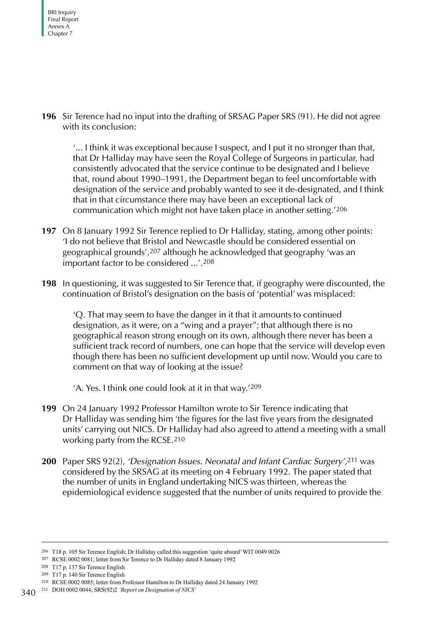**196** Sir Terence had no input into the drafting of SRSAG Paper SRS (91). He did not agree with its conclusion:

'... I think it was exceptional because I suspect, and I put it no stronger than that, that Dr Halliday may have seen the Royal College of Surgeons in particular, had consistently advocated that the service continue to be designated and I believe that, round about 1990–1991, the Department began to feel uncomfortable with designation of the service and probably wanted to see it de-designated, and I think that in that circumstance there may have been an exceptional lack of communication which might not have taken place in another setting.'206

- **197** On 8 January 1992 Sir Terence replied to Dr Halliday, stating, among other points: 'I do not believe that Bristol and Newcastle should be considered essential on geographical grounds',207 although he acknowledged that geography 'was an important factor to be considered ...'.208
- **198** In questioning, it was suggested to Sir Terence that, if geography were discounted, the continuation of Bristol's designation on the basis of 'potential' was misplaced:

'Q. That may seem to have the danger in it that it amounts to continued designation, as it were, on a "wing and a prayer"; that although there is no geographical reason strong enough on its own, although there never has been a sufficient track record of numbers, one can hope that the service will develop even though there has been no sufficient development up until now. Would you care to comment on that way of looking at the issue?

'A. Yes. I think one could look at it in that way.'209

- **199** On 24 January 1992 Professor Hamilton wrote to Sir Terence indicating that Dr Halliday was sending him 'the figures for the last five years from the designated units' carrying out NICS. Dr Halliday had also agreed to attend a meeting with a small working party from the RCSE.210
- **200** Paper SRS 92(2), 'Designation Issues. Neonatal and Infant Cardiac Surgery',211 was considered by the SRSAG at its meeting on 4 February 1992. The paper stated that the number of units in England undertaking NICS was thirteen, whereas the epidemiological evidence suggested that the number of units required to provide the

<sup>206</sup> T18 p. 105 Sir Terence English; Dr Halliday called this suggestion 'quite absurd' WIT 0049 0026

<sup>207</sup> RCSE 0002 0081; letter from Sir Terence to Dr Halliday dated 8 January 1992

<sup>208</sup> T17 p. 137 Sir Terence English

<sup>209</sup> T17 p. 140 Sir Terence English

<sup>210</sup> RCSE 0002 0085; letter from Professor Hamilton to Dr Halliday dated 24 January 1992

<sup>211</sup> DOH 0002 0044; SRS(92)2 *'Report on Designation of NICS'*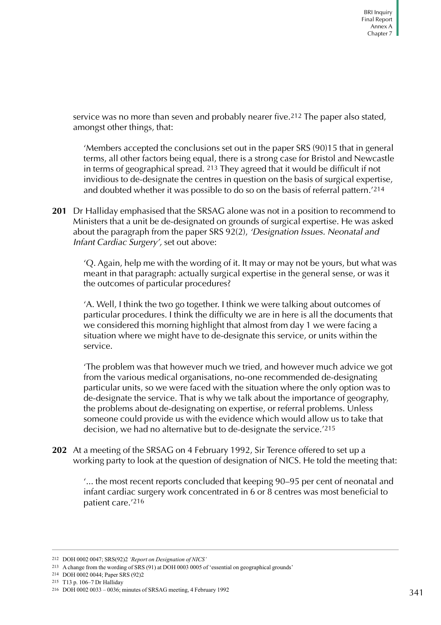service was no more than seven and probably nearer five.212 The paper also stated, amongst other things, that:

'Members accepted the conclusions set out in the paper SRS (90)15 that in general terms, all other factors being equal, there is a strong case for Bristol and Newcastle in terms of geographical spread. 213 They agreed that it would be difficult if not invidious to de-designate the centres in question on the basis of surgical expertise, and doubted whether it was possible to do so on the basis of referral pattern.'214

**201** Dr Halliday emphasised that the SRSAG alone was not in a position to recommend to Ministers that a unit be de-designated on grounds of surgical expertise. He was asked about the paragraph from the paper SRS 92(2), 'Designation Issues. Neonatal and Infant Cardiac Surgery', set out above:

'Q. Again, help me with the wording of it. It may or may not be yours, but what was meant in that paragraph: actually surgical expertise in the general sense, or was it the outcomes of particular procedures?

'A. Well, I think the two go together. I think we were talking about outcomes of particular procedures. I think the difficulty we are in here is all the documents that we considered this morning highlight that almost from day 1 we were facing a situation where we might have to de-designate this service, or units within the service.

'The problem was that however much we tried, and however much advice we got from the various medical organisations, no-one recommended de-designating particular units, so we were faced with the situation where the only option was to de-designate the service. That is why we talk about the importance of geography, the problems about de-designating on expertise, or referral problems. Unless someone could provide us with the evidence which would allow us to take that decision, we had no alternative but to de-designate the service.'215

**202** At a meeting of the SRSAG on 4 February 1992, Sir Terence offered to set up a working party to look at the question of designation of NICS. He told the meeting that:

'... the most recent reports concluded that keeping 90–95 per cent of neonatal and infant cardiac surgery work concentrated in 6 or 8 centres was most beneficial to patient care.'216

<sup>212</sup> DOH 0002 0047; SRS(92)2 *'Report on Designation of NICS'*

<sup>213</sup> A change from the wording of SRS (91) at DOH 0003 0005 of 'essential on geographical grounds'

<sup>214</sup> DOH 0002 0044; Paper SRS (92)2

<sup>215</sup> T13 p. 106–7 Dr Halliday

<sup>216</sup> DOH 0002 0033 – 0036; minutes of SRSAG meeting, 4 February 1992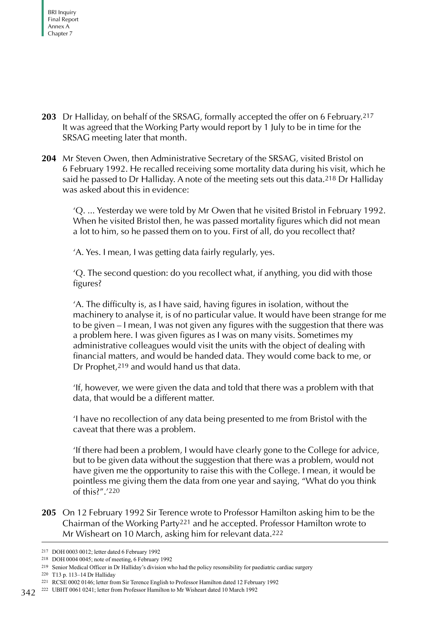- **203** Dr Halliday, on behalf of the SRSAG, formally accepted the offer on 6 February.217 It was agreed that the Working Party would report by 1 July to be in time for the SRSAG meeting later that month.
- **204** Mr Steven Owen, then Administrative Secretary of the SRSAG, visited Bristol on 6 February 1992. He recalled receiving some mortality data during his visit, which he said he passed to Dr Halliday. A note of the meeting sets out this data.<sup>218</sup> Dr Halliday was asked about this in evidence:

'Q. ... Yesterday we were told by Mr Owen that he visited Bristol in February 1992. When he visited Bristol then, he was passed mortality figures which did not mean a lot to him, so he passed them on to you. First of all, do you recollect that?

'A. Yes. I mean, I was getting data fairly regularly, yes.

'Q. The second question: do you recollect what, if anything, you did with those figures?

'A. The difficulty is, as I have said, having figures in isolation, without the machinery to analyse it, is of no particular value. It would have been strange for me to be given – I mean, I was not given any figures with the suggestion that there was a problem here. I was given figures as I was on many visits. Sometimes my administrative colleagues would visit the units with the object of dealing with financial matters, and would be handed data. They would come back to me, or Dr Prophet,219 and would hand us that data.

'If, however, we were given the data and told that there was a problem with that data, that would be a different matter.

'I have no recollection of any data being presented to me from Bristol with the caveat that there was a problem.

'If there had been a problem, I would have clearly gone to the College for advice, but to be given data without the suggestion that there was a problem, would not have given me the opportunity to raise this with the College. I mean, it would be pointless me giving them the data from one year and saying, "What do you think of this?".'220

**205** On 12 February 1992 Sir Terence wrote to Professor Hamilton asking him to be the Chairman of the Working Party221 and he accepted. Professor Hamilton wrote to Mr Wisheart on 10 March, asking him for relevant data.222

<sup>217</sup> DOH 0003 0012; letter dated 6 February 1992

<sup>218</sup> DOH 0004 0045; note of meeting, 6 February 1992

<sup>219</sup> Senior Medical Officer in Dr Halliday's division who had the policy resonsibility for paediatric cardiac surgery

<sup>220</sup> T13 p. 113–14 Dr Halliday

<sup>221</sup> RCSE 0002 0146; letter from Sir Terence English to Professor Hamilton dated 12 February 1992

<sup>342&</sup>lt;sup>222</sup> UBHT 0061 0241; letter from Professor Hamilton to Mr Wisheart dated 10 March 1992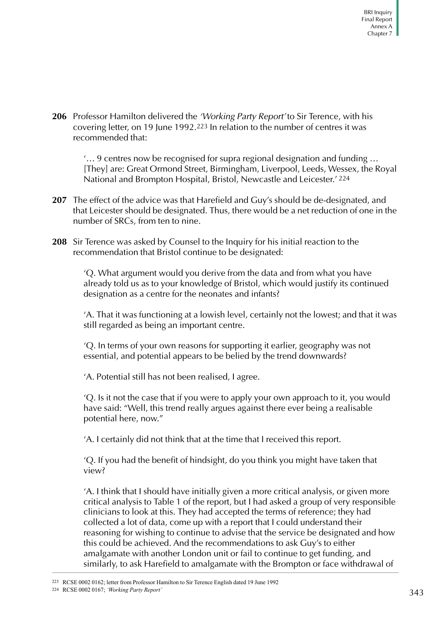**206** Professor Hamilton delivered the 'Working Party Report' to Sir Terence, with his covering letter, on 19 June 1992.223 In relation to the number of centres it was recommended that:

'… 9 centres now be recognised for supra regional designation and funding … [They] are: Great Ormond Street, Birmingham, Liverpool, Leeds, Wessex, the Royal National and Brompton Hospital, Bristol, Newcastle and Leicester.' 224

- **207** The effect of the advice was that Harefield and Guy's should be de-designated, and that Leicester should be designated. Thus, there would be a net reduction of one in the number of SRCs, from ten to nine.
- **208** Sir Terence was asked by Counsel to the Inquiry for his initial reaction to the recommendation that Bristol continue to be designated:

'Q. What argument would you derive from the data and from what you have already told us as to your knowledge of Bristol, which would justify its continued designation as a centre for the neonates and infants?

'A. That it was functioning at a lowish level, certainly not the lowest; and that it was still regarded as being an important centre.

'Q. In terms of your own reasons for supporting it earlier, geography was not essential, and potential appears to be belied by the trend downwards?

'A. Potential still has not been realised, I agree.

'Q. Is it not the case that if you were to apply your own approach to it, you would have said: "Well, this trend really argues against there ever being a realisable potential here, now."

'A. I certainly did not think that at the time that I received this report.

'Q. If you had the benefit of hindsight, do you think you might have taken that view?

'A. I think that I should have initially given a more critical analysis, or given more critical analysis to Table 1 of the report, but I had asked a group of very responsible clinicians to look at this. They had accepted the terms of reference; they had collected a lot of data, come up with a report that I could understand their reasoning for wishing to continue to advise that the service be designated and how this could be achieved. And the recommendations to ask Guy's to either amalgamate with another London unit or fail to continue to get funding, and similarly, to ask Harefield to amalgamate with the Brompton or face withdrawal of

<sup>223</sup> RCSE 0002 0162; letter from Professor Hamilton to Sir Terence English dated 19 June 1992

<sup>224</sup> RCSE 0002 0167; *'Working Party Report'*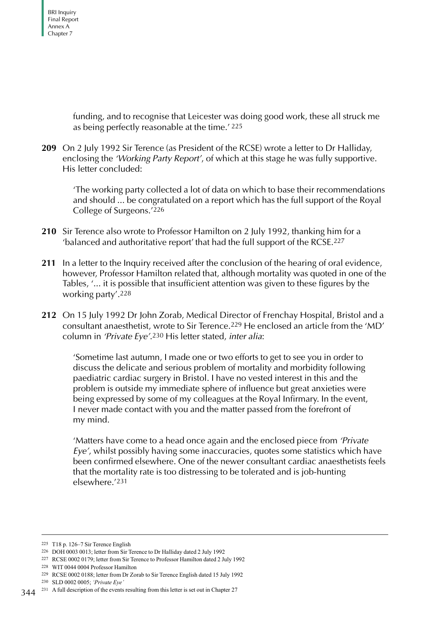funding, and to recognise that Leicester was doing good work, these all struck me as being perfectly reasonable at the time.' 225

**209** On 2 July 1992 Sir Terence (as President of the RCSE) wrote a letter to Dr Halliday, enclosing the 'Working Party Report', of which at this stage he was fully supportive. His letter concluded:

'The working party collected a lot of data on which to base their recommendations and should ... be congratulated on a report which has the full support of the Royal College of Surgeons.'226

- **210** Sir Terence also wrote to Professor Hamilton on 2 July 1992, thanking him for a 'balanced and authoritative report' that had the full support of the RCSE.227
- **211** In a letter to the Inquiry received after the conclusion of the hearing of oral evidence, however, Professor Hamilton related that, although mortality was quoted in one of the Tables, '... it is possible that insufficient attention was given to these figures by the working party'.228
- **212** On 15 July 1992 Dr John Zorab, Medical Director of Frenchay Hospital, Bristol and a consultant anaesthetist, wrote to Sir Terence.229 He enclosed an article from the 'MD' column in 'Private Eye'.230 His letter stated, inter alia:

'Sometime last autumn, I made one or two efforts to get to see you in order to discuss the delicate and serious problem of mortality and morbidity following paediatric cardiac surgery in Bristol. I have no vested interest in this and the problem is outside my immediate sphere of influence but great anxieties were being expressed by some of my colleagues at the Royal Infirmary. In the event, I never made contact with you and the matter passed from the forefront of my mind.

'Matters have come to a head once again and the enclosed piece from 'Private Eye', whilst possibly having some inaccuracies, quotes some statistics which have been confirmed elsewhere. One of the newer consultant cardiac anaesthetists feels that the mortality rate is too distressing to be tolerated and is job-hunting elsewhere.'231

<sup>225</sup> T18 p. 126–7 Sir Terence English

<sup>226</sup> DOH 0003 0013; letter from Sir Terence to Dr Halliday dated 2 July 1992

<sup>227</sup> RCSE 0002 0179; letter from Sir Terence to Professor Hamilton dated 2 July 1992

<sup>228</sup> WIT 0044 0004 Professor Hamilton

<sup>229</sup> RCSE 0002 0188; letter from Dr Zorab to Sir Terence English dated 15 July 1992

<sup>230</sup> SLD 0002 0005; *'Private Eye'*

<sup>344&</sup>lt;sup>231</sup> A full description of the events resulting from this letter is set out in Chapter 27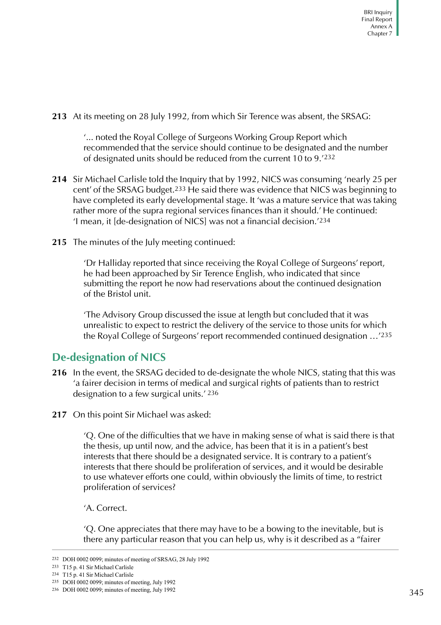**213** At its meeting on 28 July 1992, from which Sir Terence was absent, the SRSAG:

'... noted the Royal College of Surgeons Working Group Report which recommended that the service should continue to be designated and the number of designated units should be reduced from the current 10 to 9.'232

- **214** Sir Michael Carlisle told the Inquiry that by 1992, NICS was consuming 'nearly 25 per cent' of the SRSAG budget.233 He said there was evidence that NICS was beginning to have completed its early developmental stage. It 'was a mature service that was taking rather more of the supra regional services finances than it should.' He continued: 'I mean, it [de-designation of NICS] was not a financial decision.'234
- **215** The minutes of the July meeting continued:

'Dr Halliday reported that since receiving the Royal College of Surgeons' report, he had been approached by Sir Terence English, who indicated that since submitting the report he now had reservations about the continued designation of the Bristol unit.

'The Advisory Group discussed the issue at length but concluded that it was unrealistic to expect to restrict the delivery of the service to those units for which the Royal College of Surgeons' report recommended continued designation …'235

## **De-designation of NICS**

- **216** In the event, the SRSAG decided to de-designate the whole NICS, stating that this was 'a fairer decision in terms of medical and surgical rights of patients than to restrict designation to a few surgical units.' 236
- **217** On this point Sir Michael was asked:

'Q. One of the difficulties that we have in making sense of what is said there is that the thesis, up until now, and the advice, has been that it is in a patient's best interests that there should be a designated service. It is contrary to a patient's interests that there should be proliferation of services, and it would be desirable to use whatever efforts one could, within obviously the limits of time, to restrict proliferation of services?

'A. Correct.

'Q. One appreciates that there may have to be a bowing to the inevitable, but is there any particular reason that you can help us, why is it described as a "fairer

233 T15 p. 41 Sir Michael Carlisle

<sup>232</sup> DOH 0002 0099; minutes of meeting of SRSAG, 28 July 1992

<sup>234</sup> T15 p. 41 Sir Michael Carlisle

<sup>235</sup> DOH 0002 0099; minutes of meeting, July 1992

<sup>236</sup> DOH 0002 0099; minutes of meeting, July 1992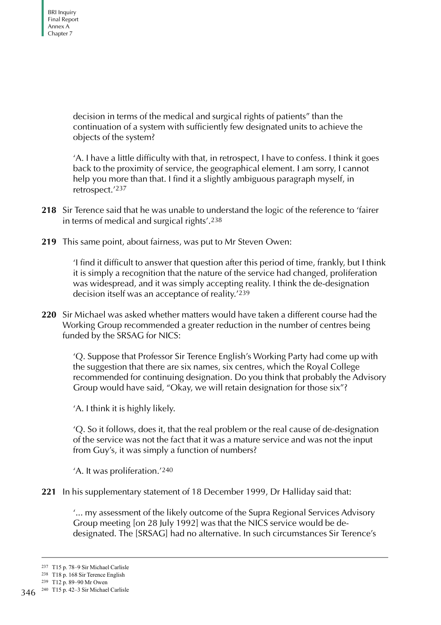decision in terms of the medical and surgical rights of patients" than the continuation of a system with sufficiently few designated units to achieve the objects of the system?

'A. I have a little difficulty with that, in retrospect, I have to confess. I think it goes back to the proximity of service, the geographical element. I am sorry, I cannot help you more than that. I find it a slightly ambiguous paragraph myself, in retrospect.'237

- **218** Sir Terence said that he was unable to understand the logic of the reference to 'fairer in terms of medical and surgical rights'.238
- **219** This same point, about fairness, was put to Mr Steven Owen:

'I find it difficult to answer that question after this period of time, frankly, but I think it is simply a recognition that the nature of the service had changed, proliferation was widespread, and it was simply accepting reality. I think the de-designation decision itself was an acceptance of reality.'239

**220** Sir Michael was asked whether matters would have taken a different course had the Working Group recommended a greater reduction in the number of centres being funded by the SRSAG for NICS:

'Q. Suppose that Professor Sir Terence English's Working Party had come up with the suggestion that there are six names, six centres, which the Royal College recommended for continuing designation. Do you think that probably the Advisory Group would have said, "Okay, we will retain designation for those six"?

'A. I think it is highly likely.

'Q. So it follows, does it, that the real problem or the real cause of de-designation of the service was not the fact that it was a mature service and was not the input from Guy's, it was simply a function of numbers?

'A. It was proliferation.'240

**221** In his supplementary statement of 18 December 1999, Dr Halliday said that:

'... my assessment of the likely outcome of the Supra Regional Services Advisory Group meeting [on 28 July 1992] was that the NICS service would be dedesignated. The [SRSAG] had no alternative. In such circumstances Sir Terence's

<sup>237</sup> T15 p. 78–9 Sir Michael Carlisle

<sup>238</sup> T18 p. 168 Sir Terence English

<sup>239</sup> T12 p. 89–90 Mr Owen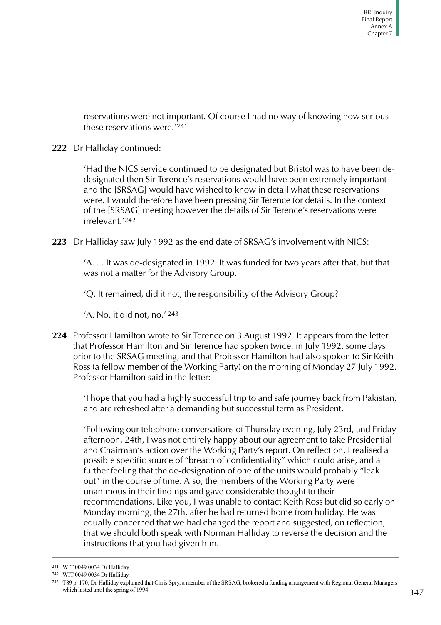reservations were not important. Of course I had no way of knowing how serious these reservations were.'241

#### **222** Dr Halliday continued:

'Had the NICS service continued to be designated but Bristol was to have been dedesignated then Sir Terence's reservations would have been extremely important and the [SRSAG] would have wished to know in detail what these reservations were. I would therefore have been pressing Sir Terence for details. In the context of the [SRSAG] meeting however the details of Sir Terence's reservations were irrelevant<sup>'242</sup>

**223** Dr Halliday saw July 1992 as the end date of SRSAG's involvement with NICS:

'A. ... It was de-designated in 1992. It was funded for two years after that, but that was not a matter for the Advisory Group.

'Q. It remained, did it not, the responsibility of the Advisory Group?

'A. No, it did not, no.' 243

**224** Professor Hamilton wrote to Sir Terence on 3 August 1992. It appears from the letter that Professor Hamilton and Sir Terence had spoken twice, in July 1992, some days prior to the SRSAG meeting, and that Professor Hamilton had also spoken to Sir Keith Ross (a fellow member of the Working Party) on the morning of Monday 27 July 1992. Professor Hamilton said in the letter:

'I hope that you had a highly successful trip to and safe journey back from Pakistan, and are refreshed after a demanding but successful term as President.

'Following our telephone conversations of Thursday evening, July 23rd, and Friday afternoon, 24th, I was not entirely happy about our agreement to take Presidential and Chairman's action over the Working Party's report. On reflection, I realised a possible specific source of "breach of confidentiality" which could arise, and a further feeling that the de-designation of one of the units would probably "leak out" in the course of time. Also, the members of the Working Party were unanimous in their findings and gave considerable thought to their recommendations. Like you, I was unable to contact Keith Ross but did so early on Monday morning, the 27th, after he had returned home from holiday. He was equally concerned that we had changed the report and suggested, on reflection, that we should both speak with Norman Halliday to reverse the decision and the instructions that you had given him.

<sup>241</sup> WIT 0049 0034 Dr Halliday

<sup>242</sup> WIT 0049 0034 Dr Halliday

<sup>243</sup> T89 p. 170; Dr Halliday explained that Chris Spry, a member of the SRSAG, brokered a funding arrangement with Regional General Managers which lasted until the spring of 1994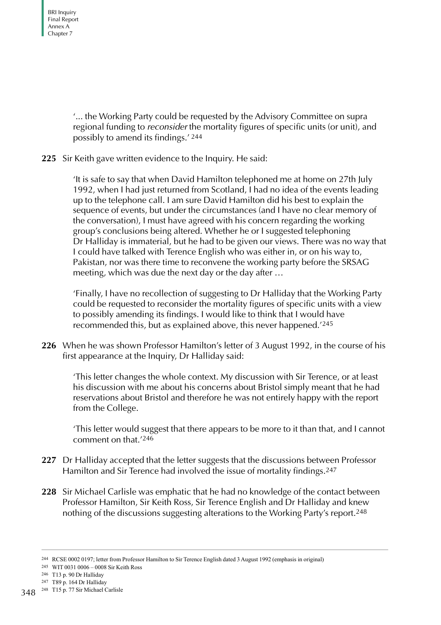'... the Working Party could be requested by the Advisory Committee on supra regional funding to reconsider the mortality figures of specific units (or unit), and possibly to amend its findings.' 244

**225** Sir Keith gave written evidence to the Inquiry. He said:

'It is safe to say that when David Hamilton telephoned me at home on 27th July 1992, when I had just returned from Scotland, I had no idea of the events leading up to the telephone call. I am sure David Hamilton did his best to explain the sequence of events, but under the circumstances (and I have no clear memory of the conversation), I must have agreed with his concern regarding the working group's conclusions being altered. Whether he or I suggested telephoning Dr Halliday is immaterial, but he had to be given our views. There was no way that I could have talked with Terence English who was either in, or on his way to, Pakistan, nor was there time to reconvene the working party before the SRSAG meeting, which was due the next day or the day after …

'Finally, I have no recollection of suggesting to Dr Halliday that the Working Party could be requested to reconsider the mortality figures of specific units with a view to possibly amending its findings. I would like to think that I would have recommended this, but as explained above, this never happened.'245

**226** When he was shown Professor Hamilton's letter of 3 August 1992, in the course of his first appearance at the Inquiry, Dr Halliday said:

'This letter changes the whole context. My discussion with Sir Terence, or at least his discussion with me about his concerns about Bristol simply meant that he had reservations about Bristol and therefore he was not entirely happy with the report from the College.

'This letter would suggest that there appears to be more to it than that, and I cannot comment on that.'246

- **227** Dr Halliday accepted that the letter suggests that the discussions between Professor Hamilton and Sir Terence had involved the issue of mortality findings.247
- **228** Sir Michael Carlisle was emphatic that he had no knowledge of the contact between Professor Hamilton, Sir Keith Ross, Sir Terence English and Dr Halliday and knew nothing of the discussions suggesting alterations to the Working Party's report.248

<sup>244</sup> RCSE 0002 0197; letter from Professor Hamilton to Sir Terence English dated 3 August 1992 (emphasis in original)

<sup>245</sup> WIT 0031 0006 – 0008 Sir Keith Ross

<sup>246</sup> T13 p. 90 Dr Halliday

<sup>247</sup> T89 p. 164 Dr Halliday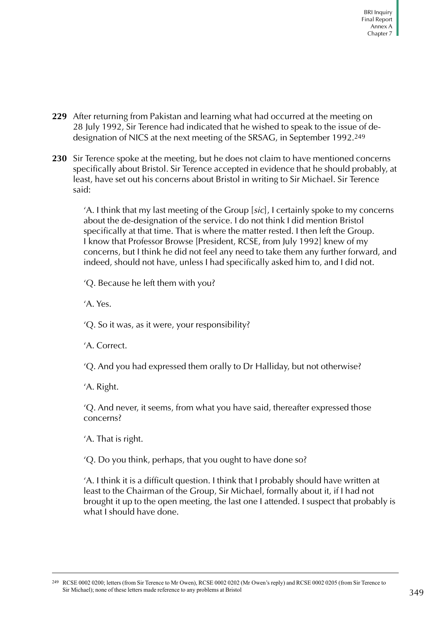- **229** After returning from Pakistan and learning what had occurred at the meeting on 28 July 1992, Sir Terence had indicated that he wished to speak to the issue of dedesignation of NICS at the next meeting of the SRSAG, in September 1992.249
- **230** Sir Terence spoke at the meeting, but he does not claim to have mentioned concerns specifically about Bristol. Sir Terence accepted in evidence that he should probably, at least, have set out his concerns about Bristol in writing to Sir Michael. Sir Terence said:

'A. I think that my last meeting of the Group [sic], I certainly spoke to my concerns about the de-designation of the service. I do not think I did mention Bristol specifically at that time. That is where the matter rested. I then left the Group. I know that Professor Browse [President, RCSE, from July 1992] knew of my concerns, but I think he did not feel any need to take them any further forward, and indeed, should not have, unless I had specifically asked him to, and I did not.

'Q. Because he left them with you?

'A. Yes.

'Q. So it was, as it were, your responsibility?

'A. Correct.

'Q. And you had expressed them orally to Dr Halliday, but not otherwise?

'A. Right.

'Q. And never, it seems, from what you have said, thereafter expressed those concerns?

'A. That is right.

'Q. Do you think, perhaps, that you ought to have done so?

'A. I think it is a difficult question. I think that I probably should have written at least to the Chairman of the Group, Sir Michael, formally about it, if I had not brought it up to the open meeting, the last one I attended. I suspect that probably is what I should have done.

<sup>249</sup> RCSE 0002 0200; letters (from Sir Terence to Mr Owen), RCSE 0002 0202 (Mr Owen's reply) and RCSE 0002 0205 (from Sir Terence to Sir Michael); none of these letters made reference to any problems at Bristol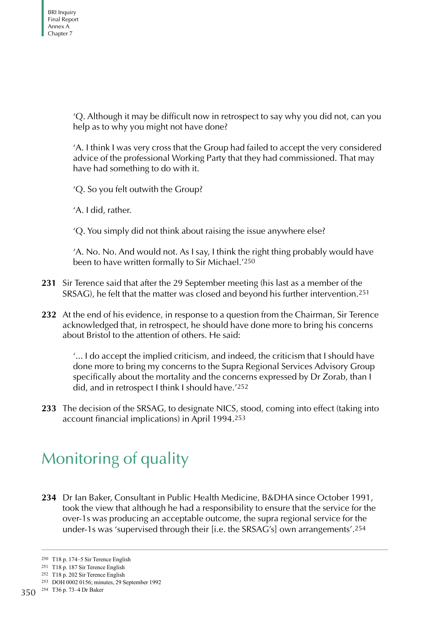'Q. Although it may be difficult now in retrospect to say why you did not, can you help as to why you might not have done?

'A. I think I was very cross that the Group had failed to accept the very considered advice of the professional Working Party that they had commissioned. That may have had something to do with it.

'Q. So you felt outwith the Group?

'A. I did, rather.

'Q. You simply did not think about raising the issue anywhere else?

'A. No. No. And would not. As I say, I think the right thing probably would have been to have written formally to Sir Michael.'250

- **231** Sir Terence said that after the 29 September meeting (his last as a member of the SRSAG), he felt that the matter was closed and beyond his further intervention.251
- **232** At the end of his evidence, in response to a question from the Chairman, Sir Terence acknowledged that, in retrospect, he should have done more to bring his concerns about Bristol to the attention of others. He said:

'... I do accept the implied criticism, and indeed, the criticism that I should have done more to bring my concerns to the Supra Regional Services Advisory Group specifically about the mortality and the concerns expressed by Dr Zorab, than I did, and in retrospect I think I should have.'252

**233** The decision of the SRSAG, to designate NICS, stood, coming into effect (taking into account financial implications) in April 1994.253

# Monitoring of quality

**234** Dr Ian Baker, Consultant in Public Health Medicine, B&DHA since October 1991, took the view that although he had a responsibility to ensure that the service for the over-1s was producing an acceptable outcome, the supra regional service for the under-1s was 'supervised through their [i.e. the SRSAG's] own arrangements'.254

<sup>250</sup> T18 p. 174–5 Sir Terence English

<sup>251</sup> T18 p. 187 Sir Terence English

<sup>252</sup> T18 p. 202 Sir Terence English

<sup>253</sup> DOH 0002 0156; minutes, 29 September 1992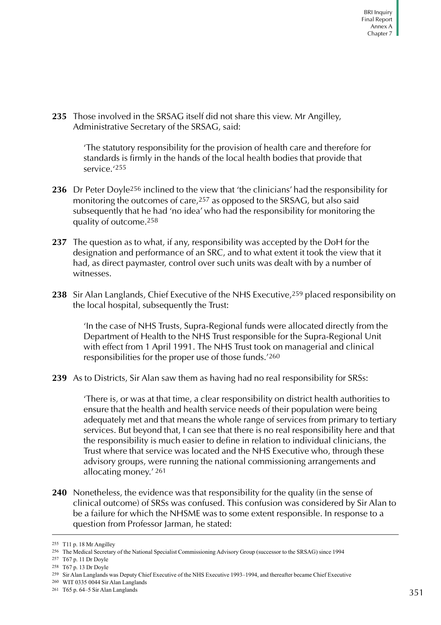**235** Those involved in the SRSAG itself did not share this view. Mr Angilley, Administrative Secretary of the SRSAG, said:

> 'The statutory responsibility for the provision of health care and therefore for standards is firmly in the hands of the local health bodies that provide that service.'255

- **236** Dr Peter Doyle256 inclined to the view that 'the clinicians' had the responsibility for monitoring the outcomes of care,257 as opposed to the SRSAG, but also said subsequently that he had 'no idea' who had the responsibility for monitoring the quality of outcome.258
- **237** The question as to what, if any, responsibility was accepted by the DoH for the designation and performance of an SRC, and to what extent it took the view that it had, as direct paymaster, control over such units was dealt with by a number of witnesses.
- **238** Sir Alan Langlands, Chief Executive of the NHS Executive,259 placed responsibility on the local hospital, subsequently the Trust:

'In the case of NHS Trusts, Supra-Regional funds were allocated directly from the Department of Health to the NHS Trust responsible for the Supra-Regional Unit with effect from 1 April 1991. The NHS Trust took on managerial and clinical responsibilities for the proper use of those funds.'260

**239** As to Districts, Sir Alan saw them as having had no real responsibility for SRSs:

'There is, or was at that time, a clear responsibility on district health authorities to ensure that the health and health service needs of their population were being adequately met and that means the whole range of services from primary to tertiary services. But beyond that, I can see that there is no real responsibility here and that the responsibility is much easier to define in relation to individual clinicians, the Trust where that service was located and the NHS Executive who, through these advisory groups, were running the national commissioning arrangements and allocating money.' 261

**240** Nonetheless, the evidence was that responsibility for the quality (in the sense of clinical outcome) of SRSs was confused. This confusion was considered by Sir Alan to be a failure for which the NHSME was to some extent responsible. In response to a question from Professor Jarman, he stated:

<sup>255</sup> T11 p. 18 Mr Angilley

<sup>256</sup> The Medical Secretary of the National Specialist Commissioning Advisory Group (successor to the SRSAG) since 1994

<sup>257</sup> T67 p. 11 Dr Doyle

<sup>258</sup> T67 p. 13 Dr Doyle

<sup>259</sup> Sir Alan Langlands was Deputy Chief Executive of the NHS Executive 1993–1994, and thereafter became Chief Executive

<sup>260</sup> WIT 0335 0044 Sir Alan Langlands

<sup>261</sup> T65 p. 64–5 Sir Alan Langlands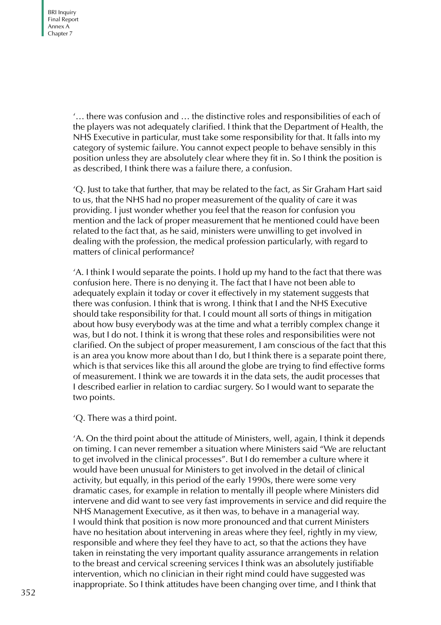'… there was confusion and … the distinctive roles and responsibilities of each of the players was not adequately clarified. I think that the Department of Health, the NHS Executive in particular, must take some responsibility for that. It falls into my category of systemic failure. You cannot expect people to behave sensibly in this position unless they are absolutely clear where they fit in. So I think the position is as described, I think there was a failure there, a confusion.

'Q. Just to take that further, that may be related to the fact, as Sir Graham Hart said to us, that the NHS had no proper measurement of the quality of care it was providing. I just wonder whether you feel that the reason for confusion you mention and the lack of proper measurement that he mentioned could have been related to the fact that, as he said, ministers were unwilling to get involved in dealing with the profession, the medical profession particularly, with regard to matters of clinical performance?

'A. I think I would separate the points. I hold up my hand to the fact that there was confusion here. There is no denying it. The fact that I have not been able to adequately explain it today or cover it effectively in my statement suggests that there was confusion. I think that is wrong. I think that I and the NHS Executive should take responsibility for that. I could mount all sorts of things in mitigation about how busy everybody was at the time and what a terribly complex change it was, but I do not. I think it is wrong that these roles and responsibilities were not clarified. On the subject of proper measurement, I am conscious of the fact that this is an area you know more about than I do, but I think there is a separate point there, which is that services like this all around the globe are trying to find effective forms of measurement. I think we are towards it in the data sets, the audit processes that I described earlier in relation to cardiac surgery. So I would want to separate the two points.

'Q. There was a third point.

'A. On the third point about the attitude of Ministers, well, again, I think it depends on timing. I can never remember a situation where Ministers said "We are reluctant to get involved in the clinical processes". But I do remember a culture where it would have been unusual for Ministers to get involved in the detail of clinical activity, but equally, in this period of the early 1990s, there were some very dramatic cases, for example in relation to mentally ill people where Ministers did intervene and did want to see very fast improvements in service and did require the NHS Management Executive, as it then was, to behave in a managerial way. I would think that position is now more pronounced and that current Ministers have no hesitation about intervening in areas where they feel, rightly in my view, responsible and where they feel they have to act, so that the actions they have taken in reinstating the very important quality assurance arrangements in relation to the breast and cervical screening services I think was an absolutely justifiable intervention, which no clinician in their right mind could have suggested was inappropriate. So I think attitudes have been changing over time, and I think that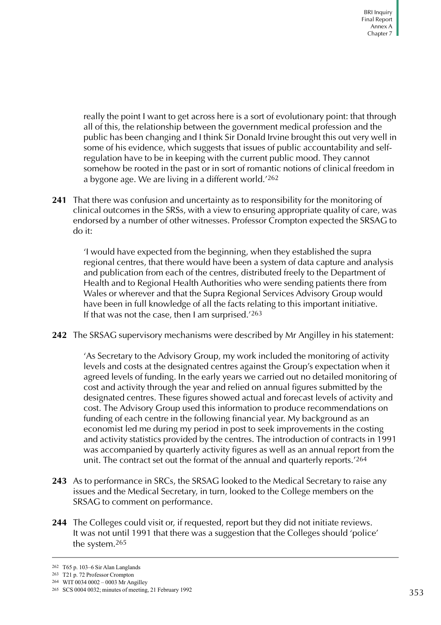really the point I want to get across here is a sort of evolutionary point: that through all of this, the relationship between the government medical profession and the public has been changing and I think Sir Donald Irvine brought this out very well in some of his evidence, which suggests that issues of public accountability and selfregulation have to be in keeping with the current public mood. They cannot somehow be rooted in the past or in sort of romantic notions of clinical freedom in a bygone age. We are living in a different world.'262

**241** That there was confusion and uncertainty as to responsibility for the monitoring of clinical outcomes in the SRSs, with a view to ensuring appropriate quality of care, was endorsed by a number of other witnesses. Professor Crompton expected the SRSAG to do it:

'I would have expected from the beginning, when they established the supra regional centres, that there would have been a system of data capture and analysis and publication from each of the centres, distributed freely to the Department of Health and to Regional Health Authorities who were sending patients there from Wales or wherever and that the Supra Regional Services Advisory Group would have been in full knowledge of all the facts relating to this important initiative. If that was not the case, then I am surprised.'263

**242** The SRSAG supervisory mechanisms were described by Mr Angilley in his statement:

'As Secretary to the Advisory Group, my work included the monitoring of activity levels and costs at the designated centres against the Group's expectation when it agreed levels of funding. In the early years we carried out no detailed monitoring of cost and activity through the year and relied on annual figures submitted by the designated centres. These figures showed actual and forecast levels of activity and cost. The Advisory Group used this information to produce recommendations on funding of each centre in the following financial year. My background as an economist led me during my period in post to seek improvements in the costing and activity statistics provided by the centres. The introduction of contracts in 1991 was accompanied by quarterly activity figures as well as an annual report from the unit. The contract set out the format of the annual and quarterly reports.'264

- **243** As to performance in SRCs, the SRSAG looked to the Medical Secretary to raise any issues and the Medical Secretary, in turn, looked to the College members on the SRSAG to comment on performance.
- **244** The Colleges could visit or, if requested, report but they did not initiate reviews. It was not until 1991 that there was a suggestion that the Colleges should 'police' the system.265

<sup>262</sup> T65 p. 103–6 Sir Alan Langlands

<sup>263</sup> T21 p. 72 Professor Crompton

<sup>264</sup> WIT 0034 0002 – 0003 Mr Angilley

<sup>265</sup> SCS 0004 0032; minutes of meeting, 21 February 1992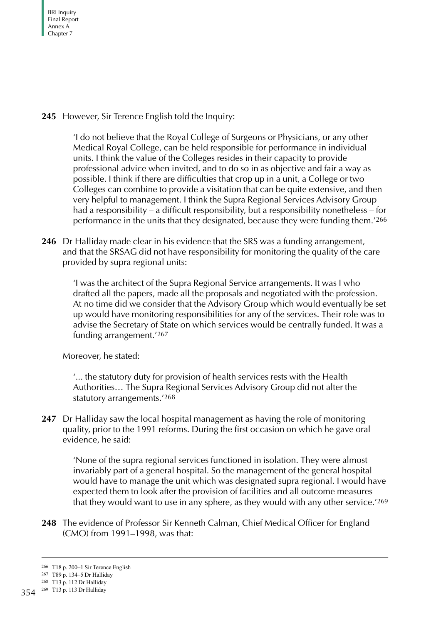**245** However, Sir Terence English told the Inquiry:

'I do not believe that the Royal College of Surgeons or Physicians, or any other Medical Royal College, can be held responsible for performance in individual units. I think the value of the Colleges resides in their capacity to provide professional advice when invited, and to do so in as objective and fair a way as possible. I think if there are difficulties that crop up in a unit, a College or two Colleges can combine to provide a visitation that can be quite extensive, and then very helpful to management. I think the Supra Regional Services Advisory Group had a responsibility – a difficult responsibility, but a responsibility nonetheless – for performance in the units that they designated, because they were funding them.'266

**246** Dr Halliday made clear in his evidence that the SRS was a funding arrangement, and that the SRSAG did not have responsibility for monitoring the quality of the care provided by supra regional units:

'I was the architect of the Supra Regional Service arrangements. It was I who drafted all the papers, made all the proposals and negotiated with the profession. At no time did we consider that the Advisory Group which would eventually be set up would have monitoring responsibilities for any of the services. Their role was to advise the Secretary of State on which services would be centrally funded. It was a funding arrangement.'267

Moreover, he stated:

'... the statutory duty for provision of health services rests with the Health Authorities… The Supra Regional Services Advisory Group did not alter the statutory arrangements.'268

**247** Dr Halliday saw the local hospital management as having the role of monitoring quality, prior to the 1991 reforms. During the first occasion on which he gave oral evidence, he said:

'None of the supra regional services functioned in isolation. They were almost invariably part of a general hospital. So the management of the general hospital would have to manage the unit which was designated supra regional. I would have expected them to look after the provision of facilities and all outcome measures that they would want to use in any sphere, as they would with any other service.'269

**248** The evidence of Professor Sir Kenneth Calman, Chief Medical Officer for England (CMO) from 1991–1998, was that:

<sup>266</sup> T18 p. 200–1 Sir Terence English

<sup>267</sup> T89 p. 134–5 Dr Halliday

<sup>268</sup> T13 p. 112 Dr Halliday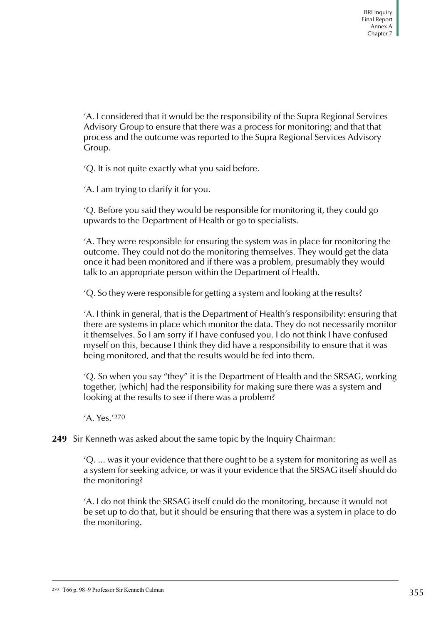'A. I considered that it would be the responsibility of the Supra Regional Services Advisory Group to ensure that there was a process for monitoring; and that that process and the outcome was reported to the Supra Regional Services Advisory Group.

'Q. It is not quite exactly what you said before.

'A. I am trying to clarify it for you.

'Q. Before you said they would be responsible for monitoring it, they could go upwards to the Department of Health or go to specialists.

'A. They were responsible for ensuring the system was in place for monitoring the outcome. They could not do the monitoring themselves. They would get the data once it had been monitored and if there was a problem, presumably they would talk to an appropriate person within the Department of Health.

'Q. So they were responsible for getting a system and looking at the results?

'A. I think in general, that is the Department of Health's responsibility: ensuring that there are systems in place which monitor the data. They do not necessarily monitor it themselves. So I am sorry if I have confused you. I do not think I have confused myself on this, because I think they did have a responsibility to ensure that it was being monitored, and that the results would be fed into them.

'Q. So when you say "they" it is the Department of Health and the SRSAG, working together, [which] had the responsibility for making sure there was a system and looking at the results to see if there was a problem?

'A. Yes.'270

**249** Sir Kenneth was asked about the same topic by the Inquiry Chairman:

'Q. ... was it your evidence that there ought to be a system for monitoring as well as a system for seeking advice, or was it your evidence that the SRSAG itself should do the monitoring?

'A. I do not think the SRSAG itself could do the monitoring, because it would not be set up to do that, but it should be ensuring that there was a system in place to do the monitoring.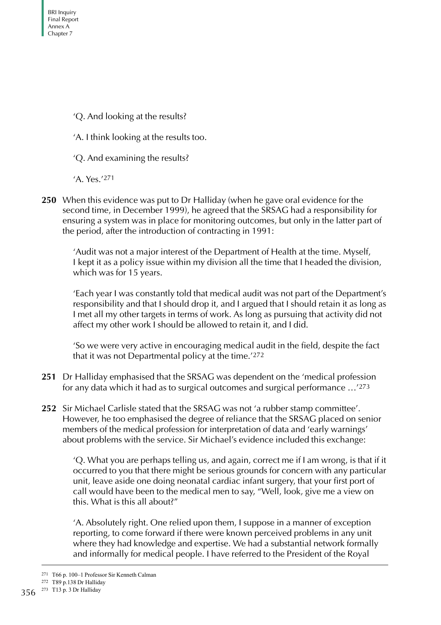- 'Q. And looking at the results?
- 'A. I think looking at the results too.
- 'Q. And examining the results?

'A. Yes.'271

**250** When this evidence was put to Dr Halliday (when he gave oral evidence for the second time, in December 1999), he agreed that the SRSAG had a responsibility for ensuring a system was in place for monitoring outcomes, but only in the latter part of the period, after the introduction of contracting in 1991:

'Audit was not a major interest of the Department of Health at the time. Myself, I kept it as a policy issue within my division all the time that I headed the division, which was for 15 years.

'Each year I was constantly told that medical audit was not part of the Department's responsibility and that I should drop it, and I argued that I should retain it as long as I met all my other targets in terms of work. As long as pursuing that activity did not affect my other work I should be allowed to retain it, and I did.

'So we were very active in encouraging medical audit in the field, despite the fact that it was not Departmental policy at the time.'272

- **251** Dr Halliday emphasised that the SRSAG was dependent on the 'medical profession for any data which it had as to surgical outcomes and surgical performance …'273
- **252** Sir Michael Carlisle stated that the SRSAG was not 'a rubber stamp committee'. However, he too emphasised the degree of reliance that the SRSAG placed on senior members of the medical profession for interpretation of data and 'early warnings' about problems with the service. Sir Michael's evidence included this exchange:

'Q. What you are perhaps telling us, and again, correct me if I am wrong, is that if it occurred to you that there might be serious grounds for concern with any particular unit, leave aside one doing neonatal cardiac infant surgery, that your first port of call would have been to the medical men to say, "Well, look, give me a view on this. What is this all about?"

'A. Absolutely right. One relied upon them, I suppose in a manner of exception reporting, to come forward if there were known perceived problems in any unit where they had knowledge and expertise. We had a substantial network formally and informally for medical people. I have referred to the President of the Royal

<sup>271</sup> T66 p. 100–1 Professor Sir Kenneth Calman

<sup>272</sup> T89 p.138 Dr Halliday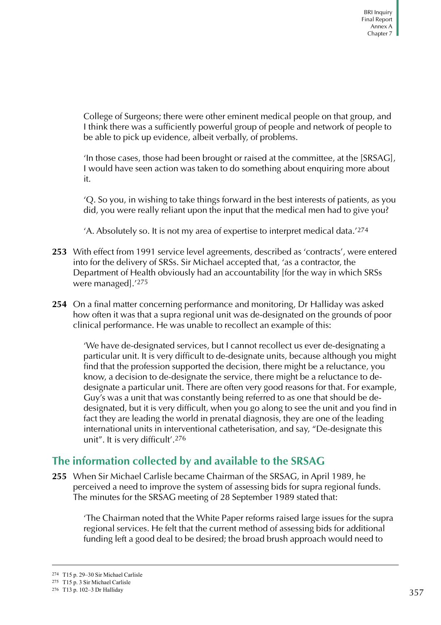College of Surgeons; there were other eminent medical people on that group, and I think there was a sufficiently powerful group of people and network of people to be able to pick up evidence, albeit verbally, of problems.

'In those cases, those had been brought or raised at the committee, at the [SRSAG], I would have seen action was taken to do something about enquiring more about it.

'Q. So you, in wishing to take things forward in the best interests of patients, as you did, you were really reliant upon the input that the medical men had to give you?

'A. Absolutely so. It is not my area of expertise to interpret medical data.'274

- **253** With effect from 1991 service level agreements, described as 'contracts', were entered into for the delivery of SRSs. Sir Michael accepted that, 'as a contractor, the Department of Health obviously had an accountability [for the way in which SRSs were managed].'275
- **254** On a final matter concerning performance and monitoring, Dr Halliday was asked how often it was that a supra regional unit was de-designated on the grounds of poor clinical performance. He was unable to recollect an example of this:

'We have de-designated services, but I cannot recollect us ever de-designating a particular unit. It is very difficult to de-designate units, because although you might find that the profession supported the decision, there might be a reluctance, you know, a decision to de-designate the service, there might be a reluctance to dedesignate a particular unit. There are often very good reasons for that. For example, Guy's was a unit that was constantly being referred to as one that should be dedesignated, but it is very difficult, when you go along to see the unit and you find in fact they are leading the world in prenatal diagnosis, they are one of the leading international units in interventional catheterisation, and say, "De-designate this unit". It is very difficult'.276

## **The information collected by and available to the SRSAG**

**255** When Sir Michael Carlisle became Chairman of the SRSAG, in April 1989, he perceived a need to improve the system of assessing bids for supra regional funds. The minutes for the SRSAG meeting of 28 September 1989 stated that:

'The Chairman noted that the White Paper reforms raised large issues for the supra regional services. He felt that the current method of assessing bids for additional funding left a good deal to be desired; the broad brush approach would need to

<sup>274</sup> T15 p. 29–30 Sir Michael Carlisle

<sup>275</sup> T15 p. 3 Sir Michael Carlisle

<sup>276</sup> T13 p. 102–3 Dr Halliday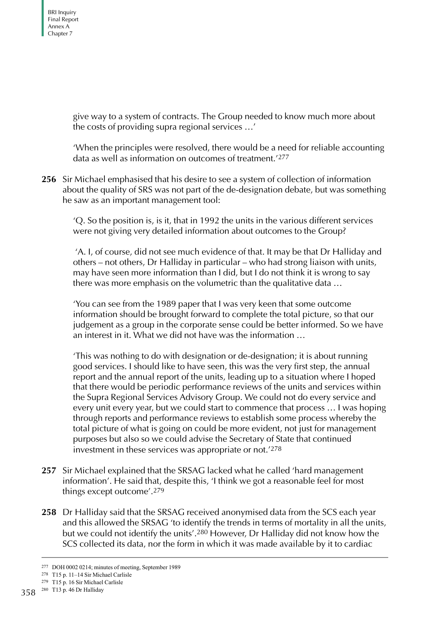give way to a system of contracts. The Group needed to know much more about the costs of providing supra regional services …'

'When the principles were resolved, there would be a need for reliable accounting data as well as information on outcomes of treatment.'277

**256** Sir Michael emphasised that his desire to see a system of collection of information about the quality of SRS was not part of the de-designation debate, but was something he saw as an important management tool:

'Q. So the position is, is it, that in 1992 the units in the various different services were not giving very detailed information about outcomes to the Group?

 'A. I, of course, did not see much evidence of that. It may be that Dr Halliday and others – not others, Dr Halliday in particular – who had strong liaison with units, may have seen more information than I did, but I do not think it is wrong to say there was more emphasis on the volumetric than the qualitative data …

'You can see from the 1989 paper that I was very keen that some outcome information should be brought forward to complete the total picture, so that our judgement as a group in the corporate sense could be better informed. So we have an interest in it. What we did not have was the information …

'This was nothing to do with designation or de-designation; it is about running good services. I should like to have seen, this was the very first step, the annual report and the annual report of the units, leading up to a situation where I hoped that there would be periodic performance reviews of the units and services within the Supra Regional Services Advisory Group. We could not do every service and every unit every year, but we could start to commence that process … I was hoping through reports and performance reviews to establish some process whereby the total picture of what is going on could be more evident, not just for management purposes but also so we could advise the Secretary of State that continued investment in these services was appropriate or not.'278

- **257** Sir Michael explained that the SRSAG lacked what he called 'hard management information'. He said that, despite this, 'I think we got a reasonable feel for most things except outcome'.279
- **258** Dr Halliday said that the SRSAG received anonymised data from the SCS each year and this allowed the SRSAG 'to identify the trends in terms of mortality in all the units, but we could not identify the units'.280 However, Dr Halliday did not know how the SCS collected its data, nor the form in which it was made available by it to cardiac

<sup>277</sup> DOH 0002 0214; minutes of meeting, September 1989

<sup>278</sup> T15 p. 11–14 Sir Michael Carlisle

<sup>279</sup> T15 p. 16 Sir Michael Carlisle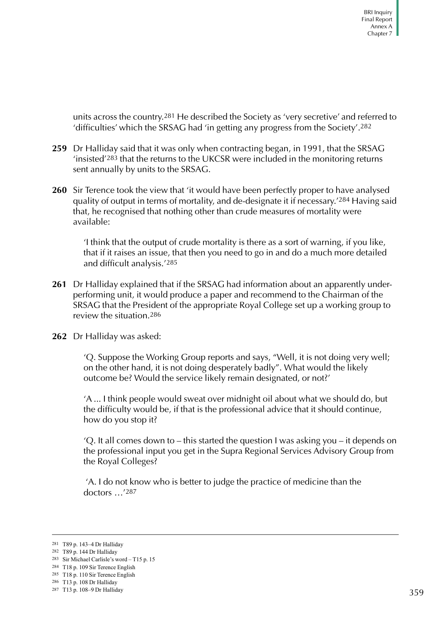units across the country.281 He described the Society as 'very secretive' and referred to 'difficulties' which the SRSAG had 'in getting any progress from the Society'.282

- **259** Dr Halliday said that it was only when contracting began, in 1991, that the SRSAG 'insisted'283 that the returns to the UKCSR were included in the monitoring returns sent annually by units to the SRSAG.
- **260** Sir Terence took the view that 'it would have been perfectly proper to have analysed quality of output in terms of mortality, and de-designate it if necessary.'284 Having said that, he recognised that nothing other than crude measures of mortality were available:

'I think that the output of crude mortality is there as a sort of warning, if you like, that if it raises an issue, that then you need to go in and do a much more detailed and difficult analysis.'285

- **261** Dr Halliday explained that if the SRSAG had information about an apparently underperforming unit, it would produce a paper and recommend to the Chairman of the SRSAG that the President of the appropriate Royal College set up a working group to review the situation.286
- **262** Dr Halliday was asked:

'Q. Suppose the Working Group reports and says, "Well, it is not doing very well; on the other hand, it is not doing desperately badly". What would the likely outcome be? Would the service likely remain designated, or not?'

'A ... I think people would sweat over midnight oil about what we should do, but the difficulty would be, if that is the professional advice that it should continue, how do you stop it?

'Q. It all comes down to – this started the question I was asking you – it depends on the professional input you get in the Supra Regional Services Advisory Group from the Royal Colleges?

 'A. I do not know who is better to judge the practice of medicine than the doctors …'287

<sup>281</sup> T89 p. 143–4 Dr Halliday

<sup>282</sup> T89 p. 144 Dr Halliday

<sup>283</sup> Sir Michael Carlisle's word – T15 p. 15

<sup>284</sup> T18 p. 109 Sir Terence English

<sup>285</sup> T18 p. 110 Sir Terence English

<sup>286</sup> T13 p. 108 Dr Halliday

<sup>287</sup> T13 p. 108–9 Dr Halliday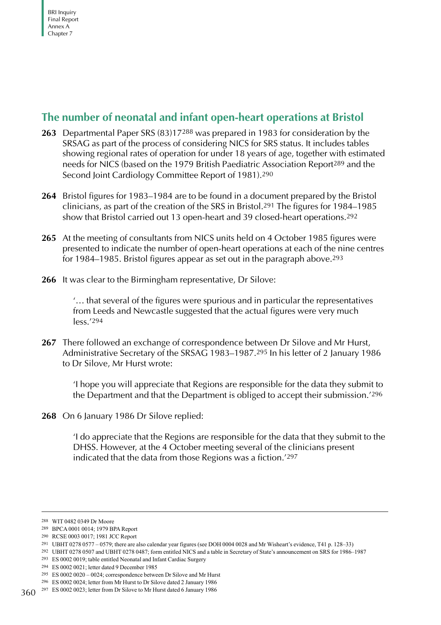## **The number of neonatal and infant open-heart operations at Bristol**

- **263** Departmental Paper SRS (83)17288 was prepared in 1983 for consideration by the SRSAG as part of the process of considering NICS for SRS status. It includes tables showing regional rates of operation for under 18 years of age, together with estimated needs for NICS (based on the 1979 British Paediatric Association Report289 and the Second Joint Cardiology Committee Report of 1981).290
- **264** Bristol figures for 1983–1984 are to be found in a document prepared by the Bristol clinicians, as part of the creation of the SRS in Bristol.291 The figures for 1984–1985 show that Bristol carried out 13 open-heart and 39 closed-heart operations.292
- **265** At the meeting of consultants from NICS units held on 4 October 1985 figures were presented to indicate the number of open-heart operations at each of the nine centres for 1984–1985. Bristol figures appear as set out in the paragraph above.293
- **266** It was clear to the Birmingham representative, Dr Silove:

'… that several of the figures were spurious and in particular the representatives from Leeds and Newcastle suggested that the actual figures were very much less.'294

**267** There followed an exchange of correspondence between Dr Silove and Mr Hurst, Administrative Secretary of the SRSAG 1983–1987.295 In his letter of 2 January 1986 to Dr Silove, Mr Hurst wrote:

'I hope you will appreciate that Regions are responsible for the data they submit to the Department and that the Department is obliged to accept their submission.'296

**268** On 6 January 1986 Dr Silove replied:

'I do appreciate that the Regions are responsible for the data that they submit to the DHSS. However, at the 4 October meeting several of the clinicians present indicated that the data from those Regions was a fiction.'297

<sup>288</sup> WIT 0482 0349 Dr Moore

<sup>289</sup> BPCA 0001 0014; 1979 BPA Report

<sup>290</sup> RCSE 0003 0017; 1981 JCC Report

<sup>291</sup> UBHT 0278 0577 – 0579; there are also calendar year figures (see DOH 0004 0028 and Mr Wisheart's evidence, T41 p. 128–33)

<sup>292</sup> UBHT 0278 0507 and UBHT 0278 0487; form entitled NICS and a table in Secretary of State's announcement on SRS for 1986–1987

<sup>293</sup> ES 0002 0019; table entitled Neonatal and Infant Cardiac Surgery

<sup>294</sup> ES 0002 0021; letter dated 9 December 1985

<sup>295</sup> ES 0002 0020 – 0024; correspondence between Dr Silove and Mr Hurst

<sup>296</sup> ES 0002 0024; letter from Mr Hurst to Dr Silove dated 2 January 1986

<sup>297</sup> ES 0002 0023; letter from Dr Silove to Mr Hurst dated 6 January 1986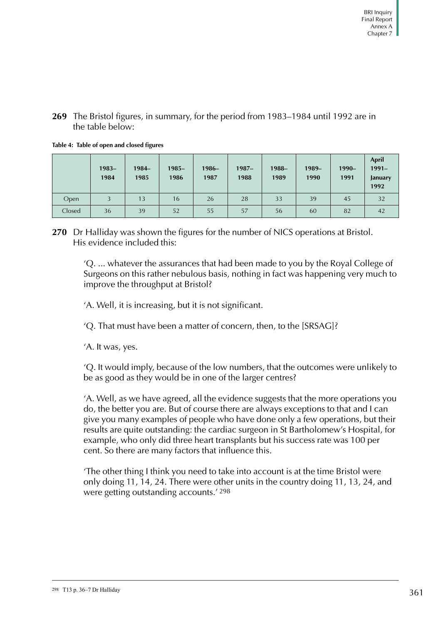#### **269** The Bristol figures, in summary, for the period from 1983–1984 until 1992 are in the table below:

**Table 4: Table of open and closed figures**

|        | $1983 -$<br>1984 | 1984-<br>1985 | $1985 -$<br>1986 | 1986-<br>1987 | $1987-$<br>1988 | 1988-<br>1989 | 1989-<br>1990 | 1990-<br>1991 | <b>April</b><br>$1991 -$<br>January<br>1992 |
|--------|------------------|---------------|------------------|---------------|-----------------|---------------|---------------|---------------|---------------------------------------------|
| Open   | G<br>3           | 13            | 16               | 26            | 28              | 33            | 39            | 45            | 32                                          |
| Closed | 36               | 39            | 52               | 55            | 57              | 56            | 60            | 82            | 42                                          |

**270** Dr Halliday was shown the figures for the number of NICS operations at Bristol. His evidence included this:

> 'Q. ... whatever the assurances that had been made to you by the Royal College of Surgeons on this rather nebulous basis, nothing in fact was happening very much to improve the throughput at Bristol?

'A. Well, it is increasing, but it is not significant.

'Q. That must have been a matter of concern, then, to the [SRSAG]?

'A. It was, yes.

'Q. It would imply, because of the low numbers, that the outcomes were unlikely to be as good as they would be in one of the larger centres?

'A. Well, as we have agreed, all the evidence suggests that the more operations you do, the better you are. But of course there are always exceptions to that and I can give you many examples of people who have done only a few operations, but their results are quite outstanding: the cardiac surgeon in St Bartholomew's Hospital, for example, who only did three heart transplants but his success rate was 100 per cent. So there are many factors that influence this.

'The other thing I think you need to take into account is at the time Bristol were only doing 11, 14, 24. There were other units in the country doing 11, 13, 24, and were getting outstanding accounts.' 298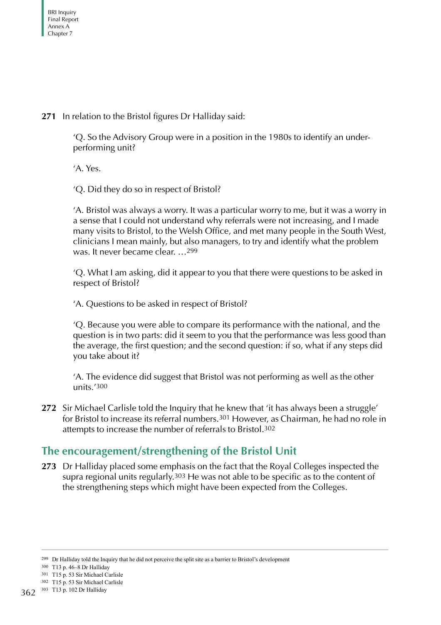**271** In relation to the Bristol figures Dr Halliday said:

'Q. So the Advisory Group were in a position in the 1980s to identify an underperforming unit?

'A. Yes.

'Q. Did they do so in respect of Bristol?

'A. Bristol was always a worry. It was a particular worry to me, but it was a worry in a sense that I could not understand why referrals were not increasing, and I made many visits to Bristol, to the Welsh Office, and met many people in the South West, clinicians I mean mainly, but also managers, to try and identify what the problem was. It never became clear. …299

'Q. What I am asking, did it appear to you that there were questions to be asked in respect of Bristol?

'A. Questions to be asked in respect of Bristol?

'Q. Because you were able to compare its performance with the national, and the question is in two parts: did it seem to you that the performance was less good than the average, the first question; and the second question: if so, what if any steps did you take about it?

'A. The evidence did suggest that Bristol was not performing as well as the other units.'300

**272** Sir Michael Carlisle told the Inquiry that he knew that 'it has always been a struggle' for Bristol to increase its referral numbers.301 However, as Chairman, he had no role in attempts to increase the number of referrals to Bristol.302

## **The encouragement/strengthening of the Bristol Unit**

**273** Dr Halliday placed some emphasis on the fact that the Royal Colleges inspected the supra regional units regularly.303 He was not able to be specific as to the content of the strengthening steps which might have been expected from the Colleges.

300 T13 p. 46–8 Dr Halliday

<sup>299</sup> Dr Halliday told the Inquiry that he did not perceive the split site as a barrier to Bristol's development

<sup>301</sup> T15 p. 53 Sir Michael Carlisle

<sup>302</sup> T15 p. 53 Sir Michael Carlisle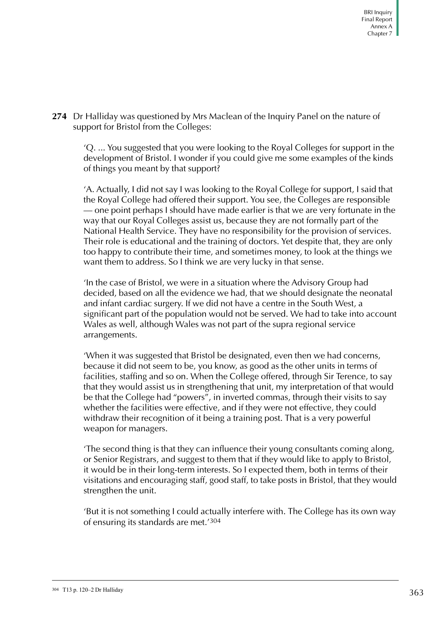**274** Dr Halliday was questioned by Mrs Maclean of the Inquiry Panel on the nature of support for Bristol from the Colleges:

'Q. ... You suggested that you were looking to the Royal Colleges for support in the development of Bristol. I wonder if you could give me some examples of the kinds of things you meant by that support?

'A. Actually, I did not say I was looking to the Royal College for support, I said that the Royal College had offered their support. You see, the Colleges are responsible — one point perhaps I should have made earlier is that we are very fortunate in the way that our Royal Colleges assist us, because they are not formally part of the National Health Service. They have no responsibility for the provision of services. Their role is educational and the training of doctors. Yet despite that, they are only too happy to contribute their time, and sometimes money, to look at the things we want them to address. So I think we are very lucky in that sense.

'In the case of Bristol, we were in a situation where the Advisory Group had decided, based on all the evidence we had, that we should designate the neonatal and infant cardiac surgery. If we did not have a centre in the South West, a significant part of the population would not be served. We had to take into account Wales as well, although Wales was not part of the supra regional service arrangements.

'When it was suggested that Bristol be designated, even then we had concerns, because it did not seem to be, you know, as good as the other units in terms of facilities, staffing and so on. When the College offered, through Sir Terence, to say that they would assist us in strengthening that unit, my interpretation of that would be that the College had "powers", in inverted commas, through their visits to say whether the facilities were effective, and if they were not effective, they could withdraw their recognition of it being a training post. That is a very powerful weapon for managers.

'The second thing is that they can influence their young consultants coming along, or Senior Registrars, and suggest to them that if they would like to apply to Bristol, it would be in their long-term interests. So I expected them, both in terms of their visitations and encouraging staff, good staff, to take posts in Bristol, that they would strengthen the unit.

'But it is not something I could actually interfere with. The College has its own way of ensuring its standards are met.'304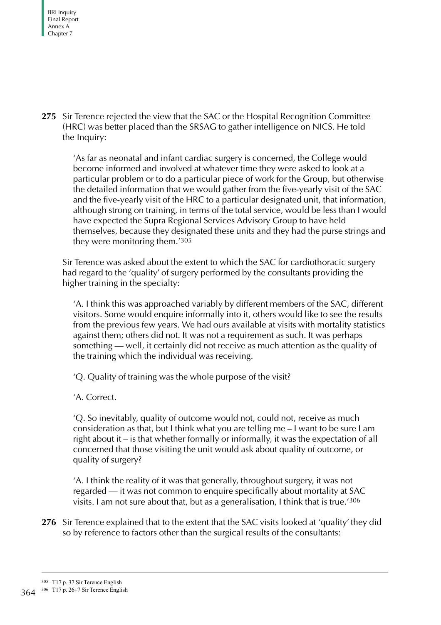**275** Sir Terence rejected the view that the SAC or the Hospital Recognition Committee (HRC) was better placed than the SRSAG to gather intelligence on NICS. He told the Inquiry:

'As far as neonatal and infant cardiac surgery is concerned, the College would become informed and involved at whatever time they were asked to look at a particular problem or to do a particular piece of work for the Group, but otherwise the detailed information that we would gather from the five-yearly visit of the SAC and the five-yearly visit of the HRC to a particular designated unit, that information, although strong on training, in terms of the total service, would be less than I would have expected the Supra Regional Services Advisory Group to have held themselves, because they designated these units and they had the purse strings and they were monitoring them.'305

Sir Terence was asked about the extent to which the SAC for cardiothoracic surgery had regard to the 'quality' of surgery performed by the consultants providing the higher training in the specialty:

'A. I think this was approached variably by different members of the SAC, different visitors. Some would enquire informally into it, others would like to see the results from the previous few years. We had ours available at visits with mortality statistics against them; others did not. It was not a requirement as such. It was perhaps something — well, it certainly did not receive as much attention as the quality of the training which the individual was receiving.

'Q. Quality of training was the whole purpose of the visit?

'A. Correct.

'Q. So inevitably, quality of outcome would not, could not, receive as much consideration as that, but I think what you are telling me – I want to be sure I am right about it – is that whether formally or informally, it was the expectation of all concerned that those visiting the unit would ask about quality of outcome, or quality of surgery?

'A. I think the reality of it was that generally, throughout surgery, it was not regarded — it was not common to enquire specifically about mortality at SAC visits. I am not sure about that, but as a generalisation, I think that is true.'306

**276** Sir Terence explained that to the extent that the SAC visits looked at 'quality' they did so by reference to factors other than the surgical results of the consultants: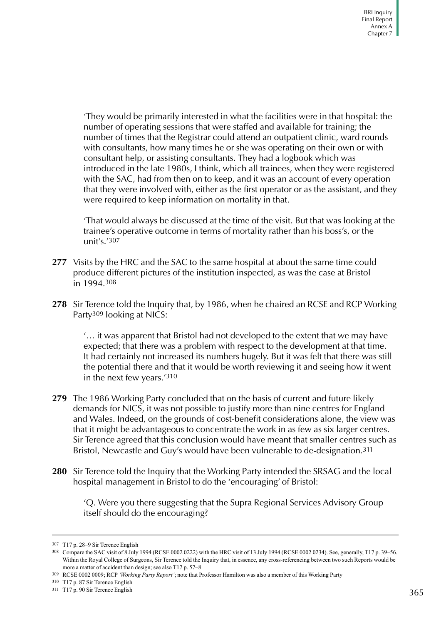'They would be primarily interested in what the facilities were in that hospital: the number of operating sessions that were staffed and available for training; the number of times that the Registrar could attend an outpatient clinic, ward rounds with consultants, how many times he or she was operating on their own or with consultant help, or assisting consultants. They had a logbook which was introduced in the late 1980s, I think, which all trainees, when they were registered with the SAC, had from then on to keep, and it was an account of every operation that they were involved with, either as the first operator or as the assistant, and they were required to keep information on mortality in that.

'That would always be discussed at the time of the visit. But that was looking at the trainee's operative outcome in terms of mortality rather than his boss's, or the unit's.'307

- **277** Visits by the HRC and the SAC to the same hospital at about the same time could produce different pictures of the institution inspected, as was the case at Bristol in 1994.308
- <span id="page-80-0"></span>**278** Sir Terence told the Inquiry that, by 1986, when he chaired an RCSE and RCP Working Party309 looking at NICS:

'… it was apparent that Bristol had not developed to the extent that we may have expected; that there was a problem with respect to the development at that time. It had certainly not increased its numbers hugely. But it was felt that there was still the potential there and that it would be worth reviewing it and seeing how it went in the next few years.'310

- **279** The 1986 Working Party concluded that on the basis of current and future likely demands for NICS, it was not possible to justify more than nine centres for England and Wales. Indeed, on the grounds of cost-benefit considerations alone, the view was that it might be advantageous to concentrate the work in as few as six larger centres. Sir Terence agreed that this conclusion would have meant that smaller centres such as Bristol, Newcastle and Guy's would have been vulnerable to de-designation.311
- **280** Sir Terence told the Inquiry that the Working Party intended the SRSAG and the local hospital management in Bristol to do the 'encouraging' of Bristol:

'Q. Were you there suggesting that the Supra Regional Services Advisory Group itself should do the encouraging?

<sup>307</sup> T17 p. 28–9 Sir Terence English

<sup>308</sup> Compare the SAC visit of 8 July 1994 (RCSE 0002 0222) with the HRC visit of 13 July 1994 (RCSE 0002 0234). See, generally, T17 p. 39–56. Within the Royal College of Surgeons, Sir Terence told the Inquiry that, in essence, any cross-referencing between two such Reports would be more a matter of accident than design; see also T17 p. 57–8

<sup>309</sup> RCSE 0002 0009; RCP *'Working Party Report'*; note that Professor Hamilton was also a member of this Working Party

<sup>310</sup> T17 p. 87 Sir Terence English

<sup>311</sup> T17 p. 90 Sir Terence English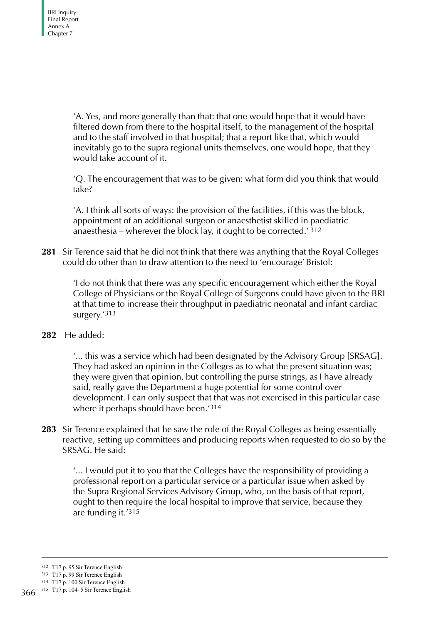'A. Yes, and more generally than that: that one would hope that it would have filtered down from there to the hospital itself, to the management of the hospital and to the staff involved in that hospital; that a report like that, which would inevitably go to the supra regional units themselves, one would hope, that they would take account of it.

'Q. The encouragement that was to be given: what form did you think that would take?

'A. I think all sorts of ways: the provision of the facilities, if this was the block, appointment of an additional surgeon or anaesthetist skilled in paediatric anaesthesia – wherever the block lay, it ought to be corrected.' 312

**281** Sir Terence said that he did not think that there was anything that the Royal Colleges could do other than to draw attention to the need to 'encourage' Bristol:

'I do not think that there was any specific encouragement which either the Royal College of Physicians or the Royal College of Surgeons could have given to the BRI at that time to increase their throughput in paediatric neonatal and infant cardiac surgery.'313

#### **282** He added:

'... this was a service which had been designated by the Advisory Group [SRSAG]. They had asked an opinion in the Colleges as to what the present situation was; they were given that opinion, but controlling the purse strings, as I have already said, really gave the Department a huge potential for some control over development. I can only suspect that that was not exercised in this particular case where it perhaps should have been.'314

**283** Sir Terence explained that he saw the role of the Royal Colleges as being essentially reactive, setting up committees and producing reports when requested to do so by the SRSAG. He said:

'... I would put it to you that the Colleges have the responsibility of providing a professional report on a particular service or a particular issue when asked by the Supra Regional Services Advisory Group, who, on the basis of that report, ought to then require the local hospital to improve that service, because they are funding it.'315

<sup>312</sup> T17 p. 95 Sir Terence English

<sup>313</sup> T17 p. 99 Sir Terence English

<sup>314</sup> T17 p. 100 Sir Terence English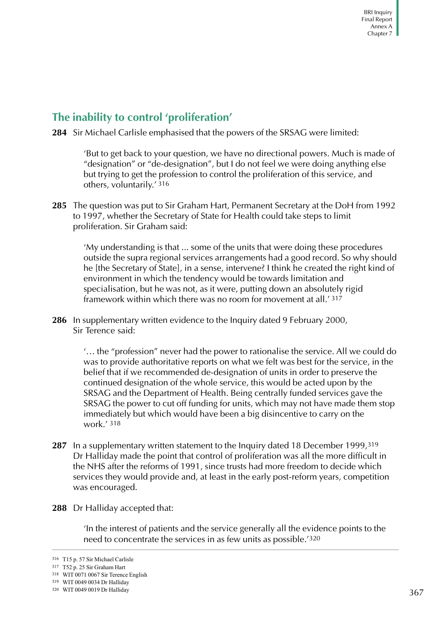## **The inability to control 'proliferation'**

**284** Sir Michael Carlisle emphasised that the powers of the SRSAG were limited:

'But to get back to your question, we have no directional powers. Much is made of "designation" or "de-designation", but I do not feel we were doing anything else but trying to get the profession to control the proliferation of this service, and others, voluntarily.' 316

**285** The question was put to Sir Graham Hart, Permanent Secretary at the DoH from 1992 to 1997, whether the Secretary of State for Health could take steps to limit proliferation. Sir Graham said:

'My understanding is that ... some of the units that were doing these procedures outside the supra regional services arrangements had a good record. So why should he [the Secretary of State], in a sense, intervene? I think he created the right kind of environment in which the tendency would be towards limitation and specialisation, but he was not, as it were, putting down an absolutely rigid framework within which there was no room for movement at all.' 317

**286** In supplementary written evidence to the Inquiry dated 9 February 2000, Sir Terence said:

> '… the "profession" never had the power to rationalise the service. All we could do was to provide authoritative reports on what we felt was best for the service, in the belief that if we recommended de-designation of units in order to preserve the continued designation of the whole service, this would be acted upon by the SRSAG and the Department of Health. Being centrally funded services gave the SRSAG the power to cut off funding for units, which may not have made them stop immediately but which would have been a big disincentive to carry on the work.' 318

- **287** In a supplementary written statement to the Inquiry dated 18 December 1999,319 Dr Halliday made the point that control of proliferation was all the more difficult in the NHS after the reforms of 1991, since trusts had more freedom to decide which services they would provide and, at least in the early post-reform years, competition was encouraged.
- **288** Dr Halliday accepted that:

'In the interest of patients and the service generally all the evidence points to the need to concentrate the services in as few units as possible.'320

<sup>316</sup> T15 p. 57 Sir Michael Carlisle

<sup>317</sup> T52 p. 25 Sir Graham Hart

<sup>318</sup> WIT 0071 0067 Sir Terence English

<sup>319</sup> WIT 0049 0034 Dr Halliday

<sup>320</sup> WIT 0049 0019 Dr Halliday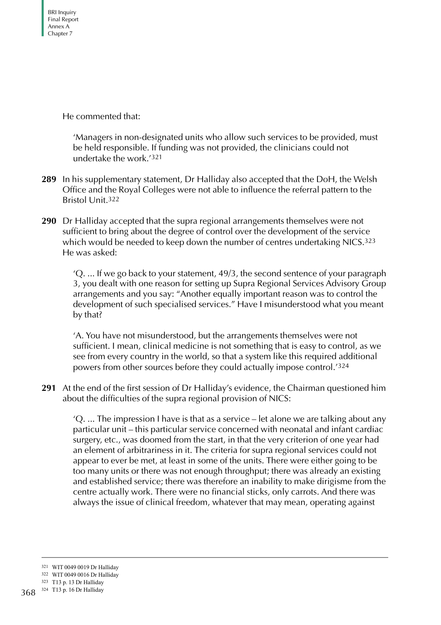BRI Inquiry Final Report Annex A Chapter 7

He commented that:

'Managers in non-designated units who allow such services to be provided, must be held responsible. If funding was not provided, the clinicians could not undertake the work.'321

- **289** In his supplementary statement, Dr Halliday also accepted that the DoH, the Welsh Office and the Royal Colleges were not able to influence the referral pattern to the Bristol Unit.322
- **290** Dr Halliday accepted that the supra regional arrangements themselves were not sufficient to bring about the degree of control over the development of the service which would be needed to keep down the number of centres undertaking NICS.<sup>323</sup> He was asked:

'Q. ... If we go back to your statement, 49/3, the second sentence of your paragraph 3, you dealt with one reason for setting up Supra Regional Services Advisory Group arrangements and you say: "Another equally important reason was to control the development of such specialised services." Have I misunderstood what you meant by that?

'A. You have not misunderstood, but the arrangements themselves were not sufficient. I mean, clinical medicine is not something that is easy to control, as we see from every country in the world, so that a system like this required additional powers from other sources before they could actually impose control.'324

**291** At the end of the first session of Dr Halliday's evidence, the Chairman questioned him about the difficulties of the supra regional provision of NICS:

'Q. ... The impression I have is that as a service – let alone we are talking about any particular unit – this particular service concerned with neonatal and infant cardiac surgery, etc., was doomed from the start, in that the very criterion of one year had an element of arbitrariness in it. The criteria for supra regional services could not appear to ever be met, at least in some of the units. There were either going to be too many units or there was not enough throughput; there was already an existing and established service; there was therefore an inability to make dirigisme from the centre actually work. There were no financial sticks, only carrots. And there was always the issue of clinical freedom, whatever that may mean, operating against

<sup>321</sup> WIT 0049 0019 Dr Halliday

<sup>322</sup> WIT 0049 0016 Dr Halliday

<span id="page-83-0"></span><sup>323</sup> T13 p. 13 Dr Halliday 324 T13 p. 16 Dr Halliday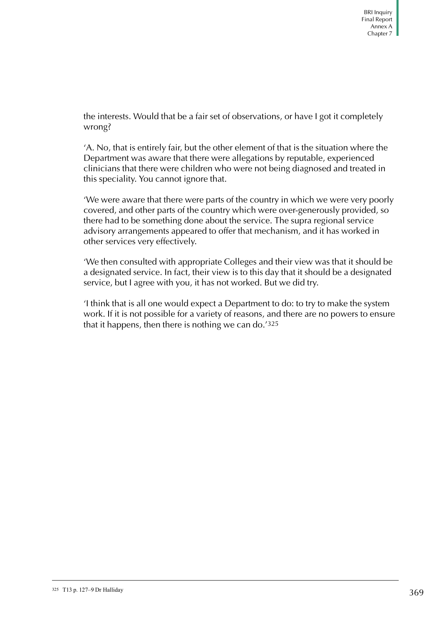the interests. Would that be a fair set of observations, or have I got it completely wrong?

'A. No, that is entirely fair, but the other element of that is the situation where the Department was aware that there were allegations by reputable, experienced clinicians that there were children who were not being diagnosed and treated in this speciality. You cannot ignore that.

'We were aware that there were parts of the country in which we were very poorly covered, and other parts of the country which were over-generously provided, so there had to be something done about the service. The supra regional service advisory arrangements appeared to offer that mechanism, and it has worked in other services very effectively.

'We then consulted with appropriate Colleges and their view was that it should be a designated service. In fact, their view is to this day that it should be a designated service, but I agree with you, it has not worked. But we did try.

'I think that is all one would expect a Department to do: to try to make the system work. If it is not possible for a variety of reasons, and there are no powers to ensure that it happens, then there is nothing we can do.'325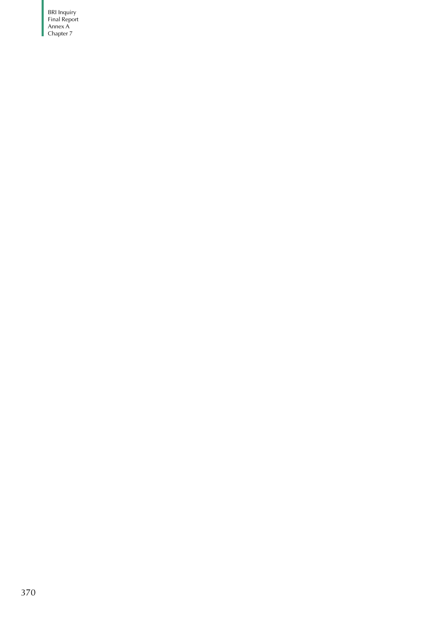BRI Inquiry Final Report Annex A Chapter 7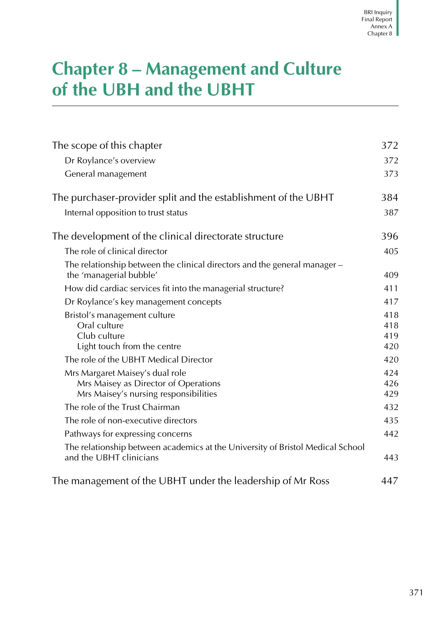# **Chapter 8 – Management and Culture of the UBH and the UBHT**

| The scope of this chapter                                                                                        |                          |  |  |  |
|------------------------------------------------------------------------------------------------------------------|--------------------------|--|--|--|
| Dr Roylance's overview                                                                                           |                          |  |  |  |
| General management                                                                                               | 373                      |  |  |  |
| The purchaser-provider split and the establishment of the UBHT                                                   | 384                      |  |  |  |
| Internal opposition to trust status                                                                              | 387                      |  |  |  |
| The development of the clinical directorate structure                                                            | 396                      |  |  |  |
| The role of clinical director                                                                                    | 405                      |  |  |  |
| The relationship between the clinical directors and the general manager –<br>the 'managerial bubble'             | 409                      |  |  |  |
| How did cardiac services fit into the managerial structure?                                                      | 411                      |  |  |  |
| Dr Roylance's key management concepts                                                                            | 417                      |  |  |  |
| Bristol's management culture<br>Oral culture<br>Club culture<br>Light touch from the centre                      | 418<br>418<br>419<br>420 |  |  |  |
| The role of the UBHT Medical Director                                                                            | 420                      |  |  |  |
| Mrs Margaret Maisey's dual role<br>Mrs Maisey as Director of Operations<br>Mrs Maisey's nursing responsibilities | 424<br>426<br>429        |  |  |  |
| The role of the Trust Chairman                                                                                   | 432                      |  |  |  |
| The role of non-executive directors                                                                              | 435                      |  |  |  |
| Pathways for expressing concerns                                                                                 | 442                      |  |  |  |
| The relationship between academics at the University of Bristol Medical School<br>and the UBHT clinicians        | 443                      |  |  |  |
| The management of the UBHT under the leadership of Mr Ross                                                       | 447                      |  |  |  |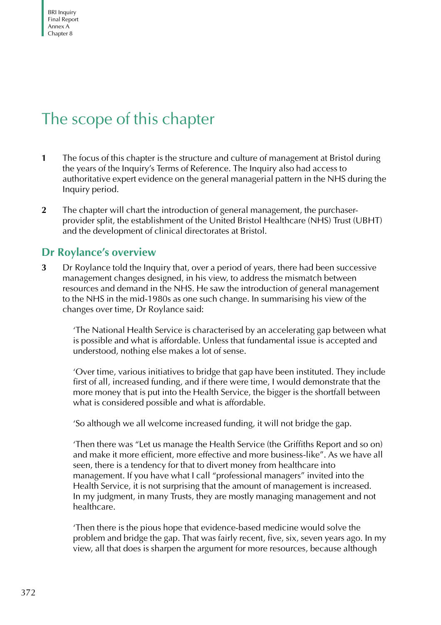## The scope of this chapter

- **1** The focus of this chapter is the structure and culture of management at Bristol during the years of the Inquiry's Terms of Reference. The Inquiry also had access to authoritative expert evidence on the general managerial pattern in the NHS during the Inquiry period.
- **2** The chapter will chart the introduction of general management, the purchaserprovider split, the establishment of the United Bristol Healthcare (NHS) Trust (UBHT) and the development of clinical directorates at Bristol.

## **Dr Roylance's overview**

**3** Dr Roylance told the Inquiry that, over a period of years, there had been successive management changes designed, in his view, to address the mismatch between resources and demand in the NHS. He saw the introduction of general management to the NHS in the mid-1980s as one such change. In summarising his view of the changes over time, Dr Roylance said:

'The National Health Service is characterised by an accelerating gap between what is possible and what is affordable. Unless that fundamental issue is accepted and understood, nothing else makes a lot of sense.

'Over time, various initiatives to bridge that gap have been instituted. They include first of all, increased funding, and if there were time, I would demonstrate that the more money that is put into the Health Service, the bigger is the shortfall between what is considered possible and what is affordable.

'So although we all welcome increased funding, it will not bridge the gap.

'Then there was "Let us manage the Health Service (the Griffiths Report and so on) and make it more efficient, more effective and more business-like". As we have all seen, there is a tendency for that to divert money from healthcare into management. If you have what I call "professional managers" invited into the Health Service, it is not surprising that the amount of management is increased. In my judgment, in many Trusts, they are mostly managing management and not healthcare.

'Then there is the pious hope that evidence-based medicine would solve the problem and bridge the gap. That was fairly recent, five, six, seven years ago. In my view, all that does is sharpen the argument for more resources, because although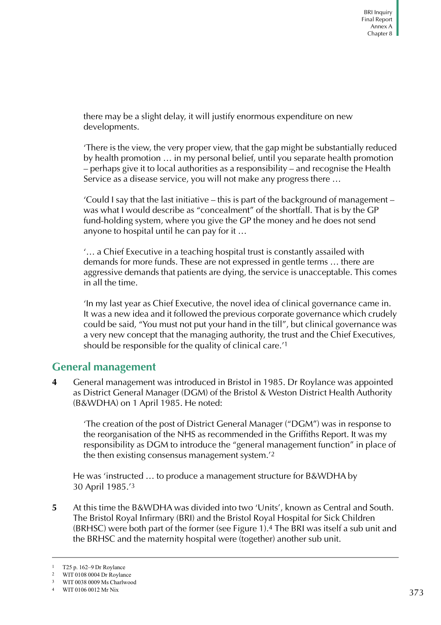there may be a slight delay, it will justify enormous expenditure on new developments.

'There is the view, the very proper view, that the gap might be substantially reduced by health promotion … in my personal belief, until you separate health promotion – perhaps give it to local authorities as a responsibility – and recognise the Health Service as a disease service, you will not make any progress there …

'Could I say that the last initiative – this is part of the background of management – was what I would describe as "concealment" of the shortfall. That is by the GP fund-holding system, where you give the GP the money and he does not send anyone to hospital until he can pay for it …

'… a Chief Executive in a teaching hospital trust is constantly assailed with demands for more funds. These are not expressed in gentle terms … there are aggressive demands that patients are dying, the service is unacceptable. This comes in all the time.

'In my last year as Chief Executive, the novel idea of clinical governance came in. It was a new idea and it followed the previous corporate governance which crudely could be said, "You must not put your hand in the till", but clinical governance was a very new concept that the managing authority, the trust and the Chief Executives, should be responsible for the quality of clinical care.'1

### <span id="page-88-0"></span>**General management**

**4** General management was introduced in Bristol in 1985. Dr Roylance was appointed as District General Manager (DGM) of the Bristol & Weston District Health Authority (B&WDHA) on 1 April 1985. He noted:

'The creation of the post of District General Manager ("DGM") was in response to the reorganisation of the NHS as recommended in the Griffiths Report. It was my responsibility as DGM to introduce the "general management function" in place of the then existing consensus management system.'2

He was 'instructed … to produce a management structure for B&WDHA by 30 April 1985.'3

**5** At this time the B&WDHA was divided into two 'Units', known as Central and South. The Bristol Royal Infirmary (BRI) and the Bristol Royal Hospital for Sick Children (BRHSC) were both part of the former (see Figure 1).4 The BRI was itself a sub unit and the BRHSC and the maternity hospital were (together) another sub unit.

<sup>1</sup> T25 p. 162–9 Dr Roylance

<sup>2</sup> WIT 0108 0004 Dr Roylance

<sup>3</sup> WIT 0038 0009 Ms Charlwood

<sup>4</sup> WIT 0106 0012 Mr Nix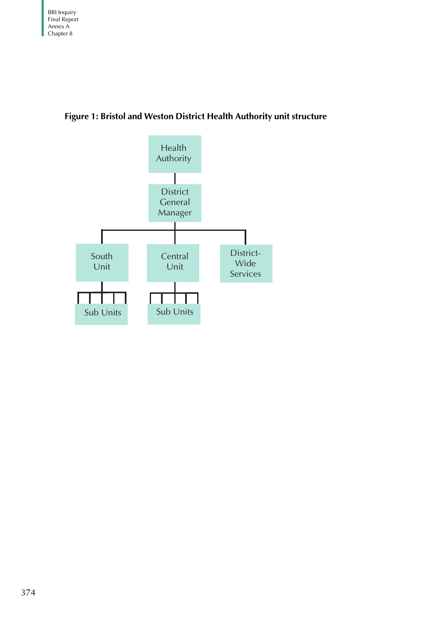### **Figure 1: Bristol and Weston District Health Authority unit structure**

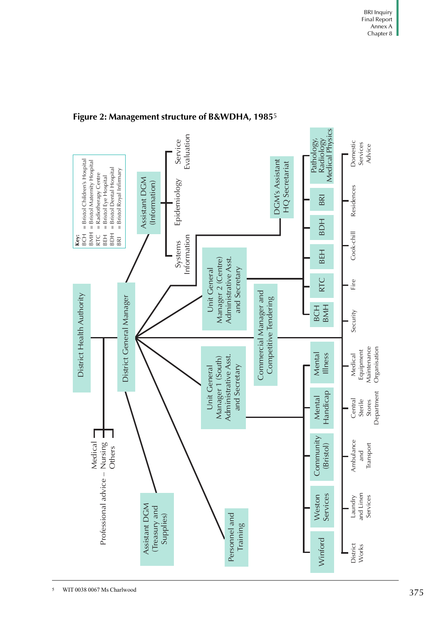

#### **Figure 2: Management structure of B&WDHA, 1985**5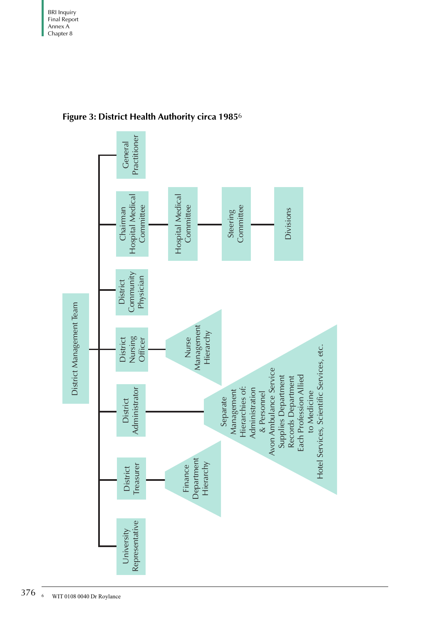

### **Figure 3: District Health Authority circa 1985**6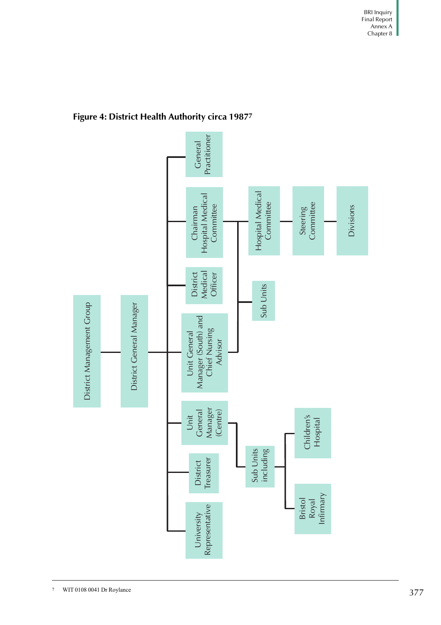#### **Figure 4: District Health Authority circa 19877**

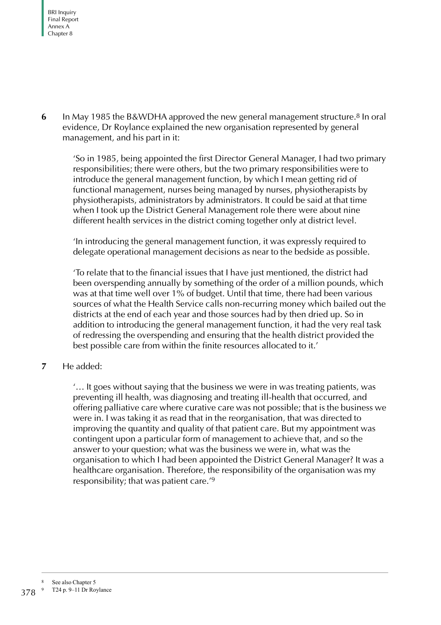**6** In May 1985 the B&WDHA approved the new general management structure.8 In oral evidence, Dr Roylance explained the new organisation represented by general management, and his part in it:

'So in 1985, being appointed the first Director General Manager, I had two primary responsibilities; there were others, but the two primary responsibilities were to introduce the general management function, by which I mean getting rid of functional management, nurses being managed by nurses, physiotherapists by physiotherapists, administrators by administrators. It could be said at that time when I took up the District General Management role there were about nine different health services in the district coming together only at district level.

'In introducing the general management function, it was expressly required to delegate operational management decisions as near to the bedside as possible.

'To relate that to the financial issues that I have just mentioned, the district had been overspending annually by something of the order of a million pounds, which was at that time well over 1% of budget. Until that time, there had been various sources of what the Health Service calls non-recurring money which bailed out the districts at the end of each year and those sources had by then dried up. So in addition to introducing the general management function, it had the very real task of redressing the overspending and ensuring that the health district provided the best possible care from within the finite resources allocated to it.'

**7** He added:

'… It goes without saying that the business we were in was treating patients, was preventing ill health, was diagnosing and treating ill-health that occurred, and offering palliative care where curative care was not possible; that is the business we were in. I was taking it as read that in the reorganisation, that was directed to improving the quantity and quality of that patient care. But my appointment was contingent upon a particular form of management to achieve that, and so the answer to your question; what was the business we were in, what was the organisation to which I had been appointed the District General Manager? It was a healthcare organisation. Therefore, the responsibility of the organisation was my responsibility; that was patient care.'9

See also Chapter 5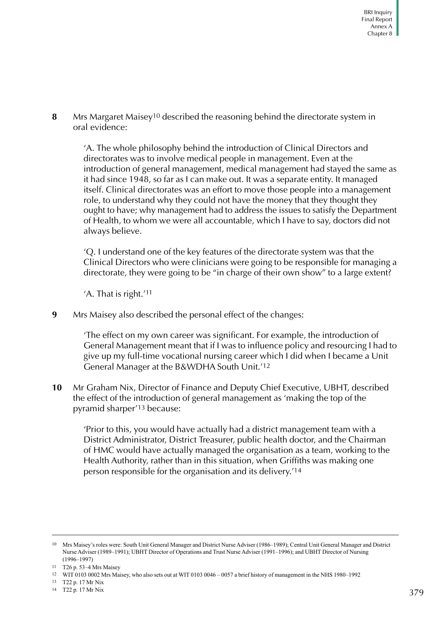**8** Mrs Margaret Maisey10 described the reasoning behind the directorate system in oral evidence:

'A. The whole philosophy behind the introduction of Clinical Directors and directorates was to involve medical people in management. Even at the introduction of general management, medical management had stayed the same as it had since 1948, so far as I can make out. It was a separate entity. It managed itself. Clinical directorates was an effort to move those people into a management role, to understand why they could not have the money that they thought they ought to have; why management had to address the issues to satisfy the Department of Health, to whom we were all accountable, which I have to say, doctors did not always believe.

'Q. I understand one of the key features of the directorate system was that the Clinical Directors who were clinicians were going to be responsible for managing a directorate, they were going to be "in charge of their own show" to a large extent?

'A. That is right.'11

**9** Mrs Maisey also described the personal effect of the changes:

'The effect on my own career was significant. For example, the introduction of General Management meant that if I was to influence policy and resourcing I had to give up my full-time vocational nursing career which I did when I became a Unit General Manager at the B&WDHA South Unit.'12

**10** Mr Graham Nix, Director of Finance and Deputy Chief Executive, UBHT, described the effect of the introduction of general management as 'making the top of the pyramid sharper'13 because:

'Prior to this, you would have actually had a district management team with a District Administrator, District Treasurer, public health doctor, and the Chairman of HMC would have actually managed the organisation as a team, working to the Health Authority, rather than in this situation, when Griffiths was making one person responsible for the organisation and its delivery.'14

<sup>10</sup> Mrs Maisey's roles were: South Unit General Manager and District Nurse Adviser (1986–1989); Central Unit General Manager and District Nurse Adviser (1989–1991); UBHT Director of Operations and Trust Nurse Adviser (1991–1996); and UBHT Director of Nursing (1996–1997)

<sup>11</sup> T26 p. 53–4 Mrs Maisey

<sup>12</sup> WIT 0103 0002 Mrs Maisey, who also sets out at WIT 0103 0046 – 0057 a brief history of management in the NHS 1980–1992

<sup>13</sup> T22 p. 17 Mr Nix

<sup>14</sup> T22 p. 17 Mr Nix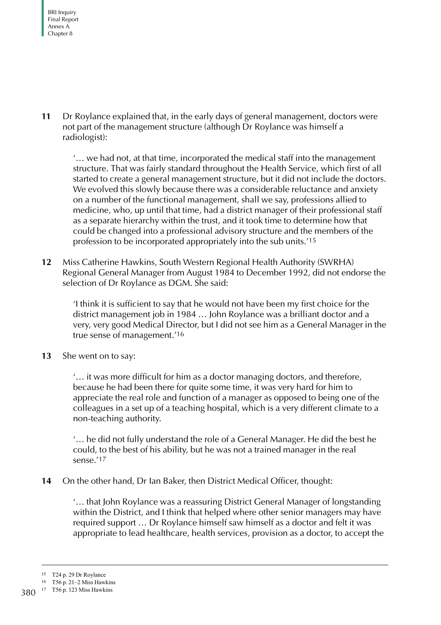**11** Dr Roylance explained that, in the early days of general management, doctors were not part of the management structure (although Dr Roylance was himself a radiologist):

'… we had not, at that time, incorporated the medical staff into the management structure. That was fairly standard throughout the Health Service, which first of all started to create a general management structure, but it did not include the doctors. We evolved this slowly because there was a considerable reluctance and anxiety on a number of the functional management, shall we say, professions allied to medicine, who, up until that time, had a district manager of their professional staff as a separate hierarchy within the trust, and it took time to determine how that could be changed into a professional advisory structure and the members of the profession to be incorporated appropriately into the sub units.'15

**12** Miss Catherine Hawkins, South Western Regional Health Authority (SWRHA) Regional General Manager from August 1984 to December 1992, did not endorse the selection of Dr Roylance as DGM. She said:

'I think it is sufficient to say that he would not have been my first choice for the district management job in 1984 … John Roylance was a brilliant doctor and a very, very good Medical Director, but I did not see him as a General Manager in the true sense of management.'16

**13** She went on to say:

'… it was more difficult for him as a doctor managing doctors, and therefore, because he had been there for quite some time, it was very hard for him to appreciate the real role and function of a manager as opposed to being one of the colleagues in a set up of a teaching hospital, which is a very different climate to a non-teaching authority.

'… he did not fully understand the role of a General Manager. He did the best he could, to the best of his ability, but he was not a trained manager in the real sense.'17

**14** On the other hand, Dr Ian Baker, then District Medical Officer, thought:

'… that John Roylance was a reassuring District General Manager of longstanding within the District, and I think that helped where other senior managers may have required support … Dr Roylance himself saw himself as a doctor and felt it was appropriate to lead healthcare, health services, provision as a doctor, to accept the

<sup>15</sup> T24 p. 29 Dr Roylance

<sup>16</sup> T56 p. 21–2 Miss Hawkins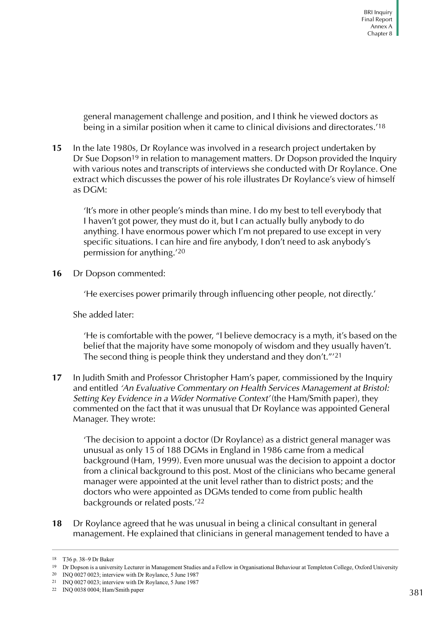general management challenge and position, and I think he viewed doctors as being in a similar position when it came to clinical divisions and directorates.'18

**15** In the late 1980s, Dr Roylance was involved in a research project undertaken by Dr Sue Dopson<sup>19</sup> in relation to management matters. Dr Dopson provided the Inquiry with various notes and transcripts of interviews she conducted with Dr Roylance. One extract which discusses the power of his role illustrates Dr Roylance's view of himself as DGM:

'It's more in other people's minds than mine. I do my best to tell everybody that I haven't got power, they must do it, but I can actually bully anybody to do anything. I have enormous power which I'm not prepared to use except in very specific situations. I can hire and fire anybody, I don't need to ask anybody's permission for anything.'20

**16** Dr Dopson commented:

'He exercises power primarily through influencing other people, not directly.'

She added later:

'He is comfortable with the power, "I believe democracy is a myth, it's based on the belief that the majority have some monopoly of wisdom and they usually haven't. The second thing is people think they understand and they don't."'21

**17** In Judith Smith and Professor Christopher Ham's paper, commissioned by the Inquiry and entitled 'An Evaluative Commentary on Health Services Management at Bristol: Setting Key Evidence in a Wider Normative Context' (the Ham/Smith paper), they commented on the fact that it was unusual that Dr Roylance was appointed General Manager. They wrote:

'The decision to appoint a doctor (Dr Roylance) as a district general manager was unusual as only 15 of 188 DGMs in England in 1986 came from a medical background (Ham, 1999). Even more unusual was the decision to appoint a doctor from a clinical background to this post. Most of the clinicians who became general manager were appointed at the unit level rather than to district posts; and the doctors who were appointed as DGMs tended to come from public health backgrounds or related posts.'22

**18** Dr Roylance agreed that he was unusual in being a clinical consultant in general management. He explained that clinicians in general management tended to have a

<sup>18</sup> T36 p. 38–9 Dr Baker

<sup>19</sup> Dr Dopson is a university Lecturer in Management Studies and a Fellow in Organisational Behaviour at Templeton College, Oxford University

<sup>20</sup> INQ 0027 0023; interview with Dr Roylance, 5 June 1987

<sup>21</sup> INQ 0027 0023; interview with Dr Roylance, 5 June 1987

<sup>22</sup> INQ 0038 0004; Ham/Smith paper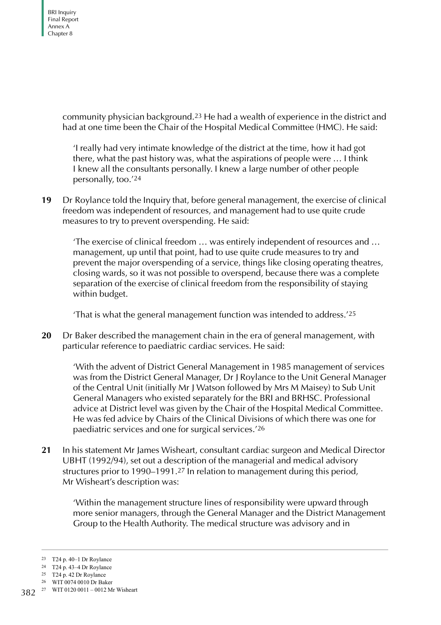community physician background.23 He had a wealth of experience in the district and had at one time been the Chair of the Hospital Medical Committee (HMC). He said:

'I really had very intimate knowledge of the district at the time, how it had got there, what the past history was, what the aspirations of people were … I think I knew all the consultants personally. I knew a large number of other people personally, too.'24

**19** Dr Roylance told the Inquiry that, before general management, the exercise of clinical freedom was independent of resources, and management had to use quite crude measures to try to prevent overspending. He said:

'The exercise of clinical freedom … was entirely independent of resources and … management, up until that point, had to use quite crude measures to try and prevent the major overspending of a service, things like closing operating theatres, closing wards, so it was not possible to overspend, because there was a complete separation of the exercise of clinical freedom from the responsibility of staying within budget.

'That is what the general management function was intended to address.'25

**20** Dr Baker described the management chain in the era of general management, with particular reference to paediatric cardiac services. He said:

'With the advent of District General Management in 1985 management of services was from the District General Manager, Dr J Roylance to the Unit General Manager of the Central Unit (initially Mr J Watson followed by Mrs M Maisey) to Sub Unit General Managers who existed separately for the BRI and BRHSC. Professional advice at District level was given by the Chair of the Hospital Medical Committee. He was fed advice by Chairs of the Clinical Divisions of which there was one for paediatric services and one for surgical services.'26

**21** In his statement Mr James Wisheart, consultant cardiac surgeon and Medical Director UBHT (1992/94), set out a description of the managerial and medical advisory structures prior to 1990–1991.27 In relation to management during this period, Mr Wisheart's description was:

'Within the management structure lines of responsibility were upward through more senior managers, through the General Manager and the District Management Group to the Health Authority. The medical structure was advisory and in

<sup>23</sup> T24 p. 40–1 Dr Roylance

<sup>24</sup> T24 p. 43–4 Dr Roylance

 $25$  T24 p. 42 Dr Roylance

<sup>26</sup> WIT 0074 0010 Dr Baker

<sup>382&</sup>lt;sup>27</sup> WIT 0120 0011 - 0012 Mr Wisheart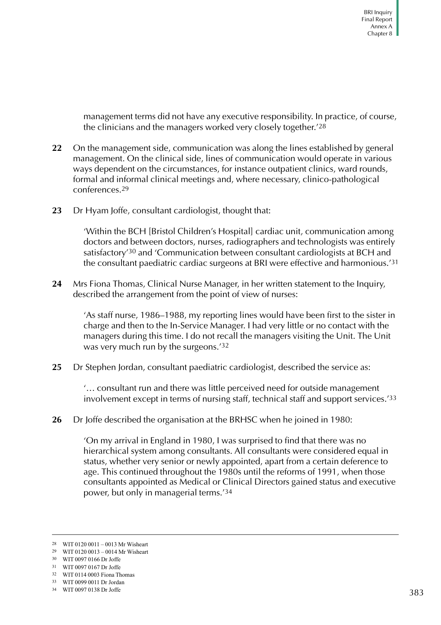management terms did not have any executive responsibility. In practice, of course, the clinicians and the managers worked very closely together.'28

- **22** On the management side, communication was along the lines established by general management. On the clinical side, lines of communication would operate in various ways dependent on the circumstances, for instance outpatient clinics, ward rounds, formal and informal clinical meetings and, where necessary, clinico-pathological conferences.29
- **23** Dr Hyam Joffe, consultant cardiologist, thought that:

'Within the BCH [Bristol Children's Hospital] cardiac unit, communication among doctors and between doctors, nurses, radiographers and technologists was entirely satisfactory'30 and 'Communication between consultant cardiologists at BCH and the consultant paediatric cardiac surgeons at BRI were effective and harmonious.'31

**24** Mrs Fiona Thomas, Clinical Nurse Manager, in her written statement to the Inquiry, described the arrangement from the point of view of nurses:

'As staff nurse, 1986–1988, my reporting lines would have been first to the sister in charge and then to the In-Service Manager. I had very little or no contact with the managers during this time. I do not recall the managers visiting the Unit. The Unit was very much run by the surgeons.'32

**25** Dr Stephen Jordan, consultant paediatric cardiologist, described the service as:

'… consultant run and there was little perceived need for outside management involvement except in terms of nursing staff, technical staff and support services.'33

**26** Dr Joffe described the organisation at the BRHSC when he joined in 1980:

'On my arrival in England in 1980, I was surprised to find that there was no hierarchical system among consultants. All consultants were considered equal in status, whether very senior or newly appointed, apart from a certain deference to age. This continued throughout the 1980s until the reforms of 1991, when those consultants appointed as Medical or Clinical Directors gained status and executive power, but only in managerial terms.'34

<sup>28</sup> WIT 0120 0011 – 0013 Mr Wisheart

<sup>29</sup> WIT 0120 0013 – 0014 Mr Wisheart

<sup>30</sup> WIT 0097 0166 Dr Joffe

<sup>31</sup> WIT 0097 0167 Dr Joffe

<sup>32</sup> WIT 0114 0003 Fiona Thomas

<sup>33</sup> WIT 0099 0011 Dr Jordan

<sup>34</sup> WIT 0097 0138 Dr Joffe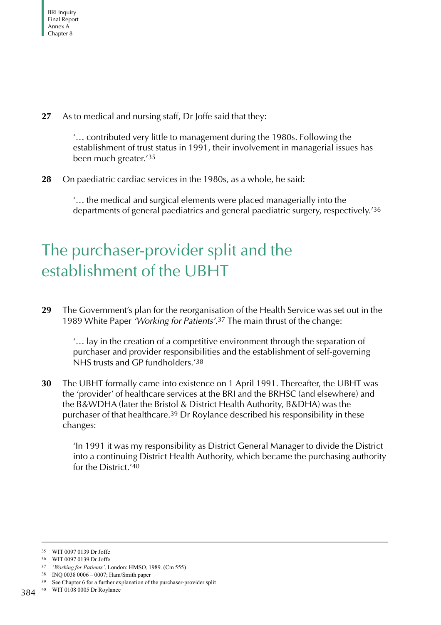**27** As to medical and nursing staff, Dr Joffe said that they:

'… contributed very little to management during the 1980s. Following the establishment of trust status in 1991, their involvement in managerial issues has been much greater.'35

**28** On paediatric cardiac services in the 1980s, as a whole, he said:

'… the medical and surgical elements were placed managerially into the departments of general paediatrics and general paediatric surgery, respectively.'36

## <span id="page-99-0"></span>The purchaser-provider split and the establishment of the UBHT

**29** The Government's plan for the reorganisation of the Health Service was set out in the 1989 White Paper 'Working for Patients'.37 The main thrust of the change:

'… lay in the creation of a competitive environment through the separation of purchaser and provider responsibilities and the establishment of self-governing NHS trusts and GP fundholders.'38

**30** The UBHT formally came into existence on 1 April 1991. Thereafter, the UBHT was the 'provider' of healthcare services at the BRI and the BRHSC (and elsewhere) and the B&WDHA (later the Bristol & District Health Authority, B&DHA) was the purchaser of that healthcare.39 Dr Roylance described his responsibility in these changes:

'In 1991 it was my responsibility as District General Manager to divide the District into a continuing District Health Authority, which became the purchasing authority for the District.'40

35 WIT 0097 0139 Dr Joffe

384 40 WIT 0108 0005 Dr Roylance

<sup>36</sup> WIT 0097 0139 Dr Joffe

<sup>37</sup> *'Working for Patients'*. London: HMSO, 1989. (Cm 555)

<sup>38</sup> INQ 0038 0006 – 0007; Ham/Smith paper

<sup>39</sup> See Chapter 6 for a further explanation of the purchaser-provider split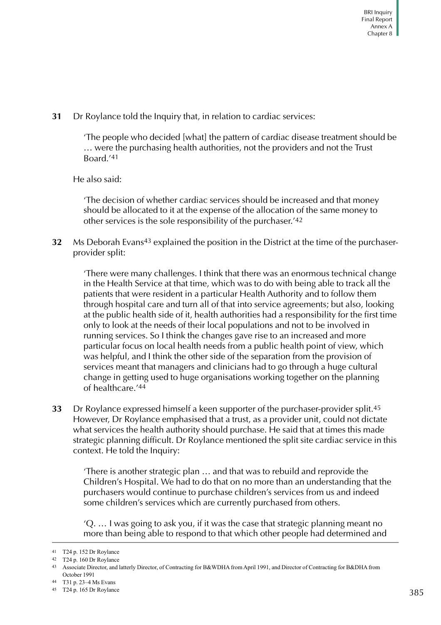#### **31** Dr Roylance told the Inquiry that, in relation to cardiac services:

'The people who decided [what] the pattern of cardiac disease treatment should be … were the purchasing health authorities, not the providers and not the Trust Board.'41

He also said:

'The decision of whether cardiac services should be increased and that money should be allocated to it at the expense of the allocation of the same money to other services is the sole responsibility of the purchaser.'42

**32** Ms Deborah Evans43 explained the position in the District at the time of the purchaserprovider split:

'There were many challenges. I think that there was an enormous technical change in the Health Service at that time, which was to do with being able to track all the patients that were resident in a particular Health Authority and to follow them through hospital care and turn all of that into service agreements; but also, looking at the public health side of it, health authorities had a responsibility for the first time only to look at the needs of their local populations and not to be involved in running services. So I think the changes gave rise to an increased and more particular focus on local health needs from a public health point of view, which was helpful, and I think the other side of the separation from the provision of services meant that managers and clinicians had to go through a huge cultural change in getting used to huge organisations working together on the planning of healthcare.'44

**33** Dr Roylance expressed himself a keen supporter of the purchaser-provider split.45 However, Dr Roylance emphasised that a trust, as a provider unit, could not dictate what services the health authority should purchase. He said that at times this made strategic planning difficult. Dr Roylance mentioned the split site cardiac service in this context. He told the Inquiry:

'There is another strategic plan … and that was to rebuild and reprovide the Children's Hospital. We had to do that on no more than an understanding that the purchasers would continue to purchase children's services from us and indeed some children's services which are currently purchased from others.

'Q. … I was going to ask you, if it was the case that strategic planning meant no more than being able to respond to that which other people had determined and

<sup>41</sup> T24 p. 152 Dr Roylance

<sup>42</sup> T24 p. 160 Dr Roylance

<sup>43</sup> Associate Director, and latterly Director, of Contracting for B&WDHA from April 1991, and Director of Contracting for B&DHA from October 1991

<sup>44</sup> T31 p. 23–4 Ms Evans

<sup>45</sup> T24 p. 165 Dr Roylance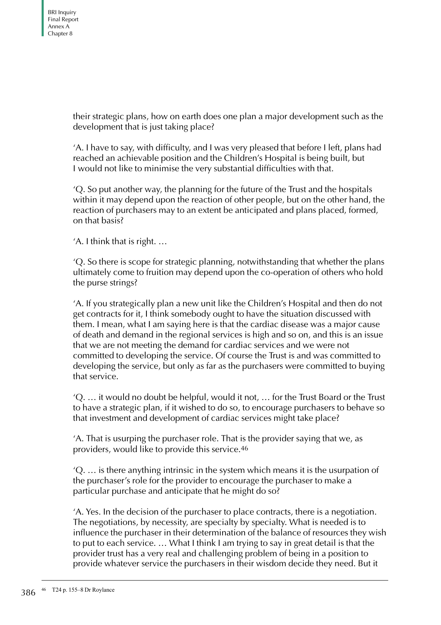their strategic plans, how on earth does one plan a major development such as the development that is just taking place?

'A. I have to say, with difficulty, and I was very pleased that before I left, plans had reached an achievable position and the Children's Hospital is being built, but I would not like to minimise the very substantial difficulties with that.

'Q. So put another way, the planning for the future of the Trust and the hospitals within it may depend upon the reaction of other people, but on the other hand, the reaction of purchasers may to an extent be anticipated and plans placed, formed, on that basis?

'A. I think that is right. …

'Q. So there is scope for strategic planning, notwithstanding that whether the plans ultimately come to fruition may depend upon the co-operation of others who hold the purse strings?

'A. If you strategically plan a new unit like the Children's Hospital and then do not get contracts for it, I think somebody ought to have the situation discussed with them. I mean, what I am saying here is that the cardiac disease was a major cause of death and demand in the regional services is high and so on, and this is an issue that we are not meeting the demand for cardiac services and we were not committed to developing the service. Of course the Trust is and was committed to developing the service, but only as far as the purchasers were committed to buying that service.

'Q. … it would no doubt be helpful, would it not, … for the Trust Board or the Trust to have a strategic plan, if it wished to do so, to encourage purchasers to behave so that investment and development of cardiac services might take place?

'A. That is usurping the purchaser role. That is the provider saying that we, as providers, would like to provide this service.46

'Q. … is there anything intrinsic in the system which means it is the usurpation of the purchaser's role for the provider to encourage the purchaser to make a particular purchase and anticipate that he might do so?

'A. Yes. In the decision of the purchaser to place contracts, there is a negotiation. The negotiations, by necessity, are specialty by specialty. What is needed is to influence the purchaser in their determination of the balance of resources they wish to put to each service. … What I think I am trying to say in great detail is that the provider trust has a very real and challenging problem of being in a position to provide whatever service the purchasers in their wisdom decide they need. But it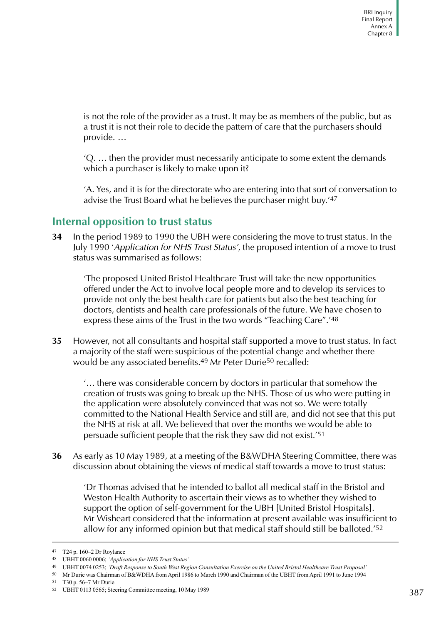is not the role of the provider as a trust. It may be as members of the public, but as a trust it is not their role to decide the pattern of care that the purchasers should provide. …

'Q. … then the provider must necessarily anticipate to some extent the demands which a purchaser is likely to make upon it?

'A. Yes, and it is for the directorate who are entering into that sort of conversation to advise the Trust Board what he believes the purchaser might buy.'47

### <span id="page-102-0"></span>**Internal opposition to trust status**

**34** In the period 1989 to 1990 the UBH were considering the move to trust status. In the July 1990 'Application for NHS Trust Status', the proposed intention of a move to trust status was summarised as follows:

'The proposed United Bristol Healthcare Trust will take the new opportunities offered under the Act to involve local people more and to develop its services to provide not only the best health care for patients but also the best teaching for doctors, dentists and health care professionals of the future. We have chosen to express these aims of the Trust in the two words "Teaching Care".'48

**35** However, not all consultants and hospital staff supported a move to trust status. In fact a majority of the staff were suspicious of the potential change and whether there would be any associated benefits.<sup>49</sup> Mr Peter Durie<sup>50</sup> recalled:

'… there was considerable concern by doctors in particular that somehow the creation of trusts was going to break up the NHS. Those of us who were putting in the application were absolutely convinced that was not so. We were totally committed to the National Health Service and still are, and did not see that this put the NHS at risk at all. We believed that over the months we would be able to persuade sufficient people that the risk they saw did not exist.'51

**36** As early as 10 May 1989, at a meeting of the B&WDHA Steering Committee, there was discussion about obtaining the views of medical staff towards a move to trust status:

'Dr Thomas advised that he intended to ballot all medical staff in the Bristol and Weston Health Authority to ascertain their views as to whether they wished to support the option of self-government for the UBH [United Bristol Hospitals]. Mr Wisheart considered that the information at present available was insufficient to allow for any informed opinion but that medical staff should still be balloted.'52

51 T30 p. 56–7 Mr Durie

<sup>47</sup> T24 p. 160–2 Dr Roylance

<sup>48</sup> UBHT 0060 0006; *'Application for NHS Trust Status'*

<sup>49</sup> UBHT 0074 0253; *'Draft Response to South West Region Consultation Exercise on the United Bristol Healthcare Trust Proposal'*

<sup>50</sup> Mr Durie was Chairman of B&WDHA from April 1986 to March 1990 and Chairman of the UBHT from April 1991 to June 1994

<sup>52</sup> UBHT 0113 0565; Steering Committee meeting, 10 May 1989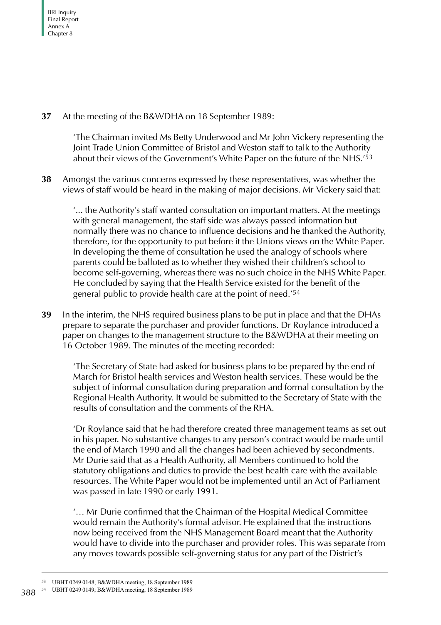**37** At the meeting of the B&WDHA on 18 September 1989:

'The Chairman invited Ms Betty Underwood and Mr John Vickery representing the Joint Trade Union Committee of Bristol and Weston staff to talk to the Authority about their views of the Government's White Paper on the future of the NHS.'53

**38** Amongst the various concerns expressed by these representatives, was whether the views of staff would be heard in the making of major decisions. Mr Vickery said that:

'... the Authority's staff wanted consultation on important matters. At the meetings with general management, the staff side was always passed information but normally there was no chance to influence decisions and he thanked the Authority, therefore, for the opportunity to put before it the Unions views on the White Paper. In developing the theme of consultation he used the analogy of schools where parents could be balloted as to whether they wished their children's school to become self-governing, whereas there was no such choice in the NHS White Paper. He concluded by saying that the Health Service existed for the benefit of the general public to provide health care at the point of need.'54

**39** In the interim, the NHS required business plans to be put in place and that the DHAs prepare to separate the purchaser and provider functions. Dr Roylance introduced a paper on changes to the management structure to the B&WDHA at their meeting on 16 October 1989. The minutes of the meeting recorded:

'The Secretary of State had asked for business plans to be prepared by the end of March for Bristol health services and Weston health services. These would be the subject of informal consultation during preparation and formal consultation by the Regional Health Authority. It would be submitted to the Secretary of State with the results of consultation and the comments of the RHA.

'Dr Roylance said that he had therefore created three management teams as set out in his paper. No substantive changes to any person's contract would be made until the end of March 1990 and all the changes had been achieved by secondments. Mr Durie said that as a Health Authority, all Members continued to hold the statutory obligations and duties to provide the best health care with the available resources. The White Paper would not be implemented until an Act of Parliament was passed in late 1990 or early 1991.

'… Mr Durie confirmed that the Chairman of the Hospital Medical Committee would remain the Authority's formal advisor. He explained that the instructions now being received from the NHS Management Board meant that the Authority would have to divide into the purchaser and provider roles. This was separate from any moves towards possible self-governing status for any part of the District's

- 53 UBHT 0249 0148; B&WDHA meeting, 18 September 1989
- 54 UBHT 0249 0149; B&WDHA meeting, 18 September 1989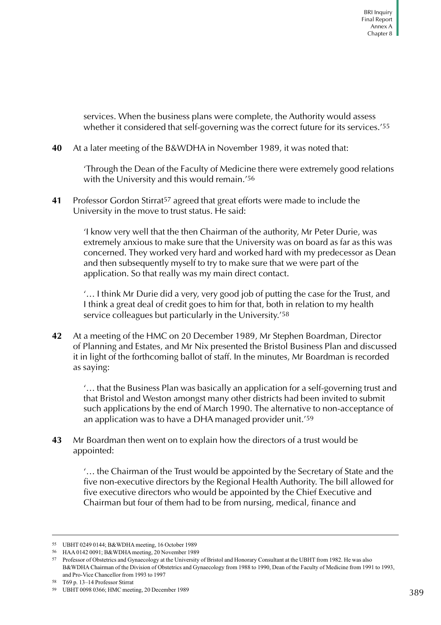services. When the business plans were complete, the Authority would assess whether it considered that self-governing was the correct future for its services.<sup>'55</sup>

#### **40** At a later meeting of the B&WDHA in November 1989, it was noted that:

'Through the Dean of the Faculty of Medicine there were extremely good relations with the University and this would remain.<sup>'56</sup>

**41** Professor Gordon Stirrat57 agreed that great efforts were made to include the University in the move to trust status. He said:

> 'I know very well that the then Chairman of the authority, Mr Peter Durie, was extremely anxious to make sure that the University was on board as far as this was concerned. They worked very hard and worked hard with my predecessor as Dean and then subsequently myself to try to make sure that we were part of the application. So that really was my main direct contact.

'… I think Mr Durie did a very, very good job of putting the case for the Trust, and I think a great deal of credit goes to him for that, both in relation to my health service colleagues but particularly in the University.'58

**42** At a meeting of the HMC on 20 December 1989, Mr Stephen Boardman, Director of Planning and Estates, and Mr Nix presented the Bristol Business Plan and discussed it in light of the forthcoming ballot of staff. In the minutes, Mr Boardman is recorded as saying:

'… that the Business Plan was basically an application for a self-governing trust and that Bristol and Weston amongst many other districts had been invited to submit such applications by the end of March 1990. The alternative to non-acceptance of an application was to have a DHA managed provider unit.'59

**43** Mr Boardman then went on to explain how the directors of a trust would be appointed:

> '… the Chairman of the Trust would be appointed by the Secretary of State and the five non-executive directors by the Regional Health Authority. The bill allowed for five executive directors who would be appointed by the Chief Executive and Chairman but four of them had to be from nursing, medical, finance and

<sup>55</sup> UBHT 0249 0144; B&WDHA meeting, 16 October 1989

<sup>56</sup> HAA 0142 0091; B&WDHA meeting, 20 November 1989

<sup>57</sup> Professor of Obstetrics and Gynaecology at the University of Bristol and Honorary Consultant at the UBHT from 1982. He was also B&WDHA Chairman of the Division of Obstetrics and Gynaecology from 1988 to 1990, Dean of the Faculty of Medicine from 1991 to 1993, and Pro-Vice Chancellor from 1993 to 1997

<sup>58</sup> T69 p. 13–14 Professor Stirrat

<sup>59</sup> UBHT 0098 0366; HMC meeting, 20 December 1989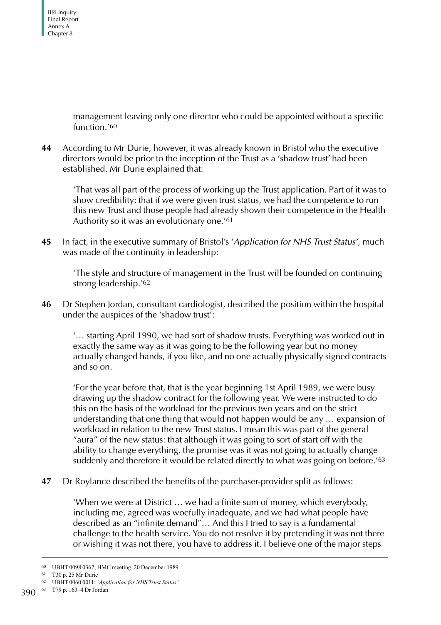management leaving only one director who could be appointed without a specific function.'60

**44** According to Mr Durie, however, it was already known in Bristol who the executive directors would be prior to the inception of the Trust as a 'shadow trust' had been established. Mr Durie explained that:

'That was all part of the process of working up the Trust application. Part of it was to show credibility: that if we were given trust status, we had the competence to run this new Trust and those people had already shown their competence in the Health Authority so it was an evolutionary one.'61

**45** In fact, in the executive summary of Bristol's 'Application for NHS Trust Status', much was made of the continuity in leadership:

'The style and structure of management in the Trust will be founded on continuing strong leadership.'62

**46** Dr Stephen Jordan, consultant cardiologist, described the position within the hospital under the auspices of the 'shadow trust':

'… starting April 1990, we had sort of shadow trusts. Everything was worked out in exactly the same way as it was going to be the following year but no money actually changed hands, if you like, and no one actually physically signed contracts and so on.

'For the year before that, that is the year beginning 1st April 1989, we were busy drawing up the shadow contract for the following year. We were instructed to do this on the basis of the workload for the previous two years and on the strict understanding that one thing that would not happen would be any … expansion of workload in relation to the new Trust status. I mean this was part of the general "aura" of the new status: that although it was going to sort of start off with the ability to change everything, the promise was it was not going to actually change suddenly and therefore it would be related directly to what was going on before.<sup>'63</sup>

**47** Dr Roylance described the benefits of the purchaser-provider split as follows:

'When we were at District … we had a finite sum of money, which everybody, including me, agreed was woefully inadequate, and we had what people have described as an "infinite demand"… And this I tried to say is a fundamental challenge to the health service. You do not resolve it by pretending it was not there or wishing it was not there, you have to address it. I believe one of the major steps

<sup>60</sup> UBHT 0098 0367; HMC meeting, 20 December 1989

<sup>61</sup> T30 p. 25 Mr Durie

<sup>62</sup> UBHT 0060 0011; *'Application for NHS Trust Status'*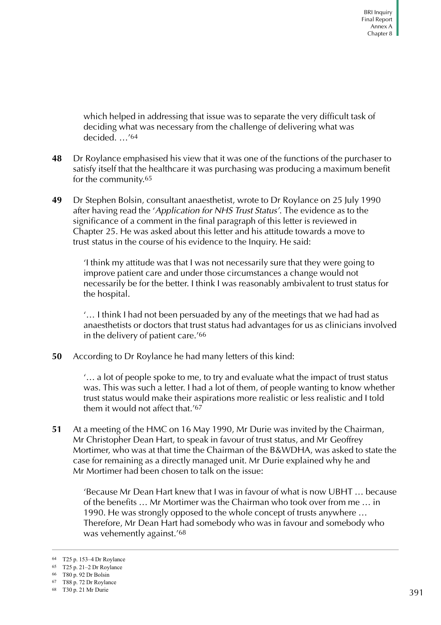which helped in addressing that issue was to separate the very difficult task of deciding what was necessary from the challenge of delivering what was decided. …'64

- **48** Dr Roylance emphasised his view that it was one of the functions of the purchaser to satisfy itself that the healthcare it was purchasing was producing a maximum benefit for the community.65
- **49** Dr Stephen Bolsin, consultant anaesthetist, wrote to Dr Roylance on 25 July 1990 after having read the 'Application for NHS Trust Status'. The evidence as to the significance of a comment in the final paragraph of this letter is reviewed in Chapter 25. He was asked about this letter and his attitude towards a move to trust status in the course of his evidence to the Inquiry. He said:

'I think my attitude was that I was not necessarily sure that they were going to improve patient care and under those circumstances a change would not necessarily be for the better. I think I was reasonably ambivalent to trust status for the hospital.

'… I think I had not been persuaded by any of the meetings that we had had as anaesthetists or doctors that trust status had advantages for us as clinicians involved in the delivery of patient care.'66

**50** According to Dr Roylance he had many letters of this kind:

'… a lot of people spoke to me, to try and evaluate what the impact of trust status was. This was such a letter. I had a lot of them, of people wanting to know whether trust status would make their aspirations more realistic or less realistic and I told them it would not affect that.'67

**51** At a meeting of the HMC on 16 May 1990, Mr Durie was invited by the Chairman, Mr Christopher Dean Hart, to speak in favour of trust status, and Mr Geoffrey Mortimer, who was at that time the Chairman of the B&WDHA, was asked to state the case for remaining as a directly managed unit. Mr Durie explained why he and Mr Mortimer had been chosen to talk on the issue:

'Because Mr Dean Hart knew that I was in favour of what is now UBHT … because of the benefits … Mr Mortimer was the Chairman who took over from me … in 1990. He was strongly opposed to the whole concept of trusts anywhere … Therefore, Mr Dean Hart had somebody who was in favour and somebody who was vehemently against.'68

<sup>64</sup> T25 p. 153–4 Dr Roylance

<sup>65</sup> T25 p. 21–2 Dr Roylance

<sup>66</sup> T80 p. 92 Dr Bolsin

<sup>67</sup> T88 p. 72 Dr Roylance

<sup>68</sup> T30 p. 21 Mr Durie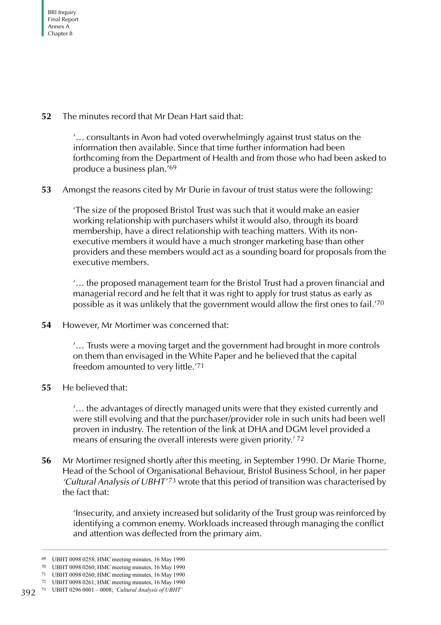**52** The minutes record that Mr Dean Hart said that:

'… consultants in Avon had voted overwhelmingly against trust status on the information then available. Since that time further information had been forthcoming from the Department of Health and from those who had been asked to produce a business plan.'69

**53** Amongst the reasons cited by Mr Durie in favour of trust status were the following:

'The size of the proposed Bristol Trust was such that it would make an easier working relationship with purchasers whilst it would also, through its board membership, have a direct relationship with teaching matters. With its nonexecutive members it would have a much stronger marketing base than other providers and these members would act as a sounding board for proposals from the executive members.

'… the proposed management team for the Bristol Trust had a proven financial and managerial record and he felt that it was right to apply for trust status as early as possible as it was unlikely that the government would allow the first ones to fail.'70

**54** However, Mr Mortimer was concerned that:

'… Trusts were a moving target and the government had brought in more controls on them than envisaged in the White Paper and he believed that the capital freedom amounted to very little.'71

#### **55** He believed that:

'… the advantages of directly managed units were that they existed currently and were still evolving and that the purchaser/provider role in such units had been well proven in industry. The retention of the link at DHA and DGM level provided a means of ensuring the overall interests were given priority.' 72

**56** Mr Mortimer resigned shortly after this meeting, in September 1990. Dr Marie Thorne, Head of the School of Organisational Behaviour, Bristol Business School, in her paper 'Cultural Analysis of UBHT<sup>'73</sup> wrote that this period of transition was characterised by the fact that:

'Insecurity, and anxiety increased but solidarity of the Trust group was reinforced by identifying a common enemy. Workloads increased through managing the conflict and attention was deflected from the primary aim.

<sup>69</sup> UBHT 0098 0258; HMC meeting minutes, 16 May 1990

<sup>70</sup> UBHT 0098 0260; HMC meeting minutes, 16 May 1990

<sup>71</sup> UBHT 0098 0260; HMC meeting minutes, 16 May 1990

<sup>392</sup> 73 UBHT 0296 0001 – 0008; *'Cultural Analysis of UBHT'*72 UBHT 0098 0261; HMC meeting minutes, 16 May 1990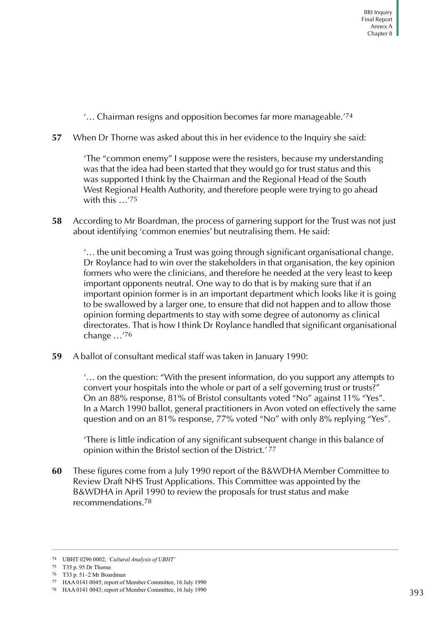'… Chairman resigns and opposition becomes far more manageable.'74

**57** When Dr Thorne was asked about this in her evidence to the Inquiry she said:

'The "common enemy" I suppose were the resisters, because my understanding was that the idea had been started that they would go for trust status and this was supported I think by the Chairman and the Regional Head of the South West Regional Health Authority, and therefore people were trying to go ahead with this ...<sup>75</sup>

**58** According to Mr Boardman, the process of garnering support for the Trust was not just about identifying 'common enemies' but neutralising them. He said:

'… the unit becoming a Trust was going through significant organisational change. Dr Roylance had to win over the stakeholders in that organisation, the key opinion formers who were the clinicians, and therefore he needed at the very least to keep important opponents neutral. One way to do that is by making sure that if an important opinion former is in an important department which looks like it is going to be swallowed by a larger one, to ensure that did not happen and to allow those opinion forming departments to stay with some degree of autonomy as clinical directorates. That is how I think Dr Roylance handled that significant organisational change …'76

**59** A ballot of consultant medical staff was taken in January 1990:

'… on the question: "With the present information, do you support any attempts to convert your hospitals into the whole or part of a self governing trust or trusts?" On an 88% response, 81% of Bristol consultants voted "No" against 11% "Yes". In a March 1990 ballot, general practitioners in Avon voted on effectively the same question and on an 81% response, 77% voted "No" with only 8% replying "Yes".

'There is little indication of any significant subsequent change in this balance of opinion within the Bristol section of the District.' 77

**60** These figures come from a July 1990 report of the B&WDHA Member Committee to Review Draft NHS Trust Applications. This Committee was appointed by the B&WDHA in April 1990 to review the proposals for trust status and make recommendations.78

<sup>74</sup> UBHT 0296 0002; *'Cultural Analysis of UBHT'*

<sup>75</sup> T35 p. 95 Dr Thorne

<sup>76</sup> T33 p. 51–2 Mr Boardman

<sup>77</sup> HAA 0141 0045; report of Member Committee, 16 July 1990

<sup>78</sup> HAA 0141 0043; report of Member Committee, 16 July 1990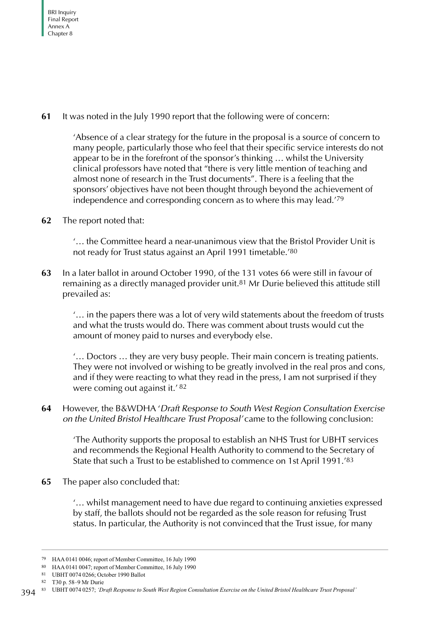**61** It was noted in the July 1990 report that the following were of concern:

'Absence of a clear strategy for the future in the proposal is a source of concern to many people, particularly those who feel that their specific service interests do not appear to be in the forefront of the sponsor's thinking … whilst the University clinical professors have noted that "there is very little mention of teaching and almost none of research in the Trust documents". There is a feeling that the sponsors' objectives have not been thought through beyond the achievement of independence and corresponding concern as to where this may lead.'79

**62** The report noted that:

'… the Committee heard a near-unanimous view that the Bristol Provider Unit is not ready for Trust status against an April 1991 timetable.'80

**63** In a later ballot in around October 1990, of the 131 votes 66 were still in favour of remaining as a directly managed provider unit.81 Mr Durie believed this attitude still prevailed as:

'… in the papers there was a lot of very wild statements about the freedom of trusts and what the trusts would do. There was comment about trusts would cut the amount of money paid to nurses and everybody else.

'… Doctors … they are very busy people. Their main concern is treating patients. They were not involved or wishing to be greatly involved in the real pros and cons, and if they were reacting to what they read in the press, I am not surprised if they were coming out against it.' 82

**64** However, the B&WDHA 'Draft Response to South West Region Consultation Exercise on the United Bristol Healthcare Trust Proposal' came to the following conclusion:

'The Authority supports the proposal to establish an NHS Trust for UBHT services and recommends the Regional Health Authority to commend to the Secretary of State that such a Trust to be established to commence on 1st April 1991.'83

**65** The paper also concluded that:

'… whilst management need to have due regard to continuing anxieties expressed by staff, the ballots should not be regarded as the sole reason for refusing Trust status. In particular, the Authority is not convinced that the Trust issue, for many

<sup>79</sup> HAA 0141 0046; report of Member Committee, 16 July 1990

<sup>80</sup> HAA 0141 0047; report of Member Committee, 16 July 1990

<sup>81</sup> UBHT 0074 0266; October 1990 Ballot

<sup>82</sup> T30 p. 58–9 Mr Durie

<sup>394</sup> 83 UBHT 0074 0257; *'Draft Response to South West Region Consultation Exercise on the United Bristol Healthcare Trust Proposal'*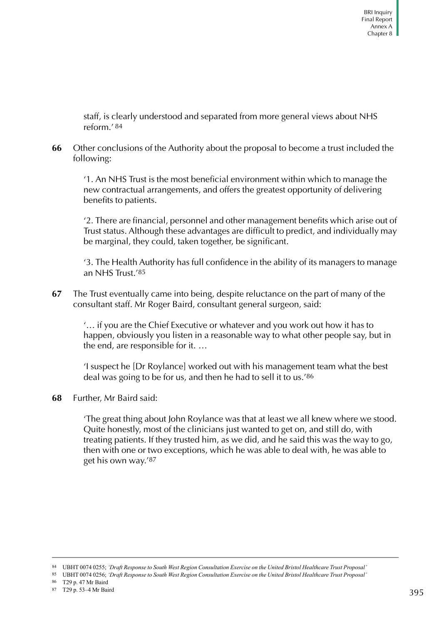staff, is clearly understood and separated from more general views about NHS reform.' 84

**66** Other conclusions of the Authority about the proposal to become a trust included the following:

'1. An NHS Trust is the most beneficial environment within which to manage the new contractual arrangements, and offers the greatest opportunity of delivering benefits to patients.

'2. There are financial, personnel and other management benefits which arise out of Trust status. Although these advantages are difficult to predict, and individually may be marginal, they could, taken together, be significant.

'3. The Health Authority has full confidence in the ability of its managers to manage an NHS Trust.'85

**67** The Trust eventually came into being, despite reluctance on the part of many of the consultant staff. Mr Roger Baird, consultant general surgeon, said:

'… if you are the Chief Executive or whatever and you work out how it has to happen, obviously you listen in a reasonable way to what other people say, but in the end, are responsible for it. …

'I suspect he [Dr Roylance] worked out with his management team what the best deal was going to be for us, and then he had to sell it to us.'86

**68** Further, Mr Baird said:

'The great thing about John Roylance was that at least we all knew where we stood. Quite honestly, most of the clinicians just wanted to get on, and still do, with treating patients. If they trusted him, as we did, and he said this was the way to go, then with one or two exceptions, which he was able to deal with, he was able to get his own way.'87

<sup>84</sup> UBHT 0074 0255; *'Draft Response to South West Region Consultation Exercise on the United Bristol Healthcare Trust Proposal'*

<sup>85</sup> UBHT 0074 0256; *'Draft Response to South West Region Consultation Exercise on the United Bristol Healthcare Trust Proposal'*

<sup>86</sup> T29 p. 47 Mr Baird

<sup>87</sup> T29 p. 53–4 Mr Baird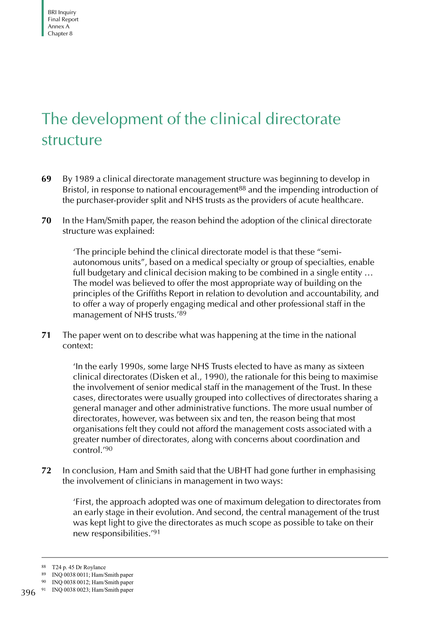# The development of the clinical directorate structure

- **69** By 1989 a clinical directorate management structure was beginning to develop in Bristol, in response to national encouragement<sup>88</sup> and the impending introduction of the purchaser-provider split and NHS trusts as the providers of acute healthcare.
- **70** In the Ham/Smith paper, the reason behind the adoption of the clinical directorate structure was explained:

'The principle behind the clinical directorate model is that these "semiautonomous units", based on a medical specialty or group of specialties, enable full budgetary and clinical decision making to be combined in a single entity … The model was believed to offer the most appropriate way of building on the principles of the Griffiths Report in relation to devolution and accountability, and to offer a way of properly engaging medical and other professional staff in the management of NHS trusts.'89

**71** The paper went on to describe what was happening at the time in the national context:

'In the early 1990s, some large NHS Trusts elected to have as many as sixteen clinical directorates (Disken et al., 1990), the rationale for this being to maximise the involvement of senior medical staff in the management of the Trust. In these cases, directorates were usually grouped into collectives of directorates sharing a general manager and other administrative functions. The more usual number of directorates, however, was between six and ten, the reason being that most organisations felt they could not afford the management costs associated with a greater number of directorates, along with concerns about coordination and control.'90

**72** In conclusion, Ham and Smith said that the UBHT had gone further in emphasising the involvement of clinicians in management in two ways:

'First, the approach adopted was one of maximum delegation to directorates from an early stage in their evolution. And second, the central management of the trust was kept light to give the directorates as much scope as possible to take on their new responsibilities.'91

<sup>88</sup> T24 p. 45 Dr Roylance

<sup>89</sup> INQ 0038 0011; Ham/Smith paper

<sup>90</sup> INQ 0038 0012; Ham/Smith paper 91 INQ 0038 0023; Ham/Smith paper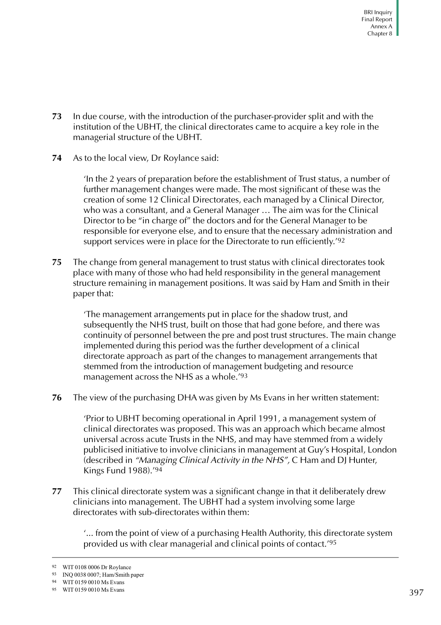- **73** In due course, with the introduction of the purchaser-provider split and with the institution of the UBHT, the clinical directorates came to acquire a key role in the managerial structure of the UBHT.
- **74** As to the local view, Dr Roylance said:

'In the 2 years of preparation before the establishment of Trust status, a number of further management changes were made. The most significant of these was the creation of some 12 Clinical Directorates, each managed by a Clinical Director, who was a consultant, and a General Manager … The aim was for the Clinical Director to be "in charge of" the doctors and for the General Manager to be responsible for everyone else, and to ensure that the necessary administration and support services were in place for the Directorate to run efficiently.<sup>192</sup>

**75** The change from general management to trust status with clinical directorates took place with many of those who had held responsibility in the general management structure remaining in management positions. It was said by Ham and Smith in their paper that:

'The management arrangements put in place for the shadow trust, and subsequently the NHS trust, built on those that had gone before, and there was continuity of personnel between the pre and post trust structures. The main change implemented during this period was the further development of a clinical directorate approach as part of the changes to management arrangements that stemmed from the introduction of management budgeting and resource management across the NHS as a whole.'93

**76** The view of the purchasing DHA was given by Ms Evans in her written statement:

'Prior to UBHT becoming operational in April 1991, a management system of clinical directorates was proposed. This was an approach which became almost universal across acute Trusts in the NHS, and may have stemmed from a widely publicised initiative to involve clinicians in management at Guy's Hospital, London (described in "Managing Clinical Activity in the NHS", C Ham and DJ Hunter, Kings Fund 1988).'94

**77** This clinical directorate system was a significant change in that it deliberately drew clinicians into management. The UBHT had a system involving some large directorates with sub-directorates within them:

'... from the point of view of a purchasing Health Authority, this directorate system provided us with clear managerial and clinical points of contact.'95

<sup>92</sup> WIT 0108 0006 Dr Roylance

<sup>93</sup> INQ 0038 0007; Ham/Smith paper

<sup>94</sup> WIT 0159 0010 Ms Evans

<sup>95</sup> WIT 0159 0010 Ms Evans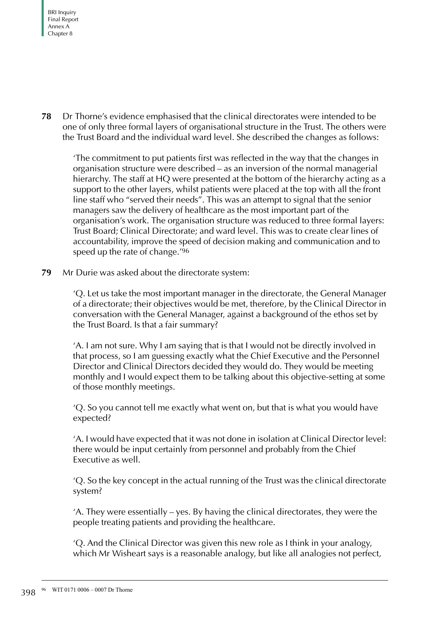**78** Dr Thorne's evidence emphasised that the clinical directorates were intended to be one of only three formal layers of organisational structure in the Trust. The others were the Trust Board and the individual ward level. She described the changes as follows:

'The commitment to put patients first was reflected in the way that the changes in organisation structure were described – as an inversion of the normal managerial hierarchy. The staff at HQ were presented at the bottom of the hierarchy acting as a support to the other layers, whilst patients were placed at the top with all the front line staff who "served their needs". This was an attempt to signal that the senior managers saw the delivery of healthcare as the most important part of the organisation's work. The organisation structure was reduced to three formal layers: Trust Board; Clinical Directorate; and ward level. This was to create clear lines of accountability, improve the speed of decision making and communication and to speed up the rate of change.'96

**79** Mr Durie was asked about the directorate system:

'Q. Let us take the most important manager in the directorate, the General Manager of a directorate; their objectives would be met, therefore, by the Clinical Director in conversation with the General Manager, against a background of the ethos set by the Trust Board. Is that a fair summary?

'A. I am not sure. Why I am saying that is that I would not be directly involved in that process, so I am guessing exactly what the Chief Executive and the Personnel Director and Clinical Directors decided they would do. They would be meeting monthly and I would expect them to be talking about this objective-setting at some of those monthly meetings.

'Q. So you cannot tell me exactly what went on, but that is what you would have expected?

'A. I would have expected that it was not done in isolation at Clinical Director level: there would be input certainly from personnel and probably from the Chief Executive as well.

'Q. So the key concept in the actual running of the Trust was the clinical directorate system?

'A. They were essentially – yes. By having the clinical directorates, they were the people treating patients and providing the healthcare.

'Q. And the Clinical Director was given this new role as I think in your analogy, which Mr Wisheart says is a reasonable analogy, but like all analogies not perfect,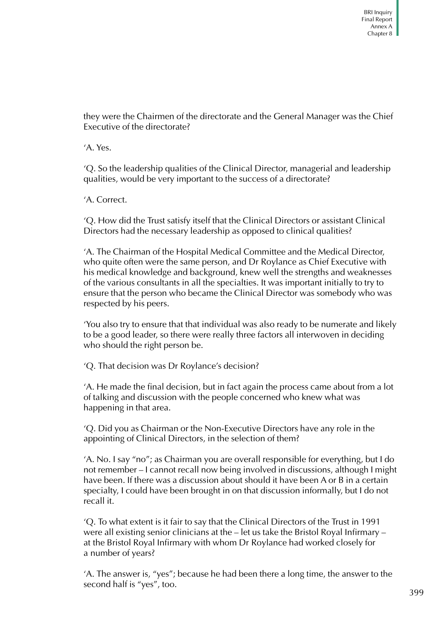they were the Chairmen of the directorate and the General Manager was the Chief Executive of the directorate?

'A. Yes.

'Q. So the leadership qualities of the Clinical Director, managerial and leadership qualities, would be very important to the success of a directorate?

'A. Correct.

'Q. How did the Trust satisfy itself that the Clinical Directors or assistant Clinical Directors had the necessary leadership as opposed to clinical qualities?

'A. The Chairman of the Hospital Medical Committee and the Medical Director, who quite often were the same person, and Dr Roylance as Chief Executive with his medical knowledge and background, knew well the strengths and weaknesses of the various consultants in all the specialties. It was important initially to try to ensure that the person who became the Clinical Director was somebody who was respected by his peers.

'You also try to ensure that that individual was also ready to be numerate and likely to be a good leader, so there were really three factors all interwoven in deciding who should the right person be.

'Q. That decision was Dr Roylance's decision?

'A. He made the final decision, but in fact again the process came about from a lot of talking and discussion with the people concerned who knew what was happening in that area.

'Q. Did you as Chairman or the Non-Executive Directors have any role in the appointing of Clinical Directors, in the selection of them?

'A. No. I say "no"; as Chairman you are overall responsible for everything, but I do not remember – I cannot recall now being involved in discussions, although I might have been. If there was a discussion about should it have been A or B in a certain specialty, I could have been brought in on that discussion informally, but I do not recall it.

'Q. To what extent is it fair to say that the Clinical Directors of the Trust in 1991 were all existing senior clinicians at the – let us take the Bristol Royal Infirmary – at the Bristol Royal Infirmary with whom Dr Roylance had worked closely for a number of years?

'A. The answer is, "yes"; because he had been there a long time, the answer to the second half is "yes", too.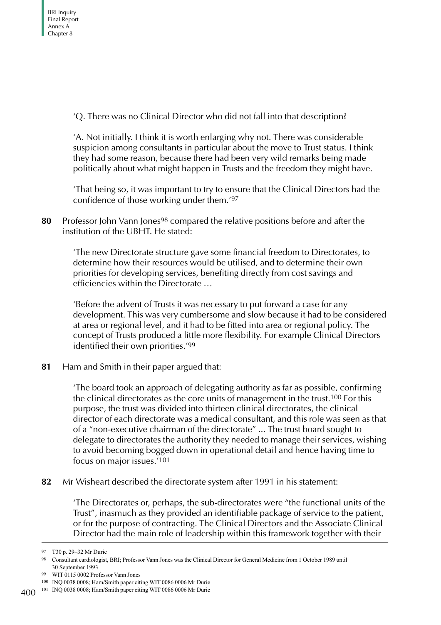'Q. There was no Clinical Director who did not fall into that description?

'A. Not initially. I think it is worth enlarging why not. There was considerable suspicion among consultants in particular about the move to Trust status. I think they had some reason, because there had been very wild remarks being made politically about what might happen in Trusts and the freedom they might have.

'That being so, it was important to try to ensure that the Clinical Directors had the confidence of those working under them.'97

**80** Professor John Vann Jones98 compared the relative positions before and after the institution of the UBHT. He stated:

'The new Directorate structure gave some financial freedom to Directorates, to determine how their resources would be utilised, and to determine their own priorities for developing services, benefiting directly from cost savings and efficiencies within the Directorate …

'Before the advent of Trusts it was necessary to put forward a case for any development. This was very cumbersome and slow because it had to be considered at area or regional level, and it had to be fitted into area or regional policy. The concept of Trusts produced a little more flexibility. For example Clinical Directors identified their own priorities.'99

**81** Ham and Smith in their paper argued that:

'The board took an approach of delegating authority as far as possible, confirming the clinical directorates as the core units of management in the trust.100 For this purpose, the trust was divided into thirteen clinical directorates, the clinical director of each directorate was a medical consultant, and this role was seen as that of a "non-executive chairman of the directorate" ... The trust board sought to delegate to directorates the authority they needed to manage their services, wishing to avoid becoming bogged down in operational detail and hence having time to focus on major issues.'101

**82** Mr Wisheart described the directorate system after 1991 in his statement:

'The Directorates or, perhaps, the sub-directorates were "the functional units of the Trust", inasmuch as they provided an identifiable package of service to the patient, or for the purpose of contracting. The Clinical Directors and the Associate Clinical Director had the main role of leadership within this framework together with their

<sup>97</sup> T30 p. 29–32 Mr Durie

<sup>98</sup> Consultant cardiologist, BRI; Professor Vann Jones was the Clinical Director for General Medicine from 1 October 1989 until 30 September 1993

<sup>99</sup> WIT 0115 0002 Professor Vann Jones

<sup>100</sup> INQ 0038 0008; Ham/Smith paper citing WIT 0086 0006 Mr Durie

<sup>101</sup> INQ 0038 0008; Ham/Smith paper citing WIT 0086 0006 Mr Durie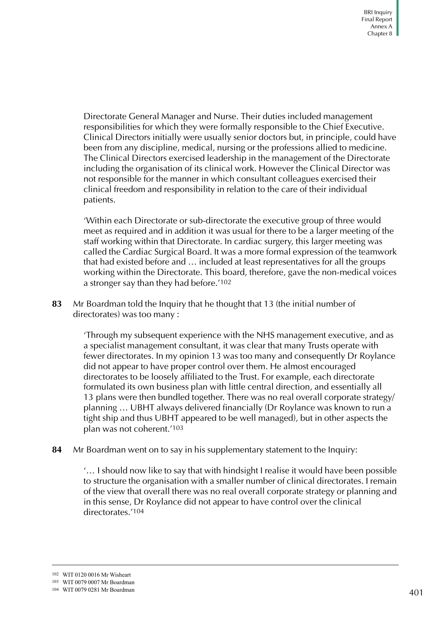Directorate General Manager and Nurse. Their duties included management responsibilities for which they were formally responsible to the Chief Executive. Clinical Directors initially were usually senior doctors but, in principle, could have been from any discipline, medical, nursing or the professions allied to medicine. The Clinical Directors exercised leadership in the management of the Directorate including the organisation of its clinical work. However the Clinical Director was not responsible for the manner in which consultant colleagues exercised their clinical freedom and responsibility in relation to the care of their individual patients.

'Within each Directorate or sub-directorate the executive group of three would meet as required and in addition it was usual for there to be a larger meeting of the staff working within that Directorate. In cardiac surgery, this larger meeting was called the Cardiac Surgical Board. It was a more formal expression of the teamwork that had existed before and … included at least representatives for all the groups working within the Directorate. This board, therefore, gave the non-medical voices a stronger say than they had before.'102

**83** Mr Boardman told the Inquiry that he thought that 13 (the initial number of directorates) was too many :

> 'Through my subsequent experience with the NHS management executive, and as a specialist management consultant, it was clear that many Trusts operate with fewer directorates. In my opinion 13 was too many and consequently Dr Roylance did not appear to have proper control over them. He almost encouraged directorates to be loosely affiliated to the Trust. For example, each directorate formulated its own business plan with little central direction, and essentially all 13 plans were then bundled together. There was no real overall corporate strategy/ planning … UBHT always delivered financially (Dr Roylance was known to run a tight ship and thus UBHT appeared to be well managed), but in other aspects the plan was not coherent.'103

**84** Mr Boardman went on to say in his supplementary statement to the Inquiry:

'… I should now like to say that with hindsight I realise it would have been possible to structure the organisation with a smaller number of clinical directorates. I remain of the view that overall there was no real overall corporate strategy or planning and in this sense, Dr Roylance did not appear to have control over the clinical directorates.'104

<sup>102</sup> WIT 0120 0016 Mr Wisheart

<sup>103</sup> WIT 0079 0007 Mr Boardman

<sup>104</sup> WIT 0079 0281 Mr Boardman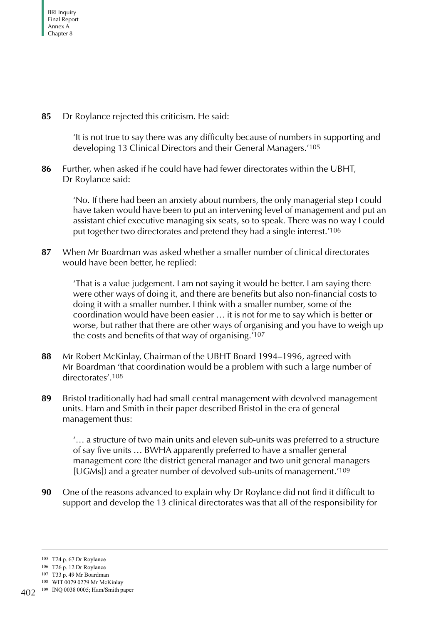**85** Dr Roylance rejected this criticism. He said:

'It is not true to say there was any difficulty because of numbers in supporting and developing 13 Clinical Directors and their General Managers.'105

**86** Further, when asked if he could have had fewer directorates within the UBHT, Dr Roylance said:

'No. If there had been an anxiety about numbers, the only managerial step I could have taken would have been to put an intervening level of management and put an assistant chief executive managing six seats, so to speak. There was no way I could put together two directorates and pretend they had a single interest.'106

**87** When Mr Boardman was asked whether a smaller number of clinical directorates would have been better, he replied:

'That is a value judgement. I am not saying it would be better. I am saying there were other ways of doing it, and there are benefits but also non-financial costs to doing it with a smaller number. I think with a smaller number, some of the coordination would have been easier … it is not for me to say which is better or worse, but rather that there are other ways of organising and you have to weigh up the costs and benefits of that way of organising.'107

- **88** Mr Robert McKinlay, Chairman of the UBHT Board 1994–1996, agreed with Mr Boardman 'that coordination would be a problem with such a large number of directorates'.108
- **89** Bristol traditionally had had small central management with devolved management units. Ham and Smith in their paper described Bristol in the era of general management thus:

'… a structure of two main units and eleven sub-units was preferred to a structure of say five units … BWHA apparently preferred to have a smaller general management core (the district general manager and two unit general managers [UGMs]) and a greater number of devolved sub-units of management.'109

**90** One of the reasons advanced to explain why Dr Roylance did not find it difficult to support and develop the 13 clinical directorates was that all of the responsibility for

<sup>105</sup> T24 p. 67 Dr Roylance

<sup>106</sup> T26 p. 12 Dr Roylance

<sup>107</sup> T33 p. 49 Mr Boardman

<sup>108</sup> WIT 0079 0279 Mr McKinlay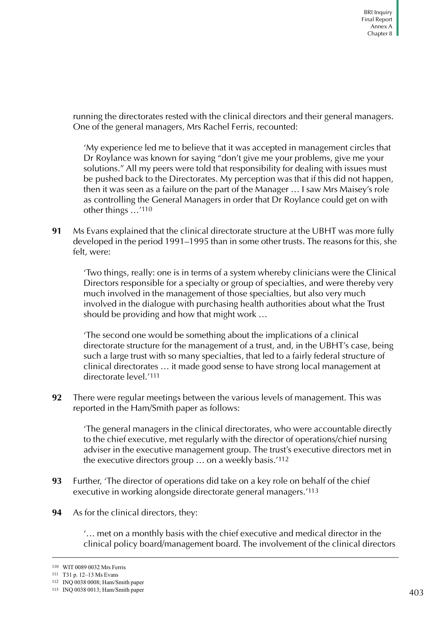running the directorates rested with the clinical directors and their general managers. One of the general managers, Mrs Rachel Ferris, recounted:

'My experience led me to believe that it was accepted in management circles that Dr Roylance was known for saying "don't give me your problems, give me your solutions." All my peers were told that responsibility for dealing with issues must be pushed back to the Directorates. My perception was that if this did not happen, then it was seen as a failure on the part of the Manager … I saw Mrs Maisey's role as controlling the General Managers in order that Dr Roylance could get on with other things …'110

**91** Ms Evans explained that the clinical directorate structure at the UBHT was more fully developed in the period 1991–1995 than in some other trusts. The reasons for this, she felt, were:

'Two things, really: one is in terms of a system whereby clinicians were the Clinical Directors responsible for a specialty or group of specialties, and were thereby very much involved in the management of those specialties, but also very much involved in the dialogue with purchasing health authorities about what the Trust should be providing and how that might work …

'The second one would be something about the implications of a clinical directorate structure for the management of a trust, and, in the UBHT's case, being such a large trust with so many specialties, that led to a fairly federal structure of clinical directorates … it made good sense to have strong local management at directorate level.'111

**92** There were regular meetings between the various levels of management. This was reported in the Ham/Smith paper as follows:

'The general managers in the clinical directorates, who were accountable directly to the chief executive, met regularly with the director of operations/chief nursing adviser in the executive management group. The trust's executive directors met in the executive directors group … on a weekly basis.'112

- **93** Further, 'The director of operations did take on a key role on behalf of the chief executive in working alongside directorate general managers.'113
- **94** As for the clinical directors, they:

'… met on a monthly basis with the chief executive and medical director in the clinical policy board/management board. The involvement of the clinical directors

<sup>110</sup> WIT 0089 0032 Mrs Ferris

<sup>111</sup> T31 p. 12–13 Ms Evans

<sup>112</sup> INQ 0038 0008; Ham/Smith paper

<sup>113</sup> INQ 0038 0013; Ham/Smith paper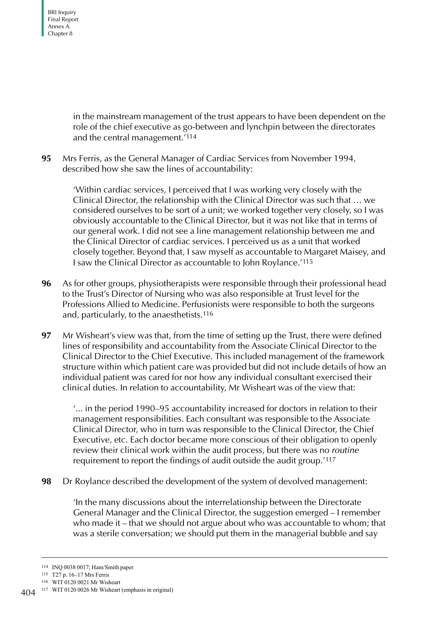in the mainstream management of the trust appears to have been dependent on the role of the chief executive as go-between and lynchpin between the directorates and the central management.'114

**95** Mrs Ferris, as the General Manager of Cardiac Services from November 1994, described how she saw the lines of accountability:

'Within cardiac services, I perceived that I was working very closely with the Clinical Director, the relationship with the Clinical Director was such that … we considered ourselves to be sort of a unit; we worked together very closely, so I was obviously accountable to the Clinical Director, but it was not like that in terms of our general work. I did not see a line management relationship between me and the Clinical Director of cardiac services. I perceived us as a unit that worked closely together. Beyond that, I saw myself as accountable to Margaret Maisey, and I saw the Clinical Director as accountable to John Roylance.'115

- **96** As for other groups, physiotherapists were responsible through their professional head to the Trust's Director of Nursing who was also responsible at Trust level for the Professions Allied to Medicine. Perfusionists were responsible to both the surgeons and, particularly, to the anaesthetists.116
- **97** Mr Wisheart's view was that, from the time of setting up the Trust, there were defined lines of responsibility and accountability from the Associate Clinical Director to the Clinical Director to the Chief Executive. This included management of the framework structure within which patient care was provided but did not include details of how an individual patient was cared for nor how any individual consultant exercised their clinical duties. In relation to accountability, Mr Wisheart was of the view that:

'... in the period 1990–95 accountability increased for doctors in relation to their management responsibilities. Each consultant was responsible to the Associate Clinical Director, who in turn was responsible to the Clinical Director, the Chief Executive, etc. Each doctor became more conscious of their obligation to openly review their clinical work within the audit process, but there was no routine requirement to report the findings of audit outside the audit group.'117

**98** Dr Roylance described the development of the system of devolved management:

'In the many discussions about the interrelationship between the Directorate General Manager and the Clinical Director, the suggestion emerged – I remember who made it – that we should not argue about who was accountable to whom; that was a sterile conversation; we should put them in the managerial bubble and say

<sup>114</sup> INQ 0038 0017; Ham/Smith paper

<sup>115</sup> T27 p. 16–17 Mrs Ferris

<sup>116</sup> WIT 0120 0021 Mr Wisheart

<sup>117</sup> WIT 0120 0026 Mr Wisheart (emphasis in original)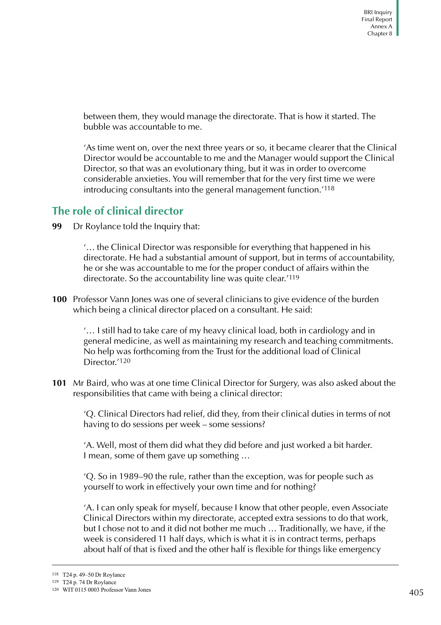between them, they would manage the directorate. That is how it started. The bubble was accountable to me.

'As time went on, over the next three years or so, it became clearer that the Clinical Director would be accountable to me and the Manager would support the Clinical Director, so that was an evolutionary thing, but it was in order to overcome considerable anxieties. You will remember that for the very first time we were introducing consultants into the general management function.'118

## **The role of clinical director**

**99** Dr Roylance told the Inquiry that:

'… the Clinical Director was responsible for everything that happened in his directorate. He had a substantial amount of support, but in terms of accountability, he or she was accountable to me for the proper conduct of affairs within the directorate. So the accountability line was quite clear.'119

**100** Professor Vann Jones was one of several clinicians to give evidence of the burden which being a clinical director placed on a consultant. He said:

'… I still had to take care of my heavy clinical load, both in cardiology and in general medicine, as well as maintaining my research and teaching commitments. No help was forthcoming from the Trust for the additional load of Clinical Director.<sup>'120</sup>

**101** Mr Baird, who was at one time Clinical Director for Surgery, was also asked about the responsibilities that came with being a clinical director:

'Q. Clinical Directors had relief, did they, from their clinical duties in terms of not having to do sessions per week – some sessions?

'A. Well, most of them did what they did before and just worked a bit harder. I mean, some of them gave up something …

'Q. So in 1989–90 the rule, rather than the exception, was for people such as yourself to work in effectively your own time and for nothing?

'A. I can only speak for myself, because I know that other people, even Associate Clinical Directors within my directorate, accepted extra sessions to do that work, but I chose not to and it did not bother me much … Traditionally, we have, if the week is considered 11 half days, which is what it is in contract terms, perhaps about half of that is fixed and the other half is flexible for things like emergency

<sup>118</sup> T24 p. 49–50 Dr Roylance

<sup>119</sup> T24 p. 74 Dr Roylance

<sup>120</sup> WIT 0115 0003 Professor Vann Jones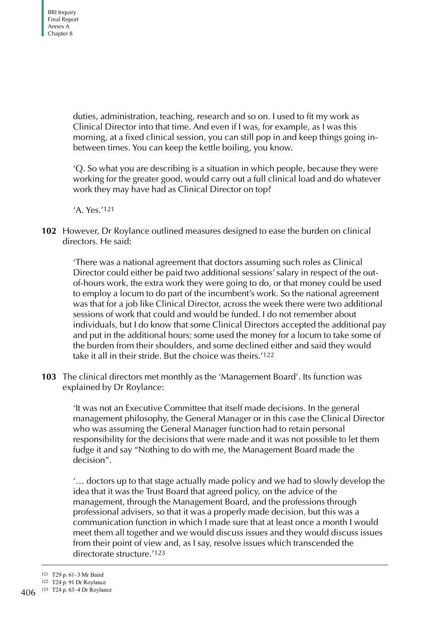duties, administration, teaching, research and so on. I used to fit my work as Clinical Director into that time. And even if I was, for example, as I was this morning, at a fixed clinical session, you can still pop in and keep things going inbetween times. You can keep the kettle boiling, you know.

'Q. So what you are describing is a situation in which people, because they were working for the greater good, would carry out a full clinical load and do whatever work they may have had as Clinical Director on top?

'A. Yes.'121

**102** However, Dr Roylance outlined measures designed to ease the burden on clinical directors. He said:

'There was a national agreement that doctors assuming such roles as Clinical Director could either be paid two additional sessions' salary in respect of the outof-hours work, the extra work they were going to do, or that money could be used to employ a locum to do part of the incumbent's work. So the national agreement was that for a job like Clinical Director, across the week there were two additional sessions of work that could and would be funded. I do not remember about individuals, but I do know that some Clinical Directors accepted the additional pay and put in the additional hours; some used the money for a locum to take some of the burden from their shoulders, and some declined either and said they would take it all in their stride. But the choice was theirs.'122

**103** The clinical directors met monthly as the 'Management Board'. Its function was explained by Dr Roylance:

'It was not an Executive Committee that itself made decisions. In the general management philosophy, the General Manager or in this case the Clinical Director who was assuming the General Manager function had to retain personal responsibility for the decisions that were made and it was not possible to let them fudge it and say "Nothing to do with me, the Management Board made the decision".

'… doctors up to that stage actually made policy and we had to slowly develop the idea that it was the Trust Board that agreed policy, on the advice of the management, through the Management Board, and the professions through professional advisers, so that it was a properly made decision, but this was a communication function in which I made sure that at least once a month I would meet them all together and we would discuss issues and they would discuss issues from their point of view and, as I say, resolve issues which transcended the directorate structure.'123

<sup>121</sup> T29 p. 61–3 Mr Baird

<sup>122</sup> T24 p. 91 Dr Roylance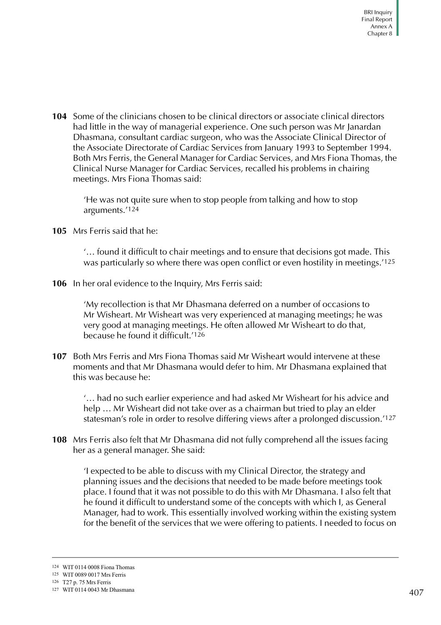**104** Some of the clinicians chosen to be clinical directors or associate clinical directors had little in the way of managerial experience. One such person was Mr Janardan Dhasmana, consultant cardiac surgeon, who was the Associate Clinical Director of the Associate Directorate of Cardiac Services from January 1993 to September 1994. Both Mrs Ferris, the General Manager for Cardiac Services, and Mrs Fiona Thomas, the Clinical Nurse Manager for Cardiac Services, recalled his problems in chairing meetings. Mrs Fiona Thomas said:

'He was not quite sure when to stop people from talking and how to stop arguments.'124

#### **105** Mrs Ferris said that he:

'… found it difficult to chair meetings and to ensure that decisions got made. This was particularly so where there was open conflict or even hostility in meetings.'125

**106** In her oral evidence to the Inquiry, Mrs Ferris said:

'My recollection is that Mr Dhasmana deferred on a number of occasions to Mr Wisheart. Mr Wisheart was very experienced at managing meetings; he was very good at managing meetings. He often allowed Mr Wisheart to do that, because he found it difficult.'126

**107** Both Mrs Ferris and Mrs Fiona Thomas said Mr Wisheart would intervene at these moments and that Mr Dhasmana would defer to him. Mr Dhasmana explained that this was because he:

'… had no such earlier experience and had asked Mr Wisheart for his advice and help … Mr Wisheart did not take over as a chairman but tried to play an elder statesman's role in order to resolve differing views after a prolonged discussion.'127

**108** Mrs Ferris also felt that Mr Dhasmana did not fully comprehend all the issues facing her as a general manager. She said:

'I expected to be able to discuss with my Clinical Director, the strategy and planning issues and the decisions that needed to be made before meetings took place. I found that it was not possible to do this with Mr Dhasmana. I also felt that he found it difficult to understand some of the concepts with which I, as General Manager, had to work. This essentially involved working within the existing system for the benefit of the services that we were offering to patients. I needed to focus on

<sup>124</sup> WIT 0114 0008 Fiona Thomas

<sup>125</sup> WIT 0089 0017 Mrs Ferris

<sup>126</sup> T27 p. 75 Mrs Ferris

<sup>127</sup> WIT 0114 0043 Mr Dhasmana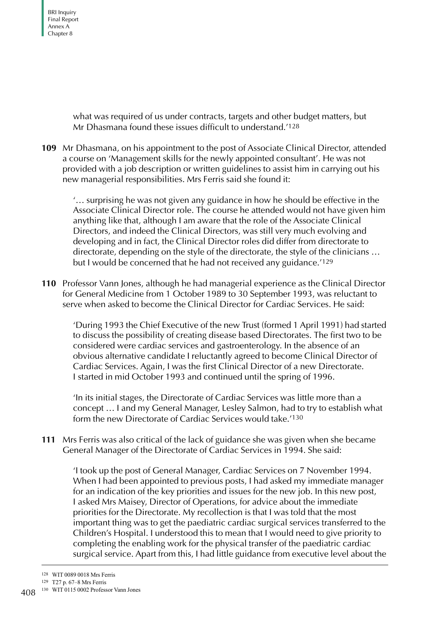what was required of us under contracts, targets and other budget matters, but Mr Dhasmana found these issues difficult to understand.'128

**109** Mr Dhasmana, on his appointment to the post of Associate Clinical Director, attended a course on 'Management skills for the newly appointed consultant'. He was not provided with a job description or written guidelines to assist him in carrying out his new managerial responsibilities. Mrs Ferris said she found it:

'… surprising he was not given any guidance in how he should be effective in the Associate Clinical Director role. The course he attended would not have given him anything like that, although I am aware that the role of the Associate Clinical Directors, and indeed the Clinical Directors, was still very much evolving and developing and in fact, the Clinical Director roles did differ from directorate to directorate, depending on the style of the directorate, the style of the clinicians … but I would be concerned that he had not received any guidance.'129

**110** Professor Vann Jones, although he had managerial experience as the Clinical Director for General Medicine from 1 October 1989 to 30 September 1993, was reluctant to serve when asked to become the Clinical Director for Cardiac Services. He said:

'During 1993 the Chief Executive of the new Trust (formed 1 April 1991) had started to discuss the possibility of creating disease based Directorates. The first two to be considered were cardiac services and gastroenterology. In the absence of an obvious alternative candidate I reluctantly agreed to become Clinical Director of Cardiac Services. Again, I was the first Clinical Director of a new Directorate. I started in mid October 1993 and continued until the spring of 1996.

'In its initial stages, the Directorate of Cardiac Services was little more than a concept … I and my General Manager, Lesley Salmon, had to try to establish what form the new Directorate of Cardiac Services would take.'130

**111** Mrs Ferris was also critical of the lack of guidance she was given when she became General Manager of the Directorate of Cardiac Services in 1994. She said:

'I took up the post of General Manager, Cardiac Services on 7 November 1994. When I had been appointed to previous posts, I had asked my immediate manager for an indication of the key priorities and issues for the new job. In this new post, I asked Mrs Maisey, Director of Operations, for advice about the immediate priorities for the Directorate. My recollection is that I was told that the most important thing was to get the paediatric cardiac surgical services transferred to the Children's Hospital. I understood this to mean that I would need to give priority to completing the enabling work for the physical transfer of the paediatric cardiac surgical service. Apart from this, I had little guidance from executive level about the

<sup>128</sup> WIT 0089 0018 Mrs Ferris

<sup>129</sup> T27 p. 67–8 Mrs Ferris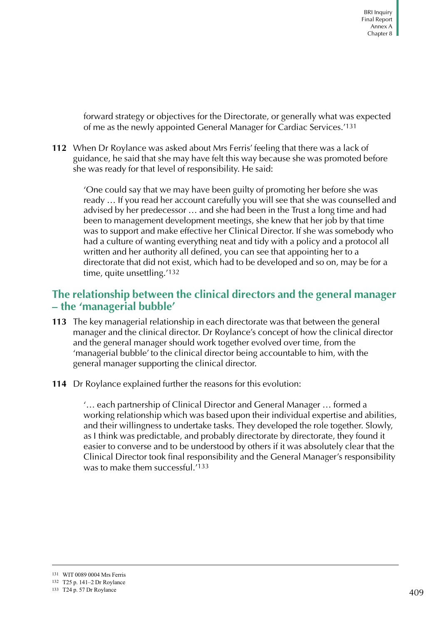forward strategy or objectives for the Directorate, or generally what was expected of me as the newly appointed General Manager for Cardiac Services.'131

**112** When Dr Roylance was asked about Mrs Ferris' feeling that there was a lack of guidance, he said that she may have felt this way because she was promoted before she was ready for that level of responsibility. He said:

'One could say that we may have been guilty of promoting her before she was ready … If you read her account carefully you will see that she was counselled and advised by her predecessor … and she had been in the Trust a long time and had been to management development meetings, she knew that her job by that time was to support and make effective her Clinical Director. If she was somebody who had a culture of wanting everything neat and tidy with a policy and a protocol all written and her authority all defined, you can see that appointing her to a directorate that did not exist, which had to be developed and so on, may be for a time, quite unsettling.'132

## **The relationship between the clinical directors and the general manager – the 'managerial bubble'**

- **113** The key managerial relationship in each directorate was that between the general manager and the clinical director. Dr Roylance's concept of how the clinical director and the general manager should work together evolved over time, from the 'managerial bubble' to the clinical director being accountable to him, with the general manager supporting the clinical director.
- **114** Dr Roylance explained further the reasons for this evolution:

'… each partnership of Clinical Director and General Manager … formed a working relationship which was based upon their individual expertise and abilities, and their willingness to undertake tasks. They developed the role together. Slowly, as I think was predictable, and probably directorate by directorate, they found it easier to converse and to be understood by others if it was absolutely clear that the Clinical Director took final responsibility and the General Manager's responsibility was to make them successful.'133

<sup>131</sup> WIT 0089 0004 Mrs Ferris

<sup>132</sup> T25 p. 141–2 Dr Roylance

<sup>133</sup> T24 p. 57 Dr Roylance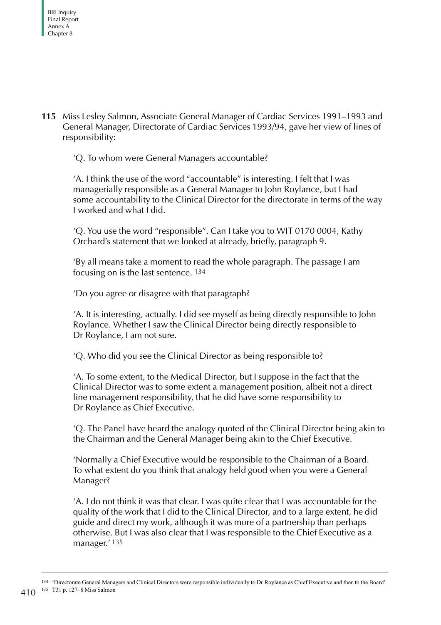**115** Miss Lesley Salmon, Associate General Manager of Cardiac Services 1991–1993 and General Manager, Directorate of Cardiac Services 1993/94, gave her view of lines of responsibility:

'Q. To whom were General Managers accountable?

'A. I think the use of the word "accountable" is interesting. I felt that I was managerially responsible as a General Manager to John Roylance, but I had some accountability to the Clinical Director for the directorate in terms of the way I worked and what I did.

'Q. You use the word "responsible". Can I take you to WIT 0170 0004, Kathy Orchard's statement that we looked at already, briefly, paragraph 9.

'By all means take a moment to read the whole paragraph. The passage I am focusing on is the last sentence. 134

'Do you agree or disagree with that paragraph?

'A. It is interesting, actually. I did see myself as being directly responsible to John Roylance. Whether I saw the Clinical Director being directly responsible to Dr Roylance, I am not sure.

'Q. Who did you see the Clinical Director as being responsible to?

'A. To some extent, to the Medical Director, but I suppose in the fact that the Clinical Director was to some extent a management position, albeit not a direct line management responsibility, that he did have some responsibility to Dr Roylance as Chief Executive.

'Q. The Panel have heard the analogy quoted of the Clinical Director being akin to the Chairman and the General Manager being akin to the Chief Executive.

'Normally a Chief Executive would be responsible to the Chairman of a Board. To what extent do you think that analogy held good when you were a General Manager?

'A. I do not think it was that clear. I was quite clear that I was accountable for the quality of the work that I did to the Clinical Director, and to a large extent, he did guide and direct my work, although it was more of a partnership than perhaps otherwise. But I was also clear that I was responsible to the Chief Executive as a manager.' 135

<sup>410</sup> 134 'Directorate General Managers and Clinical Directors were responsible individually to Dr Roylance as Chief Executive and then to the Board' 135 T31 p. 127–8 Miss Salmon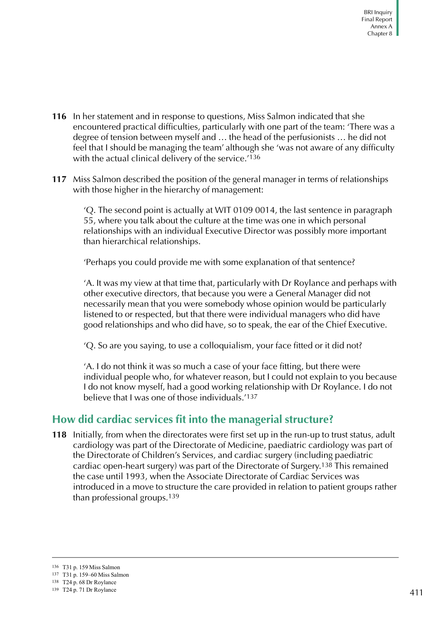- **116** In her statement and in response to questions, Miss Salmon indicated that she encountered practical difficulties, particularly with one part of the team: 'There was a degree of tension between myself and … the head of the perfusionists … he did not feel that I should be managing the team' although she 'was not aware of any difficulty with the actual clinical delivery of the service.<sup>'136</sup>
- **117** Miss Salmon described the position of the general manager in terms of relationships with those higher in the hierarchy of management:

'Q. The second point is actually at WIT 0109 0014, the last sentence in paragraph 55, where you talk about the culture at the time was one in which personal relationships with an individual Executive Director was possibly more important than hierarchical relationships.

'Perhaps you could provide me with some explanation of that sentence?

'A. It was my view at that time that, particularly with Dr Roylance and perhaps with other executive directors, that because you were a General Manager did not necessarily mean that you were somebody whose opinion would be particularly listened to or respected, but that there were individual managers who did have good relationships and who did have, so to speak, the ear of the Chief Executive.

'Q. So are you saying, to use a colloquialism, your face fitted or it did not?

'A. I do not think it was so much a case of your face fitting, but there were individual people who, for whatever reason, but I could not explain to you because I do not know myself, had a good working relationship with Dr Roylance. I do not believe that I was one of those individuals.'137

## **How did cardiac services fit into the managerial structure?**

**118** Initially, from when the directorates were first set up in the run-up to trust status, adult cardiology was part of the Directorate of Medicine, paediatric cardiology was part of the Directorate of Children's Services, and cardiac surgery (including paediatric cardiac open-heart surgery) was part of the Directorate of Surgery.138 This remained the case until 1993, when the Associate Directorate of Cardiac Services was introduced in a move to structure the care provided in relation to patient groups rather than professional groups.139

<sup>136</sup> T31 p. 159 Miss Salmon

<sup>137</sup> T31 p. 159–60 Miss Salmon

<sup>138</sup> T24 p. 68 Dr Roylance

<sup>139</sup> T24 p. 71 Dr Roylance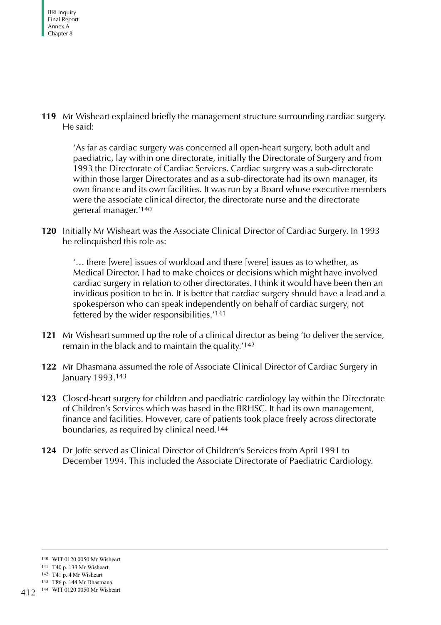**119** Mr Wisheart explained briefly the management structure surrounding cardiac surgery. He said:

'As far as cardiac surgery was concerned all open-heart surgery, both adult and paediatric, lay within one directorate, initially the Directorate of Surgery and from 1993 the Directorate of Cardiac Services. Cardiac surgery was a sub-directorate within those larger Directorates and as a sub-directorate had its own manager, its own finance and its own facilities. It was run by a Board whose executive members were the associate clinical director, the directorate nurse and the directorate general manager.'140

**120** Initially Mr Wisheart was the Associate Clinical Director of Cardiac Surgery. In 1993 he relinquished this role as:

'… there [were] issues of workload and there [were] issues as to whether, as Medical Director, I had to make choices or decisions which might have involved cardiac surgery in relation to other directorates. I think it would have been then an invidious position to be in. It is better that cardiac surgery should have a lead and a spokesperson who can speak independently on behalf of cardiac surgery, not fettered by the wider responsibilities.'141

- **121** Mr Wisheart summed up the role of a clinical director as being 'to deliver the service, remain in the black and to maintain the quality.'142
- **122** Mr Dhasmana assumed the role of Associate Clinical Director of Cardiac Surgery in January 1993.143
- **123** Closed-heart surgery for children and paediatric cardiology lay within the Directorate of Children's Services which was based in the BRHSC. It had its own management, finance and facilities. However, care of patients took place freely across directorate boundaries, as required by clinical need.144
- **124** Dr Joffe served as Clinical Director of Children's Services from April 1991 to December 1994. This included the Associate Directorate of Paediatric Cardiology.

<sup>140</sup> WIT 0120 0050 Mr Wisheart

<sup>141</sup> T40 p. 133 Mr Wisheart

<sup>142</sup> T41 p. 4 Mr Wisheart

<sup>143</sup> T86 p. 144 Mr Dhasmana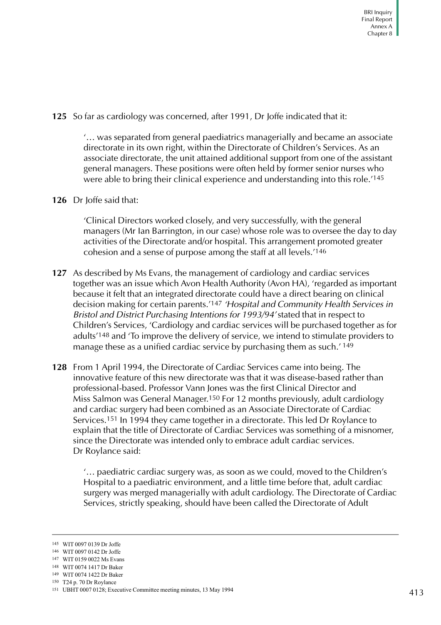#### **125** So far as cardiology was concerned, after 1991, Dr Joffe indicated that it:

'… was separated from general paediatrics managerially and became an associate directorate in its own right, within the Directorate of Children's Services. As an associate directorate, the unit attained additional support from one of the assistant general managers. These positions were often held by former senior nurses who were able to bring their clinical experience and understanding into this role.'145

#### **126** Dr Joffe said that:

'Clinical Directors worked closely, and very successfully, with the general managers (Mr Ian Barrington, in our case) whose role was to oversee the day to day activities of the Directorate and/or hospital. This arrangement promoted greater cohesion and a sense of purpose among the staff at all levels.'146

- **127** As described by Ms Evans, the management of cardiology and cardiac services together was an issue which Avon Health Authority (Avon HA), 'regarded as important because it felt that an integrated directorate could have a direct bearing on clinical decision making for certain parents.'147 'Hospital and Community Health Services in Bristol and District Purchasing Intentions for 1993/94' stated that in respect to Children's Services, 'Cardiology and cardiac services will be purchased together as for adults'148 and 'To improve the delivery of service, we intend to stimulate providers to manage these as a unified cardiac service by purchasing them as such.' 149
- **128** From 1 April 1994, the Directorate of Cardiac Services came into being. The innovative feature of this new directorate was that it was disease-based rather than professional-based. Professor Vann Jones was the first Clinical Director and Miss Salmon was General Manager.150 For 12 months previously, adult cardiology and cardiac surgery had been combined as an Associate Directorate of Cardiac Services.151 In 1994 they came together in a directorate. This led Dr Roylance to explain that the title of Directorate of Cardiac Services was something of a misnomer, since the Directorate was intended only to embrace adult cardiac services. Dr Roylance said:

'… paediatric cardiac surgery was, as soon as we could, moved to the Children's Hospital to a paediatric environment, and a little time before that, adult cardiac surgery was merged managerially with adult cardiology. The Directorate of Cardiac Services, strictly speaking, should have been called the Directorate of Adult

<sup>145</sup> WIT 0097 0139 Dr Joffe

<sup>146</sup> WIT 0097 0142 Dr Joffe

<sup>147</sup> WIT 0159 0022 Ms Evans

<sup>148</sup> WIT 0074 1417 Dr Baker

<sup>149</sup> WIT 0074 1422 Dr Baker

<sup>150</sup> T24 p. 70 Dr Roylance

<sup>151</sup> UBHT 0007 0128; Executive Committee meeting minutes, 13 May 1994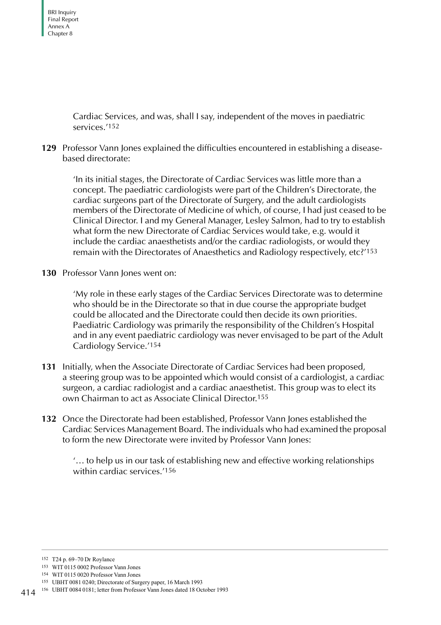Cardiac Services, and was, shall I say, independent of the moves in paediatric services.'152

**129** Professor Vann Jones explained the difficulties encountered in establishing a diseasebased directorate:

'In its initial stages, the Directorate of Cardiac Services was little more than a concept. The paediatric cardiologists were part of the Children's Directorate, the cardiac surgeons part of the Directorate of Surgery, and the adult cardiologists members of the Directorate of Medicine of which, of course, I had just ceased to be Clinical Director. I and my General Manager, Lesley Salmon, had to try to establish what form the new Directorate of Cardiac Services would take, e.g. would it include the cardiac anaesthetists and/or the cardiac radiologists, or would they remain with the Directorates of Anaesthetics and Radiology respectively, etc?'153

**130** Professor Vann Jones went on:

'My role in these early stages of the Cardiac Services Directorate was to determine who should be in the Directorate so that in due course the appropriate budget could be allocated and the Directorate could then decide its own priorities. Paediatric Cardiology was primarily the responsibility of the Children's Hospital and in any event paediatric cardiology was never envisaged to be part of the Adult Cardiology Service.'154

- **131** Initially, when the Associate Directorate of Cardiac Services had been proposed, a steering group was to be appointed which would consist of a cardiologist, a cardiac surgeon, a cardiac radiologist and a cardiac anaesthetist. This group was to elect its own Chairman to act as Associate Clinical Director.155
- **132** Once the Directorate had been established, Professor Vann Jones established the Cardiac Services Management Board. The individuals who had examined the proposal to form the new Directorate were invited by Professor Vann Jones:

'… to help us in our task of establishing new and effective working relationships within cardiac services.'156

152 T24 p. 69–70 Dr Roylance

<sup>153</sup> WIT 0115 0002 Professor Vann Jones

<sup>154</sup> WIT 0115 0020 Professor Vann Jones

<sup>155</sup> UBHT 0081 0240; Directorate of Surgery paper, 16 March 1993

<sup>156</sup> UBHT 0084 0181; letter from Professor Vann Jones dated 18 October 1993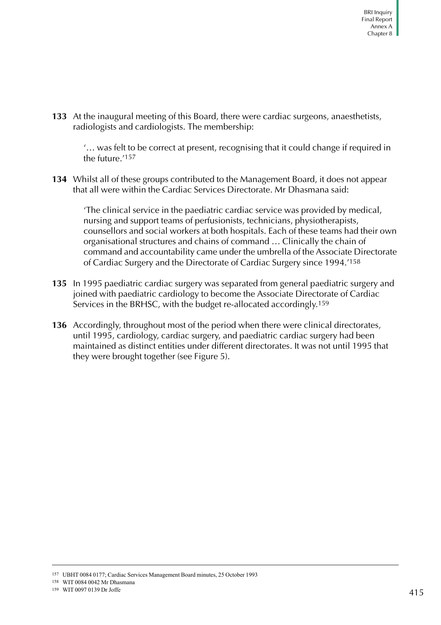**133** At the inaugural meeting of this Board, there were cardiac surgeons, anaesthetists, radiologists and cardiologists. The membership:

'… was felt to be correct at present, recognising that it could change if required in the future.'157

**134** Whilst all of these groups contributed to the Management Board, it does not appear that all were within the Cardiac Services Directorate. Mr Dhasmana said:

'The clinical service in the paediatric cardiac service was provided by medical, nursing and support teams of perfusionists, technicians, physiotherapists, counsellors and social workers at both hospitals. Each of these teams had their own organisational structures and chains of command … Clinically the chain of command and accountability came under the umbrella of the Associate Directorate of Cardiac Surgery and the Directorate of Cardiac Surgery since 1994.'158

- **135** In 1995 paediatric cardiac surgery was separated from general paediatric surgery and joined with paediatric cardiology to become the Associate Directorate of Cardiac Services in the BRHSC, with the budget re-allocated accordingly.159
- **136** Accordingly, throughout most of the period when there were clinical directorates, until 1995, cardiology, cardiac surgery, and paediatric cardiac surgery had been maintained as distinct entities under different directorates. It was not until 1995 that they were brought together (see Figure 5).

<sup>157</sup> UBHT 0084 0177; Cardiac Services Management Board minutes, 25 October 1993

<sup>158</sup> WIT 0084 0042 Mr Dhasmana

<sup>159</sup> WIT 0097 0139 Dr Joffe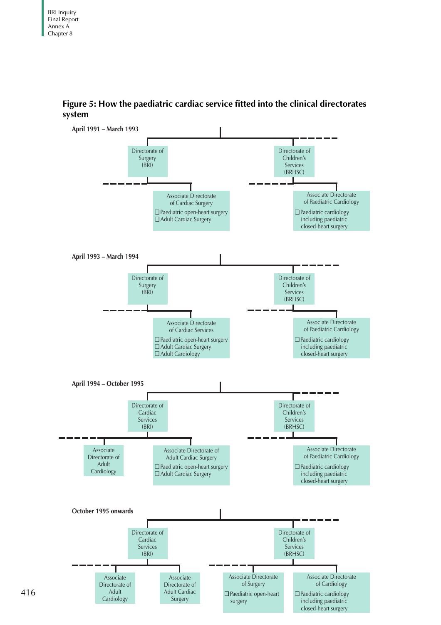

closed-heart surgery

### **Figure 5: How the paediatric cardiac service fitted into the clinical directorates system**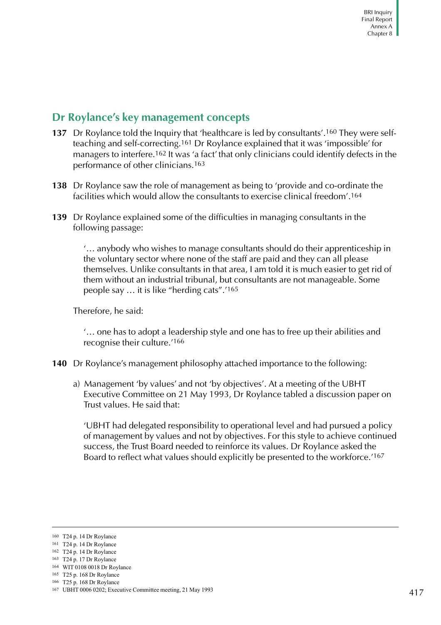## **Dr Roylance's key management concepts**

- **137** Dr Roylance told the Inquiry that 'healthcare is led by consultants'.160 They were selfteaching and self-correcting.161 Dr Roylance explained that it was 'impossible' for managers to interfere.162 It was 'a fact' that only clinicians could identify defects in the performance of other clinicians.163
- **138** Dr Roylance saw the role of management as being to 'provide and co-ordinate the facilities which would allow the consultants to exercise clinical freedom'.164
- **139** Dr Roylance explained some of the difficulties in managing consultants in the following passage:

'… anybody who wishes to manage consultants should do their apprenticeship in the voluntary sector where none of the staff are paid and they can all please themselves. Unlike consultants in that area, I am told it is much easier to get rid of them without an industrial tribunal, but consultants are not manageable. Some people say … it is like "herding cats".'165

Therefore, he said:

'… one has to adopt a leadership style and one has to free up their abilities and recognise their culture.'166

- **140** Dr Roylance's management philosophy attached importance to the following:
	- a) Management 'by values' and not 'by objectives'. At a meeting of the UBHT Executive Committee on 21 May 1993, Dr Roylance tabled a discussion paper on Trust values. He said that:

'UBHT had delegated responsibility to operational level and had pursued a policy of management by values and not by objectives. For this style to achieve continued success, the Trust Board needed to reinforce its values. Dr Roylance asked the Board to reflect what values should explicitly be presented to the workforce.'167

<sup>160</sup> T24 p. 14 Dr Roylance

<sup>161</sup> T24 p. 14 Dr Roylance

<sup>162</sup> T24 p. 14 Dr Roylance

<sup>163</sup> T24 p. 17 Dr Roylance

<sup>164</sup> WIT 0108 0018 Dr Roylance

<sup>165</sup> T25 p. 168 Dr Roylance

<sup>166</sup> T25 p. 168 Dr Roylance

<sup>167</sup> UBHT 0006 0202; Executive Committee meeting, 21 May 1993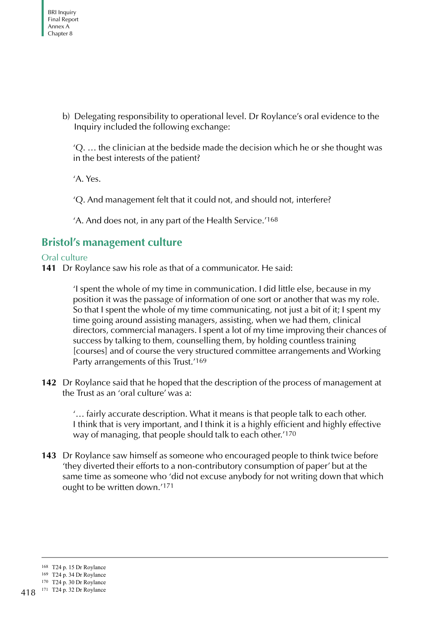b) Delegating responsibility to operational level. Dr Roylance's oral evidence to the Inquiry included the following exchange:

'Q. … the clinician at the bedside made the decision which he or she thought was in the best interests of the patient?

'A. Yes.

'Q. And management felt that it could not, and should not, interfere?

'A. And does not, in any part of the Health Service.'168

## **Bristol's management culture**

#### Oral culture

**141** Dr Roylance saw his role as that of a communicator. He said:

'I spent the whole of my time in communication. I did little else, because in my position it was the passage of information of one sort or another that was my role. So that I spent the whole of my time communicating, not just a bit of it; I spent my time going around assisting managers, assisting, when we had them, clinical directors, commercial managers. I spent a lot of my time improving their chances of success by talking to them, counselling them, by holding countless training [courses] and of course the very structured committee arrangements and Working Party arrangements of this Trust.'169

**142** Dr Roylance said that he hoped that the description of the process of management at the Trust as an 'oral culture' was a:

'… fairly accurate description. What it means is that people talk to each other. I think that is very important, and I think it is a highly efficient and highly effective way of managing, that people should talk to each other.'170

**143** Dr Roylance saw himself as someone who encouraged people to think twice before 'they diverted their efforts to a non-contributory consumption of paper' but at the same time as someone who 'did not excuse anybody for not writing down that which ought to be written down.'171

<sup>168</sup> T24 p. 15 Dr Roylance

<sup>169</sup> T24 p. 34 Dr Roylance

<sup>170</sup> T24 p. 30 Dr Roylance 171 T24 p. 32 Dr Roylance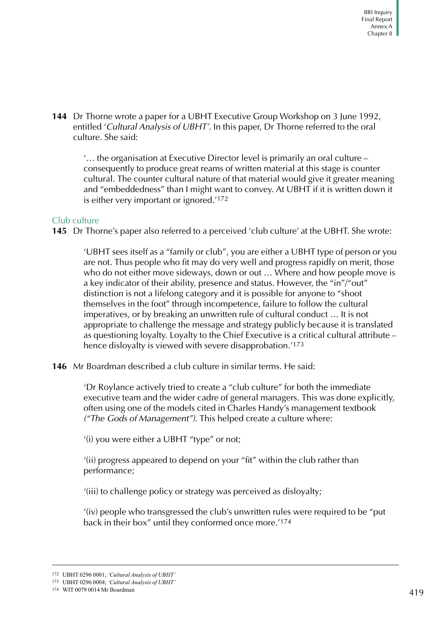**144** Dr Thorne wrote a paper for a UBHT Executive Group Workshop on 3 June 1992, entitled 'Cultural Analysis of UBHT'. In this paper, Dr Thorne referred to the oral culture. She said:

'… the organisation at Executive Director level is primarily an oral culture – consequently to produce great reams of written material at this stage is counter cultural. The counter cultural nature of that material would give it greater meaning and "embeddedness" than I might want to convey. At UBHT if it is written down it is either very important or ignored.'172

#### Club culture

**145** Dr Thorne's paper also referred to a perceived 'club culture' at the UBHT. She wrote:

'UBHT sees itself as a "family or club", you are either a UBHT type of person or you are not. Thus people who fit may do very well and progress rapidly on merit, those who do not either move sideways, down or out … Where and how people move is a key indicator of their ability, presence and status. However, the "in"/"out" distinction is not a lifelong category and it is possible for anyone to "shoot themselves in the foot" through incompetence, failure to follow the cultural imperatives, or by breaking an unwritten rule of cultural conduct … It is not appropriate to challenge the message and strategy publicly because it is translated as questioning loyalty. Loyalty to the Chief Executive is a critical cultural attribute – hence disloyalty is viewed with severe disapprobation.'173

#### **146** Mr Boardman described a club culture in similar terms. He said:

'Dr Roylance actively tried to create a "club culture" for both the immediate executive team and the wider cadre of general managers. This was done explicitly, often using one of the models cited in Charles Handy's management textbook ("The Gods of Management"). This helped create a culture where:

'(i) you were either a UBHT "type" or not;

'(ii) progress appeared to depend on your "fit" within the club rather than performance;

'(iii) to challenge policy or strategy was perceived as disloyalty;

'(iv) people who transgressed the club's unwritten rules were required to be "put back in their box" until they conformed once more.'174

<sup>172</sup> UBHT 0296 0001; *'Cultural Analysis of UBHT'*

<sup>173</sup> UBHT 0296 0004; *'Cultural Analysis of UBHT'*

<sup>174</sup> WIT 0079 0014 Mr Boardman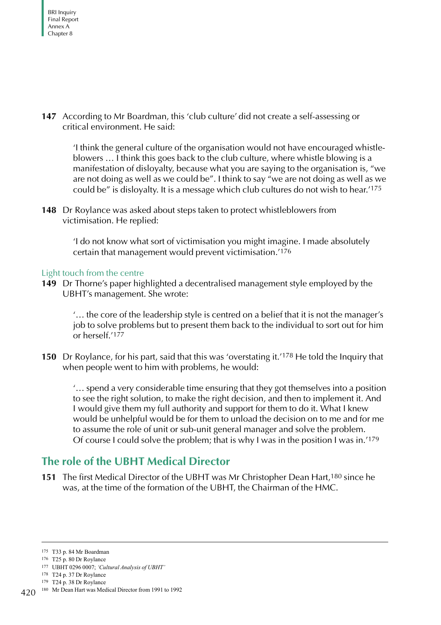**147** According to Mr Boardman, this 'club culture' did not create a self-assessing or critical environment. He said:

'I think the general culture of the organisation would not have encouraged whistleblowers … I think this goes back to the club culture, where whistle blowing is a manifestation of disloyalty, because what you are saying to the organisation is, "we are not doing as well as we could be". I think to say "we are not doing as well as we could be" is disloyalty. It is a message which club cultures do not wish to hear.'175

**148** Dr Roylance was asked about steps taken to protect whistleblowers from victimisation. He replied:

> 'I do not know what sort of victimisation you might imagine. I made absolutely certain that management would prevent victimisation.'176

#### Light touch from the centre

**149** Dr Thorne's paper highlighted a decentralised management style employed by the UBHT's management. She wrote:

'… the core of the leadership style is centred on a belief that it is not the manager's job to solve problems but to present them back to the individual to sort out for him or herself.'177

**150** Dr Roylance, for his part, said that this was 'overstating it.'178 He told the Inquiry that when people went to him with problems, he would:

'… spend a very considerable time ensuring that they got themselves into a position to see the right solution, to make the right decision, and then to implement it. And I would give them my full authority and support for them to do it. What I knew would be unhelpful would be for them to unload the decision on to me and for me to assume the role of unit or sub-unit general manager and solve the problem. Of course I could solve the problem; that is why I was in the position I was in.'179

## **The role of the UBHT Medical Director**

**151** The first Medical Director of the UBHT was Mr Christopher Dean Hart,180 since he was, at the time of the formation of the UBHT, the Chairman of the HMC.

175 T33 p. 84 Mr Boardman

<sup>176</sup> T25 p. 80 Dr Roylance

<sup>177</sup> UBHT 0296 0007; *'Cultural Analysis of UBHT'*

<sup>178</sup> T24 p. 37 Dr Roylance

<sup>179</sup> T24 p. 38 Dr Roylance

<sup>420</sup> 180 Mr Dean Hart was Medical Director from 1991 to 1992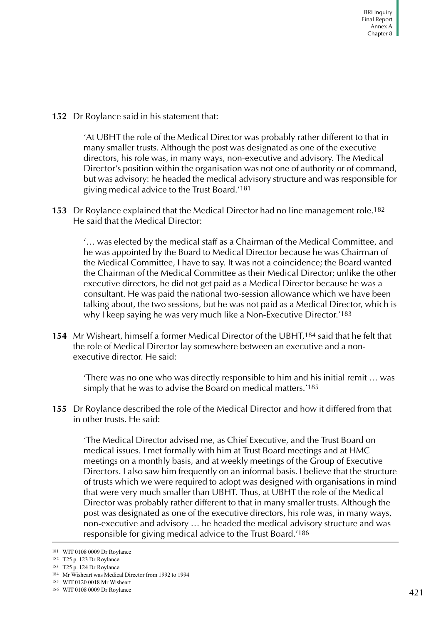**152** Dr Roylance said in his statement that:

'At UBHT the role of the Medical Director was probably rather different to that in many smaller trusts. Although the post was designated as one of the executive directors, his role was, in many ways, non-executive and advisory. The Medical Director's position within the organisation was not one of authority or of command, but was advisory: he headed the medical advisory structure and was responsible for giving medical advice to the Trust Board.'181

**153** Dr Roylance explained that the Medical Director had no line management role.182 He said that the Medical Director:

'… was elected by the medical staff as a Chairman of the Medical Committee, and he was appointed by the Board to Medical Director because he was Chairman of the Medical Committee, I have to say. It was not a coincidence; the Board wanted the Chairman of the Medical Committee as their Medical Director; unlike the other executive directors, he did not get paid as a Medical Director because he was a consultant. He was paid the national two-session allowance which we have been talking about, the two sessions, but he was not paid as a Medical Director, which is why I keep saying he was very much like a Non-Executive Director.<sup>'183</sup>

**154** Mr Wisheart, himself a former Medical Director of the UBHT,184 said that he felt that the role of Medical Director lay somewhere between an executive and a nonexecutive director. He said:

'There was no one who was directly responsible to him and his initial remit … was simply that he was to advise the Board on medical matters.<sup>'185</sup>

**155** Dr Roylance described the role of the Medical Director and how it differed from that in other trusts. He said:

'The Medical Director advised me, as Chief Executive, and the Trust Board on medical issues. I met formally with him at Trust Board meetings and at HMC meetings on a monthly basis, and at weekly meetings of the Group of Executive Directors. I also saw him frequently on an informal basis. I believe that the structure of trusts which we were required to adopt was designed with organisations in mind that were very much smaller than UBHT. Thus, at UBHT the role of the Medical Director was probably rather different to that in many smaller trusts. Although the post was designated as one of the executive directors, his role was, in many ways, non-executive and advisory … he headed the medical advisory structure and was responsible for giving medical advice to the Trust Board.'186

<sup>181</sup> WIT 0108 0009 Dr Roylance

<sup>182</sup> T25 p. 123 Dr Roylance

<sup>183</sup> T25 p. 124 Dr Roylance

<sup>184</sup> Mr Wisheart was Medical Director from 1992 to 1994

<sup>185</sup> WIT 0120 0018 Mr Wisheart

<sup>186</sup> WIT 0108 0009 Dr Roylance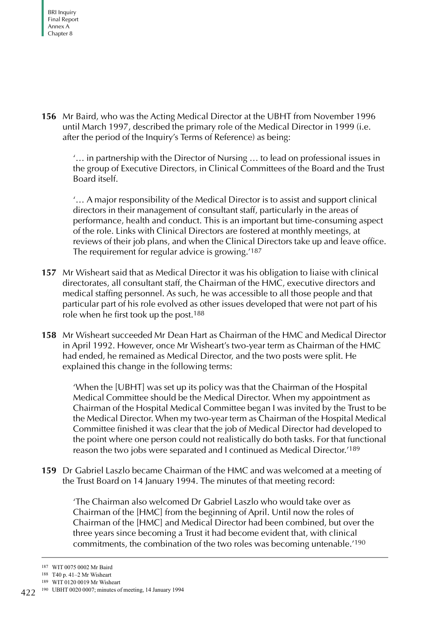**156** Mr Baird, who was the Acting Medical Director at the UBHT from November 1996 until March 1997, described the primary role of the Medical Director in 1999 (i.e. after the period of the Inquiry's Terms of Reference) as being:

'… in partnership with the Director of Nursing … to lead on professional issues in the group of Executive Directors, in Clinical Committees of the Board and the Trust Board itself.

'… A major responsibility of the Medical Director is to assist and support clinical directors in their management of consultant staff, particularly in the areas of performance, health and conduct. This is an important but time-consuming aspect of the role. Links with Clinical Directors are fostered at monthly meetings, at reviews of their job plans, and when the Clinical Directors take up and leave office. The requirement for regular advice is growing.'187

- **157** Mr Wisheart said that as Medical Director it was his obligation to liaise with clinical directorates, all consultant staff, the Chairman of the HMC, executive directors and medical staffing personnel. As such, he was accessible to all those people and that particular part of his role evolved as other issues developed that were not part of his role when he first took up the post.188
- **158** Mr Wisheart succeeded Mr Dean Hart as Chairman of the HMC and Medical Director in April 1992. However, once Mr Wisheart's two-year term as Chairman of the HMC had ended, he remained as Medical Director, and the two posts were split. He explained this change in the following terms:

'When the [UBHT] was set up its policy was that the Chairman of the Hospital Medical Committee should be the Medical Director. When my appointment as Chairman of the Hospital Medical Committee began I was invited by the Trust to be the Medical Director. When my two-year term as Chairman of the Hospital Medical Committee finished it was clear that the job of Medical Director had developed to the point where one person could not realistically do both tasks. For that functional reason the two jobs were separated and I continued as Medical Director.'189

**159** Dr Gabriel Laszlo became Chairman of the HMC and was welcomed at a meeting of the Trust Board on 14 January 1994. The minutes of that meeting record:

'The Chairman also welcomed Dr Gabriel Laszlo who would take over as Chairman of the [HMC] from the beginning of April. Until now the roles of Chairman of the [HMC] and Medical Director had been combined, but over the three years since becoming a Trust it had become evident that, with clinical commitments, the combination of the two roles was becoming untenable.'190

<sup>187</sup> WIT 0075 0002 Mr Baird

<sup>188</sup> T40 p. 41–2 Mr Wisheart

<sup>189</sup> WIT 0120 0019 Mr Wisheart

<sup>422</sup> 190 UBHT 0020 0007; minutes of meeting, 14 January 1994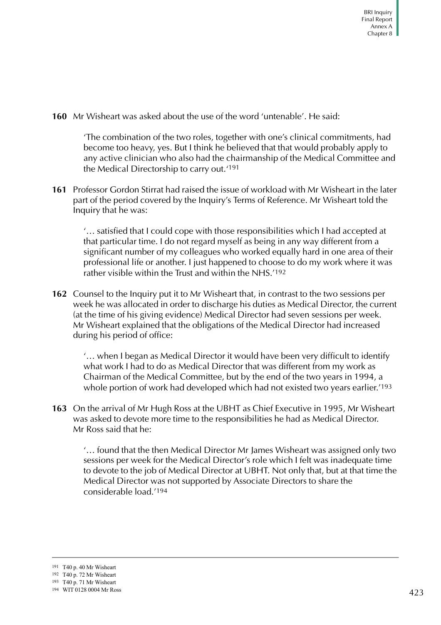**160** Mr Wisheart was asked about the use of the word 'untenable'. He said:

'The combination of the two roles, together with one's clinical commitments, had become too heavy, yes. But I think he believed that that would probably apply to any active clinician who also had the chairmanship of the Medical Committee and the Medical Directorship to carry out.'191

**161** Professor Gordon Stirrat had raised the issue of workload with Mr Wisheart in the later part of the period covered by the Inquiry's Terms of Reference. Mr Wisheart told the Inquiry that he was:

'… satisfied that I could cope with those responsibilities which I had accepted at that particular time. I do not regard myself as being in any way different from a significant number of my colleagues who worked equally hard in one area of their professional life or another. I just happened to choose to do my work where it was rather visible within the Trust and within the NHS.'192

**162** Counsel to the Inquiry put it to Mr Wisheart that, in contrast to the two sessions per week he was allocated in order to discharge his duties as Medical Director, the current (at the time of his giving evidence) Medical Director had seven sessions per week. Mr Wisheart explained that the obligations of the Medical Director had increased during his period of office:

'… when I began as Medical Director it would have been very difficult to identify what work I had to do as Medical Director that was different from my work as Chairman of the Medical Committee, but by the end of the two years in 1994, a whole portion of work had developed which had not existed two years earlier.<sup>'193</sup>

**163** On the arrival of Mr Hugh Ross at the UBHT as Chief Executive in 1995, Mr Wisheart was asked to devote more time to the responsibilities he had as Medical Director. Mr Ross said that he:

'… found that the then Medical Director Mr James Wisheart was assigned only two sessions per week for the Medical Director's role which I felt was inadequate time to devote to the job of Medical Director at UBHT. Not only that, but at that time the Medical Director was not supported by Associate Directors to share the considerable load.'194

<sup>191</sup> T40 p. 40 Mr Wisheart

<sup>192</sup> T40 p. 72 Mr Wisheart

<sup>193</sup> T40 p. 71 Mr Wisheart

<sup>194</sup> WIT 0128 0004 Mr Ross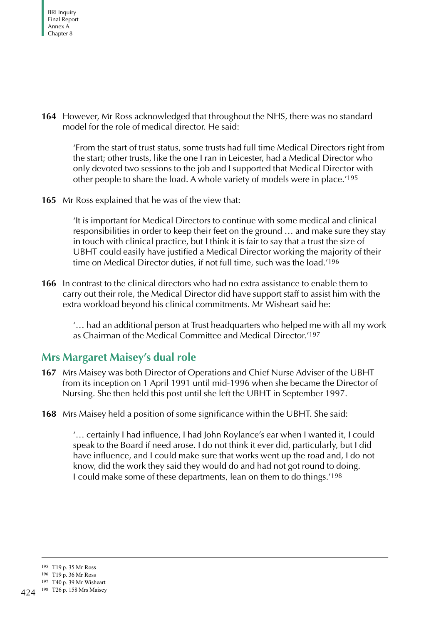**164** However, Mr Ross acknowledged that throughout the NHS, there was no standard model for the role of medical director. He said:

'From the start of trust status, some trusts had full time Medical Directors right from the start; other trusts, like the one I ran in Leicester, had a Medical Director who only devoted two sessions to the job and I supported that Medical Director with other people to share the load. A whole variety of models were in place.'195

**165** Mr Ross explained that he was of the view that:

'It is important for Medical Directors to continue with some medical and clinical responsibilities in order to keep their feet on the ground … and make sure they stay in touch with clinical practice, but I think it is fair to say that a trust the size of UBHT could easily have justified a Medical Director working the majority of their time on Medical Director duties, if not full time, such was the load.'196

**166** In contrast to the clinical directors who had no extra assistance to enable them to carry out their role, the Medical Director did have support staff to assist him with the extra workload beyond his clinical commitments. Mr Wisheart said he:

'… had an additional person at Trust headquarters who helped me with all my work as Chairman of the Medical Committee and Medical Director.'197

## **Mrs Margaret Maisey's dual role**

- **167** Mrs Maisey was both Director of Operations and Chief Nurse Adviser of the UBHT from its inception on 1 April 1991 until mid-1996 when she became the Director of Nursing. She then held this post until she left the UBHT in September 1997.
- **168** Mrs Maisey held a position of some significance within the UBHT. She said:

'… certainly I had influence, I had John Roylance's ear when I wanted it, I could speak to the Board if need arose. I do not think it ever did, particularly, but I did have influence, and I could make sure that works went up the road and, I do not know, did the work they said they would do and had not got round to doing. I could make some of these departments, lean on them to do things.'198

<sup>195</sup> T19 p. 35 Mr Ross

<sup>196</sup> T19 p. 36 Mr Ross

<sup>197</sup> T40 p. 39 Mr Wisheart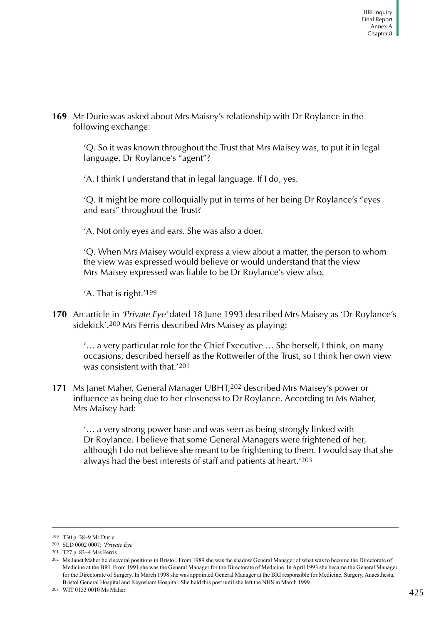**169** Mr Durie was asked about Mrs Maisey's relationship with Dr Roylance in the following exchange:

> 'Q. So it was known throughout the Trust that Mrs Maisey was, to put it in legal language, Dr Roylance's "agent"?

'A. I think I understand that in legal language. If I do, yes.

'Q. It might be more colloquially put in terms of her being Dr Roylance's "eyes and ears" throughout the Trust?

'A. Not only eyes and ears. She was also a doer.

'Q. When Mrs Maisey would express a view about a matter, the person to whom the view was expressed would believe or would understand that the view Mrs Maisey expressed was liable to be Dr Roylance's view also.

'A. That is right.'199

**170** An article in 'Private Eye' dated 18 June 1993 described Mrs Maisey as 'Dr Roylance's sidekick'.200 Mrs Ferris described Mrs Maisey as playing:

'… a very particular role for the Chief Executive … She herself, I think, on many occasions, described herself as the Rottweiler of the Trust, so I think her own view was consistent with that.'201

**171** Ms Janet Maher, General Manager UBHT,202 described Mrs Maisey's power or influence as being due to her closeness to Dr Roylance. According to Ms Maher, Mrs Maisey had:

'… a very strong power base and was seen as being strongly linked with Dr Roylance. I believe that some General Managers were frightened of her, although I do not believe she meant to be frightening to them. I would say that she always had the best interests of staff and patients at heart.'203

<sup>199</sup> T30 p. 38–9 Mr Durie

<sup>200</sup> SLD 0002 0007; *'Private Eye'*

<sup>201</sup> T27 p. 83–4 Mrs Ferris

<sup>202</sup> Ms Janet Maher held several positions in Bristol. From 1989 she was the shadow General Manager of what was to become the Directorate of Medicine at the BRI. From 1991 she was the General Manager for the Directorate of Medicine. In April 1993 she became the General Manager for the Directorate of Surgery. In March 1998 she was appointed General Manager at the BRI responsible for Medicine, Surgery, Anaesthesia, Bristol General Hospital and Keynsham Hospital. She held this post until she left the NHS in March 1999

<sup>203</sup> WIT 0153 0010 Ms Maher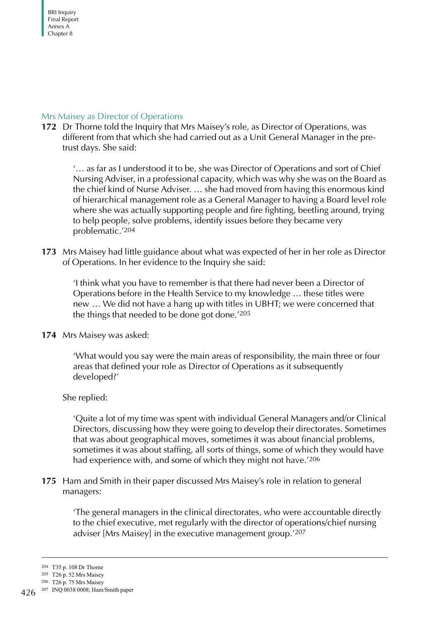#### Mrs Maisey as Director of Operations

**172** Dr Thorne told the Inquiry that Mrs Maisey's role, as Director of Operations, was different from that which she had carried out as a Unit General Manager in the pretrust days. She said:

'… as far as I understood it to be, she was Director of Operations and sort of Chief Nursing Adviser, in a professional capacity, which was why she was on the Board as the chief kind of Nurse Adviser. … she had moved from having this enormous kind of hierarchical management role as a General Manager to having a Board level role where she was actually supporting people and fire fighting, beetling around, trying to help people, solve problems, identify issues before they became very problematic.'204

**173** Mrs Maisey had little guidance about what was expected of her in her role as Director of Operations. In her evidence to the Inquiry she said:

'I think what you have to remember is that there had never been a Director of Operations before in the Health Service to my knowledge … these titles were new … We did not have a hang up with titles in UBHT; we were concerned that the things that needed to be done got done.'205

#### **174** Mrs Maisey was asked:

'What would you say were the main areas of responsibility, the main three or four areas that defined your role as Director of Operations as it subsequently developed?'

#### She replied:

'Quite a lot of my time was spent with individual General Managers and/or Clinical Directors, discussing how they were going to develop their directorates. Sometimes that was about geographical moves, sometimes it was about financial problems, sometimes it was about staffing, all sorts of things, some of which they would have had experience with, and some of which they might not have.'206

**175** Ham and Smith in their paper discussed Mrs Maisey's role in relation to general managers:

'The general managers in the clinical directorates, who were accountable directly to the chief executive, met regularly with the director of operations/chief nursing adviser [Mrs Maisey] in the executive management group.'207

<sup>204</sup> T35 p. 108 Dr Thorne

<sup>205</sup> T26 p. 52 Mrs Maisey

<sup>206</sup> T26 p. 75 Mrs Maisey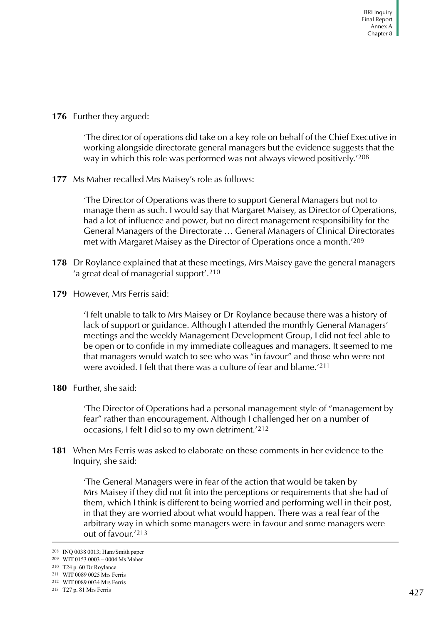**176** Further they argued:

'The director of operations did take on a key role on behalf of the Chief Executive in working alongside directorate general managers but the evidence suggests that the way in which this role was performed was not always viewed positively.'208

**177** Ms Maher recalled Mrs Maisey's role as follows:

'The Director of Operations was there to support General Managers but not to manage them as such. I would say that Margaret Maisey, as Director of Operations, had a lot of influence and power, but no direct management responsibility for the General Managers of the Directorate … General Managers of Clinical Directorates met with Margaret Maisey as the Director of Operations once a month.'209

- **178** Dr Roylance explained that at these meetings, Mrs Maisey gave the general managers 'a great deal of managerial support'.210
- **179** However, Mrs Ferris said:

'I felt unable to talk to Mrs Maisey or Dr Roylance because there was a history of lack of support or guidance. Although I attended the monthly General Managers' meetings and the weekly Management Development Group, I did not feel able to be open or to confide in my immediate colleagues and managers. It seemed to me that managers would watch to see who was "in favour" and those who were not were avoided. I felt that there was a culture of fear and blame.'211

**180** Further, she said:

'The Director of Operations had a personal management style of "management by fear" rather than encouragement. Although I challenged her on a number of occasions, I felt I did so to my own detriment.'212

**181** When Mrs Ferris was asked to elaborate on these comments in her evidence to the Inquiry, she said:

'The General Managers were in fear of the action that would be taken by Mrs Maisey if they did not fit into the perceptions or requirements that she had of them, which I think is different to being worried and performing well in their post, in that they are worried about what would happen. There was a real fear of the arbitrary way in which some managers were in favour and some managers were out of favour.'213

<sup>208</sup> INQ 0038 0013; Ham/Smith paper

<sup>209</sup> WIT 0153 0003 – 0004 Ms Maher

<sup>210</sup> T24 p. 60 Dr Roylance

<sup>211</sup> WIT 0089 0025 Mrs Ferris

<sup>212</sup> WIT 0089 0034 Mrs Ferris

<sup>213</sup> T27 p. 81 Mrs Ferris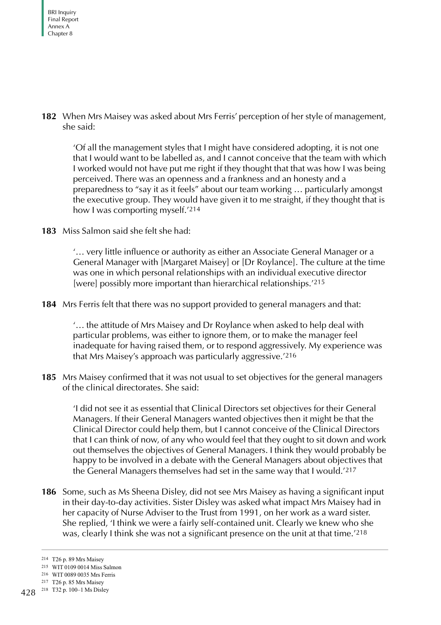**182** When Mrs Maisey was asked about Mrs Ferris' perception of her style of management, she said:

'Of all the management styles that I might have considered adopting, it is not one that I would want to be labelled as, and I cannot conceive that the team with which I worked would not have put me right if they thought that that was how I was being perceived. There was an openness and a frankness and an honesty and a preparedness to "say it as it feels" about our team working … particularly amongst the executive group. They would have given it to me straight, if they thought that is how I was comporting myself.'214

**183** Miss Salmon said she felt she had:

'… very little influence or authority as either an Associate General Manager or a General Manager with [Margaret Maisey] or [Dr Roylance]. The culture at the time was one in which personal relationships with an individual executive director [were] possibly more important than hierarchical relationships.'215

**184** Mrs Ferris felt that there was no support provided to general managers and that:

'… the attitude of Mrs Maisey and Dr Roylance when asked to help deal with particular problems, was either to ignore them, or to make the manager feel inadequate for having raised them, or to respond aggressively. My experience was that Mrs Maisey's approach was particularly aggressive.'216

**185** Mrs Maisey confirmed that it was not usual to set objectives for the general managers of the clinical directorates. She said:

'I did not see it as essential that Clinical Directors set objectives for their General Managers. If their General Managers wanted objectives then it might be that the Clinical Director could help them, but I cannot conceive of the Clinical Directors that I can think of now, of any who would feel that they ought to sit down and work out themselves the objectives of General Managers. I think they would probably be happy to be involved in a debate with the General Managers about objectives that the General Managers themselves had set in the same way that I would.'217

**186** Some, such as Ms Sheena Disley, did not see Mrs Maisey as having a significant input in their day-to-day activities. Sister Disley was asked what impact Mrs Maisey had in her capacity of Nurse Adviser to the Trust from 1991, on her work as a ward sister. She replied, 'I think we were a fairly self-contained unit. Clearly we knew who she was, clearly I think she was not a significant presence on the unit at that time.<sup>'218</sup>

<sup>214</sup> T26 p. 89 Mrs Maisey

<sup>215</sup> WIT 0109 0014 Miss Salmon

<sup>216</sup> WIT 0089 0035 Mrs Ferris

<sup>217</sup> T26 p. 85 Mrs Maisey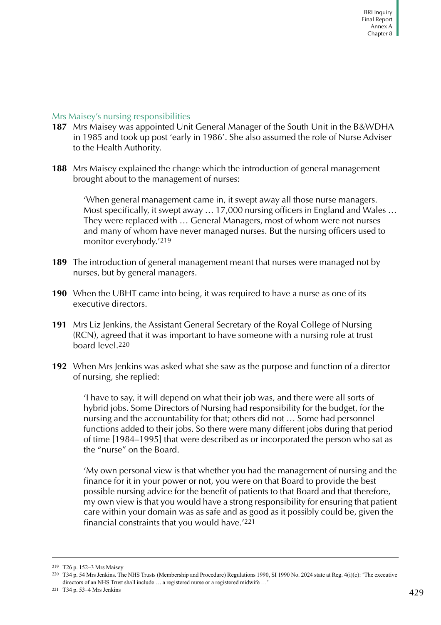### Mrs Maisey's nursing responsibilities

- **187** Mrs Maisey was appointed Unit General Manager of the South Unit in the B&WDHA in 1985 and took up post 'early in 1986'. She also assumed the role of Nurse Adviser to the Health Authority.
- **188** Mrs Maisey explained the change which the introduction of general management brought about to the management of nurses:

'When general management came in, it swept away all those nurse managers. Most specifically, it swept away … 17,000 nursing officers in England and Wales … They were replaced with … General Managers, most of whom were not nurses and many of whom have never managed nurses. But the nursing officers used to monitor everybody.'219

- **189** The introduction of general management meant that nurses were managed not by nurses, but by general managers.
- **190** When the UBHT came into being, it was required to have a nurse as one of its executive directors.
- **191** Mrs Liz Jenkins, the Assistant General Secretary of the Royal College of Nursing (RCN), agreed that it was important to have someone with a nursing role at trust board level.220
- **192** When Mrs Jenkins was asked what she saw as the purpose and function of a director of nursing, she replied:

'I have to say, it will depend on what their job was, and there were all sorts of hybrid jobs. Some Directors of Nursing had responsibility for the budget, for the nursing and the accountability for that; others did not … Some had personnel functions added to their jobs. So there were many different jobs during that period of time [1984–1995] that were described as or incorporated the person who sat as the "nurse" on the Board.

'My own personal view is that whether you had the management of nursing and the finance for it in your power or not, you were on that Board to provide the best possible nursing advice for the benefit of patients to that Board and that therefore, my own view is that you would have a strong responsibility for ensuring that patient care within your domain was as safe and as good as it possibly could be, given the financial constraints that you would have.'221

<sup>219</sup> T26 p. 152–3 Mrs Maisey

<sup>220</sup> T34 p. 54 Mrs Jenkins. The NHS Trusts (Membership and Procedure) Regulations 1990, SI 1990 No. 2024 state at Reg. 4(i)(c): 'The executive directors of an NHS Trust shall include … a registered nurse or a registered midwife …'

<sup>221</sup> T34 p. 53–4 Mrs Jenkins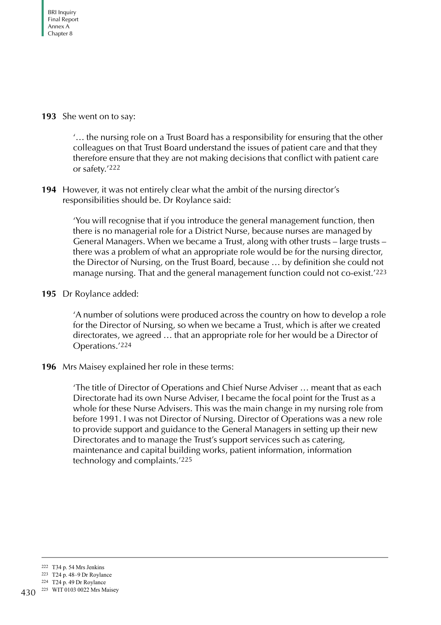#### **193** She went on to say:

'… the nursing role on a Trust Board has a responsibility for ensuring that the other colleagues on that Trust Board understand the issues of patient care and that they therefore ensure that they are not making decisions that conflict with patient care or safety.'222

**194** However, it was not entirely clear what the ambit of the nursing director's responsibilities should be. Dr Roylance said:

> 'You will recognise that if you introduce the general management function, then there is no managerial role for a District Nurse, because nurses are managed by General Managers. When we became a Trust, along with other trusts – large trusts – there was a problem of what an appropriate role would be for the nursing director, the Director of Nursing, on the Trust Board, because … by definition she could not manage nursing. That and the general management function could not co-exist.'223

### **195** Dr Roylance added:

'A number of solutions were produced across the country on how to develop a role for the Director of Nursing, so when we became a Trust, which is after we created directorates, we agreed … that an appropriate role for her would be a Director of Operations.'224

**196** Mrs Maisey explained her role in these terms:

'The title of Director of Operations and Chief Nurse Adviser … meant that as each Directorate had its own Nurse Adviser, I became the focal point for the Trust as a whole for these Nurse Advisers. This was the main change in my nursing role from before 1991. I was not Director of Nursing. Director of Operations was a new role to provide support and guidance to the General Managers in setting up their new Directorates and to manage the Trust's support services such as catering, maintenance and capital building works, patient information, information technology and complaints.'225

223 T24 p. 48–9 Dr Roylance

<sup>222</sup> T34 p. 54 Mrs Jenkins

<sup>430 &</sup>lt;sup>225</sup> WIT 0103 0022 Mrs Maisey 224 T24 p. 49 Dr Roylance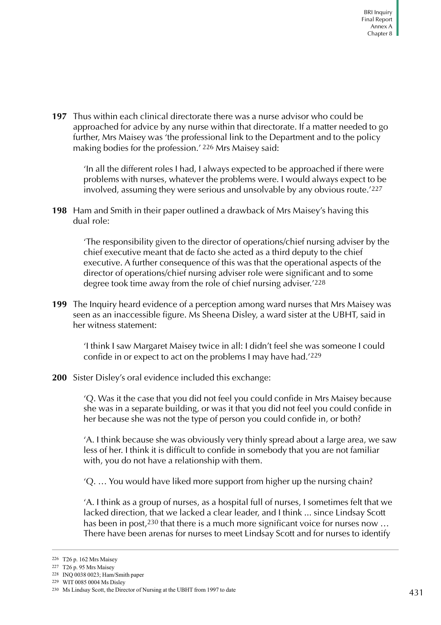**197** Thus within each clinical directorate there was a nurse advisor who could be approached for advice by any nurse within that directorate. If a matter needed to go further, Mrs Maisey was 'the professional link to the Department and to the policy making bodies for the profession.' 226 Mrs Maisey said:

'In all the different roles I had, I always expected to be approached if there were problems with nurses, whatever the problems were. I would always expect to be involved, assuming they were serious and unsolvable by any obvious route.'227

**198** Ham and Smith in their paper outlined a drawback of Mrs Maisey's having this dual role:

'The responsibility given to the director of operations/chief nursing adviser by the chief executive meant that de facto she acted as a third deputy to the chief executive. A further consequence of this was that the operational aspects of the director of operations/chief nursing adviser role were significant and to some degree took time away from the role of chief nursing adviser.'228

**199** The Inquiry heard evidence of a perception among ward nurses that Mrs Maisey was seen as an inaccessible figure. Ms Sheena Disley, a ward sister at the UBHT, said in her witness statement:

'I think I saw Margaret Maisey twice in all: I didn't feel she was someone I could confide in or expect to act on the problems I may have had.'229

**200** Sister Disley's oral evidence included this exchange:

'Q. Was it the case that you did not feel you could confide in Mrs Maisey because she was in a separate building, or was it that you did not feel you could confide in her because she was not the type of person you could confide in, or both?

'A. I think because she was obviously very thinly spread about a large area, we saw less of her. I think it is difficult to confide in somebody that you are not familiar with, you do not have a relationship with them.

'Q. … You would have liked more support from higher up the nursing chain?

'A. I think as a group of nurses, as a hospital full of nurses, I sometimes felt that we lacked direction, that we lacked a clear leader, and I think ... since Lindsay Scott has been in post,<sup>230</sup> that there is a much more significant voice for nurses now ... There have been arenas for nurses to meet Lindsay Scott and for nurses to identify

<sup>226</sup> T26 p. 162 Mrs Maisey

<sup>227</sup> T26 p. 95 Mrs Maisey

<sup>228</sup> INQ 0038 0023; Ham/Smith paper

<sup>229</sup> WIT 0085 0004 Ms Disley

<sup>230</sup> Ms Lindsay Scott, the Director of Nursing at the UBHT from 1997 to date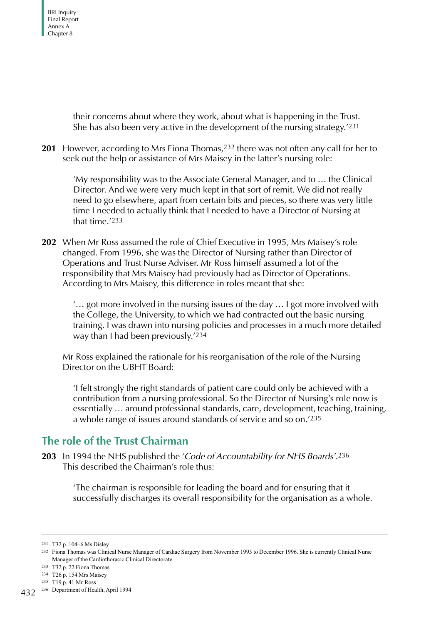their concerns about where they work, about what is happening in the Trust. She has also been very active in the development of the nursing strategy.'231

**201** However, according to Mrs Fiona Thomas,232 there was not often any call for her to seek out the help or assistance of Mrs Maisey in the latter's nursing role:

'My responsibility was to the Associate General Manager, and to … the Clinical Director. And we were very much kept in that sort of remit. We did not really need to go elsewhere, apart from certain bits and pieces, so there was very little time I needed to actually think that I needed to have a Director of Nursing at that time.'233

**202** When Mr Ross assumed the role of Chief Executive in 1995, Mrs Maisey's role changed. From 1996, she was the Director of Nursing rather than Director of Operations and Trust Nurse Adviser. Mr Ross himself assumed a lot of the responsibility that Mrs Maisey had previously had as Director of Operations. According to Mrs Maisey, this difference in roles meant that she:

'… got more involved in the nursing issues of the day … I got more involved with the College, the University, to which we had contracted out the basic nursing training. I was drawn into nursing policies and processes in a much more detailed way than I had been previously.'234

Mr Ross explained the rationale for his reorganisation of the role of the Nursing Director on the UBHT Board:

'I felt strongly the right standards of patient care could only be achieved with a contribution from a nursing professional. So the Director of Nursing's role now is essentially … around professional standards, care, development, teaching, training, a whole range of issues around standards of service and so on.'235

# **The role of the Trust Chairman**

**203** In 1994 the NHS published the 'Code of Accountability for NHS Boards'.236 This described the Chairman's role thus:

> 'The chairman is responsible for leading the board and for ensuring that it successfully discharges its overall responsibility for the organisation as a whole.

<sup>231</sup> T32 p. 104–6 Ms Disley

<sup>232</sup> Fiona Thomas was Clinical Nurse Manager of Cardiac Surgery from November 1993 to December 1996. She is currently Clinical Nurse Manager of the Cardiothoracic Clinical Directorate

<sup>233</sup> T32 p. 22 Fiona Thomas

<sup>234</sup> T26 p. 154 Mrs Maisey

<sup>235</sup> T19 p. 41 Mr Ross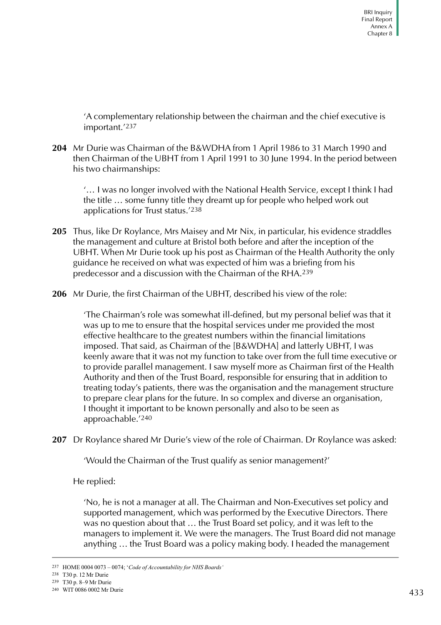'A complementary relationship between the chairman and the chief executive is important.'237

**204** Mr Durie was Chairman of the B&WDHA from 1 April 1986 to 31 March 1990 and then Chairman of the UBHT from 1 April 1991 to 30 June 1994. In the period between his two chairmanships:

'… I was no longer involved with the National Health Service, except I think I had the title … some funny title they dreamt up for people who helped work out applications for Trust status.'238

- **205** Thus, like Dr Roylance, Mrs Maisey and Mr Nix, in particular, his evidence straddles the management and culture at Bristol both before and after the inception of the UBHT. When Mr Durie took up his post as Chairman of the Health Authority the only guidance he received on what was expected of him was a briefing from his predecessor and a discussion with the Chairman of the RHA.239
- **206** Mr Durie, the first Chairman of the UBHT, described his view of the role:

'The Chairman's role was somewhat ill-defined, but my personal belief was that it was up to me to ensure that the hospital services under me provided the most effective healthcare to the greatest numbers within the financial limitations imposed. That said, as Chairman of the [B&WDHA] and latterly UBHT, I was keenly aware that it was not my function to take over from the full time executive or to provide parallel management. I saw myself more as Chairman first of the Health Authority and then of the Trust Board, responsible for ensuring that in addition to treating today's patients, there was the organisation and the management structure to prepare clear plans for the future. In so complex and diverse an organisation, I thought it important to be known personally and also to be seen as approachable.'240

**207** Dr Roylance shared Mr Durie's view of the role of Chairman. Dr Roylance was asked:

'Would the Chairman of the Trust qualify as senior management?'

He replied:

'No, he is not a manager at all. The Chairman and Non-Executives set policy and supported management, which was performed by the Executive Directors. There was no question about that … the Trust Board set policy, and it was left to the managers to implement it. We were the managers. The Trust Board did not manage anything … the Trust Board was a policy making body. I headed the management

<sup>237</sup> HOME 0004 0073 – 0074; '*Code of Accountability for NHS Boards'*

<sup>238</sup> T30 p. 12 Mr Durie

<sup>239</sup> T30 p. 8–9 Mr Durie

<sup>240</sup> WIT 0086 0002 Mr Durie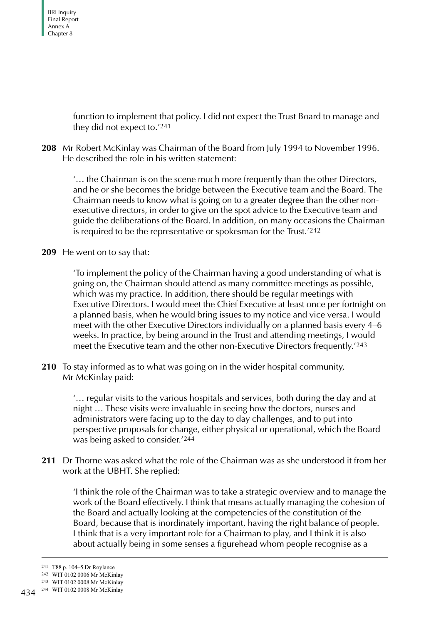function to implement that policy. I did not expect the Trust Board to manage and they did not expect to.'241

**208** Mr Robert McKinlay was Chairman of the Board from July 1994 to November 1996. He described the role in his written statement:

'… the Chairman is on the scene much more frequently than the other Directors, and he or she becomes the bridge between the Executive team and the Board. The Chairman needs to know what is going on to a greater degree than the other nonexecutive directors, in order to give on the spot advice to the Executive team and guide the deliberations of the Board. In addition, on many occasions the Chairman is required to be the representative or spokesman for the Trust.'242

## **209** He went on to say that:

'To implement the policy of the Chairman having a good understanding of what is going on, the Chairman should attend as many committee meetings as possible, which was my practice. In addition, there should be regular meetings with Executive Directors. I would meet the Chief Executive at least once per fortnight on a planned basis, when he would bring issues to my notice and vice versa. I would meet with the other Executive Directors individually on a planned basis every 4–6 weeks. In practice, by being around in the Trust and attending meetings, I would meet the Executive team and the other non-Executive Directors frequently.'243

**210** To stay informed as to what was going on in the wider hospital community, Mr McKinlay paid:

> '… regular visits to the various hospitals and services, both during the day and at night … These visits were invaluable in seeing how the doctors, nurses and administrators were facing up to the day to day challenges, and to put into perspective proposals for change, either physical or operational, which the Board was being asked to consider.'244

**211** Dr Thorne was asked what the role of the Chairman was as she understood it from her work at the UBHT. She replied:

'I think the role of the Chairman was to take a strategic overview and to manage the work of the Board effectively. I think that means actually managing the cohesion of the Board and actually looking at the competencies of the constitution of the Board, because that is inordinately important, having the right balance of people. I think that is a very important role for a Chairman to play, and I think it is also about actually being in some senses a figurehead whom people recognise as a

<sup>241</sup> T88 p. 104–5 Dr Roylance

<sup>242</sup> WIT 0102 0006 Mr McKinlay

<sup>243</sup> WIT 0102 0008 Mr McKinlay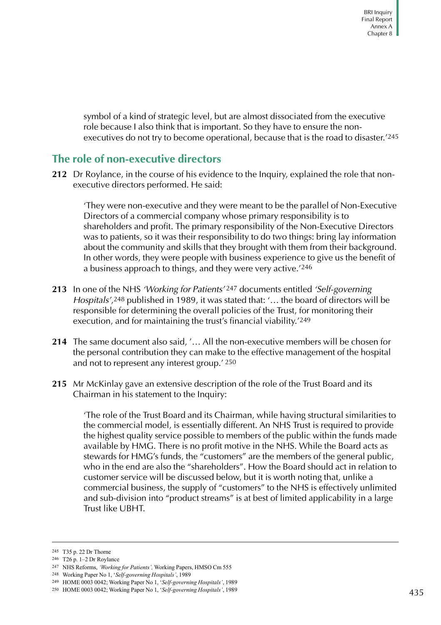symbol of a kind of strategic level, but are almost dissociated from the executive role because I also think that is important. So they have to ensure the nonexecutives do not try to become operational, because that is the road to disaster.'245

## **The role of non-executive directors**

**212** Dr Roylance, in the course of his evidence to the Inquiry, explained the role that nonexecutive directors performed. He said:

'They were non-executive and they were meant to be the parallel of Non-Executive Directors of a commercial company whose primary responsibility is to shareholders and profit. The primary responsibility of the Non-Executive Directors was to patients, so it was their responsibility to do two things: bring lay information about the community and skills that they brought with them from their background. In other words, they were people with business experience to give us the benefit of a business approach to things, and they were very active.'246

- **213** In one of the NHS 'Working for Patients' 247 documents entitled 'Self-governing Hospitals',<sup>248</sup> published in 1989, it was stated that: '... the board of directors will be responsible for determining the overall policies of the Trust, for monitoring their execution, and for maintaining the trust's financial viability.'249
- **214** The same document also said, '… All the non-executive members will be chosen for the personal contribution they can make to the effective management of the hospital and not to represent any interest group.' 250
- **215** Mr McKinlay gave an extensive description of the role of the Trust Board and its Chairman in his statement to the Inquiry:

'The role of the Trust Board and its Chairman, while having structural similarities to the commercial model, is essentially different. An NHS Trust is required to provide the highest quality service possible to members of the public within the funds made available by HMG. There is no profit motive in the NHS. While the Board acts as stewards for HMG's funds, the "customers" are the members of the general public, who in the end are also the "shareholders". How the Board should act in relation to customer service will be discussed below, but it is worth noting that, unlike a commercial business, the supply of "customers" to the NHS is effectively unlimited and sub-division into "product streams" is at best of limited applicability in a large Trust like UBHT.

<sup>245</sup> T35 p. 22 Dr Thorne

<sup>246</sup> T26 p. 1–2 Dr Roylance

<sup>247</sup> NHS Reforms, *'Working for Patients',* Working Papers, HMSO Cm 555

<sup>248</sup> Working Paper No 1, '*Self-governing Hospitals'*, 1989

<sup>249</sup> HOME 0003 0042; Working Paper No 1, '*Self-governing Hospitals'*, 1989

<sup>250</sup> HOME 0003 0042; Working Paper No 1, '*Self-governing Hospitals'*, 1989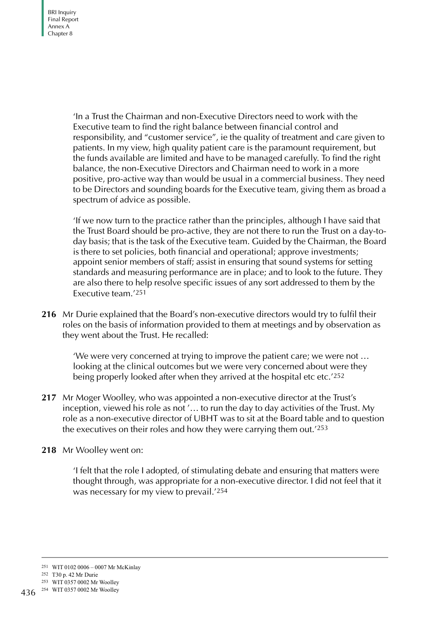'In a Trust the Chairman and non-Executive Directors need to work with the Executive team to find the right balance between financial control and responsibility, and "customer service", ie the quality of treatment and care given to patients. In my view, high quality patient care is the paramount requirement, but the funds available are limited and have to be managed carefully. To find the right balance, the non-Executive Directors and Chairman need to work in a more positive, pro-active way than would be usual in a commercial business. They need to be Directors and sounding boards for the Executive team, giving them as broad a spectrum of advice as possible.

'If we now turn to the practice rather than the principles, although I have said that the Trust Board should be pro-active, they are not there to run the Trust on a day-today basis; that is the task of the Executive team. Guided by the Chairman, the Board is there to set policies, both financial and operational; approve investments; appoint senior members of staff; assist in ensuring that sound systems for setting standards and measuring performance are in place; and to look to the future. They are also there to help resolve specific issues of any sort addressed to them by the Executive team.'251

**216** Mr Durie explained that the Board's non-executive directors would try to fulfil their roles on the basis of information provided to them at meetings and by observation as they went about the Trust. He recalled:

'We were very concerned at trying to improve the patient care; we were not … looking at the clinical outcomes but we were very concerned about were they being properly looked after when they arrived at the hospital etc etc.'252

**217** Mr Moger Woolley, who was appointed a non-executive director at the Trust's inception, viewed his role as not '… to run the day to day activities of the Trust. My role as a non-executive director of UBHT was to sit at the Board table and to question the executives on their roles and how they were carrying them out.'253

## **218** Mr Woolley went on:

'I felt that the role I adopted, of stimulating debate and ensuring that matters were thought through, was appropriate for a non-executive director. I did not feel that it was necessary for my view to prevail.'254

<sup>251</sup> WIT 0102 0006 – 0007 Mr McKinlay

<sup>252</sup> T30 p. 42 Mr Durie

<sup>253</sup> WIT 0357 0002 Mr Woolley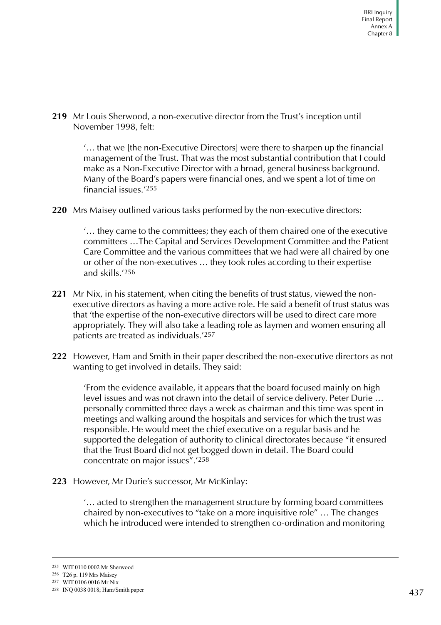**219** Mr Louis Sherwood, a non-executive director from the Trust's inception until November 1998, felt:

> '… that we [the non-Executive Directors] were there to sharpen up the financial management of the Trust. That was the most substantial contribution that I could make as a Non-Executive Director with a broad, general business background. Many of the Board's papers were financial ones, and we spent a lot of time on financial issues.'255

**220** Mrs Maisey outlined various tasks performed by the non-executive directors:

'… they came to the committees; they each of them chaired one of the executive committees …The Capital and Services Development Committee and the Patient Care Committee and the various committees that we had were all chaired by one or other of the non-executives … they took roles according to their expertise and skills.'256

- **221** Mr Nix, in his statement, when citing the benefits of trust status, viewed the nonexecutive directors as having a more active role. He said a benefit of trust status was that 'the expertise of the non-executive directors will be used to direct care more appropriately. They will also take a leading role as laymen and women ensuring all patients are treated as individuals.'257
- **222** However, Ham and Smith in their paper described the non-executive directors as not wanting to get involved in details. They said:

'From the evidence available, it appears that the board focused mainly on high level issues and was not drawn into the detail of service delivery. Peter Durie … personally committed three days a week as chairman and this time was spent in meetings and walking around the hospitals and services for which the trust was responsible. He would meet the chief executive on a regular basis and he supported the delegation of authority to clinical directorates because "it ensured that the Trust Board did not get bogged down in detail. The Board could concentrate on major issues".'258

**223** However, Mr Durie's successor, Mr McKinlay:

'… acted to strengthen the management structure by forming board committees chaired by non-executives to "take on a more inquisitive role" … The changes which he introduced were intended to strengthen co-ordination and monitoring

<sup>255</sup> WIT 0110 0002 Mr Sherwood

<sup>256</sup> T26 p. 119 Mrs Maisey

<sup>257</sup> WIT 0106 0016 Mr Nix

<sup>258</sup> INQ 0038 0018; Ham/Smith paper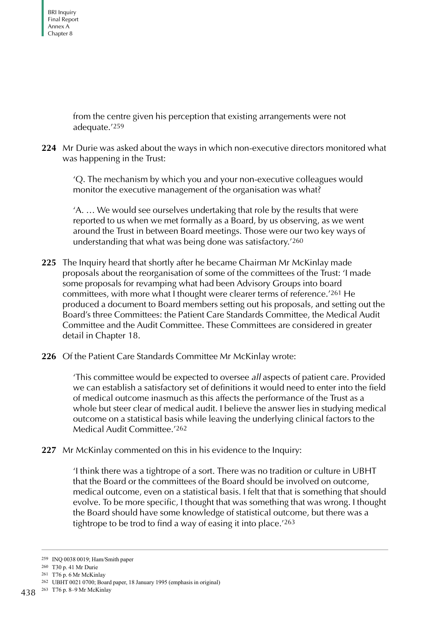from the centre given his perception that existing arrangements were not adequate.'259

**224** Mr Durie was asked about the ways in which non-executive directors monitored what was happening in the Trust:

'Q. The mechanism by which you and your non-executive colleagues would monitor the executive management of the organisation was what?

'A. … We would see ourselves undertaking that role by the results that were reported to us when we met formally as a Board, by us observing, as we went around the Trust in between Board meetings. Those were our two key ways of understanding that what was being done was satisfactory.'260

- **225** The Inquiry heard that shortly after he became Chairman Mr McKinlay made proposals about the reorganisation of some of the committees of the Trust: 'I made some proposals for revamping what had been Advisory Groups into board committees, with more what I thought were clearer terms of reference.'261 He produced a document to Board members setting out his proposals, and setting out the Board's three Committees: the Patient Care Standards Committee, the Medical Audit Committee and the Audit Committee. These Committees are considered in greater detail in Chapter 18.
- **226** Of the Patient Care Standards Committee Mr McKinlay wrote:

'This committee would be expected to oversee all aspects of patient care. Provided we can establish a satisfactory set of definitions it would need to enter into the field of medical outcome inasmuch as this affects the performance of the Trust as a whole but steer clear of medical audit. I believe the answer lies in studying medical outcome on a statistical basis while leaving the underlying clinical factors to the Medical Audit Committee.'262

**227** Mr McKinlay commented on this in his evidence to the Inquiry:

'I think there was a tightrope of a sort. There was no tradition or culture in UBHT that the Board or the committees of the Board should be involved on outcome, medical outcome, even on a statistical basis. I felt that that is something that should evolve. To be more specific, I thought that was something that was wrong. I thought the Board should have some knowledge of statistical outcome, but there was a tightrope to be trod to find a way of easing it into place.'263

<sup>259</sup> INQ 0038 0019; Ham/Smith paper

<sup>260</sup> T30 p. 41 Mr Durie

<sup>261</sup> T76 p. 6 Mr McKinlay

<sup>262</sup> UBHT 0021 0700; Board paper, 18 January 1995 (emphasis in original)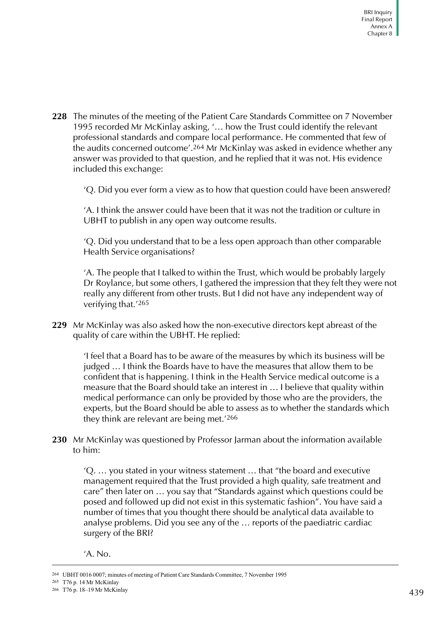**228** The minutes of the meeting of the Patient Care Standards Committee on 7 November 1995 recorded Mr McKinlay asking, '… how the Trust could identify the relevant professional standards and compare local performance. He commented that few of the audits concerned outcome'.264 Mr McKinlay was asked in evidence whether any answer was provided to that question, and he replied that it was not. His evidence included this exchange:

'Q. Did you ever form a view as to how that question could have been answered?

'A. I think the answer could have been that it was not the tradition or culture in UBHT to publish in any open way outcome results.

'Q. Did you understand that to be a less open approach than other comparable Health Service organisations?

'A. The people that I talked to within the Trust, which would be probably largely Dr Roylance, but some others, I gathered the impression that they felt they were not really any different from other trusts. But I did not have any independent way of verifying that.'265

**229** Mr McKinlay was also asked how the non-executive directors kept abreast of the quality of care within the UBHT. He replied:

'I feel that a Board has to be aware of the measures by which its business will be judged … I think the Boards have to have the measures that allow them to be confident that is happening. I think in the Health Service medical outcome is a measure that the Board should take an interest in … I believe that quality within medical performance can only be provided by those who are the providers, the experts, but the Board should be able to assess as to whether the standards which they think are relevant are being met.'266

**230** Mr McKinlay was questioned by Professor Jarman about the information available to him:

'Q. … you stated in your witness statement … that "the board and executive management required that the Trust provided a high quality, safe treatment and care" then later on … you say that "Standards against which questions could be posed and followed up did not exist in this systematic fashion". You have said a number of times that you thought there should be analytical data available to analyse problems. Did you see any of the … reports of the paediatric cardiac surgery of the BRI?

'A. No.

<sup>264</sup> UBHT 0016 0007; minutes of meeting of Patient Care Standards Committee, 7 November 1995

<sup>265</sup> T76 p. 14 Mr McKinlay

<sup>266</sup> T76 p. 18–19 Mr McKinlay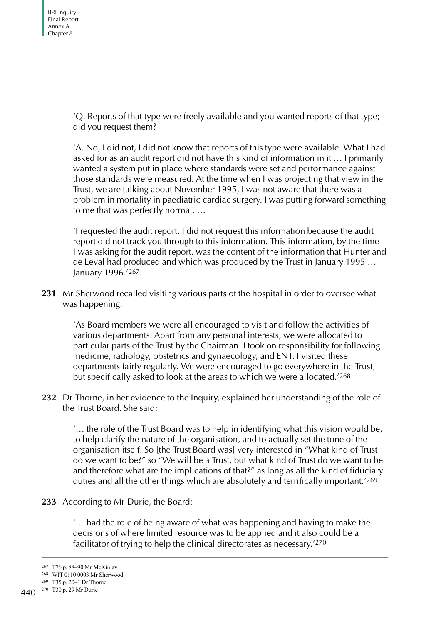'Q. Reports of that type were freely available and you wanted reports of that type; did you request them?

'A. No, I did not, I did not know that reports of this type were available. What I had asked for as an audit report did not have this kind of information in it … I primarily wanted a system put in place where standards were set and performance against those standards were measured. At the time when I was projecting that view in the Trust, we are talking about November 1995, I was not aware that there was a problem in mortality in paediatric cardiac surgery. I was putting forward something to me that was perfectly normal. …

'I requested the audit report, I did not request this information because the audit report did not track you through to this information. This information, by the time I was asking for the audit report, was the content of the information that Hunter and de Leval had produced and which was produced by the Trust in January 1995 … January 1996.'267

**231** Mr Sherwood recalled visiting various parts of the hospital in order to oversee what was happening:

'As Board members we were all encouraged to visit and follow the activities of various departments. Apart from any personal interests, we were allocated to particular parts of the Trust by the Chairman. I took on responsibility for following medicine, radiology, obstetrics and gynaecology, and ENT. I visited these departments fairly regularly. We were encouraged to go everywhere in the Trust, but specifically asked to look at the areas to which we were allocated.'268

**232** Dr Thorne, in her evidence to the Inquiry, explained her understanding of the role of the Trust Board. She said:

'… the role of the Trust Board was to help in identifying what this vision would be, to help clarify the nature of the organisation, and to actually set the tone of the organisation itself. So [the Trust Board was] very interested in "What kind of Trust do we want to be?" so "We will be a Trust, but what kind of Trust do we want to be and therefore what are the implications of that?" as long as all the kind of fiduciary duties and all the other things which are absolutely and terrifically important.'269

**233** According to Mr Durie, the Board:

'… had the role of being aware of what was happening and having to make the decisions of where limited resource was to be applied and it also could be a facilitator of trying to help the clinical directorates as necessary.'270

<sup>267</sup> T76 p. 88–90 Mr McKinlay

<sup>268</sup> WIT 0110 0003 Mr Sherwood

<sup>269</sup> T35 p. 20–1 Dr Thorne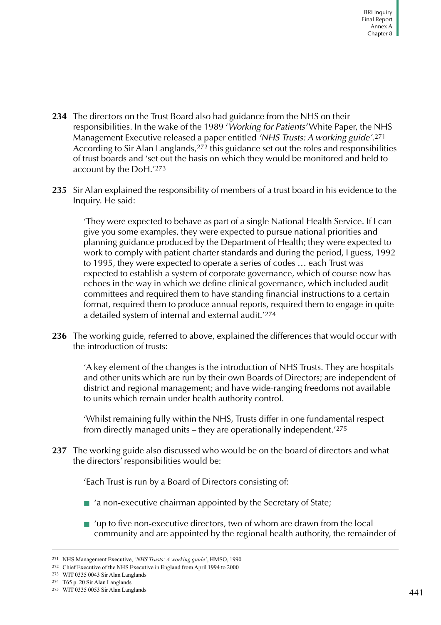- **234** The directors on the Trust Board also had guidance from the NHS on their responsibilities. In the wake of the 1989 'Working for Patients' White Paper, the NHS Management Executive released a paper entitled 'NHS Trusts: A working guide'.271 According to Sir Alan Langlands,272 this guidance set out the roles and responsibilities of trust boards and 'set out the basis on which they would be monitored and held to account by the DoH.'273
- **235** Sir Alan explained the responsibility of members of a trust board in his evidence to the Inquiry. He said:

'They were expected to behave as part of a single National Health Service. If I can give you some examples, they were expected to pursue national priorities and planning guidance produced by the Department of Health; they were expected to work to comply with patient charter standards and during the period, I guess, 1992 to 1995, they were expected to operate a series of codes … each Trust was expected to establish a system of corporate governance, which of course now has echoes in the way in which we define clinical governance, which included audit committees and required them to have standing financial instructions to a certain format, required them to produce annual reports, required them to engage in quite a detailed system of internal and external audit.'274

**236** The working guide, referred to above, explained the differences that would occur with the introduction of trusts:

'A key element of the changes is the introduction of NHS Trusts. They are hospitals and other units which are run by their own Boards of Directors; are independent of district and regional management; and have wide-ranging freedoms not available to units which remain under health authority control.

'Whilst remaining fully within the NHS, Trusts differ in one fundamental respect from directly managed units – they are operationally independent.'275

**237** The working guide also discussed who would be on the board of directors and what the directors' responsibilities would be:

'Each Trust is run by a Board of Directors consisting of:

- 'a non-executive chairman appointed by the Secretary of State;
- 'up to five non-executive directors, two of whom are drawn from the local community and are appointed by the regional health authority, the remainder of

<sup>271</sup> NHS Management Executive, *'NHS Trusts: A working guide'*, HMSO, 1990

<sup>272</sup> Chief Executive of the NHS Executive in England from April 1994 to 2000

<sup>273</sup> WIT 0335 0043 Sir Alan Langlands

<sup>274</sup> T65 p. 20 Sir Alan Langlands

<sup>275</sup> WIT 0335 0053 Sir Alan Langlands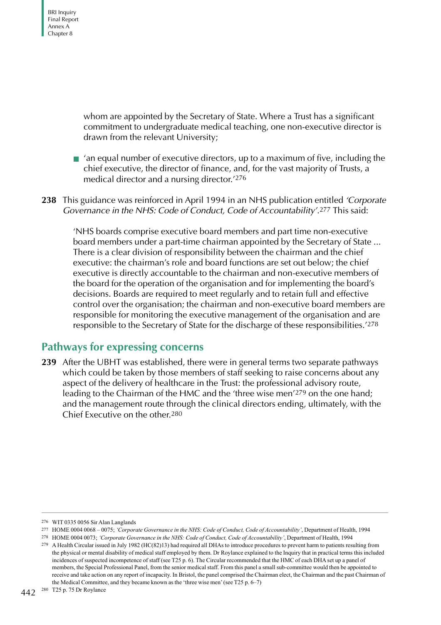whom are appointed by the Secretary of State. Where a Trust has a significant commitment to undergraduate medical teaching, one non-executive director is drawn from the relevant University;

- $\blacksquare$  'an equal number of executive directors, up to a maximum of five, including the chief executive, the director of finance, and, for the vast majority of Trusts, a medical director and a nursing director.'276
- **238** This guidance was reinforced in April 1994 in an NHS publication entitled 'Corporate Governance in the NHS: Code of Conduct, Code of Accountability'.277 This said:

'NHS boards comprise executive board members and part time non-executive board members under a part-time chairman appointed by the Secretary of State ... There is a clear division of responsibility between the chairman and the chief executive: the chairman's role and board functions are set out below; the chief executive is directly accountable to the chairman and non-executive members of the board for the operation of the organisation and for implementing the board's decisions. Boards are required to meet regularly and to retain full and effective control over the organisation; the chairman and non-executive board members are responsible for monitoring the executive management of the organisation and are responsible to the Secretary of State for the discharge of these responsibilities.'278

## **Pathways for expressing concerns**

**239** After the UBHT was established, there were in general terms two separate pathways which could be taken by those members of staff seeking to raise concerns about any aspect of the delivery of healthcare in the Trust: the professional advisory route, leading to the Chairman of the HMC and the 'three wise men'279 on the one hand; and the management route through the clinical directors ending, ultimately, with the Chief Executive on the other.280

<sup>276</sup> WIT 0335 0056 Sir Alan Langlands

<sup>277</sup> HOME 0004 0068 – 0075; *'Corporate Governance in the NHS: Code of Conduct, Code of Accountability'*, Department of Health, 1994

<sup>278</sup> HOME 0004 0073; *'Corporate Governance in the NHS: Code of Conduct, Code of Accountability'*, Department of Health, 1994

<sup>279</sup> A Health Circular issued in July 1982 (HC(82)13) had required all DHAs to introduce procedures to prevent harm to patients resulting from the physical or mental disability of medical staff employed by them. Dr Roylance explained to the Inquiry that in practical terms this included incidences of suspected incompetence of staff (see T25 p. 6). The Circular recommended that the HMC of each DHA set up a panel of members, the Special Professional Panel, from the senior medical staff. From this panel a small sub-committee would then be appointed to receive and take action on any report of incapacity. In Bristol, the panel comprised the Chairman elect, the Chairman and the past Chairman of the Medical Committee, and they became known as the 'three wise men' (see T25 p. 6–7)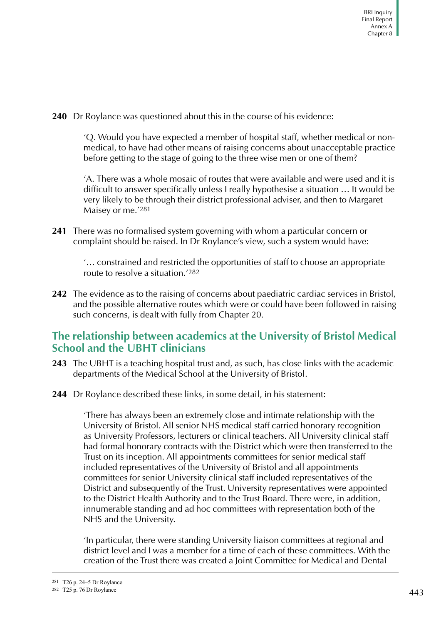**240** Dr Roylance was questioned about this in the course of his evidence:

'Q. Would you have expected a member of hospital staff, whether medical or nonmedical, to have had other means of raising concerns about unacceptable practice before getting to the stage of going to the three wise men or one of them?

'A. There was a whole mosaic of routes that were available and were used and it is difficult to answer specifically unless I really hypothesise a situation … It would be very likely to be through their district professional adviser, and then to Margaret Maisey or me.'281

**241** There was no formalised system governing with whom a particular concern or complaint should be raised. In Dr Roylance's view, such a system would have:

> '… constrained and restricted the opportunities of staff to choose an appropriate route to resolve a situation.'282

**242** The evidence as to the raising of concerns about paediatric cardiac services in Bristol, and the possible alternative routes which were or could have been followed in raising such concerns, is dealt with fully from Chapter 20.

## **The relationship between academics at the University of Bristol Medical School and the UBHT clinicians**

- **243** The UBHT is a teaching hospital trust and, as such, has close links with the academic departments of the Medical School at the University of Bristol.
- **244** Dr Roylance described these links, in some detail, in his statement:

'There has always been an extremely close and intimate relationship with the University of Bristol. All senior NHS medical staff carried honorary recognition as University Professors, lecturers or clinical teachers. All University clinical staff had formal honorary contracts with the District which were then transferred to the Trust on its inception. All appointments committees for senior medical staff included representatives of the University of Bristol and all appointments committees for senior University clinical staff included representatives of the District and subsequently of the Trust. University representatives were appointed to the District Health Authority and to the Trust Board. There were, in addition, innumerable standing and ad hoc committees with representation both of the NHS and the University.

'In particular, there were standing University liaison committees at regional and district level and I was a member for a time of each of these committees. With the creation of the Trust there was created a Joint Committee for Medical and Dental

<sup>281</sup> T26 p. 24–5 Dr Roylance

<sup>282</sup> T25 p. 76 Dr Roylance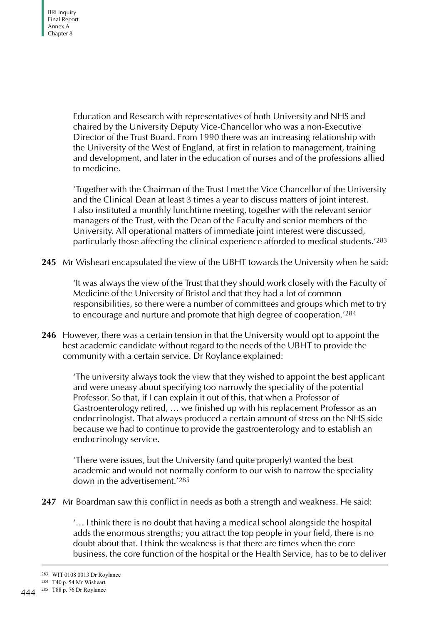Education and Research with representatives of both University and NHS and chaired by the University Deputy Vice-Chancellor who was a non-Executive Director of the Trust Board. From 1990 there was an increasing relationship with the University of the West of England, at first in relation to management, training and development, and later in the education of nurses and of the professions allied to medicine.

'Together with the Chairman of the Trust I met the Vice Chancellor of the University and the Clinical Dean at least 3 times a year to discuss matters of joint interest. I also instituted a monthly lunchtime meeting, together with the relevant senior managers of the Trust, with the Dean of the Faculty and senior members of the University. All operational matters of immediate joint interest were discussed, particularly those affecting the clinical experience afforded to medical students.'283

**245** Mr Wisheart encapsulated the view of the UBHT towards the University when he said:

'It was always the view of the Trust that they should work closely with the Faculty of Medicine of the University of Bristol and that they had a lot of common responsibilities, so there were a number of committees and groups which met to try to encourage and nurture and promote that high degree of cooperation.'284

**246** However, there was a certain tension in that the University would opt to appoint the best academic candidate without regard to the needs of the UBHT to provide the community with a certain service. Dr Roylance explained:

'The university always took the view that they wished to appoint the best applicant and were uneasy about specifying too narrowly the speciality of the potential Professor. So that, if I can explain it out of this, that when a Professor of Gastroenterology retired, … we finished up with his replacement Professor as an endocrinologist. That always produced a certain amount of stress on the NHS side because we had to continue to provide the gastroenterology and to establish an endocrinology service.

'There were issues, but the University (and quite properly) wanted the best academic and would not normally conform to our wish to narrow the speciality down in the advertisement.'285

**247** Mr Boardman saw this conflict in needs as both a strength and weakness. He said:

'… I think there is no doubt that having a medical school alongside the hospital adds the enormous strengths; you attract the top people in your field, there is no doubt about that. I think the weakness is that there are times when the core business, the core function of the hospital or the Health Service, has to be to deliver

<sup>283</sup> WIT 0108 0013 Dr Roylance

<sup>284</sup> T40 p. 54 Mr Wisheart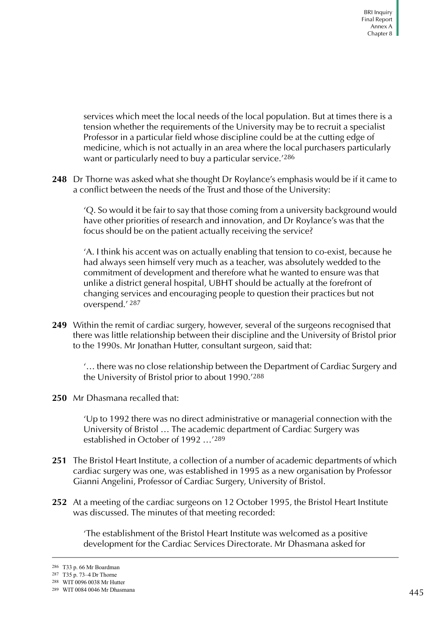services which meet the local needs of the local population. But at times there is a tension whether the requirements of the University may be to recruit a specialist Professor in a particular field whose discipline could be at the cutting edge of medicine, which is not actually in an area where the local purchasers particularly want or particularly need to buy a particular service.'286

**248** Dr Thorne was asked what she thought Dr Roylance's emphasis would be if it came to a conflict between the needs of the Trust and those of the University:

'Q. So would it be fair to say that those coming from a university background would have other priorities of research and innovation, and Dr Roylance's was that the focus should be on the patient actually receiving the service?

'A. I think his accent was on actually enabling that tension to co-exist, because he had always seen himself very much as a teacher, was absolutely wedded to the commitment of development and therefore what he wanted to ensure was that unlike a district general hospital, UBHT should be actually at the forefront of changing services and encouraging people to question their practices but not overspend.' 287

**249** Within the remit of cardiac surgery, however, several of the surgeons recognised that there was little relationship between their discipline and the University of Bristol prior to the 1990s. Mr Jonathan Hutter, consultant surgeon, said that:

'… there was no close relationship between the Department of Cardiac Surgery and the University of Bristol prior to about 1990.'288

**250** Mr Dhasmana recalled that:

'Up to 1992 there was no direct administrative or managerial connection with the University of Bristol … The academic department of Cardiac Surgery was established in October of 1992 …'289

- **251** The Bristol Heart Institute, a collection of a number of academic departments of which cardiac surgery was one, was established in 1995 as a new organisation by Professor Gianni Angelini, Professor of Cardiac Surgery, University of Bristol.
- **252** At a meeting of the cardiac surgeons on 12 October 1995, the Bristol Heart Institute was discussed. The minutes of that meeting recorded:

'The establishment of the Bristol Heart Institute was welcomed as a positive development for the Cardiac Services Directorate. Mr Dhasmana asked for

<sup>286</sup> T33 p. 66 Mr Boardman

<sup>287</sup> T35 p. 73–4 Dr Thorne

<sup>288</sup> WIT 0096 0038 Mr Hutter

<sup>289</sup> WIT 0084 0046 Mr Dhasmana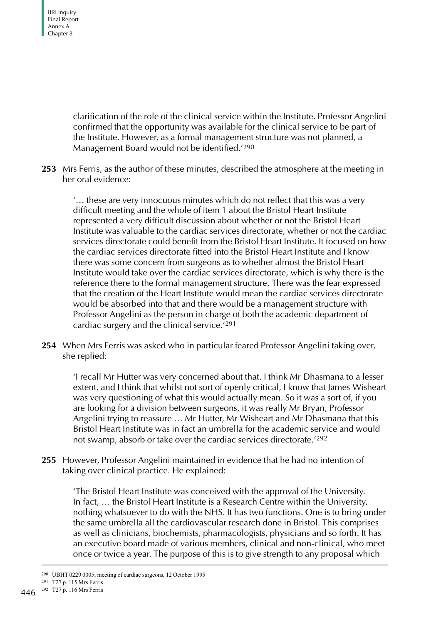clarification of the role of the clinical service within the Institute. Professor Angelini confirmed that the opportunity was available for the clinical service to be part of the Institute. However, as a formal management structure was not planned, a Management Board would not be identified.'290

**253** Mrs Ferris, as the author of these minutes, described the atmosphere at the meeting in her oral evidence:

'… these are very innocuous minutes which do not reflect that this was a very difficult meeting and the whole of item 1 about the Bristol Heart Institute represented a very difficult discussion about whether or not the Bristol Heart Institute was valuable to the cardiac services directorate, whether or not the cardiac services directorate could benefit from the Bristol Heart Institute. It focused on how the cardiac services directorate fitted into the Bristol Heart Institute and I know there was some concern from surgeons as to whether almost the Bristol Heart Institute would take over the cardiac services directorate, which is why there is the reference there to the formal management structure. There was the fear expressed that the creation of the Heart Institute would mean the cardiac services directorate would be absorbed into that and there would be a management structure with Professor Angelini as the person in charge of both the academic department of cardiac surgery and the clinical service.'291

**254** When Mrs Ferris was asked who in particular feared Professor Angelini taking over, she replied:

'I recall Mr Hutter was very concerned about that. I think Mr Dhasmana to a lesser extent, and I think that whilst not sort of openly critical, I know that James Wisheart was very questioning of what this would actually mean. So it was a sort of, if you are looking for a division between surgeons, it was really Mr Bryan, Professor Angelini trying to reassure … Mr Hutter, Mr Wisheart and Mr Dhasmana that this Bristol Heart Institute was in fact an umbrella for the academic service and would not swamp, absorb or take over the cardiac services directorate.'292

**255** However, Professor Angelini maintained in evidence that he had no intention of taking over clinical practice. He explained:

'The Bristol Heart Institute was conceived with the approval of the University. In fact, … the Bristol Heart Institute is a Research Centre within the University, nothing whatsoever to do with the NHS. It has two functions. One is to bring under the same umbrella all the cardiovascular research done in Bristol. This comprises as well as clinicians, biochemists, pharmacologists, physicians and so forth. It has an executive board made of various members, clinical and non-clinical, who meet once or twice a year. The purpose of this is to give strength to any proposal which

<sup>290</sup> UBHT 0229 0005; meeting of cardiac surgeons, 12 October 1995

<sup>291</sup> T27 p. 115 Mrs Ferris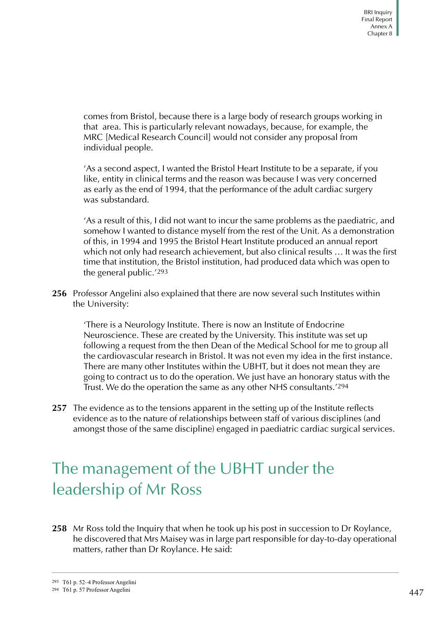comes from Bristol, because there is a large body of research groups working in that area. This is particularly relevant nowadays, because, for example, the MRC [Medical Research Council] would not consider any proposal from individual people.

'As a second aspect, I wanted the Bristol Heart Institute to be a separate, if you like, entity in clinical terms and the reason was because I was very concerned as early as the end of 1994, that the performance of the adult cardiac surgery was substandard.

'As a result of this, I did not want to incur the same problems as the paediatric, and somehow I wanted to distance myself from the rest of the Unit. As a demonstration of this, in 1994 and 1995 the Bristol Heart Institute produced an annual report which not only had research achievement, but also clinical results … It was the first time that institution, the Bristol institution, had produced data which was open to the general public.'293

**256** Professor Angelini also explained that there are now several such Institutes within the University:

'There is a Neurology Institute. There is now an Institute of Endocrine Neuroscience. These are created by the University. This institute was set up following a request from the then Dean of the Medical School for me to group all the cardiovascular research in Bristol. It was not even my idea in the first instance. There are many other Institutes within the UBHT, but it does not mean they are going to contract us to do the operation. We just have an honorary status with the Trust. We do the operation the same as any other NHS consultants.'294

**257** The evidence as to the tensions apparent in the setting up of the Institute reflects evidence as to the nature of relationships between staff of various disciplines (and amongst those of the same discipline) engaged in paediatric cardiac surgical services.

# The management of the UBHT under the leadership of Mr Ross

**258** Mr Ross told the Inquiry that when he took up his post in succession to Dr Roylance, he discovered that Mrs Maisey was in large part responsible for day-to-day operational matters, rather than Dr Roylance. He said:

<sup>293</sup> T61 p. 52–4 Professor Angelini

<sup>294</sup> T61 p. 57 Professor Angelini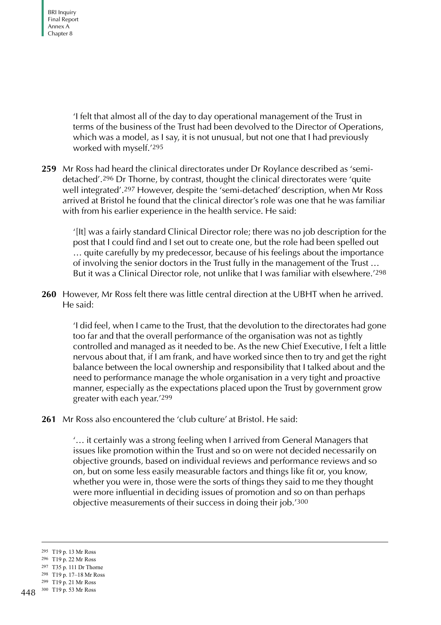'I felt that almost all of the day to day operational management of the Trust in terms of the business of the Trust had been devolved to the Director of Operations, which was a model, as I say, it is not unusual, but not one that I had previously worked with myself.'295

**259** Mr Ross had heard the clinical directorates under Dr Roylance described as 'semidetached'.296 Dr Thorne, by contrast, thought the clinical directorates were 'quite well integrated'.297 However, despite the 'semi-detached' description, when Mr Ross arrived at Bristol he found that the clinical director's role was one that he was familiar with from his earlier experience in the health service. He said:

'[It] was a fairly standard Clinical Director role; there was no job description for the post that I could find and I set out to create one, but the role had been spelled out … quite carefully by my predecessor, because of his feelings about the importance of involving the senior doctors in the Trust fully in the management of the Trust … But it was a Clinical Director role, not unlike that I was familiar with elsewhere.'298

**260** However, Mr Ross felt there was little central direction at the UBHT when he arrived. He said:

'I did feel, when I came to the Trust, that the devolution to the directorates had gone too far and that the overall performance of the organisation was not as tightly controlled and managed as it needed to be. As the new Chief Executive, I felt a little nervous about that, if I am frank, and have worked since then to try and get the right balance between the local ownership and responsibility that I talked about and the need to performance manage the whole organisation in a very tight and proactive manner, especially as the expectations placed upon the Trust by government grow greater with each year.'299

**261** Mr Ross also encountered the 'club culture' at Bristol. He said:

'… it certainly was a strong feeling when I arrived from General Managers that issues like promotion within the Trust and so on were not decided necessarily on objective grounds, based on individual reviews and performance reviews and so on, but on some less easily measurable factors and things like fit or, you know, whether you were in, those were the sorts of things they said to me they thought were more influential in deciding issues of promotion and so on than perhaps objective measurements of their success in doing their job.'300

<sup>295</sup> T19 p. 13 Mr Ross

<sup>296</sup> T19 p. 22 Mr Ross

<sup>297</sup> T35 p. 111 Dr Thorne

<sup>298</sup> T19 p. 17–18 Mr Ross

<sup>299</sup> T19 p. 21 Mr Ross 300 T19 p. 53 Mr Ross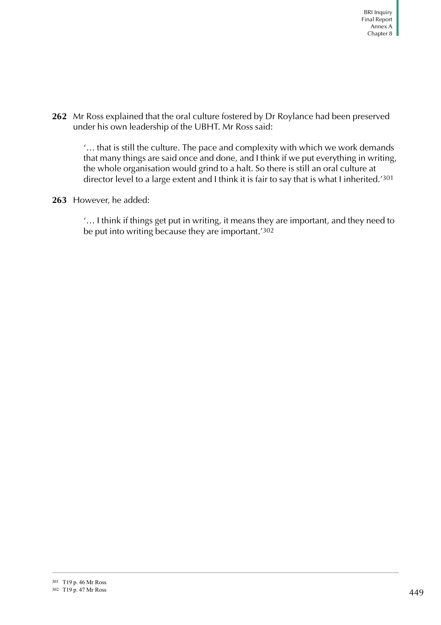**262** Mr Ross explained that the oral culture fostered by Dr Roylance had been preserved under his own leadership of the UBHT. Mr Ross said:

'… that is still the culture. The pace and complexity with which we work demands that many things are said once and done, and I think if we put everything in writing, the whole organisation would grind to a halt. So there is still an oral culture at director level to a large extent and I think it is fair to say that is what I inherited.'301

**263** However, he added:

'… I think if things get put in writing, it means they are important, and they need to be put into writing because they are important.'302

<sup>301</sup> T19 p. 46 Mr Ross 302 T19 p. 47 Mr Ross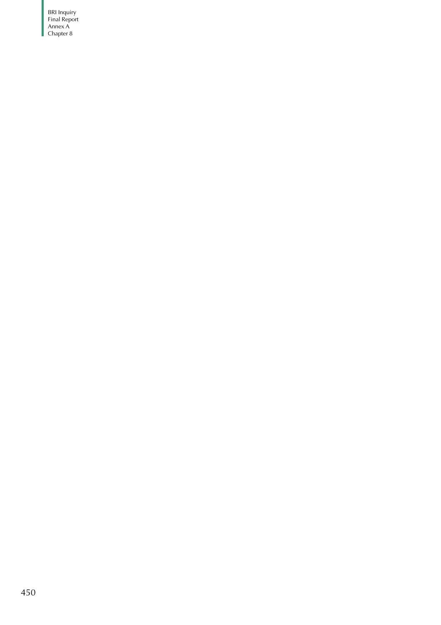BRI Inquiry Final Report Annex A Chapter 8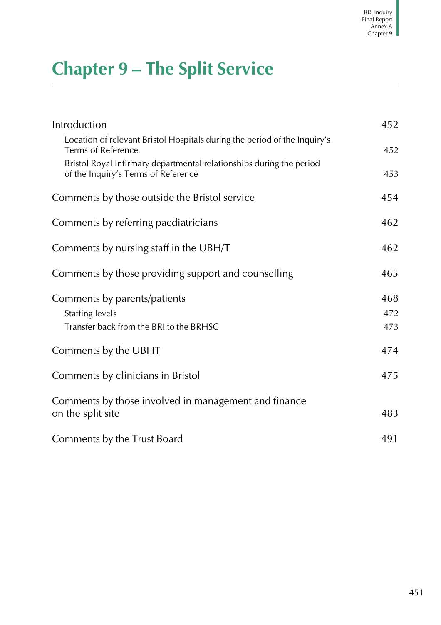# **Chapter 9 – The Split Service**

| Introduction                                                                                                | 452               |
|-------------------------------------------------------------------------------------------------------------|-------------------|
| Location of relevant Bristol Hospitals during the period of the Inquiry's<br><b>Terms of Reference</b>      | 452               |
| Bristol Royal Infirmary departmental relationships during the period<br>of the Inquiry's Terms of Reference | 453               |
| Comments by those outside the Bristol service                                                               | 454               |
| Comments by referring paediatricians                                                                        | 462               |
| Comments by nursing staff in the UBH/T                                                                      | 462               |
| Comments by those providing support and counselling                                                         | 465               |
| Comments by parents/patients<br><b>Staffing levels</b><br>Transfer back from the BRI to the BRHSC           | 468<br>472<br>473 |
| Comments by the UBHT                                                                                        | 474               |
| Comments by clinicians in Bristol                                                                           | 475               |
| Comments by those involved in management and finance<br>on the split site                                   | 483               |
| Comments by the Trust Board                                                                                 | 491               |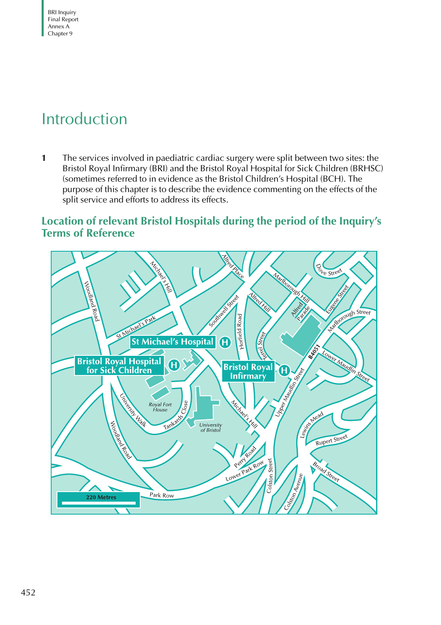

# Introduction

**1** The services involved in paediatric cardiac surgery were split between two sites: the Bristol Royal Infirmary (BRI) and the Bristol Royal Hospital for Sick Children (BRHSC) (sometimes referred to in evidence as the Bristol Children's Hospital (BCH). The purpose of this chapter is to describe the evidence commenting on the effects of the split service and efforts to address its effects.

## **Location of relevant Bristol Hospitals during the period of the Inquiry's Terms of Reference**

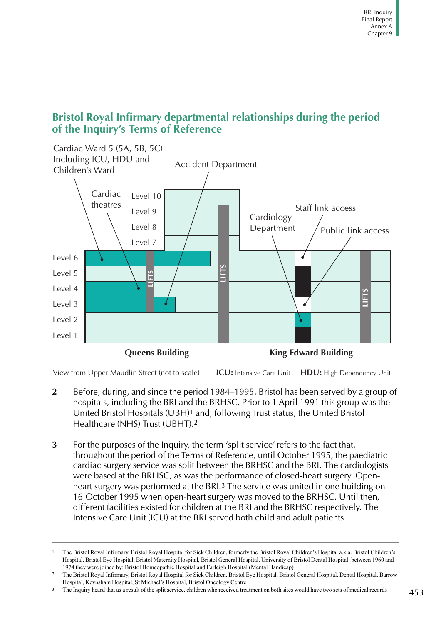# **Bristol Royal Infirmary departmental relationships during the period of the Inquiry's Terms of Reference**



- **2** Before, during, and since the period 1984–1995, Bristol has been served by a group of hospitals, including the BRI and the BRHSC. Prior to 1 April 1991 this group was the United Bristol Hospitals (UBH)1 and, following Trust status, the United Bristol Healthcare (NHS) Trust (UBHT).2
- **3** For the purposes of the Inquiry, the term 'split service' refers to the fact that, throughout the period of the Terms of Reference, until October 1995, the paediatric cardiac surgery service was split between the BRHSC and the BRI. The cardiologists were based at the BRHSC, as was the performance of closed-heart surgery. Openheart surgery was performed at the BRI.<sup>3</sup> The service was united in one building on 16 October 1995 when open-heart surgery was moved to the BRHSC. Until then, different facilities existed for children at the BRI and the BRHSC respectively. The Intensive Care Unit (ICU) at the BRI served both child and adult patients.

View from Upper Maudlin Street (not to scale)

**ICU:** Intensive Care Unit **HDU:** High Dependency Unit

<sup>1</sup> The Bristol Royal Infirmary, Bristol Royal Hospital for Sick Children, formerly the Bristol Royal Children's Hospital a.k.a. Bristol Children's Hospital, Bristol Eye Hospital, Bristol Maternity Hospital, Bristol General Hospital, University of Bristol Dental Hospital; between 1960 and 1974 they were joined by: Bristol Homeopathic Hospital and Farleigh Hospital (Mental Handicap)

<sup>2</sup> The Bristol Royal Infirmary, Bristol Royal Hospital for Sick Children, Bristol Eye Hospital, Bristol General Hospital, Dental Hospital, Barrow Hospital, Keynsham Hospital, St Michael's Hospital, Bristol Oncology Centre

<sup>&</sup>lt;sup>3</sup> The Inquiry heard that as a result of the split service, children who received treatment on both sites would have two sets of medical records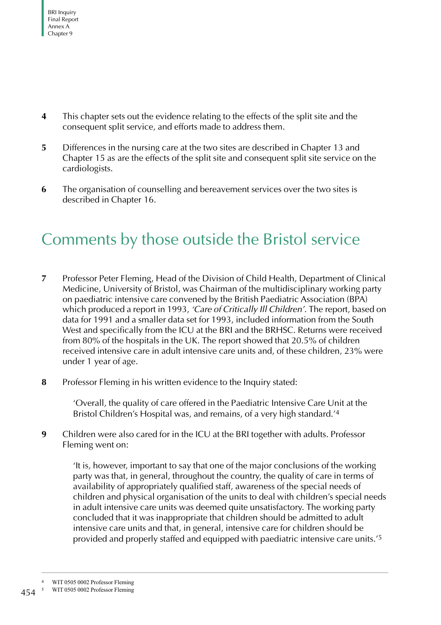- **4** This chapter sets out the evidence relating to the effects of the split site and the consequent split service, and efforts made to address them.
- **5** Differences in the nursing care at the two sites are described in Chapter 13 and Chapter 15 as are the effects of the split site and consequent split site service on the cardiologists.
- **6** The organisation of counselling and bereavement services over the two sites is described in Chapter 16.

# Comments by those outside the Bristol service

- **7** Professor Peter Fleming, Head of the Division of Child Health, Department of Clinical Medicine, University of Bristol, was Chairman of the multidisciplinary working party on paediatric intensive care convened by the British Paediatric Association (BPA) which produced a report in 1993, 'Care of Critically Ill Children'. The report, based on data for 1991 and a smaller data set for 1993, included information from the South West and specifically from the ICU at the BRI and the BRHSC. Returns were received from 80% of the hospitals in the UK. The report showed that 20.5% of children received intensive care in adult intensive care units and, of these children, 23% were under 1 year of age.
- **8** Professor Fleming in his written evidence to the Inquiry stated:

'Overall, the quality of care offered in the Paediatric Intensive Care Unit at the Bristol Children's Hospital was, and remains, of a very high standard.'4

**9** Children were also cared for in the ICU at the BRI together with adults. Professor Fleming went on:

'It is, however, important to say that one of the major conclusions of the working party was that, in general, throughout the country, the quality of care in terms of availability of appropriately qualified staff, awareness of the special needs of children and physical organisation of the units to deal with children's special needs in adult intensive care units was deemed quite unsatisfactory. The working party concluded that it was inappropriate that children should be admitted to adult intensive care units and that, in general, intensive care for children should be provided and properly staffed and equipped with paediatric intensive care units.'5

WIT 0505 0002 Professor Fleming

<sup>5</sup> WIT 0505 0002 Professor Fleming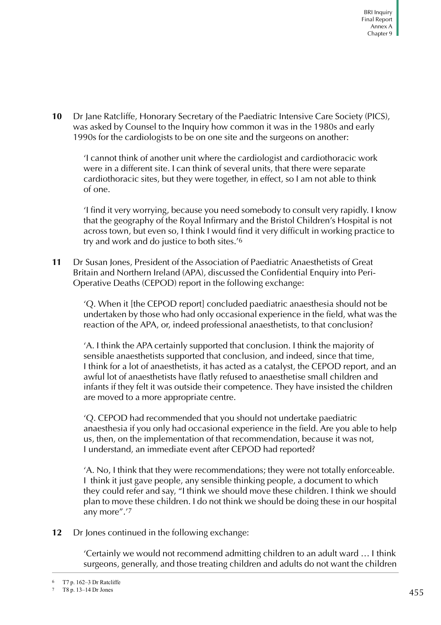**10** Dr Jane Ratcliffe, Honorary Secretary of the Paediatric Intensive Care Society (PICS), was asked by Counsel to the Inquiry how common it was in the 1980s and early 1990s for the cardiologists to be on one site and the surgeons on another:

'I cannot think of another unit where the cardiologist and cardiothoracic work were in a different site. I can think of several units, that there were separate cardiothoracic sites, but they were together, in effect, so I am not able to think of one.

'I find it very worrying, because you need somebody to consult very rapidly. I know that the geography of the Royal Infirmary and the Bristol Children's Hospital is not across town, but even so, I think I would find it very difficult in working practice to try and work and do justice to both sites.'6

**11** Dr Susan Jones, President of the Association of Paediatric Anaesthetists of Great Britain and Northern Ireland (APA), discussed the Confidential Enquiry into Peri-Operative Deaths (CEPOD) report in the following exchange:

'Q. When it [the CEPOD report] concluded paediatric anaesthesia should not be undertaken by those who had only occasional experience in the field, what was the reaction of the APA, or, indeed professional anaesthetists, to that conclusion?

'A. I think the APA certainly supported that conclusion. I think the majority of sensible anaesthetists supported that conclusion, and indeed, since that time, I think for a lot of anaesthetists, it has acted as a catalyst, the CEPOD report, and an awful lot of anaesthetists have flatly refused to anaesthetise small children and infants if they felt it was outside their competence. They have insisted the children are moved to a more appropriate centre.

'Q. CEPOD had recommended that you should not undertake paediatric anaesthesia if you only had occasional experience in the field. Are you able to help us, then, on the implementation of that recommendation, because it was not, I understand, an immediate event after CEPOD had reported?

'A. No, I think that they were recommendations; they were not totally enforceable. I think it just gave people, any sensible thinking people, a document to which they could refer and say, "I think we should move these children. I think we should plan to move these children. I do not think we should be doing these in our hospital any more".'7

**12** Dr Jones continued in the following exchange:

'Certainly we would not recommend admitting children to an adult ward … I think surgeons, generally, and those treating children and adults do not want the children

<sup>6</sup> T7 p. 162–3 Dr Ratcliffe

<sup>7</sup> T8 p. 13–14 Dr Jones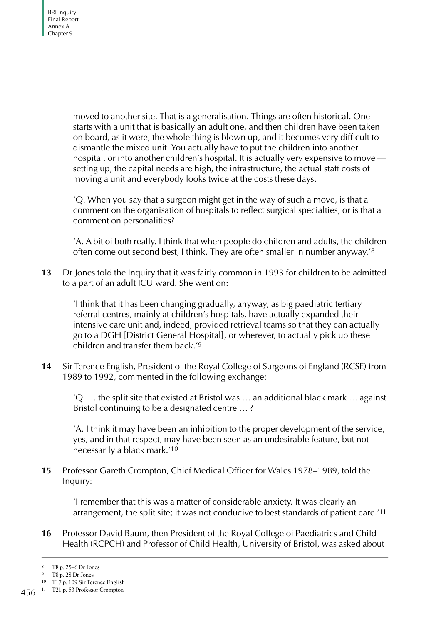moved to another site. That is a generalisation. Things are often historical. One starts with a unit that is basically an adult one, and then children have been taken on board, as it were, the whole thing is blown up, and it becomes very difficult to dismantle the mixed unit. You actually have to put the children into another hospital, or into another children's hospital. It is actually very expensive to move setting up, the capital needs are high, the infrastructure, the actual staff costs of moving a unit and everybody looks twice at the costs these days.

'Q. When you say that a surgeon might get in the way of such a move, is that a comment on the organisation of hospitals to reflect surgical specialties, or is that a comment on personalities?

'A. A bit of both really. I think that when people do children and adults, the children often come out second best, I think. They are often smaller in number anyway.'8

**13** Dr Jones told the Inquiry that it was fairly common in 1993 for children to be admitted to a part of an adult ICU ward. She went on:

'I think that it has been changing gradually, anyway, as big paediatric tertiary referral centres, mainly at children's hospitals, have actually expanded their intensive care unit and, indeed, provided retrieval teams so that they can actually go to a DGH [District General Hospital], or wherever, to actually pick up these children and transfer them back.'9

**14** Sir Terence English, President of the Royal College of Surgeons of England (RCSE) from 1989 to 1992, commented in the following exchange:

'Q. … the split site that existed at Bristol was … an additional black mark … against Bristol continuing to be a designated centre … ?

'A. I think it may have been an inhibition to the proper development of the service, yes, and in that respect, may have been seen as an undesirable feature, but not necessarily a black mark.'10

**15** Professor Gareth Crompton, Chief Medical Officer for Wales 1978–1989, told the Inquiry:

'I remember that this was a matter of considerable anxiety. It was clearly an arrangement, the split site; it was not conducive to best standards of patient care.'11

**16** Professor David Baum, then President of the Royal College of Paediatrics and Child Health (RCPCH) and Professor of Child Health, University of Bristol, was asked about

<sup>8</sup> T8 p. 25–6 Dr Jones

<sup>9</sup> T8 p. 28 Dr Jones

<sup>10</sup> T17 p. 109 Sir Terence English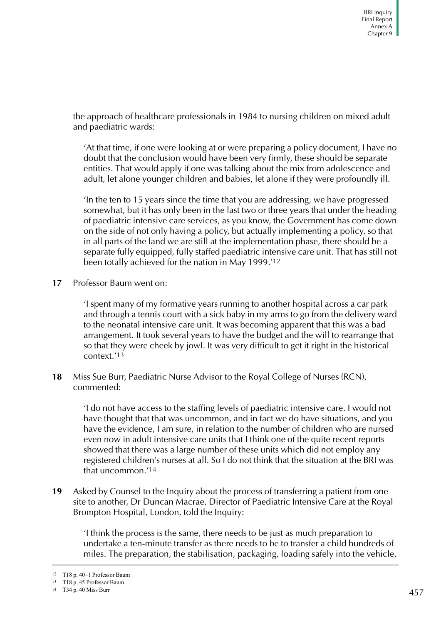the approach of healthcare professionals in 1984 to nursing children on mixed adult and paediatric wards:

'At that time, if one were looking at or were preparing a policy document, I have no doubt that the conclusion would have been very firmly, these should be separate entities. That would apply if one was talking about the mix from adolescence and adult, let alone younger children and babies, let alone if they were profoundly ill.

'In the ten to 15 years since the time that you are addressing, we have progressed somewhat, but it has only been in the last two or three years that under the heading of paediatric intensive care services, as you know, the Government has come down on the side of not only having a policy, but actually implementing a policy, so that in all parts of the land we are still at the implementation phase, there should be a separate fully equipped, fully staffed paediatric intensive care unit. That has still not been totally achieved for the nation in May 1999.'12

**17** Professor Baum went on:

'I spent many of my formative years running to another hospital across a car park and through a tennis court with a sick baby in my arms to go from the delivery ward to the neonatal intensive care unit. It was becoming apparent that this was a bad arrangement. It took several years to have the budget and the will to rearrange that so that they were cheek by jowl. It was very difficult to get it right in the historical context.'13

**18** Miss Sue Burr, Paediatric Nurse Advisor to the Royal College of Nurses (RCN), commented:

'I do not have access to the staffing levels of paediatric intensive care. I would not have thought that that was uncommon, and in fact we do have situations, and you have the evidence, I am sure, in relation to the number of children who are nursed even now in adult intensive care units that I think one of the quite recent reports showed that there was a large number of these units which did not employ any registered children's nurses at all. So I do not think that the situation at the BRI was that uncommon.'14

**19** Asked by Counsel to the Inquiry about the process of transferring a patient from one site to another, Dr Duncan Macrae, Director of Paediatric Intensive Care at the Royal Brompton Hospital, London, told the Inquiry:

'I think the process is the same, there needs to be just as much preparation to undertake a ten-minute transfer as there needs to be to transfer a child hundreds of miles. The preparation, the stabilisation, packaging, loading safely into the vehicle,

<sup>12</sup> T18 p. 40–1 Professor Baum

<sup>13</sup> T18 p. 45 Professor Baum

<sup>14</sup> T34 p. 40 Miss Burr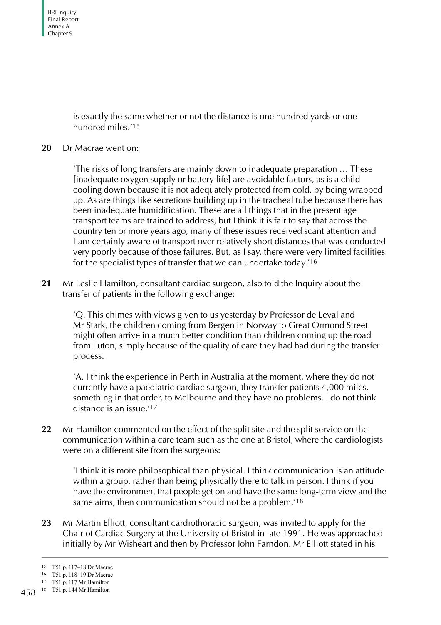is exactly the same whether or not the distance is one hundred yards or one hundred miles.'15

### **20** Dr Macrae went on:

'The risks of long transfers are mainly down to inadequate preparation … These [inadequate oxygen supply or battery life] are avoidable factors, as is a child cooling down because it is not adequately protected from cold, by being wrapped up. As are things like secretions building up in the tracheal tube because there has been inadequate humidification. These are all things that in the present age transport teams are trained to address, but I think it is fair to say that across the country ten or more years ago, many of these issues received scant attention and I am certainly aware of transport over relatively short distances that was conducted very poorly because of those failures. But, as I say, there were very limited facilities for the specialist types of transfer that we can undertake today.'16

**21** Mr Leslie Hamilton, consultant cardiac surgeon, also told the Inquiry about the transfer of patients in the following exchange:

'Q. This chimes with views given to us yesterday by Professor de Leval and Mr Stark, the children coming from Bergen in Norway to Great Ormond Street might often arrive in a much better condition than children coming up the road from Luton, simply because of the quality of care they had had during the transfer process.

'A. I think the experience in Perth in Australia at the moment, where they do not currently have a paediatric cardiac surgeon, they transfer patients 4,000 miles, something in that order, to Melbourne and they have no problems. I do not think distance is an issue.'17

**22** Mr Hamilton commented on the effect of the split site and the split service on the communication within a care team such as the one at Bristol, where the cardiologists were on a different site from the surgeons:

'I think it is more philosophical than physical. I think communication is an attitude within a group, rather than being physically there to talk in person. I think if you have the environment that people get on and have the same long-term view and the same aims, then communication should not be a problem.'18

**23** Mr Martin Elliott, consultant cardiothoracic surgeon, was invited to apply for the Chair of Cardiac Surgery at the University of Bristol in late 1991. He was approached initially by Mr Wisheart and then by Professor John Farndon. Mr Elliott stated in his

<sup>15</sup> T51 p. 117–18 Dr Macrae

<sup>16</sup> T51 p. 118–19 Dr Macrae

<sup>17</sup> T51 p. 117 Mr Hamilton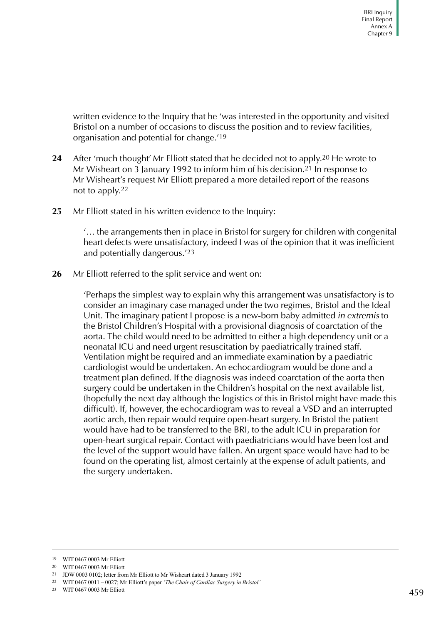written evidence to the Inquiry that he 'was interested in the opportunity and visited Bristol on a number of occasions to discuss the position and to review facilities, organisation and potential for change.'19

- **24** After 'much thought' Mr Elliott stated that he decided not to apply.20 He wrote to Mr Wisheart on 3 January 1992 to inform him of his decision.21 In response to Mr Wisheart's request Mr Elliott prepared a more detailed report of the reasons not to apply.22
- **25** Mr Elliott stated in his written evidence to the Inquiry:

'… the arrangements then in place in Bristol for surgery for children with congenital heart defects were unsatisfactory, indeed I was of the opinion that it was inefficient and potentially dangerous.'23

**26** Mr Elliott referred to the split service and went on:

'Perhaps the simplest way to explain why this arrangement was unsatisfactory is to consider an imaginary case managed under the two regimes, Bristol and the Ideal Unit. The imaginary patient I propose is a new-born baby admitted in extremis to the Bristol Children's Hospital with a provisional diagnosis of coarctation of the aorta. The child would need to be admitted to either a high dependency unit or a neonatal ICU and need urgent resuscitation by paediatrically trained staff. Ventilation might be required and an immediate examination by a paediatric cardiologist would be undertaken. An echocardiogram would be done and a treatment plan defined. If the diagnosis was indeed coarctation of the aorta then surgery could be undertaken in the Children's hospital on the next available list, (hopefully the next day although the logistics of this in Bristol might have made this difficult). If, however, the echocardiogram was to reveal a VSD and an interrupted aortic arch, then repair would require open-heart surgery. In Bristol the patient would have had to be transferred to the BRI, to the adult ICU in preparation for open-heart surgical repair. Contact with paediatricians would have been lost and the level of the support would have fallen. An urgent space would have had to be found on the operating list, almost certainly at the expense of adult patients, and the surgery undertaken.

<sup>19</sup> WIT 0467 0003 Mr Elliott

<sup>20</sup> WIT 0467 0003 Mr Elliott

<sup>21</sup> JDW 0003 0102; letter from Mr Elliott to Mr Wisheart dated 3 January 1992

<sup>22</sup> WIT 0467 0011 – 0027; Mr Elliott's paper *'The Chair of Cardiac Surgery in Bristol'*

<sup>23</sup> WIT 0467 0003 Mr Elliott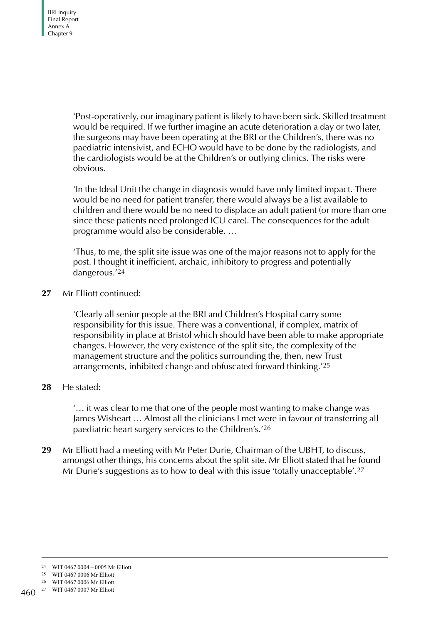'Post-operatively, our imaginary patient is likely to have been sick. Skilled treatment would be required. If we further imagine an acute deterioration a day or two later, the surgeons may have been operating at the BRI or the Children's, there was no paediatric intensivist, and ECHO would have to be done by the radiologists, and the cardiologists would be at the Children's or outlying clinics. The risks were obvious.

'In the Ideal Unit the change in diagnosis would have only limited impact. There would be no need for patient transfer, there would always be a list available to children and there would be no need to displace an adult patient (or more than one since these patients need prolonged ICU care). The consequences for the adult programme would also be considerable. …

'Thus, to me, the split site issue was one of the major reasons not to apply for the post. I thought it inefficient, archaic, inhibitory to progress and potentially dangerous.'24

**27** Mr Elliott continued:

'Clearly all senior people at the BRI and Children's Hospital carry some responsibility for this issue. There was a conventional, if complex, matrix of responsibility in place at Bristol which should have been able to make appropriate changes. However, the very existence of the split site, the complexity of the management structure and the politics surrounding the, then, new Trust arrangements, inhibited change and obfuscated forward thinking.'25

**28** He stated:

'… it was clear to me that one of the people most wanting to make change was James Wisheart … Almost all the clinicians I met were in favour of transferring all paediatric heart surgery services to the Children's.'26

**29** Mr Elliott had a meeting with Mr Peter Durie, Chairman of the UBHT, to discuss, amongst other things, his concerns about the split site. Mr Elliott stated that he found Mr Durie's suggestions as to how to deal with this issue 'totally unacceptable'.27

<sup>24</sup> WIT 0467 0004 – 0005 Mr Elliott

<sup>25</sup> WIT 0467 0006 Mr Elliott

<sup>26</sup> WIT 0467 0006 Mr Elliott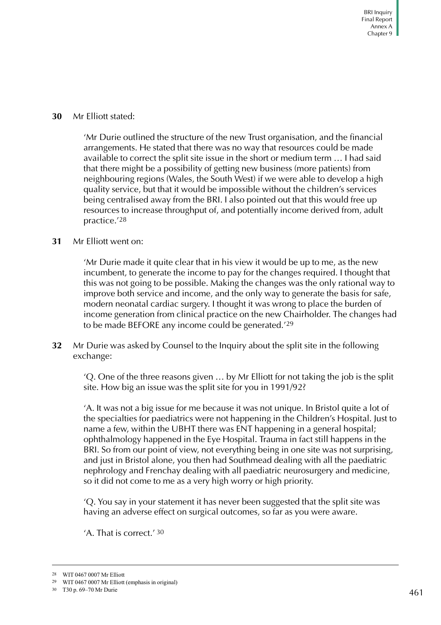## **30** Mr Elliott stated:

'Mr Durie outlined the structure of the new Trust organisation, and the financial arrangements. He stated that there was no way that resources could be made available to correct the split site issue in the short or medium term … I had said that there might be a possibility of getting new business (more patients) from neighbouring regions (Wales, the South West) if we were able to develop a high quality service, but that it would be impossible without the children's services being centralised away from the BRI. I also pointed out that this would free up resources to increase throughput of, and potentially income derived from, adult practice.'28

## **31** Mr Elliott went on:

'Mr Durie made it quite clear that in his view it would be up to me, as the new incumbent, to generate the income to pay for the changes required. I thought that this was not going to be possible. Making the changes was the only rational way to improve both service and income, and the only way to generate the basis for safe, modern neonatal cardiac surgery. I thought it was wrong to place the burden of income generation from clinical practice on the new Chairholder. The changes had to be made BEFORE any income could be generated.'29

**32** Mr Durie was asked by Counsel to the Inquiry about the split site in the following exchange:

'Q. One of the three reasons given … by Mr Elliott for not taking the job is the split site. How big an issue was the split site for you in 1991/92?

'A. It was not a big issue for me because it was not unique. In Bristol quite a lot of the specialties for paediatrics were not happening in the Children's Hospital. Just to name a few, within the UBHT there was ENT happening in a general hospital; ophthalmology happened in the Eye Hospital. Trauma in fact still happens in the BRI. So from our point of view, not everything being in one site was not surprising, and just in Bristol alone, you then had Southmead dealing with all the paediatric nephrology and Frenchay dealing with all paediatric neurosurgery and medicine, so it did not come to me as a very high worry or high priority.

'Q. You say in your statement it has never been suggested that the split site was having an adverse effect on surgical outcomes, so far as you were aware.

'A. That is correct.' 30

<sup>28</sup> WIT 0467 0007 Mr Elliott

<sup>29</sup> WIT 0467 0007 Mr Elliott (emphasis in original)

<sup>30</sup> T30 p. 69–70 Mr Durie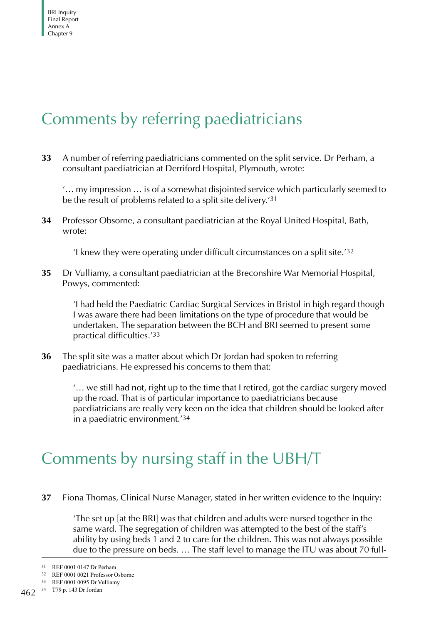# Comments by referring paediatricians

**33** A number of referring paediatricians commented on the split service. Dr Perham, a consultant paediatrician at Derriford Hospital, Plymouth, wrote:

'… my impression … is of a somewhat disjointed service which particularly seemed to be the result of problems related to a split site delivery.'31

**34** Professor Obsorne, a consultant paediatrician at the Royal United Hospital, Bath, wrote:

'I knew they were operating under difficult circumstances on a split site.'32

**35** Dr Vulliamy, a consultant paediatrician at the Breconshire War Memorial Hospital, Powys, commented:

'I had held the Paediatric Cardiac Surgical Services in Bristol in high regard though I was aware there had been limitations on the type of procedure that would be undertaken. The separation between the BCH and BRI seemed to present some practical difficulties.'33

**36** The split site was a matter about which Dr Jordan had spoken to referring paediatricians. He expressed his concerns to them that:

> '… we still had not, right up to the time that I retired, got the cardiac surgery moved up the road. That is of particular importance to paediatricians because paediatricians are really very keen on the idea that children should be looked after in a paediatric environment.'34

# Comments by nursing staff in the UBH/T

**37** Fiona Thomas, Clinical Nurse Manager, stated in her written evidence to the Inquiry:

'The set up [at the BRI] was that children and adults were nursed together in the same ward. The segregation of children was attempted to the best of the staff's ability by using beds 1 and 2 to care for the children. This was not always possible due to the pressure on beds. … The staff level to manage the ITU was about 70 full-

<sup>31</sup> REF 0001 0147 Dr Perham

<sup>32</sup> REF 0001 0021 Professor Osborne

<sup>33</sup> REF 0001 0095 Dr Vulliamy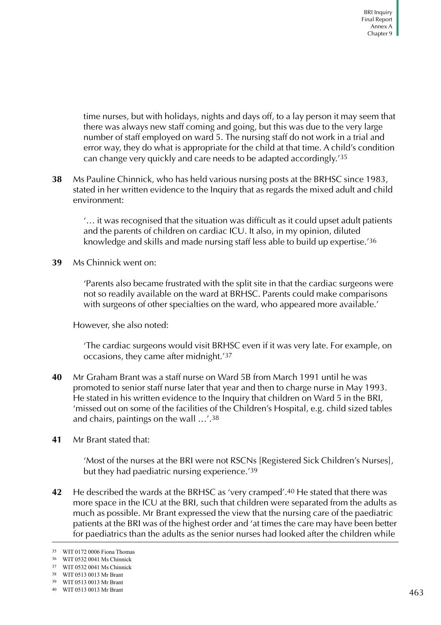time nurses, but with holidays, nights and days off, to a lay person it may seem that there was always new staff coming and going, but this was due to the very large number of staff employed on ward 5. The nursing staff do not work in a trial and error way, they do what is appropriate for the child at that time. A child's condition can change very quickly and care needs to be adapted accordingly.'35

**38** Ms Pauline Chinnick, who has held various nursing posts at the BRHSC since 1983, stated in her written evidence to the Inquiry that as regards the mixed adult and child environment:

'… it was recognised that the situation was difficult as it could upset adult patients and the parents of children on cardiac ICU. It also, in my opinion, diluted knowledge and skills and made nursing staff less able to build up expertise.'36

**39** Ms Chinnick went on:

'Parents also became frustrated with the split site in that the cardiac surgeons were not so readily available on the ward at BRHSC. Parents could make comparisons with surgeons of other specialties on the ward, who appeared more available.'

However, she also noted:

'The cardiac surgeons would visit BRHSC even if it was very late. For example, on occasions, they came after midnight.'37

- **40** Mr Graham Brant was a staff nurse on Ward 5B from March 1991 until he was promoted to senior staff nurse later that year and then to charge nurse in May 1993. He stated in his written evidence to the Inquiry that children on Ward 5 in the BRI, 'missed out on some of the facilities of the Children's Hospital, e.g. child sized tables and chairs, paintings on the wall  $\ldots$ .<sup>38</sup>
- **41** Mr Brant stated that:

'Most of the nurses at the BRI were not RSCNs [Registered Sick Children's Nurses], but they had paediatric nursing experience.'39

**42** He described the wards at the BRHSC as 'very cramped'.40 He stated that there was more space in the ICU at the BRI, such that children were separated from the adults as much as possible. Mr Brant expressed the view that the nursing care of the paediatric patients at the BRI was of the highest order and 'at times the care may have been better for paediatrics than the adults as the senior nurses had looked after the children while

<sup>35</sup> WIT 0172 0006 Fiona Thomas

<sup>36</sup> WIT 0532 0041 Ms Chinnick

<sup>37</sup> WIT 0532 0041 Ms Chinnick

<sup>38</sup> WIT 0513 0013 Mr Brant

<sup>39</sup> WIT 0513 0013 Mr Brant

<sup>40</sup> WIT 0513 0013 Mr Brant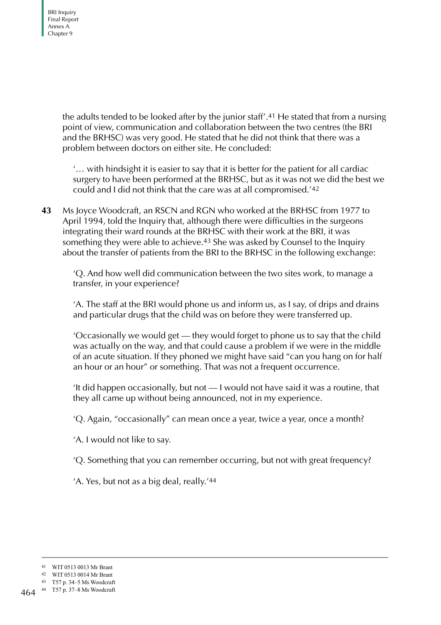the adults tended to be looked after by the junior staff'.41 He stated that from a nursing point of view, communication and collaboration between the two centres (the BRI and the BRHSC) was very good. He stated that he did not think that there was a problem between doctors on either site. He concluded:

'… with hindsight it is easier to say that it is better for the patient for all cardiac surgery to have been performed at the BRHSC, but as it was not we did the best we could and I did not think that the care was at all compromised.'42

**43** Ms Joyce Woodcraft, an RSCN and RGN who worked at the BRHSC from 1977 to April 1994, told the Inquiry that, although there were difficulties in the surgeons integrating their ward rounds at the BRHSC with their work at the BRI, it was something they were able to achieve.<sup>43</sup> She was asked by Counsel to the Inquiry about the transfer of patients from the BRI to the BRHSC in the following exchange:

'Q. And how well did communication between the two sites work, to manage a transfer, in your experience?

'A. The staff at the BRI would phone us and inform us, as I say, of drips and drains and particular drugs that the child was on before they were transferred up.

'Occasionally we would get — they would forget to phone us to say that the child was actually on the way, and that could cause a problem if we were in the middle of an acute situation. If they phoned we might have said "can you hang on for half an hour or an hour" or something. That was not a frequent occurrence.

'It did happen occasionally, but not — I would not have said it was a routine, that they all came up without being announced, not in my experience.

'Q. Again, "occasionally" can mean once a year, twice a year, once a month?

- 'A. I would not like to say.
- 'Q. Something that you can remember occurring, but not with great frequency?
- 'A. Yes, but not as a big deal, really.'44

<sup>41</sup> WIT 0513 0013 Mr Brant

<sup>42</sup> WIT 0513 0014 Mr Brant

<sup>43</sup> T57 p. 34–5 Ms Woodcraft 44 T57 p. 37–8 Ms Woodcraft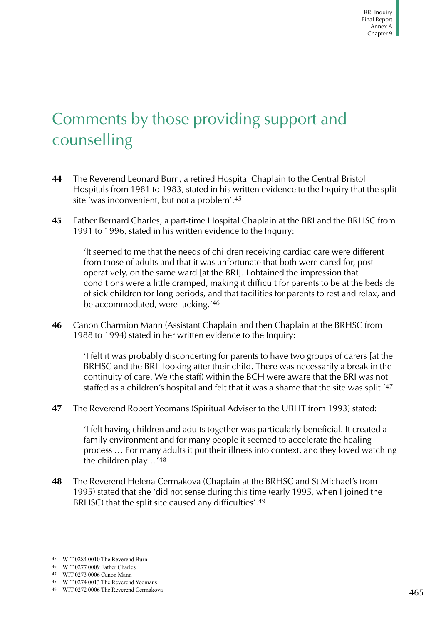# Comments by those providing support and counselling

- **44** The Reverend Leonard Burn, a retired Hospital Chaplain to the Central Bristol Hospitals from 1981 to 1983, stated in his written evidence to the Inquiry that the split site 'was inconvenient, but not a problem'.45
- **45** Father Bernard Charles, a part-time Hospital Chaplain at the BRI and the BRHSC from 1991 to 1996, stated in his written evidence to the Inquiry:

'It seemed to me that the needs of children receiving cardiac care were different from those of adults and that it was unfortunate that both were cared for, post operatively, on the same ward [at the BRI]. I obtained the impression that conditions were a little cramped, making it difficult for parents to be at the bedside of sick children for long periods, and that facilities for parents to rest and relax, and be accommodated, were lacking.'46

**46** Canon Charmion Mann (Assistant Chaplain and then Chaplain at the BRHSC from 1988 to 1994) stated in her written evidence to the Inquiry:

'I felt it was probably disconcerting for parents to have two groups of carers [at the BRHSC and the BRI] looking after their child. There was necessarily a break in the continuity of care. We (the staff) within the BCH were aware that the BRI was not staffed as a children's hospital and felt that it was a shame that the site was split.<sup>'47</sup>

**47** The Reverend Robert Yeomans (Spiritual Adviser to the UBHT from 1993) stated:

'I felt having children and adults together was particularly beneficial. It created a family environment and for many people it seemed to accelerate the healing process … For many adults it put their illness into context, and they loved watching the children play…'48

**48** The Reverend Helena Cermakova (Chaplain at the BRHSC and St Michael's from 1995) stated that she 'did not sense during this time (early 1995, when I joined the BRHSC) that the split site caused any difficulties'.49

<sup>45</sup> WIT 0284 0010 The Reverend Burn

<sup>46</sup> WIT 0277 0009 Father Charles

<sup>47</sup> WIT 0273 0006 Canon Mann

<sup>48</sup> WIT 0274 0013 The Reverend Yeomans

<sup>49</sup> WIT 0272 0006 The Reverend Cermakova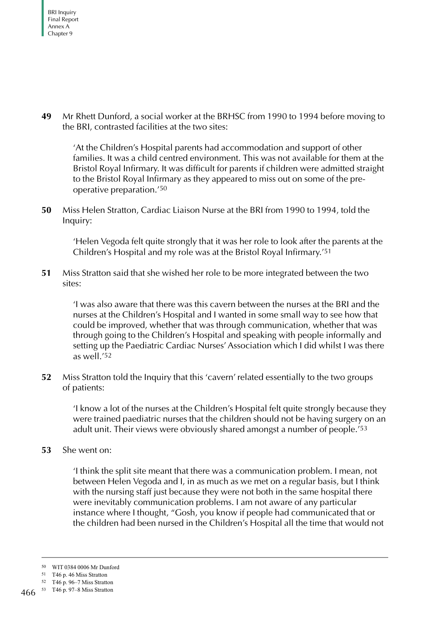**49** Mr Rhett Dunford, a social worker at the BRHSC from 1990 to 1994 before moving to the BRI, contrasted facilities at the two sites:

'At the Children's Hospital parents had accommodation and support of other families. It was a child centred environment. This was not available for them at the Bristol Royal Infirmary. It was difficult for parents if children were admitted straight to the Bristol Royal Infirmary as they appeared to miss out on some of the preoperative preparation.'50

**50** Miss Helen Stratton, Cardiac Liaison Nurse at the BRI from 1990 to 1994, told the Inquiry:

'Helen Vegoda felt quite strongly that it was her role to look after the parents at the Children's Hospital and my role was at the Bristol Royal Infirmary.'51

**51** Miss Stratton said that she wished her role to be more integrated between the two sites:

'I was also aware that there was this cavern between the nurses at the BRI and the nurses at the Children's Hospital and I wanted in some small way to see how that could be improved, whether that was through communication, whether that was through going to the Children's Hospital and speaking with people informally and setting up the Paediatric Cardiac Nurses' Association which I did whilst I was there as well.'52

**52** Miss Stratton told the Inquiry that this 'cavern' related essentially to the two groups of patients:

'I know a lot of the nurses at the Children's Hospital felt quite strongly because they were trained paediatric nurses that the children should not be having surgery on an adult unit. Their views were obviously shared amongst a number of people.'53

**53** She went on:

'I think the split site meant that there was a communication problem. I mean, not between Helen Vegoda and I, in as much as we met on a regular basis, but I think with the nursing staff just because they were not both in the same hospital there were inevitably communication problems. I am not aware of any particular instance where I thought, "Gosh, you know if people had communicated that or the children had been nursed in the Children's Hospital all the time that would not

<sup>50</sup> WIT 0384 0006 Mr Dunford

<sup>51</sup> T46 p. 46 Miss Stratton

<sup>52</sup> T46 p. 96–7 Miss Stratton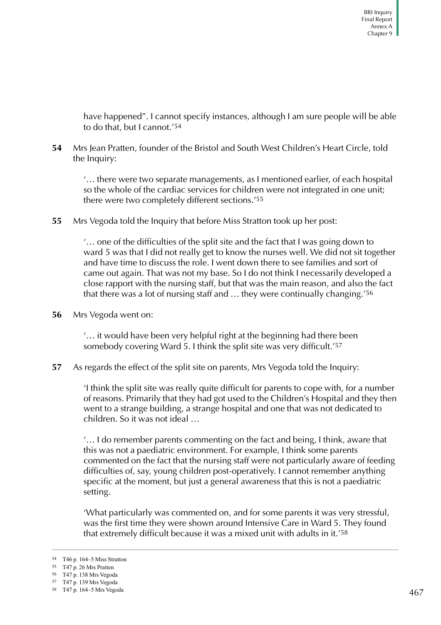have happened". I cannot specify instances, although I am sure people will be able to do that, but I cannot.'54

**54** Mrs Jean Pratten, founder of the Bristol and South West Children's Heart Circle, told the Inquiry:

'… there were two separate managements, as I mentioned earlier, of each hospital so the whole of the cardiac services for children were not integrated in one unit; there were two completely different sections.'55

**55** Mrs Vegoda told the Inquiry that before Miss Stratton took up her post:

'… one of the difficulties of the split site and the fact that I was going down to ward 5 was that I did not really get to know the nurses well. We did not sit together and have time to discuss the role. I went down there to see families and sort of came out again. That was not my base. So I do not think I necessarily developed a close rapport with the nursing staff, but that was the main reason, and also the fact that there was a lot of nursing staff and … they were continually changing.'56

**56** Mrs Vegoda went on:

'… it would have been very helpful right at the beginning had there been somebody covering Ward 5. I think the split site was very difficult.'57

**57** As regards the effect of the split site on parents, Mrs Vegoda told the Inquiry:

'I think the split site was really quite difficult for parents to cope with, for a number of reasons. Primarily that they had got used to the Children's Hospital and they then went to a strange building, a strange hospital and one that was not dedicated to children. So it was not ideal …

'… I do remember parents commenting on the fact and being, I think, aware that this was not a paediatric environment. For example, I think some parents commented on the fact that the nursing staff were not particularly aware of feeding difficulties of, say, young children post-operatively. I cannot remember anything specific at the moment, but just a general awareness that this is not a paediatric setting.

'What particularly was commented on, and for some parents it was very stressful, was the first time they were shown around Intensive Care in Ward 5. They found that extremely difficult because it was a mixed unit with adults in it.'58

<sup>54</sup> T46 p. 164–5 Miss Stratton

<sup>55</sup> T47 p. 26 Mrs Pratten

<sup>56</sup> T47 p. 138 Mrs Vegoda

<sup>57</sup> T47 p. 139 Mrs Vegoda

<sup>58</sup> T47 p. 164–5 Mrs Vegoda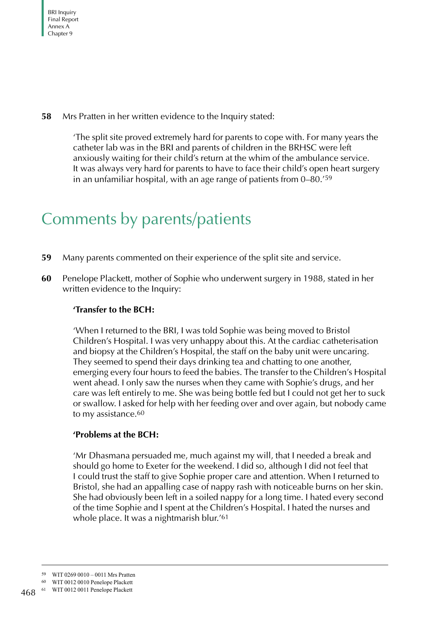**58** Mrs Pratten in her written evidence to the Inquiry stated:

'The split site proved extremely hard for parents to cope with. For many years the catheter lab was in the BRI and parents of children in the BRHSC were left anxiously waiting for their child's return at the whim of the ambulance service. It was always very hard for parents to have to face their child's open heart surgery in an unfamiliar hospital, with an age range of patients from 0–80.'59

## Comments by parents/patients

- **59** Many parents commented on their experience of the split site and service.
- **60** Penelope Plackett, mother of Sophie who underwent surgery in 1988, stated in her written evidence to the Inquiry:

#### **'Transfer to the BCH:**

'When I returned to the BRI, I was told Sophie was being moved to Bristol Children's Hospital. I was very unhappy about this. At the cardiac catheterisation and biopsy at the Children's Hospital, the staff on the baby unit were uncaring. They seemed to spend their days drinking tea and chatting to one another, emerging every four hours to feed the babies. The transfer to the Children's Hospital went ahead. I only saw the nurses when they came with Sophie's drugs, and her care was left entirely to me. She was being bottle fed but I could not get her to suck or swallow. I asked for help with her feeding over and over again, but nobody came to my assistance.60

#### **'Problems at the BCH:**

'Mr Dhasmana persuaded me, much against my will, that I needed a break and should go home to Exeter for the weekend. I did so, although I did not feel that I could trust the staff to give Sophie proper care and attention. When I returned to Bristol, she had an appalling case of nappy rash with noticeable burns on her skin. She had obviously been left in a soiled nappy for a long time. I hated every second of the time Sophie and I spent at the Children's Hospital. I hated the nurses and whole place. It was a nightmarish blur.<sup>'61</sup>

<sup>59</sup> WIT 0269 0010 – 0011 Mrs Pratten

<sup>60</sup> WIT 0012 0010 Penelope Plackett 61 WIT 0012 0011 Penelope Plackett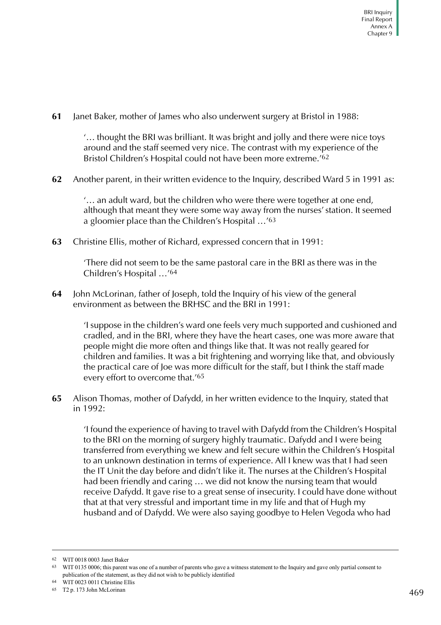**61** Janet Baker, mother of James who also underwent surgery at Bristol in 1988:

'… thought the BRI was brilliant. It was bright and jolly and there were nice toys around and the staff seemed very nice. The contrast with my experience of the Bristol Children's Hospital could not have been more extreme.'62

**62** Another parent, in their written evidence to the Inquiry, described Ward 5 in 1991 as:

'… an adult ward, but the children who were there were together at one end, although that meant they were some way away from the nurses' station. It seemed a gloomier place than the Children's Hospital …'63

**63** Christine Ellis, mother of Richard, expressed concern that in 1991:

'There did not seem to be the same pastoral care in the BRI as there was in the Children's Hospital …'64

**64** John McLorinan, father of Joseph, told the Inquiry of his view of the general environment as between the BRHSC and the BRI in 1991:

> 'I suppose in the children's ward one feels very much supported and cushioned and cradled, and in the BRI, where they have the heart cases, one was more aware that people might die more often and things like that. It was not really geared for children and families. It was a bit frightening and worrying like that, and obviously the practical care of Joe was more difficult for the staff, but I think the staff made every effort to overcome that.'65

**65** Alison Thomas, mother of Dafydd, in her written evidence to the Inquiry, stated that in 1992:

'I found the experience of having to travel with Dafydd from the Children's Hospital to the BRI on the morning of surgery highly traumatic. Dafydd and I were being transferred from everything we knew and felt secure within the Children's Hospital to an unknown destination in terms of experience. All I knew was that I had seen the IT Unit the day before and didn't like it. The nurses at the Children's Hospital had been friendly and caring … we did not know the nursing team that would receive Dafydd. It gave rise to a great sense of insecurity. I could have done without that at that very stressful and important time in my life and that of Hugh my husband and of Dafydd. We were also saying goodbye to Helen Vegoda who had

<sup>62</sup> WIT 0018 0003 Janet Baker

<sup>63</sup> WIT 0135 0006; this parent was one of a number of parents who gave a witness statement to the Inquiry and gave only partial consent to publication of the statement, as they did not wish to be publicly identified

<sup>64</sup> WIT 0023 0011 Christine Ellis

<sup>65</sup> T2 p. 173 John McLorinan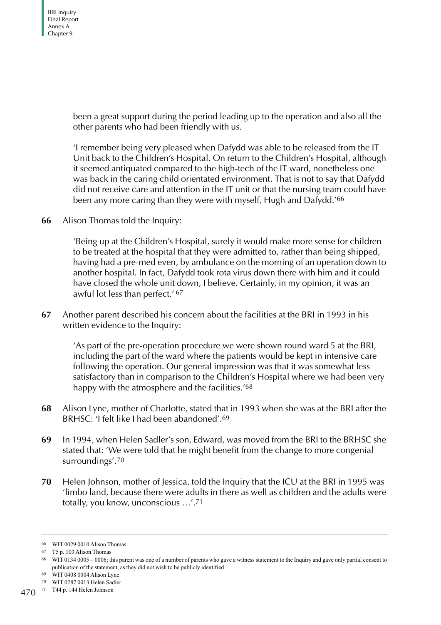been a great support during the period leading up to the operation and also all the other parents who had been friendly with us.

'I remember being very pleased when Dafydd was able to be released from the IT Unit back to the Children's Hospital. On return to the Children's Hospital, although it seemed antiquated compared to the high-tech of the IT ward, nonetheless one was back in the caring child orientated environment. That is not to say that Dafydd did not receive care and attention in the IT unit or that the nursing team could have been any more caring than they were with myself, Hugh and Dafydd.'66

**66** Alison Thomas told the Inquiry:

'Being up at the Children's Hospital, surely it would make more sense for children to be treated at the hospital that they were admitted to, rather than being shipped, having had a pre-med even, by ambulance on the morning of an operation down to another hospital. In fact, Dafydd took rota virus down there with him and it could have closed the whole unit down, I believe. Certainly, in my opinion, it was an awful lot less than perfect.' 67

**67** Another parent described his concern about the facilities at the BRI in 1993 in his written evidence to the Inquiry:

'As part of the pre-operation procedure we were shown round ward 5 at the BRI, including the part of the ward where the patients would be kept in intensive care following the operation. Our general impression was that it was somewhat less satisfactory than in comparison to the Children's Hospital where we had been very happy with the atmosphere and the facilities.<sup>'68</sup>

- **68** Alison Lyne, mother of Charlotte, stated that in 1993 when she was at the BRI after the BRHSC: 'I felt like I had been abandoned'.69
- **69** In 1994, when Helen Sadler's son, Edward, was moved from the BRI to the BRHSC she stated that: 'We were told that he might benefit from the change to more congenial surroundings'.70
- **70** Helen Johnson, mother of Jessica, told the Inquiry that the ICU at the BRI in 1995 was 'limbo land, because there were adults in there as well as children and the adults were totally, you know, unconscious …'.71

<sup>66</sup> WIT 0029 0010 Alison Thomas

<sup>67</sup> T5 p. 103 Alison Thomas

<sup>68</sup> WIT 0134 0005 – 0006; this parent was one of a number of parents who gave a witness statement to the Inquiry and gave only partial consent to publication of the statement, as they did not wish to be publicly identified

<sup>69</sup> WIT 0408 0004 Alison Lyne

<sup>70</sup> WIT 0287 0013 Helen Sadler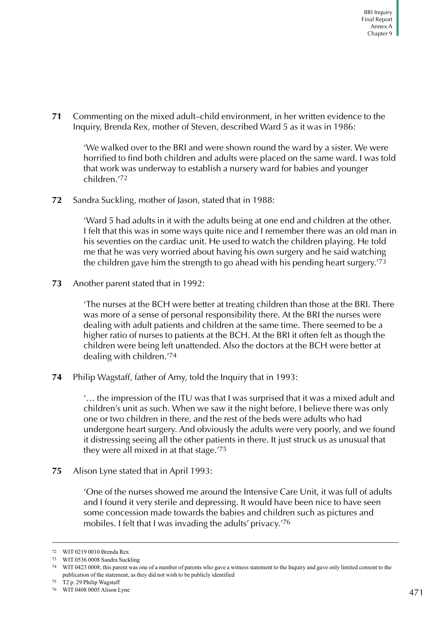**71** Commenting on the mixed adult–child environment, in her written evidence to the Inquiry, Brenda Rex, mother of Steven, described Ward 5 as it was in 1986:

'We walked over to the BRI and were shown round the ward by a sister. We were horrified to find both children and adults were placed on the same ward. I was told that work was underway to establish a nursery ward for babies and younger children.'72

**72** Sandra Suckling, mother of Jason, stated that in 1988:

'Ward 5 had adults in it with the adults being at one end and children at the other. I felt that this was in some ways quite nice and I remember there was an old man in his seventies on the cardiac unit. He used to watch the children playing. He told me that he was very worried about having his own surgery and he said watching the children gave him the strength to go ahead with his pending heart surgery.'73

**73** Another parent stated that in 1992:

'The nurses at the BCH were better at treating children than those at the BRI. There was more of a sense of personal responsibility there. At the BRI the nurses were dealing with adult patients and children at the same time. There seemed to be a higher ratio of nurses to patients at the BCH. At the BRI it often felt as though the children were being left unattended. Also the doctors at the BCH were better at dealing with children.'74

**74** Philip Wagstaff, father of Amy, told the Inquiry that in 1993:

'… the impression of the ITU was that I was surprised that it was a mixed adult and children's unit as such. When we saw it the night before, I believe there was only one or two children in there, and the rest of the beds were adults who had undergone heart surgery. And obviously the adults were very poorly, and we found it distressing seeing all the other patients in there. It just struck us as unusual that they were all mixed in at that stage.'75

**75** Alison Lyne stated that in April 1993:

'One of the nurses showed me around the Intensive Care Unit, it was full of adults and I found it very sterile and depressing. It would have been nice to have seen some concession made towards the babies and children such as pictures and mobiles. I felt that I was invading the adults' privacy.'76

<sup>72</sup> WIT 0219 0010 Brenda Rex

<sup>73</sup> WIT 0536 0008 Sandra Suckling

<sup>74</sup> WIT 0423 0008; this parent was one of a number of parents who gave a witness statement to the Inquiry and gave only limited consent to the publication of the statement, as they did not wish to be publicly identified

<sup>75</sup> T2 p. 29 Philip Wagstaff

<sup>76</sup> WIT 0408 0005 Alison Lyne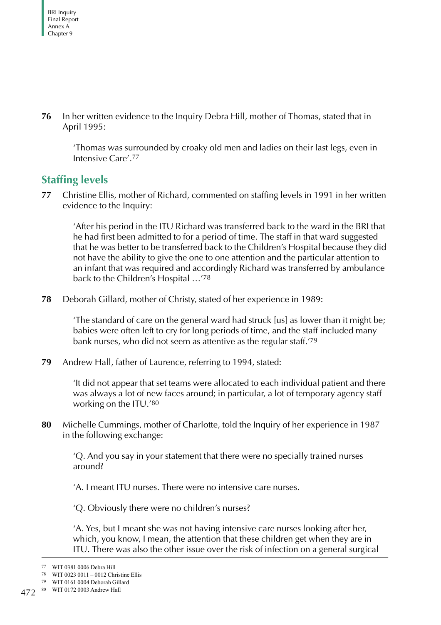**76** In her written evidence to the Inquiry Debra Hill, mother of Thomas, stated that in April 1995:

'Thomas was surrounded by croaky old men and ladies on their last legs, even in Intensive Care'.77

### **Staffing levels**

**77** Christine Ellis, mother of Richard, commented on staffing levels in 1991 in her written evidence to the Inquiry:

'After his period in the ITU Richard was transferred back to the ward in the BRI that he had first been admitted to for a period of time. The staff in that ward suggested that he was better to be transferred back to the Children's Hospital because they did not have the ability to give the one to one attention and the particular attention to an infant that was required and accordingly Richard was transferred by ambulance back to the Children's Hospital …'78

**78** Deborah Gillard, mother of Christy, stated of her experience in 1989:

'The standard of care on the general ward had struck [us] as lower than it might be; babies were often left to cry for long periods of time, and the staff included many bank nurses, who did not seem as attentive as the regular staff.<sup>79</sup>

**79** Andrew Hall, father of Laurence, referring to 1994, stated:

'It did not appear that set teams were allocated to each individual patient and there was always a lot of new faces around; in particular, a lot of temporary agency staff working on the ITU.'80

**80** Michelle Cummings, mother of Charlotte, told the Inquiry of her experience in 1987 in the following exchange:

'Q. And you say in your statement that there were no specially trained nurses around?

'A. I meant ITU nurses. There were no intensive care nurses.

'Q. Obviously there were no children's nurses?

'A. Yes, but I meant she was not having intensive care nurses looking after her, which, you know, I mean, the attention that these children get when they are in ITU. There was also the other issue over the risk of infection on a general surgical

<sup>77</sup> WIT 0381 0006 Debra Hill

<sup>78</sup> WIT 0023 0011 – 0012 Christine Ellis

<sup>79</sup> WIT 0161 0004 Deborah Gillard

<sup>472</sup> 80 WIT 0172 0003 Andrew Hall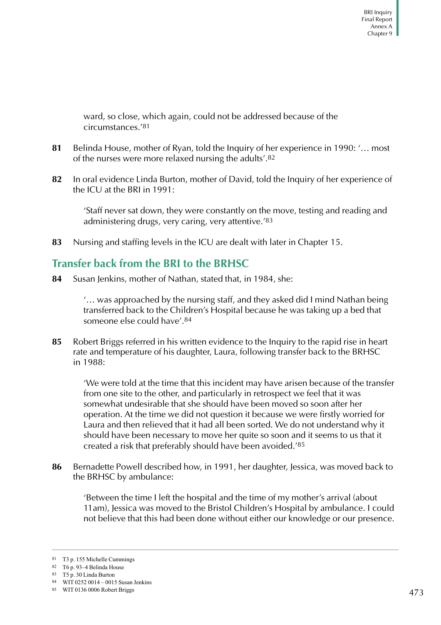ward, so close, which again, could not be addressed because of the circumstances.'81

- **81** Belinda House, mother of Ryan, told the Inquiry of her experience in 1990: '… most of the nurses were more relaxed nursing the adults'.82
- **82** In oral evidence Linda Burton, mother of David, told the Inquiry of her experience of the ICU at the BRI in 1991:

'Staff never sat down, they were constantly on the move, testing and reading and administering drugs, very caring, very attentive.'83

**83** Nursing and staffing levels in the ICU are dealt with later in Chapter 15.

### **Transfer back from the BRI to the BRHSC**

**84** Susan Jenkins, mother of Nathan, stated that, in 1984, she:

'… was approached by the nursing staff, and they asked did I mind Nathan being transferred back to the Children's Hospital because he was taking up a bed that someone else could have'.84

**85** Robert Briggs referred in his written evidence to the Inquiry to the rapid rise in heart rate and temperature of his daughter, Laura, following transfer back to the BRHSC in 1988:

'We were told at the time that this incident may have arisen because of the transfer from one site to the other, and particularly in retrospect we feel that it was somewhat undesirable that she should have been moved so soon after her operation. At the time we did not question it because we were firstly worried for Laura and then relieved that it had all been sorted. We do not understand why it should have been necessary to move her quite so soon and it seems to us that it created a risk that preferably should have been avoided.'85

**86** Bernadette Powell described how, in 1991, her daughter, Jessica, was moved back to the BRHSC by ambulance:

'Between the time I left the hospital and the time of my mother's arrival (about 11am), Jessica was moved to the Bristol Children's Hospital by ambulance. I could not believe that this had been done without either our knowledge or our presence.

<sup>81</sup> T3 p. 155 Michelle Cummings

<sup>82</sup> T6 p. 93–4 Belinda House

<sup>83</sup> T5 p. 30 Linda Burton

<sup>84</sup> WIT 0252 0014 – 0015 Susan Jenkins

<sup>85</sup> WIT 0136 0006 Robert Briggs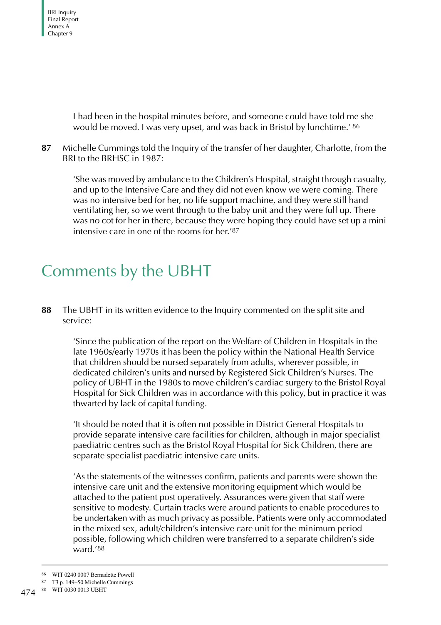I had been in the hospital minutes before, and someone could have told me she would be moved. I was very upset, and was back in Bristol by lunchtime.' 86

**87** Michelle Cummings told the Inquiry of the transfer of her daughter, Charlotte, from the BRI to the BRHSC in 1987:

'She was moved by ambulance to the Children's Hospital, straight through casualty, and up to the Intensive Care and they did not even know we were coming. There was no intensive bed for her, no life support machine, and they were still hand ventilating her, so we went through to the baby unit and they were full up. There was no cot for her in there, because they were hoping they could have set up a mini intensive care in one of the rooms for her.'87

# Comments by the UBHT

**88** The UBHT in its written evidence to the Inquiry commented on the split site and service:

'Since the publication of the report on the Welfare of Children in Hospitals in the late 1960s/early 1970s it has been the policy within the National Health Service that children should be nursed separately from adults, wherever possible, in dedicated children's units and nursed by Registered Sick Children's Nurses. The policy of UBHT in the 1980s to move children's cardiac surgery to the Bristol Royal Hospital for Sick Children was in accordance with this policy, but in practice it was thwarted by lack of capital funding.

'It should be noted that it is often not possible in District General Hospitals to provide separate intensive care facilities for children, although in major specialist paediatric centres such as the Bristol Royal Hospital for Sick Children, there are separate specialist paediatric intensive care units.

'As the statements of the witnesses confirm, patients and parents were shown the intensive care unit and the extensive monitoring equipment which would be attached to the patient post operatively. Assurances were given that staff were sensitive to modesty. Curtain tracks were around patients to enable procedures to be undertaken with as much privacy as possible. Patients were only accommodated in the mixed sex, adult/children's intensive care unit for the minimum period possible, following which children were transferred to a separate children's side ward.'88

<sup>86</sup> WIT 0240 0007 Bernadette Powell

<sup>87</sup> T3 p. 149–50 Michelle Cummings

<sup>88</sup> WIT 0030 0013 UBHT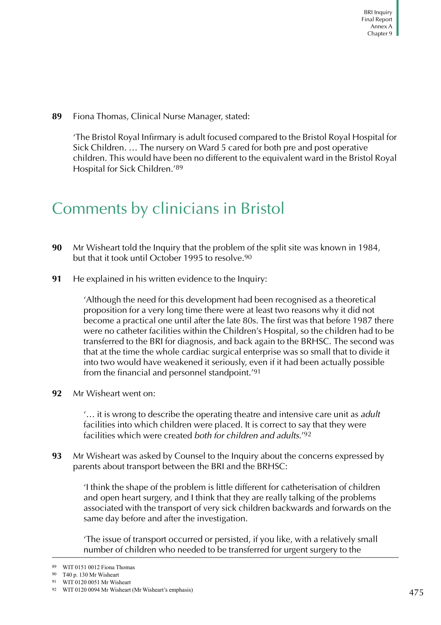**89** Fiona Thomas, Clinical Nurse Manager, stated:

'The Bristol Royal Infirmary is adult focused compared to the Bristol Royal Hospital for Sick Children. … The nursery on Ward 5 cared for both pre and post operative children. This would have been no different to the equivalent ward in the Bristol Royal Hospital for Sick Children.'89

### Comments by clinicians in Bristol

- **90** Mr Wisheart told the Inquiry that the problem of the split site was known in 1984, but that it took until October 1995 to resolve.90
- **91** He explained in his written evidence to the Inquiry:

'Although the need for this development had been recognised as a theoretical proposition for a very long time there were at least two reasons why it did not become a practical one until after the late 80s. The first was that before 1987 there were no catheter facilities within the Children's Hospital, so the children had to be transferred to the BRI for diagnosis, and back again to the BRHSC. The second was that at the time the whole cardiac surgical enterprise was so small that to divide it into two would have weakened it seriously, even if it had been actually possible from the financial and personnel standpoint.'91

**92** Mr Wisheart went on:

'… it is wrong to describe the operating theatre and intensive care unit as adult facilities into which children were placed. It is correct to say that they were facilities which were created both for children and adults.'92

**93** Mr Wisheart was asked by Counsel to the Inquiry about the concerns expressed by parents about transport between the BRI and the BRHSC:

'I think the shape of the problem is little different for catheterisation of children and open heart surgery, and I think that they are really talking of the problems associated with the transport of very sick children backwards and forwards on the same day before and after the investigation.

'The issue of transport occurred or persisted, if you like, with a relatively small number of children who needed to be transferred for urgent surgery to the

<sup>89</sup> WIT 0151 0012 Fiona Thomas

<sup>90</sup> T40 p. 130 Mr Wisheart

<sup>91</sup> WIT 0120 0051 Mr Wisheart

<sup>92</sup> WIT 0120 0094 Mr Wisheart (Mr Wisheart's emphasis)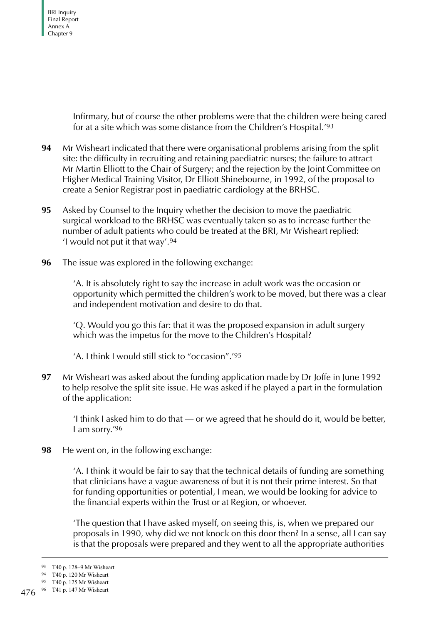Infirmary, but of course the other problems were that the children were being cared for at a site which was some distance from the Children's Hospital.'93

- **94** Mr Wisheart indicated that there were organisational problems arising from the split site: the difficulty in recruiting and retaining paediatric nurses; the failure to attract Mr Martin Elliott to the Chair of Surgery; and the rejection by the Joint Committee on Higher Medical Training Visitor, Dr Elliott Shinebourne, in 1992, of the proposal to create a Senior Registrar post in paediatric cardiology at the BRHSC.
- **95** Asked by Counsel to the Inquiry whether the decision to move the paediatric surgical workload to the BRHSC was eventually taken so as to increase further the number of adult patients who could be treated at the BRI, Mr Wisheart replied: 'I would not put it that way'.94
- **96** The issue was explored in the following exchange:

'A. It is absolutely right to say the increase in adult work was the occasion or opportunity which permitted the children's work to be moved, but there was a clear and independent motivation and desire to do that.

'Q. Would you go this far: that it was the proposed expansion in adult surgery which was the impetus for the move to the Children's Hospital?

'A. I think I would still stick to "occasion".'95

**97** Mr Wisheart was asked about the funding application made by Dr Joffe in June 1992 to help resolve the split site issue. He was asked if he played a part in the formulation of the application:

'I think I asked him to do that — or we agreed that he should do it, would be better, I am sorry.'96

**98** He went on, in the following exchange:

'A. I think it would be fair to say that the technical details of funding are something that clinicians have a vague awareness of but it is not their prime interest. So that for funding opportunities or potential, I mean, we would be looking for advice to the financial experts within the Trust or at Region, or whoever.

'The question that I have asked myself, on seeing this, is, when we prepared our proposals in 1990, why did we not knock on this door then? In a sense, all I can say is that the proposals were prepared and they went to all the appropriate authorities

<sup>93</sup> T40 p. 128–9 Mr Wisheart

<sup>94</sup> T40 p. 120 Mr Wisheart

<sup>95</sup> T40 p. 125 Mr Wisheart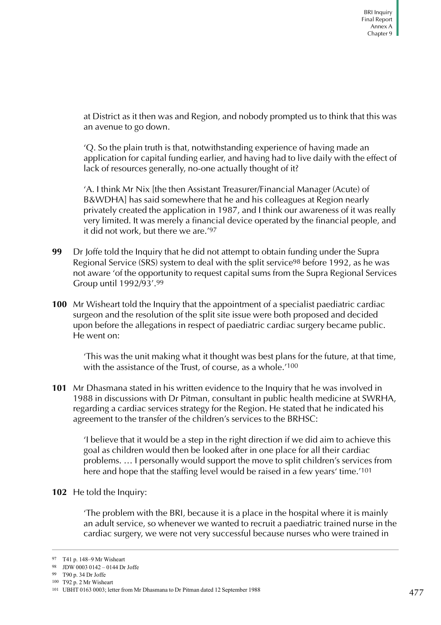at District as it then was and Region, and nobody prompted us to think that this was an avenue to go down.

'Q. So the plain truth is that, notwithstanding experience of having made an application for capital funding earlier, and having had to live daily with the effect of lack of resources generally, no-one actually thought of it?

'A. I think Mr Nix [the then Assistant Treasurer/Financial Manager (Acute) of B&WDHA] has said somewhere that he and his colleagues at Region nearly privately created the application in 1987, and I think our awareness of it was really very limited. It was merely a financial device operated by the financial people, and it did not work, but there we are.'97

- **99** Dr Joffe told the Inquiry that he did not attempt to obtain funding under the Supra Regional Service (SRS) system to deal with the split service98 before 1992, as he was not aware 'of the opportunity to request capital sums from the Supra Regional Services Group until 1992/93'.99
- **100** Mr Wisheart told the Inquiry that the appointment of a specialist paediatric cardiac surgeon and the resolution of the split site issue were both proposed and decided upon before the allegations in respect of paediatric cardiac surgery became public. He went on:

'This was the unit making what it thought was best plans for the future, at that time, with the assistance of the Trust, of course, as a whole.<sup>'100</sup>

**101** Mr Dhasmana stated in his written evidence to the Inquiry that he was involved in 1988 in discussions with Dr Pitman, consultant in public health medicine at SWRHA, regarding a cardiac services strategy for the Region. He stated that he indicated his agreement to the transfer of the children's services to the BRHSC:

'I believe that it would be a step in the right direction if we did aim to achieve this goal as children would then be looked after in one place for all their cardiac problems. … I personally would support the move to split children's services from here and hope that the staffing level would be raised in a few years' time.'101

#### **102** He told the Inquiry:

'The problem with the BRI, because it is a place in the hospital where it is mainly an adult service, so whenever we wanted to recruit a paediatric trained nurse in the cardiac surgery, we were not very successful because nurses who were trained in

<sup>97</sup> T41 p. 148–9 Mr Wisheart

<sup>98</sup> JDW 0003 0142 – 0144 Dr Joffe

<sup>99</sup> T90 p. 34 Dr Joffe

<sup>100</sup> T92 p. 2 Mr Wisheart

<sup>101</sup> UBHT 0163 0003; letter from Mr Dhasmana to Dr Pitman dated 12 September 1988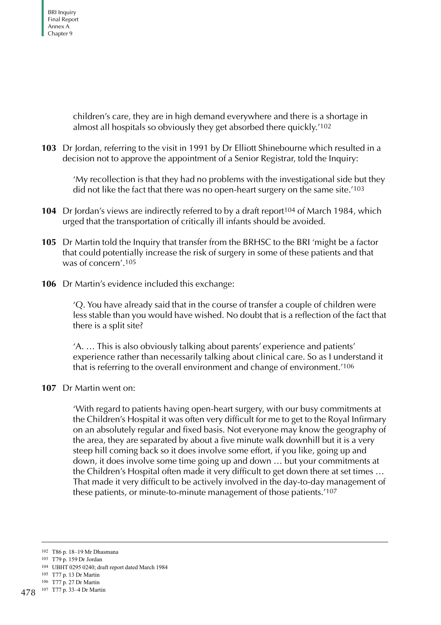children's care, they are in high demand everywhere and there is a shortage in almost all hospitals so obviously they get absorbed there quickly.'102

**103** Dr Jordan, referring to the visit in 1991 by Dr Elliott Shinebourne which resulted in a decision not to approve the appointment of a Senior Registrar, told the Inquiry:

'My recollection is that they had no problems with the investigational side but they did not like the fact that there was no open-heart surgery on the same site.'103

- **104** Dr Jordan's views are indirectly referred to by a draft report<sup>104</sup> of March 1984, which urged that the transportation of critically ill infants should be avoided.
- **105** Dr Martin told the Inquiry that transfer from the BRHSC to the BRI 'might be a factor that could potentially increase the risk of surgery in some of these patients and that was of concern'.105
- **106** Dr Martin's evidence included this exchange:

'Q. You have already said that in the course of transfer a couple of children were less stable than you would have wished. No doubt that is a reflection of the fact that there is a split site?

'A. … This is also obviously talking about parents' experience and patients' experience rather than necessarily talking about clinical care. So as I understand it that is referring to the overall environment and change of environment.'106

#### **107** Dr Martin went on:

'With regard to patients having open-heart surgery, with our busy commitments at the Children's Hospital it was often very difficult for me to get to the Royal Infirmary on an absolutely regular and fixed basis. Not everyone may know the geography of the area, they are separated by about a five minute walk downhill but it is a very steep hill coming back so it does involve some effort, if you like, going up and down, it does involve some time going up and down … but your commitments at the Children's Hospital often made it very difficult to get down there at set times … That made it very difficult to be actively involved in the day-to-day management of these patients, or minute-to-minute management of those patients.'107

<sup>102</sup> T86 p. 18–19 Mr Dhasmana

<sup>103</sup> T79 p. 159 Dr Jordan

<sup>104</sup> UBHT 0295 0240; draft report dated March 1984

<sup>105</sup> T77 p. 13 Dr Martin

<sup>106</sup> T77 p. 27 Dr Martin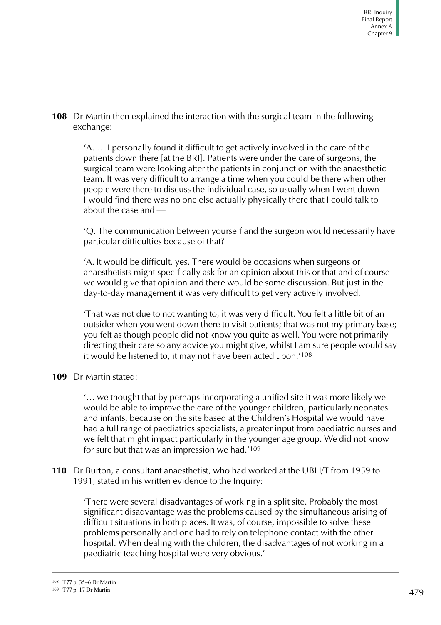**108** Dr Martin then explained the interaction with the surgical team in the following exchange:

'A. … I personally found it difficult to get actively involved in the care of the patients down there [at the BRI]. Patients were under the care of surgeons, the surgical team were looking after the patients in conjunction with the anaesthetic team. It was very difficult to arrange a time when you could be there when other people were there to discuss the individual case, so usually when I went down I would find there was no one else actually physically there that I could talk to about the case and —

'Q. The communication between yourself and the surgeon would necessarily have particular difficulties because of that?

'A. It would be difficult, yes. There would be occasions when surgeons or anaesthetists might specifically ask for an opinion about this or that and of course we would give that opinion and there would be some discussion. But just in the day-to-day management it was very difficult to get very actively involved.

'That was not due to not wanting to, it was very difficult. You felt a little bit of an outsider when you went down there to visit patients; that was not my primary base; you felt as though people did not know you quite as well. You were not primarily directing their care so any advice you might give, whilst I am sure people would say it would be listened to, it may not have been acted upon.'108

#### **109** Dr Martin stated:

'… we thought that by perhaps incorporating a unified site it was more likely we would be able to improve the care of the younger children, particularly neonates and infants, because on the site based at the Children's Hospital we would have had a full range of paediatrics specialists, a greater input from paediatric nurses and we felt that might impact particularly in the younger age group. We did not know for sure but that was an impression we had.'109

**110** Dr Burton, a consultant anaesthetist, who had worked at the UBH/T from 1959 to 1991, stated in his written evidence to the Inquiry:

'There were several disadvantages of working in a split site. Probably the most significant disadvantage was the problems caused by the simultaneous arising of difficult situations in both places. It was, of course, impossible to solve these problems personally and one had to rely on telephone contact with the other hospital. When dealing with the children, the disadvantages of not working in a paediatric teaching hospital were very obvious.'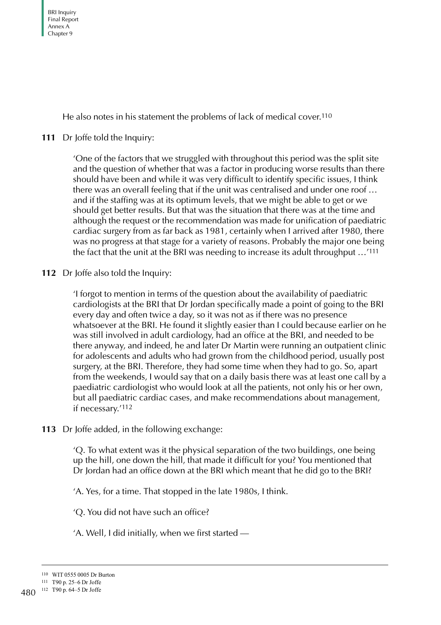BRI Inquiry Final Report Annex A Chapter 9

He also notes in his statement the problems of lack of medical cover.110

#### **111** Dr Joffe told the Inquiry:

'One of the factors that we struggled with throughout this period was the split site and the question of whether that was a factor in producing worse results than there should have been and while it was very difficult to identify specific issues, I think there was an overall feeling that if the unit was centralised and under one roof … and if the staffing was at its optimum levels, that we might be able to get or we should get better results. But that was the situation that there was at the time and although the request or the recommendation was made for unification of paediatric cardiac surgery from as far back as 1981, certainly when I arrived after 1980, there was no progress at that stage for a variety of reasons. Probably the major one being the fact that the unit at the BRI was needing to increase its adult throughput …'111

**112** Dr Joffe also told the Inquiry:

'I forgot to mention in terms of the question about the availability of paediatric cardiologists at the BRI that Dr Jordan specifically made a point of going to the BRI every day and often twice a day, so it was not as if there was no presence whatsoever at the BRI. He found it slightly easier than I could because earlier on he was still involved in adult cardiology, had an office at the BRI, and needed to be there anyway, and indeed, he and later Dr Martin were running an outpatient clinic for adolescents and adults who had grown from the childhood period, usually post surgery, at the BRI. Therefore, they had some time when they had to go. So, apart from the weekends, I would say that on a daily basis there was at least one call by a paediatric cardiologist who would look at all the patients, not only his or her own, but all paediatric cardiac cases, and make recommendations about management, if necessary.'112

#### **113** Dr Joffe added, in the following exchange:

'Q. To what extent was it the physical separation of the two buildings, one being up the hill, one down the hill, that made it difficult for you? You mentioned that Dr Jordan had an office down at the BRI which meant that he did go to the BRI?

'A. Yes, for a time. That stopped in the late 1980s, I think.

'Q. You did not have such an office?

'A. Well, I did initially, when we first started —

<sup>110</sup> WIT 0555 0005 Dr Burton

<sup>111</sup> T90 p. 25–6 Dr Joffe 112 T90 p. 64–5 Dr Joffe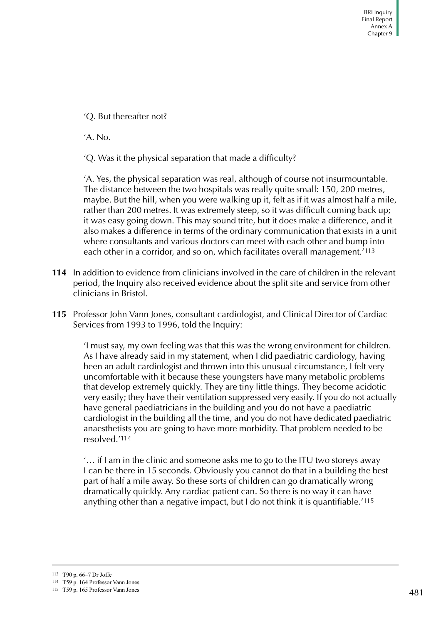'Q. But thereafter not?

 $'A$ . No.

'Q. Was it the physical separation that made a difficulty?

'A. Yes, the physical separation was real, although of course not insurmountable. The distance between the two hospitals was really quite small: 150, 200 metres, maybe. But the hill, when you were walking up it, felt as if it was almost half a mile, rather than 200 metres. It was extremely steep, so it was difficult coming back up; it was easy going down. This may sound trite, but it does make a difference, and it also makes a difference in terms of the ordinary communication that exists in a unit where consultants and various doctors can meet with each other and bump into each other in a corridor, and so on, which facilitates overall management.'113

- **114** In addition to evidence from clinicians involved in the care of children in the relevant period, the Inquiry also received evidence about the split site and service from other clinicians in Bristol.
- **115** Professor John Vann Jones, consultant cardiologist, and Clinical Director of Cardiac Services from 1993 to 1996, told the Inquiry:

'I must say, my own feeling was that this was the wrong environment for children. As I have already said in my statement, when I did paediatric cardiology, having been an adult cardiologist and thrown into this unusual circumstance, I felt very uncomfortable with it because these youngsters have many metabolic problems that develop extremely quickly. They are tiny little things. They become acidotic very easily; they have their ventilation suppressed very easily. If you do not actually have general paediatricians in the building and you do not have a paediatric cardiologist in the building all the time, and you do not have dedicated paediatric anaesthetists you are going to have more morbidity. That problem needed to be resolved.'114

'… if I am in the clinic and someone asks me to go to the ITU two storeys away I can be there in 15 seconds. Obviously you cannot do that in a building the best part of half a mile away. So these sorts of children can go dramatically wrong dramatically quickly. Any cardiac patient can. So there is no way it can have anything other than a negative impact, but I do not think it is quantifiable.'115

<sup>113</sup> T90 p. 66–7 Dr Joffe

<sup>114</sup> T59 p. 164 Professor Vann Jones

<sup>115</sup> T59 p. 165 Professor Vann Jones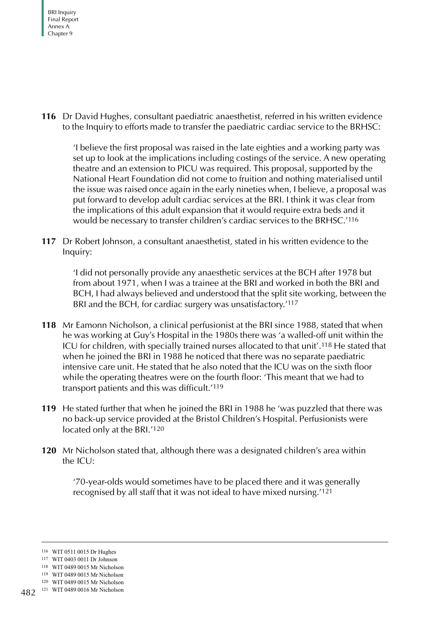**116** Dr David Hughes, consultant paediatric anaesthetist, referred in his written evidence to the Inquiry to efforts made to transfer the paediatric cardiac service to the BRHSC:

'I believe the first proposal was raised in the late eighties and a working party was set up to look at the implications including costings of the service. A new operating theatre and an extension to PICU was required. This proposal, supported by the National Heart Foundation did not come to fruition and nothing materialised until the issue was raised once again in the early nineties when, I believe, a proposal was put forward to develop adult cardiac services at the BRI. I think it was clear from the implications of this adult expansion that it would require extra beds and it would be necessary to transfer children's cardiac services to the BRHSC.'116

**117** Dr Robert Johnson, a consultant anaesthetist, stated in his written evidence to the Inquiry:

'I did not personally provide any anaesthetic services at the BCH after 1978 but from about 1971, when I was a trainee at the BRI and worked in both the BRI and BCH, I had always believed and understood that the split site working, between the BRI and the BCH, for cardiac surgery was unsatisfactory.'117

- **118** Mr Eamonn Nicholson, a clinical perfusionist at the BRI since 1988, stated that when he was working at Guy's Hospital in the 1980s there was 'a walled-off unit within the ICU for children, with specially trained nurses allocated to that unit'.118 He stated that when he joined the BRI in 1988 he noticed that there was no separate paediatric intensive care unit. He stated that he also noted that the ICU was on the sixth floor while the operating theatres were on the fourth floor: 'This meant that we had to transport patients and this was difficult.'119
- **119** He stated further that when he joined the BRI in 1988 he 'was puzzled that there was no back-up service provided at the Bristol Children's Hospital. Perfusionists were located only at the BRI.'120
- **120** Mr Nicholson stated that, although there was a designated children's area within the ICU:

'70-year-olds would sometimes have to be placed there and it was generally recognised by all staff that it was not ideal to have mixed nursing.'121

<sup>116</sup> WIT 0511 0015 Dr Hughes

<sup>117</sup> WIT 0403 0011 Dr Johnson

<sup>118</sup> WIT 0489 0015 Mr Nicholson

<sup>119</sup> WIT 0489 0015 Mr Nicholson 120 WIT 0489 0015 Mr Nicholson

<sup>482</sup> 121 WIT 0489 0016 Mr Nicholson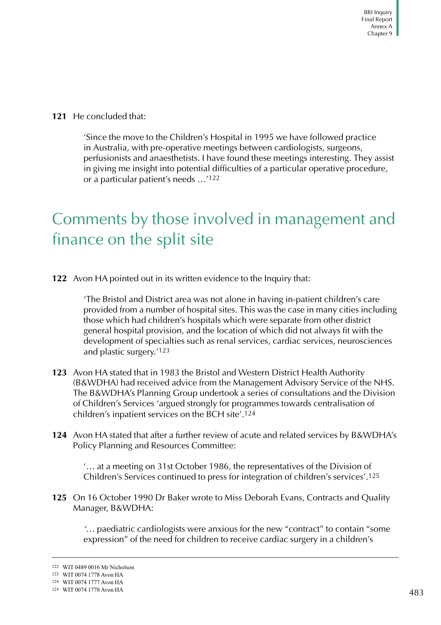#### **121** He concluded that:

'Since the move to the Children's Hospital in 1995 we have followed practice in Australia, with pre-operative meetings between cardiologists, surgeons, perfusionists and anaesthetists. I have found these meetings interesting. They assist in giving me insight into potential difficulties of a particular operative procedure, or a particular patient's needs …'122

## Comments by those involved in management and finance on the split site

**122** Avon HA pointed out in its written evidence to the Inquiry that:

'The Bristol and District area was not alone in having in-patient children's care provided from a number of hospital sites. This was the case in many cities including those which had children's hospitals which were separate from other district general hospital provision, and the location of which did not always fit with the development of specialties such as renal services, cardiac services, neurosciences and plastic surgery.'123

- **123** Avon HA stated that in 1983 the Bristol and Western District Health Authority (B&WDHA) had received advice from the Management Advisory Service of the NHS. The B&WDHA's Planning Group undertook a series of consultations and the Division of Children's Services 'argued strongly for programmes towards centralisation of children's inpatient services on the BCH site'.124
- **124** Avon HA stated that after a further review of acute and related services by B&WDHA's Policy Planning and Resources Committee:

'… at a meeting on 31st October 1986, the representatives of the Division of Children's Services continued to press for integration of children's services'.125

**125** On 16 October 1990 Dr Baker wrote to Miss Deborah Evans, Contracts and Quality Manager, B&WDHA:

'… paediatric cardiologists were anxious for the new "contract" to contain "some expression" of the need for children to receive cardiac surgery in a children's

<sup>122</sup> WIT 0489 0016 Mr Nicholson

<sup>123</sup> WIT 0074 1778 Avon HA

<sup>124</sup> WIT 0074 1777 Avon HA

<sup>125</sup> WIT 0074 1778 Avon HA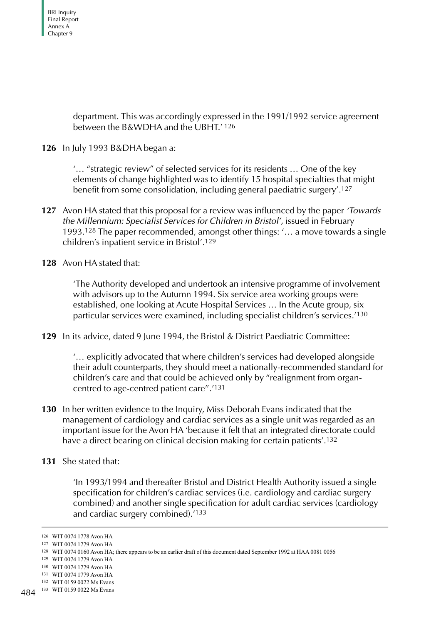department. This was accordingly expressed in the 1991/1992 service agreement between the B&WDHA and the UBHT.' 126

**126** In July 1993 B&DHA began a:

'… "strategic review" of selected services for its residents … One of the key elements of change highlighted was to identify 15 hospital specialties that might benefit from some consolidation, including general paediatric surgery'.127

- **127** Avon HA stated that this proposal for a review was influenced by the paper 'Towards the Millennium: Specialist Services for Children in Bristol', issued in February 1993.128 The paper recommended, amongst other things: '… a move towards a single children's inpatient service in Bristol'.129
- **128** Avon HA stated that:

'The Authority developed and undertook an intensive programme of involvement with advisors up to the Autumn 1994. Six service area working groups were established, one looking at Acute Hospital Services … In the Acute group, six particular services were examined, including specialist children's services.'130

**129** In its advice, dated 9 June 1994, the Bristol & District Paediatric Committee:

'… explicitly advocated that where children's services had developed alongside their adult counterparts, they should meet a nationally-recommended standard for children's care and that could be achieved only by "realignment from organcentred to age-centred patient care''.'131

- **130** In her written evidence to the Inquiry, Miss Deborah Evans indicated that the management of cardiology and cardiac services as a single unit was regarded as an important issue for the Avon HA 'because it felt that an integrated directorate could have a direct bearing on clinical decision making for certain patients'.<sup>132</sup>
- **131** She stated that:

'In 1993/1994 and thereafter Bristol and District Health Authority issued a single specification for children's cardiac services (i.e. cardiology and cardiac surgery combined) and another single specification for adult cardiac services (cardiology and cardiac surgery combined).'133

<sup>126</sup> WIT 0074 1778 Avon HA

<sup>127</sup> WIT 0074 1779 Avon HA

<sup>128</sup> WIT 0074 0160 Avon HA; there appears to be an earlier draft of this document dated September 1992 at HAA 0081 0056

<sup>129</sup> WIT 0074 1779 Avon HA

<sup>130</sup> WIT 0074 1779 Avon HA

<sup>131</sup> WIT 0074 1779 Avon HA

<sup>132</sup> WIT 0159 0022 Ms Evans

<sup>484</sup> 133 WIT 0159 0022 Ms Evans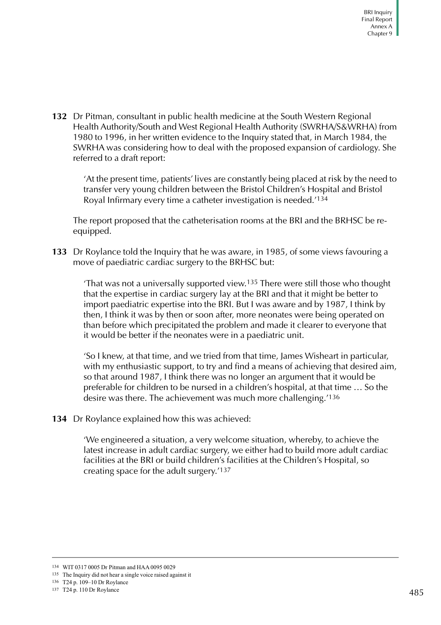**132** Dr Pitman, consultant in public health medicine at the South Western Regional Health Authority/South and West Regional Health Authority (SWRHA/S&WRHA) from 1980 to 1996, in her written evidence to the Inquiry stated that, in March 1984, the SWRHA was considering how to deal with the proposed expansion of cardiology. She referred to a draft report:

'At the present time, patients' lives are constantly being placed at risk by the need to transfer very young children between the Bristol Children's Hospital and Bristol Royal Infirmary every time a catheter investigation is needed.'134

The report proposed that the catheterisation rooms at the BRI and the BRHSC be reequipped.

**133** Dr Roylance told the Inquiry that he was aware, in 1985, of some views favouring a move of paediatric cardiac surgery to the BRHSC but:

'That was not a universally supported view.135 There were still those who thought that the expertise in cardiac surgery lay at the BRI and that it might be better to import paediatric expertise into the BRI. But I was aware and by 1987, I think by then, I think it was by then or soon after, more neonates were being operated on than before which precipitated the problem and made it clearer to everyone that it would be better if the neonates were in a paediatric unit.

'So I knew, at that time, and we tried from that time, James Wisheart in particular, with my enthusiastic support, to try and find a means of achieving that desired aim, so that around 1987, I think there was no longer an argument that it would be preferable for children to be nursed in a children's hospital, at that time … So the desire was there. The achievement was much more challenging.'136

**134** Dr Roylance explained how this was achieved:

'We engineered a situation, a very welcome situation, whereby, to achieve the latest increase in adult cardiac surgery, we either had to build more adult cardiac facilities at the BRI or build children's facilities at the Children's Hospital, so creating space for the adult surgery.'137

<sup>134</sup> WIT 0317 0005 Dr Pitman and HAA 0095 0029

<sup>135</sup> The Inquiry did not hear a single voice raised against it

<sup>136</sup> T24 p. 109–10 Dr Roylance

<sup>137</sup> T24 p. 110 Dr Roylance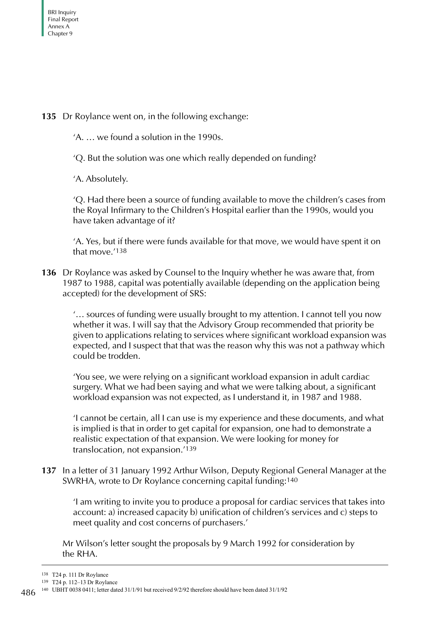**135** Dr Roylance went on, in the following exchange:

'A. … we found a solution in the 1990s.

'Q. But the solution was one which really depended on funding?

'A. Absolutely.

'Q. Had there been a source of funding available to move the children's cases from the Royal Infirmary to the Children's Hospital earlier than the 1990s, would you have taken advantage of it?

'A. Yes, but if there were funds available for that move, we would have spent it on that move.'138

**136** Dr Roylance was asked by Counsel to the Inquiry whether he was aware that, from 1987 to 1988, capital was potentially available (depending on the application being accepted) for the development of SRS:

'… sources of funding were usually brought to my attention. I cannot tell you now whether it was. I will say that the Advisory Group recommended that priority be given to applications relating to services where significant workload expansion was expected, and I suspect that that was the reason why this was not a pathway which could be trodden.

'You see, we were relying on a significant workload expansion in adult cardiac surgery. What we had been saying and what we were talking about, a significant workload expansion was not expected, as I understand it, in 1987 and 1988.

'I cannot be certain, all I can use is my experience and these documents, and what is implied is that in order to get capital for expansion, one had to demonstrate a realistic expectation of that expansion. We were looking for money for translocation, not expansion.'139

**137** In a letter of 31 January 1992 Arthur Wilson, Deputy Regional General Manager at the SWRHA, wrote to Dr Roylance concerning capital funding:140

'I am writing to invite you to produce a proposal for cardiac services that takes into account: a) increased capacity b) unification of children's services and c) steps to meet quality and cost concerns of purchasers.'

Mr Wilson's letter sought the proposals by 9 March 1992 for consideration by the RHA.

<sup>138</sup> T24 p. 111 Dr Roylance

<sup>139</sup> T24 p. 112–13 Dr Roylance

<sup>140</sup> UBHT 0038 0411; letter dated 31/1/91 but received 9/2/92 therefore should have been dated 31/1/92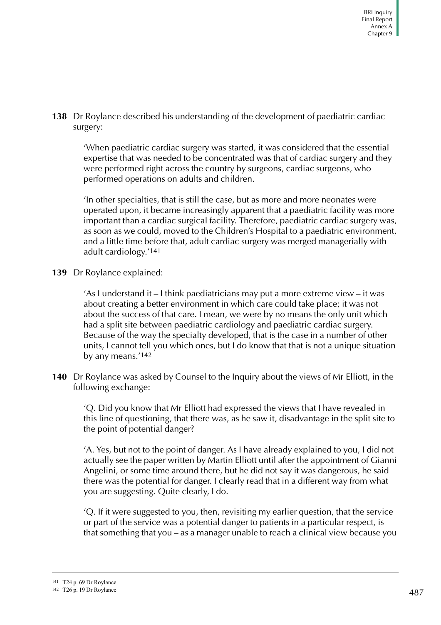**138** Dr Roylance described his understanding of the development of paediatric cardiac surgery:

'When paediatric cardiac surgery was started, it was considered that the essential expertise that was needed to be concentrated was that of cardiac surgery and they were performed right across the country by surgeons, cardiac surgeons, who performed operations on adults and children.

'In other specialties, that is still the case, but as more and more neonates were operated upon, it became increasingly apparent that a paediatric facility was more important than a cardiac surgical facility. Therefore, paediatric cardiac surgery was, as soon as we could, moved to the Children's Hospital to a paediatric environment, and a little time before that, adult cardiac surgery was merged managerially with adult cardiology.'141

**139** Dr Roylance explained:

'As I understand it – I think paediatricians may put a more extreme view – it was about creating a better environment in which care could take place; it was not about the success of that care. I mean, we were by no means the only unit which had a split site between paediatric cardiology and paediatric cardiac surgery. Because of the way the specialty developed, that is the case in a number of other units, I cannot tell you which ones, but I do know that that is not a unique situation by any means.'142

**140** Dr Roylance was asked by Counsel to the Inquiry about the views of Mr Elliott, in the following exchange:

'Q. Did you know that Mr Elliott had expressed the views that I have revealed in this line of questioning, that there was, as he saw it, disadvantage in the split site to the point of potential danger?

'A. Yes, but not to the point of danger. As I have already explained to you, I did not actually see the paper written by Martin Elliott until after the appointment of Gianni Angelini, or some time around there, but he did not say it was dangerous, he said there was the potential for danger. I clearly read that in a different way from what you are suggesting. Quite clearly, I do.

'Q. If it were suggested to you, then, revisiting my earlier question, that the service or part of the service was a potential danger to patients in a particular respect, is that something that you – as a manager unable to reach a clinical view because you

<sup>141</sup> T24 p. 69 Dr Roylance

<sup>142</sup> T26 p. 19 Dr Roylance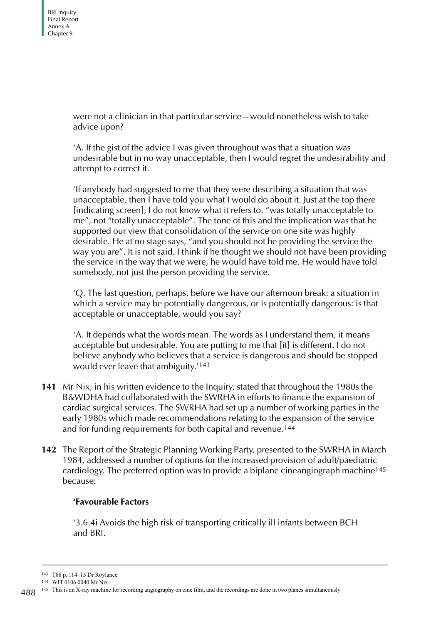were not a clinician in that particular service – would nonetheless wish to take advice upon?

'A. If the gist of the advice I was given throughout was that a situation was undesirable but in no way unacceptable, then I would regret the undesirability and attempt to correct it.

'If anybody had suggested to me that they were describing a situation that was unacceptable, then I have told you what I would do about it. Just at the top there [indicating screen], I do not know what it refers to, "was totally unacceptable to me", not "totally unacceptable". The tone of this and the implication was that he supported our view that consolidation of the service on one site was highly desirable. He at no stage says, "and you should not be providing the service the way you are". It is not said. I think if he thought we should not have been providing the service in the way that we were, he would have told me. He would have told somebody, not just the person providing the service.

'Q. The last question, perhaps, before we have our afternoon break: a situation in which a service may be potentially dangerous, or is potentially dangerous: is that acceptable or unacceptable, would you say?

'A. It depends what the words mean. The words as I understand them, it means acceptable but undesirable. You are putting to me that [it] is different. I do not believe anybody who believes that a service is dangerous and should be stopped would ever leave that ambiguity.'143

- **141** Mr Nix, in his written evidence to the Inquiry, stated that throughout the 1980s the B&WDHA had collaborated with the SWRHA in efforts to finance the expansion of cardiac surgical services. The SWRHA had set up a number of working parties in the early 1980s which made recommendations relating to the expansion of the service and for funding requirements for both capital and revenue.144
- **142** The Report of the Strategic Planning Working Party, presented to the SWRHA in March 1984, addressed a number of options for the increased provision of adult/paediatric cardiology. The preferred option was to provide a biplane cineangiograph machine145 because:

#### **'Favourable Factors**

'3.6.4i Avoids the high risk of transporting critically ill infants between BCH and BRI.

<sup>143</sup> T88 p. 114–15 Dr Roylance

<sup>144</sup> WIT 0106 0040 Mr Nix

<sup>145</sup> This is an X-ray machine for recording angiography on cine film, and the recordings are done in two planes simultaneously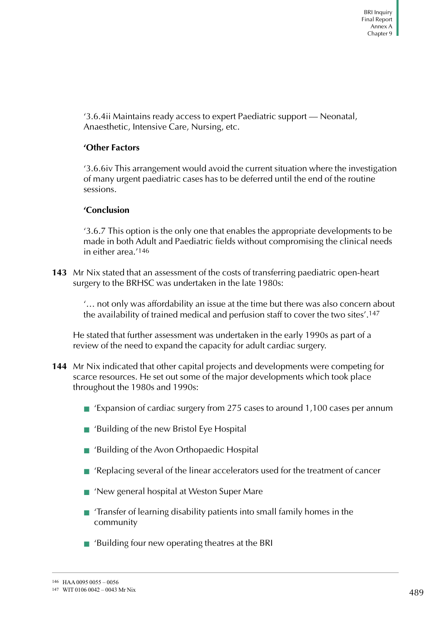'3.6.4ii Maintains ready access to expert Paediatric support — Neonatal, Anaesthetic, Intensive Care, Nursing, etc.

#### **'Other Factors**

'3.6.6iv This arrangement would avoid the current situation where the investigation of many urgent paediatric cases has to be deferred until the end of the routine sessions.

#### **'Conclusion**

'3.6.7 This option is the only one that enables the appropriate developments to be made in both Adult and Paediatric fields without compromising the clinical needs in either area.'146

**143** Mr Nix stated that an assessment of the costs of transferring paediatric open-heart surgery to the BRHSC was undertaken in the late 1980s:

'… not only was affordability an issue at the time but there was also concern about the availability of trained medical and perfusion staff to cover the two sites'.147

He stated that further assessment was undertaken in the early 1990s as part of a review of the need to expand the capacity for adult cardiac surgery.

- **144** Mr Nix indicated that other capital projects and developments were competing for scarce resources. He set out some of the major developments which took place throughout the 1980s and 1990s:
	- Expansion of cardiac surgery from 275 cases to around 1,100 cases per annum
	- Building of the new Bristol Eye Hospital
	- Building of the Avon Orthopaedic Hospital
	- 'Replacing several of the linear accelerators used for the treatment of cancer
	- 'New general hospital at Weston Super Mare
	- Transfer of learning disability patients into small family homes in the community
	- 'Building four new operating theatres at the BRI

<sup>146</sup> HAA 0095 0055 – 0056

<sup>147</sup> WIT 0106 0042 – 0043 Mr Nix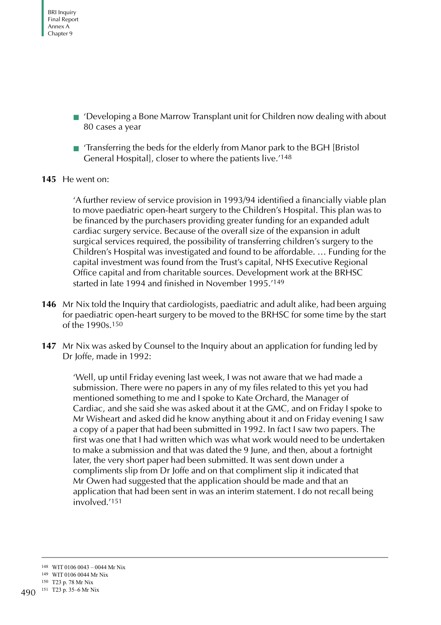- 'Developing a Bone Marrow Transplant unit for Children now dealing with about 80 cases a year
- Transferring the beds for the elderly from Manor park to the BGH [Bristol] General Hospital], closer to where the patients live.'148

#### **145** He went on:

'A further review of service provision in 1993/94 identified a financially viable plan to move paediatric open-heart surgery to the Children's Hospital. This plan was to be financed by the purchasers providing greater funding for an expanded adult cardiac surgery service. Because of the overall size of the expansion in adult surgical services required, the possibility of transferring children's surgery to the Children's Hospital was investigated and found to be affordable. … Funding for the capital investment was found from the Trust's capital, NHS Executive Regional Office capital and from charitable sources. Development work at the BRHSC started in late 1994 and finished in November 1995.'149

- **146** Mr Nix told the Inquiry that cardiologists, paediatric and adult alike, had been arguing for paediatric open-heart surgery to be moved to the BRHSC for some time by the start of the 1990s.150
- **147** Mr Nix was asked by Counsel to the Inquiry about an application for funding led by Dr Joffe, made in 1992:

'Well, up until Friday evening last week, I was not aware that we had made a submission. There were no papers in any of my files related to this yet you had mentioned something to me and I spoke to Kate Orchard, the Manager of Cardiac, and she said she was asked about it at the GMC, and on Friday I spoke to Mr Wisheart and asked did he know anything about it and on Friday evening I saw a copy of a paper that had been submitted in 1992. In fact I saw two papers. The first was one that I had written which was what work would need to be undertaken to make a submission and that was dated the 9 June, and then, about a fortnight later, the very short paper had been submitted. It was sent down under a compliments slip from Dr Joffe and on that compliment slip it indicated that Mr Owen had suggested that the application should be made and that an application that had been sent in was an interim statement. I do not recall being involved.'151

<sup>148</sup> WIT 0106 0043 – 0044 Mr Nix

<sup>149</sup> WIT 0106 0044 Mr Nix

<sup>150</sup> T23 p. 78 Mr Nix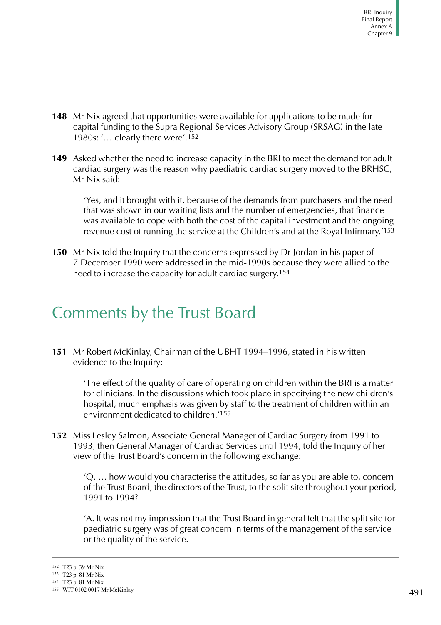- **148** Mr Nix agreed that opportunities were available for applications to be made for capital funding to the Supra Regional Services Advisory Group (SRSAG) in the late 1980s: '… clearly there were'.152
- **149** Asked whether the need to increase capacity in the BRI to meet the demand for adult cardiac surgery was the reason why paediatric cardiac surgery moved to the BRHSC, Mr Nix said:

'Yes, and it brought with it, because of the demands from purchasers and the need that was shown in our waiting lists and the number of emergencies, that finance was available to cope with both the cost of the capital investment and the ongoing revenue cost of running the service at the Children's and at the Royal Infirmary.'153

**150** Mr Nix told the Inquiry that the concerns expressed by Dr Jordan in his paper of 7 December 1990 were addressed in the mid-1990s because they were allied to the need to increase the capacity for adult cardiac surgery.154

### Comments by the Trust Board

**151** Mr Robert McKinlay, Chairman of the UBHT 1994–1996, stated in his written evidence to the Inquiry:

'The effect of the quality of care of operating on children within the BRI is a matter for clinicians. In the discussions which took place in specifying the new children's hospital, much emphasis was given by staff to the treatment of children within an environment dedicated to children.'155

**152** Miss Lesley Salmon, Associate General Manager of Cardiac Surgery from 1991 to 1993, then General Manager of Cardiac Services until 1994, told the Inquiry of her view of the Trust Board's concern in the following exchange:

'Q. … how would you characterise the attitudes, so far as you are able to, concern of the Trust Board, the directors of the Trust, to the split site throughout your period, 1991 to 1994?

'A. It was not my impression that the Trust Board in general felt that the split site for paediatric surgery was of great concern in terms of the management of the service or the quality of the service.

<sup>152</sup> T23 p. 39 Mr Nix

<sup>153</sup> T23 p. 81 Mr Nix

<sup>154</sup> T23 p. 81 Mr Nix

<sup>155</sup> WIT 0102 0017 Mr McKinlay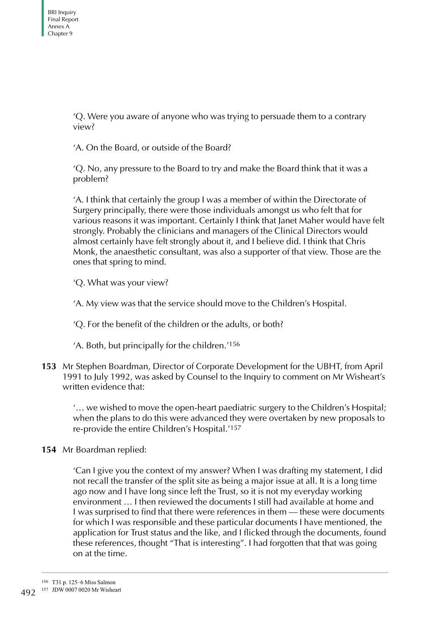'Q. Were you aware of anyone who was trying to persuade them to a contrary view?

'A. On the Board, or outside of the Board?

'Q. No, any pressure to the Board to try and make the Board think that it was a problem?

'A. I think that certainly the group I was a member of within the Directorate of Surgery principally, there were those individuals amongst us who felt that for various reasons it was important. Certainly I think that Janet Maher would have felt strongly. Probably the clinicians and managers of the Clinical Directors would almost certainly have felt strongly about it, and I believe did. I think that Chris Monk, the anaesthetic consultant, was also a supporter of that view. Those are the ones that spring to mind.

'Q. What was your view?

'A. My view was that the service should move to the Children's Hospital.

'Q. For the benefit of the children or the adults, or both?

'A. Both, but principally for the children.'156

**153** Mr Stephen Boardman, Director of Corporate Development for the UBHT, from April 1991 to July 1992, was asked by Counsel to the Inquiry to comment on Mr Wisheart's written evidence that:

'… we wished to move the open-heart paediatric surgery to the Children's Hospital; when the plans to do this were advanced they were overtaken by new proposals to re-provide the entire Children's Hospital.'157

#### **154** Mr Boardman replied:

'Can I give you the context of my answer? When I was drafting my statement, I did not recall the transfer of the split site as being a major issue at all. It is a long time ago now and I have long since left the Trust, so it is not my everyday working environment … I then reviewed the documents I still had available at home and I was surprised to find that there were references in them — these were documents for which I was responsible and these particular documents I have mentioned, the application for Trust status and the like, and I flicked through the documents, found these references, thought "That is interesting". I had forgotten that that was going on at the time.

156 T31 p. 125–6 Miss Salmon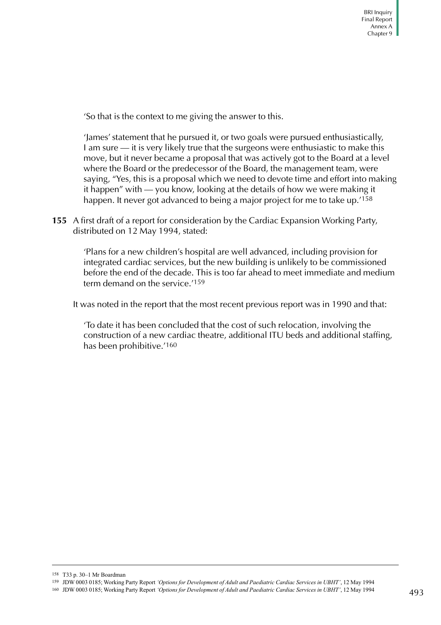'So that is the context to me giving the answer to this.

'James' statement that he pursued it, or two goals were pursued enthusiastically, I am sure — it is very likely true that the surgeons were enthusiastic to make this move, but it never became a proposal that was actively got to the Board at a level where the Board or the predecessor of the Board, the management team, were saying, "Yes, this is a proposal which we need to devote time and effort into making it happen" with — you know, looking at the details of how we were making it happen. It never got advanced to being a major project for me to take up.<sup>'158</sup>

**155** A first draft of a report for consideration by the Cardiac Expansion Working Party, distributed on 12 May 1994, stated:

'Plans for a new children's hospital are well advanced, including provision for integrated cardiac services, but the new building is unlikely to be commissioned before the end of the decade. This is too far ahead to meet immediate and medium term demand on the service.'159

It was noted in the report that the most recent previous report was in 1990 and that:

'To date it has been concluded that the cost of such relocation, involving the construction of a new cardiac theatre, additional ITU beds and additional staffing, has been prohibitive.'160

<sup>158</sup> T33 p. 30–1 Mr Boardman

<sup>159</sup> JDW 0003 0185; Working Party Report *'Options for Development of Adult and Paediatric Cardiac Services in UBHT'*, 12 May 1994

<sup>160</sup> JDW 0003 0185; Working Party Report *'Options for Development of Adult and Paediatric Cardiac Services in UBHT'*, 12 May 1994